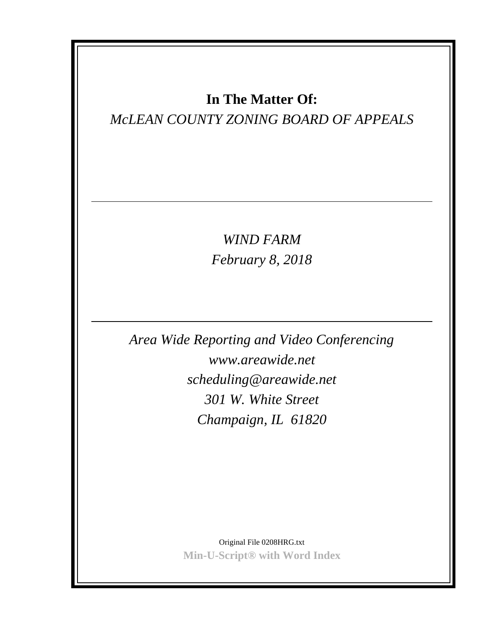# **In The Matter Of:**

# *McLEAN COUNTY ZONING BOARD OF APPEALS*

*WIND FARM February 8, 2018*

*Area Wide Reporting and Video Conferencing www.areawide.net scheduling@areawide.net 301 W. White Street Champaign, IL 61820*

> Original File 0208HRG.txt **Min-U-Script® with Word Index**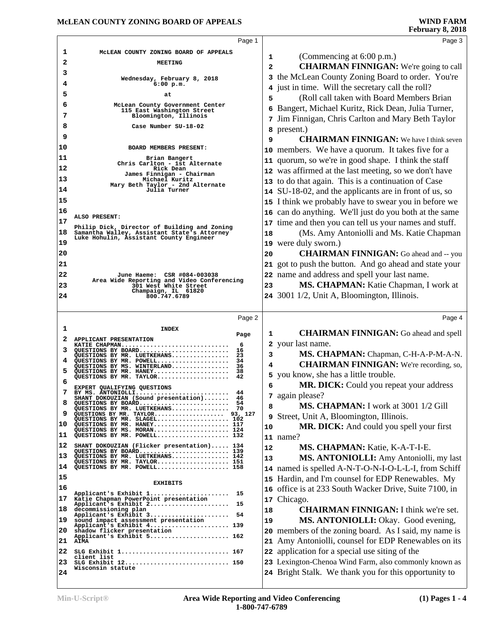|                                                    | Page 1                                                                                 |              | Page 3                                                                                                         |
|----------------------------------------------------|----------------------------------------------------------------------------------------|--------------|----------------------------------------------------------------------------------------------------------------|
| 1                                                  | MCLEAN COUNTY ZONING BOARD OF APPEALS                                                  |              |                                                                                                                |
| 2                                                  | <b>MEETING</b>                                                                         | 1            | (Commencing at 6:00 p.m.)                                                                                      |
| з                                                  |                                                                                        | $\mathbf{2}$ | <b>CHAIRMAN FINNIGAN:</b> We're going to call                                                                  |
| 4                                                  | Wednesday, February 8, 2018<br>$6:00$ p.m.                                             |              | 3 the McLean County Zoning Board to order. You're                                                              |
| 5                                                  | at                                                                                     |              | 4 just in time. Will the secretary call the roll?                                                              |
| 6                                                  | McLean County Government Center                                                        | 5            | (Roll call taken with Board Members Brian                                                                      |
| 7                                                  | 115 East Washington Street<br>Bloomington, Illinois                                    | 6            | Bangert, Michael Kuritz, Rick Dean, Julia Turner,                                                              |
| 8                                                  | Case Number SU-18-02                                                                   |              | 7 Jim Finnigan, Chris Carlton and Mary Beth Taylor                                                             |
| 9                                                  |                                                                                        | 8            | present.)                                                                                                      |
| 10                                                 | BOARD MEMBERS PRESENT:                                                                 | 9            | <b>CHAIRMAN FINNIGAN:</b> We have I think seven                                                                |
| 11                                                 | Brian Bangert                                                                          |              | 10 members. We have a quorum. It takes five for a                                                              |
| 12                                                 | Chris Carlton - 1st Alternate                                                          |              | 11 quorum, so we're in good shape. I think the staff                                                           |
|                                                    | Rick Dean<br>James Finnigan - Chairman                                                 |              | 12 was affirmed at the last meeting, so we don't have                                                          |
| 13                                                 | Michael Kuritz<br>Mary Beth Taylor - 2nd Alternate                                     |              | 13 to do that again. This is a continuation of Case                                                            |
| 14                                                 | Julia Turner                                                                           |              | 14 SU-18-02, and the applicants are in front of us, so                                                         |
| 15                                                 |                                                                                        |              | 15 I think we probably have to swear you in before we                                                          |
| 16                                                 | ALSO PRESENT:                                                                          |              | 16 can do anything. We'll just do you both at the same                                                         |
| 17                                                 | Philip Dick, Director of Building and Zoning                                           |              | 17 time and then you can tell us your names and stuff.                                                         |
| 18                                                 | Samantha Walley, Assistant State's Attorney<br>Luke Hohulin, Assistant County Engineer | 18           | (Ms. Amy Antoniolli and Ms. Katie Chapman                                                                      |
| 19                                                 |                                                                                        | 19           | were duly sworn.)                                                                                              |
| 20                                                 |                                                                                        | 20           | <b>CHAIRMAN FINNIGAN:</b> Go ahead and -- you                                                                  |
| 21                                                 |                                                                                        |              | 21 got to push the button. And go ahead and state your                                                         |
| 22                                                 | June Haeme: CSR #084-003038<br>Area Wide Reporting and Video Conferencing              |              | 22 name and address and spell your last name.                                                                  |
| 23                                                 | 301 West White Street                                                                  | 23           | MS. CHAPMAN: Katie Chapman, I work at                                                                          |
| 24                                                 | Champaign, IL 61820<br>800.747.6789                                                    |              | 24 3001 1/2, Unit A, Bloomington, Illinois.                                                                    |
|                                                    |                                                                                        |              |                                                                                                                |
|                                                    |                                                                                        |              |                                                                                                                |
|                                                    | Page 2                                                                                 |              | Page 4                                                                                                         |
| 1                                                  | <b>INDEX</b>                                                                           |              |                                                                                                                |
| 2                                                  | Page<br>APPLICANT PRESENTATION                                                         | 1            | <b>CHAIRMAN FINNIGAN:</b> Go ahead and spell                                                                   |
| 3                                                  | 6<br>KATIE CHAPMAN<br>QUESTIONS BY BOARD<br>16                                         |              | 2 your last name.                                                                                              |
| 4                                                  | 23<br>QUESTIONS BY MR. LUETKEHANS<br>QUESTIONS BY MR. POWELL<br>34                     | 3            | MS. CHAPMAN: Chapman, C-H-A-P-M-A-N.                                                                           |
| 5                                                  | QUESTIONS BY MS. WINTERLAND<br>36<br>QUESTIONS BY MR. HANEY<br>38                      | 4            | <b>CHAIRMAN FINNIGAN:</b> We're recording, so,                                                                 |
| 6                                                  | 42<br>OUESTIONS BY MR. TAYLOR                                                          |              | 5 you know, she has a little trouble.                                                                          |
|                                                    | EXPERT QUALIFYING QUESTIONS<br>44<br>BY MS. ANTONIOLLI                                 | 6            | <b>MR. DICK:</b> Could you repeat your address                                                                 |
| 8                                                  | SHANT DOKOUZIAN (Sound presentation)<br>46<br>QUESTIONS BY BOARD<br>54                 |              | 7 again please?                                                                                                |
| 9                                                  | QUESTIONS BY MR. LUETKEHANS<br>QUESTIONS BY MR. TAYLOR 93, 127                         | 8            | MS. CHAPMAN: I work at 3001 1/2 Gill                                                                           |
|                                                    | QUESTIONS BY MR. SLAGEL 102<br>QUESTIONS BY MR. HANEY 117                              | 9            | Street, Unit A, Bloomington, Illinois.                                                                         |
|                                                    | QUESTIONS BY MS. MORAN 124<br>OUESTIONS BY MR. POWELL 132                              | 10           | MR. DICK: And could you spell your first                                                                       |
|                                                    | SHANT DOKOUZIAN (Flicker presentation) 134                                             |              | 11 name?                                                                                                       |
|                                                    | QUESTIONS BY BOARD 139<br>QUESTIONS BY MR. LUETKEHANS 142                              | 12           | MS. CHAPMAN: Katie, K-A-T-I-E.                                                                                 |
|                                                    | QUESTIONS BY MR. TAYLOR 151<br>QUESTIONS BY MR. POWELL 158                             | 13           | MS. ANTONIOLLI: Amy Antoniolli, my last                                                                        |
|                                                    |                                                                                        |              | 14 named is spelled A-N-T-O-N-I-O-L-L-I, from Schiff                                                           |
|                                                    | <b>EXHIBITS</b>                                                                        |              | 15 Hardin, and I'm counsel for EDP Renewables. My                                                              |
|                                                    | Applicant's Exhibit 1<br>15                                                            | 16           | office is at 233 South Wacker Drive, Suite 7100, in                                                            |
|                                                    | Katie Chapman PowerPoint presentation<br>15<br>Applicant's Exhibit 2                   | 17           | Chicago.                                                                                                       |
|                                                    | decommissioning plan<br>Applicant's Exhibit 3<br>54                                    | 18           | <b>CHAIRMAN FINNIGAN: I think we're set.</b>                                                                   |
|                                                    | sound impact assessment presentation<br>Applicant's Exhibit 4 139                      | 19           | MS. ANTONIOLLI: Okay. Good evening,                                                                            |
|                                                    | shadow flicker presentation<br>Applicant's Exhibit 5 162                               | 20           | members of the zoning board. As I said, my name is                                                             |
|                                                    | <b>AIMA</b>                                                                            | 21           | Amy Antoniolli, counsel for EDP Renewables on its                                                              |
| 10<br>12<br>13<br>20<br>21<br>22                   | SLG Exhibit 1 167<br>client list                                                       | 22           | application for a special use siting of the                                                                    |
| 11<br>14<br>15<br>16<br>17<br>18<br>19<br>23<br>24 | SLG Exhibit 12 150<br>Wisconsin statute                                                |              | 23 Lexington-Chenoa Wind Farm, also commonly known as<br>24 Bright Stalk. We thank you for this opportunity to |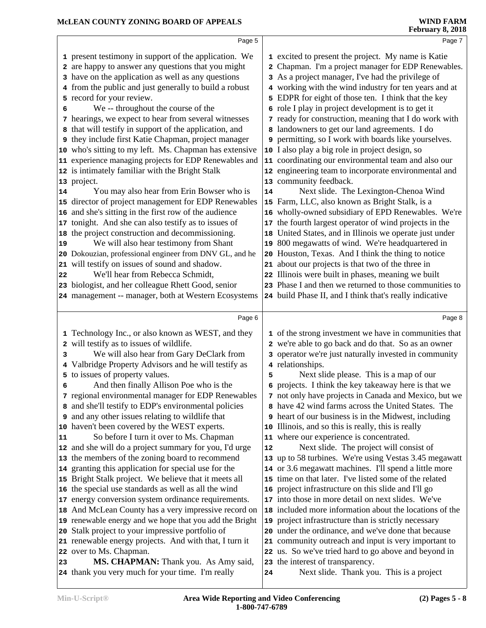| 1 excited to present the project. My name is Katie                                                              |
|-----------------------------------------------------------------------------------------------------------------|
| 2 Chapman. I'm a project manager for EDP Renewables.                                                            |
|                                                                                                                 |
| 4 working with the wind industry for ten years and at                                                           |
| 5 EDPR for eight of those ten. I think that the key                                                             |
|                                                                                                                 |
| 7 ready for construction, meaning that I do work with                                                           |
|                                                                                                                 |
| 9 permitting, so I work with boards like yourselves.                                                            |
|                                                                                                                 |
| 11 coordinating our environmental team and also our                                                             |
| 12 engineering team to incorporate environmental and                                                            |
|                                                                                                                 |
|                                                                                                                 |
|                                                                                                                 |
| 16 wholly-owned subsidiary of EPD Renewables. We're                                                             |
| the fourth largest operator of wind projects in the                                                             |
| United States, and in Illinois we operate just under                                                            |
|                                                                                                                 |
| Houston, Texas. And I think the thing to notice                                                                 |
|                                                                                                                 |
|                                                                                                                 |
|                                                                                                                 |
|                                                                                                                 |
| 23 Phase I and then we returned to those communities to                                                         |
| 24 build Phase II, and I think that's really indicative                                                         |
| Page 8                                                                                                          |
|                                                                                                                 |
| 1 of the strong investment we have in communities that                                                          |
| 2 we're able to go back and do that. So as an owner                                                             |
| 3 operator we're just naturally invested in community                                                           |
|                                                                                                                 |
|                                                                                                                 |
| 6 projects. I think the key takeaway here is that we                                                            |
| 7 not only have projects in Canada and Mexico, but we                                                           |
| 8 have 42 wind farms across the United States. The                                                              |
| <b>9</b> heart of our business is in the Midwest, including                                                     |
|                                                                                                                 |
|                                                                                                                 |
|                                                                                                                 |
| 13 up to 58 turbines. We're using Vestas 3.45 megawatt<br>14 or 3.6 megawatt machines. I'll spend a little more |
| 15 time on that later. I've listed some of the related                                                          |
|                                                                                                                 |
|                                                                                                                 |
| 18 included more information about the locations of the                                                         |
|                                                                                                                 |
| 20 under the ordinance, and we've done that because                                                             |
| 21 community outreach and input is very important to                                                            |
| 22 us. So we've tried hard to go above and beyond in                                                            |
|                                                                                                                 |
| Next slide. The Lexington-Chenoa Wind<br>19 800 megawatts of wind. We're headquartered in                       |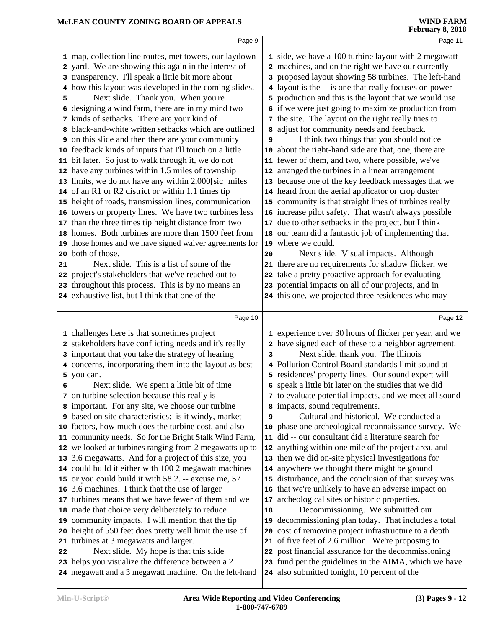|    | Page 9                                                                                                      |    | Page 11                                                                                               |
|----|-------------------------------------------------------------------------------------------------------------|----|-------------------------------------------------------------------------------------------------------|
|    | 1 map, collection line routes, met towers, our laydown                                                      |    | 1 side, we have a 100 turbine layout with 2 megawatt                                                  |
|    | 2 yard. We are showing this again in the interest of                                                        |    | 2 machines, and on the right we have our currently                                                    |
| 3  | transparency. I'll speak a little bit more about                                                            | 3  | proposed layout showing 58 turbines. The left-hand                                                    |
|    | 4 how this layout was developed in the coming slides.                                                       |    | 4 layout is the -- is one that really focuses on power                                                |
| 5  | Next slide. Thank you. When you're                                                                          |    | 5 production and this is the layout that we would use                                                 |
| 6  | designing a wind farm, there are in my mind two                                                             |    | 6 if we were just going to maximize production from                                                   |
|    | 7 kinds of setbacks. There are your kind of                                                                 |    | 7 the site. The layout on the right really tries to                                                   |
|    | 8 black-and-white written setbacks which are outlined                                                       | 8  | adjust for community needs and feedback.                                                              |
|    | 9 on this slide and then there are your community                                                           | 9  | I think two things that you should notice                                                             |
|    | 10 feedback kinds of inputs that I'll touch on a little                                                     |    | 10 about the right-hand side are that, one, there are                                                 |
|    | 11 bit later. So just to walk through it, we do not                                                         |    | 11 fewer of them, and two, where possible, we've                                                      |
|    | 12 have any turbines within 1.5 miles of township                                                           |    | 12 arranged the turbines in a linear arrangement                                                      |
|    | 13 limits, we do not have any within 2,000[sic] miles                                                       |    | 13 because one of the key feedback messages that we                                                   |
|    | 14 of an R1 or R2 district or within 1.1 times tip                                                          |    | 14 heard from the aerial applicator or crop duster                                                    |
|    | 15 height of roads, transmission lines, communication                                                       |    | 15 community is that straight lines of turbines really                                                |
|    | 16 towers or property lines. We have two turbines less                                                      |    | 16 increase pilot safety. That wasn't always possible                                                 |
|    | 17 than the three times tip height distance from two                                                        | 17 | due to other setbacks in the project, but I think                                                     |
|    | 18 homes. Both turbines are more than 1500 feet from                                                        |    | 18 our team did a fantastic job of implementing that                                                  |
|    | 19 those homes and we have signed waiver agreements for                                                     |    | 19 where we could.                                                                                    |
|    | 20 both of those.                                                                                           | 20 | Next slide. Visual impacts. Although                                                                  |
|    | Next slide. This is a list of some of the                                                                   |    | 21 there are no requirements for shadow flicker, we                                                   |
| 21 |                                                                                                             |    |                                                                                                       |
|    | 22 project's stakeholders that we've reached out to                                                         | 22 | take a pretty proactive approach for evaluating                                                       |
|    | 23 throughout this process. This is by no means an                                                          |    | 23 potential impacts on all of our projects, and in                                                   |
|    | 24 exhaustive list, but I think that one of the                                                             |    | 24 this one, we projected three residences who may                                                    |
|    | Page 10                                                                                                     |    | Page 12                                                                                               |
|    |                                                                                                             |    |                                                                                                       |
|    |                                                                                                             |    |                                                                                                       |
|    | 1 challenges here is that sometimes project                                                                 |    | 1 experience over 30 hours of flicker per year, and we                                                |
|    | 2 stakeholders have conflicting needs and it's really                                                       |    | 2 have signed each of these to a neighbor agreement.                                                  |
|    | 3 important that you take the strategy of hearing                                                           | 3  | Next slide, thank you. The Illinois                                                                   |
|    | 4 concerns, incorporating them into the layout as best                                                      |    | 4 Pollution Control Board standards limit sound at                                                    |
|    | 5 you can.                                                                                                  |    | 5 residences' property lines. Our sound expert will                                                   |
| 6  | Next slide. We spent a little bit of time                                                                   |    | 6 speak a little bit later on the studies that we did                                                 |
|    | 7 on turbine selection because this really is                                                               |    | 7 to evaluate potential impacts, and we meet all sound                                                |
|    | 8 important. For any site, we choose our turbine                                                            |    | 8 impacts, sound requirements.                                                                        |
|    | <b>9</b> based on site characteristics: is it windy, market                                                 | 9  | Cultural and historical. We conducted a                                                               |
|    | 10 factors, how much does the turbine cost, and also                                                        |    | 10 phase one archeological reconnaissance survey. We                                                  |
|    | 11 community needs. So for the Bright Stalk Wind Farm,                                                      | 11 | did -- our consultant did a literature search for                                                     |
|    | 12 we looked at turbines ranging from 2 megawatts up to                                                     | 12 | anything within one mile of the project area, and                                                     |
|    | 13 3.6 megawatts. And for a project of this size, you                                                       | 13 | then we did on-site physical investigations for                                                       |
|    | 14 could build it either with 100 2 megawatt machines                                                       |    | 14 anywhere we thought there might be ground                                                          |
|    | 15 or you could build it with 58 2. -- excuse me, 57                                                        |    | 15 disturbance, and the conclusion of that survey was                                                 |
|    | 16 3.6 machines. I think that the use of larger                                                             |    | 16 that we're unlikely to have an adverse impact on                                                   |
|    | 17 turbines means that we have fewer of them and we                                                         | 17 | archeological sites or historic properties.                                                           |
|    | 18 made that choice very deliberately to reduce                                                             | 18 | Decommissioning. We submitted our                                                                     |
|    | 19 community impacts. I will mention that the tip                                                           | 19 | decommissioning plan today. That includes a total                                                     |
|    | 20 height of 550 feet does pretty well limit the use of                                                     | 20 | cost of removing project infrastructure to a depth                                                    |
|    | 21 turbines at 3 megawatts and larger.                                                                      | 21 | of five feet of 2.6 million. We're proposing to                                                       |
| 22 | Next slide. My hope is that this slide                                                                      | 22 | post financial assurance for the decommissioning                                                      |
|    | 23 helps you visualize the difference between a 2<br>24 megawatt and a 3 megawatt machine. On the left-hand |    | 23 fund per the guidelines in the AIMA, which we have<br>24 also submitted tonight, 10 percent of the |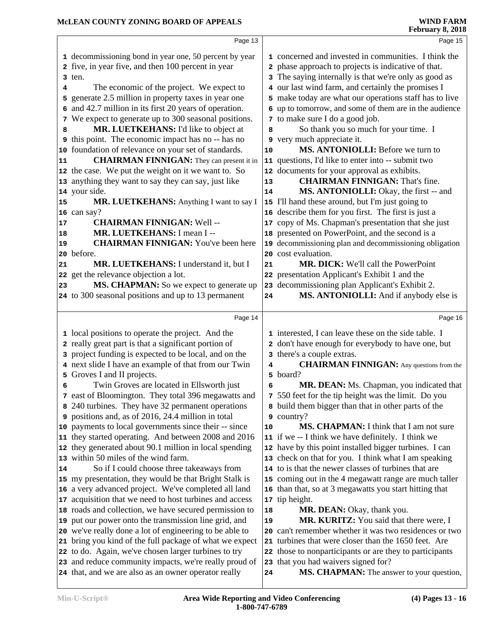|              | Page 13                                                                                                        |    | Page 15                                                                          |
|--------------|----------------------------------------------------------------------------------------------------------------|----|----------------------------------------------------------------------------------|
|              | 1 decommissioning bond in year one, 50 percent by year                                                         |    | 1 concerned and invested in communities. I think the                             |
|              | 2 five, in year five, and then 100 percent in year                                                             |    | 2 phase approach to projects is indicative of that.                              |
|              | 3 ten.                                                                                                         |    | 3 The saying internally is that we're only as good as                            |
| 4            | The economic of the project. We expect to                                                                      |    | 4 our last wind farm, and certainly the promises I                               |
|              | 5 generate 2.5 million in property taxes in year one                                                           |    | 5 make today are what our operations staff has to live                           |
|              | 6 and 42.7 million in its first 20 years of operation.                                                         |    | 6 up to tomorrow, and some of them are in the audience                           |
|              | 7 We expect to generate up to 300 seasonal positions.                                                          |    | 7 to make sure I do a good job.                                                  |
| 8            | MR. LUETKEHANS: I'd like to object at                                                                          | 8  | So thank you so much for your time. I                                            |
| 9            | this point. The economic impact has no -- has no                                                               | 9  | very much appreciate it.                                                         |
|              | 10 foundation of relevance on your set of standards.                                                           | 10 | MS. ANTONIOLLI: Before we turn to                                                |
| 11           | <b>CHAIRMAN FINNIGAN:</b> They can present it in                                                               |    | 11 questions, I'd like to enter into -- submit two                               |
|              | 12 the case. We put the weight on it we want to. So                                                            |    | 12 documents for your approval as exhibits.                                      |
|              | 13 anything they want to say they can say, just like                                                           | 13 | <b>CHAIRMAN FINNIGAN: That's fine.</b>                                           |
|              | 14 your side.                                                                                                  | 14 | MS. ANTONIOLLI: Okay, the first -- and                                           |
| 15           | MR. LUETKEHANS: Anything I want to say I                                                                       |    | 15 I'll hand these around, but I'm just going to                                 |
|              | 16 can say?                                                                                                    |    | 16 describe them for you first. The first is just a                              |
| 17           | <b>CHAIRMAN FINNIGAN: Well --</b>                                                                              |    | 17 copy of Ms. Chapman's presentation that she just                              |
| 18           | MR. LUETKEHANS: I mean I --                                                                                    |    | 18 presented on PowerPoint, and the second is a                                  |
| $ 19\rangle$ | <b>CHAIRMAN FINNIGAN:</b> You've been here                                                                     |    | 19 decommissioning plan and decommissioning obligation                           |
|              | 20 before.                                                                                                     |    | 20 cost evaluation.                                                              |
| 21           | MR. LUETKEHANS: I understand it, but I                                                                         | 21 | <b>MR. DICK:</b> We'll call the PowerPoint                                       |
|              | 22 get the relevance objection a lot.                                                                          |    | 22 presentation Applicant's Exhibit 1 and the                                    |
| 23           | MS. CHAPMAN: So we expect to generate up                                                                       |    | 23 decommissioning plan Applicant's Exhibit 2.                                   |
|              | 24 to 300 seasonal positions and up to 13 permanent                                                            | 24 | MS. ANTONIOLLI: And if anybody else is                                           |
|              |                                                                                                                |    |                                                                                  |
|              |                                                                                                                |    |                                                                                  |
|              | Page 14                                                                                                        |    | Page 16                                                                          |
|              |                                                                                                                |    |                                                                                  |
|              | 1 local positions to operate the project. And the                                                              |    | 1 interested, I can leave these on the side table. I                             |
|              | 2 really great part is that a significant portion of                                                           |    | 2 don't have enough for everybody to have one, but                               |
|              | 3 project funding is expected to be local, and on the                                                          |    | 3 there's a couple extras.                                                       |
|              | 4 next slide I have an example of that from our Twin                                                           | 4  | <b>CHAIRMAN FINNIGAN:</b> Any questions from the                                 |
|              | 5 Groves I and II projects.                                                                                    |    | 5 board?                                                                         |
| 6            | Twin Groves are located in Ellsworth just                                                                      | 6  | MR. DEAN: Ms. Chapman, you indicated that                                        |
|              | 7 east of Bloomington. They total 396 megawatts and                                                            |    | 7 550 feet for the tip height was the limit. Do you                              |
|              | 8 240 turbines. They have 32 permanent operations                                                              |    | 8 build them bigger than that in other parts of the                              |
|              | 9 positions and, as of 2016, 24.4 million in total                                                             |    | 9 country?                                                                       |
|              | 10 payments to local governments since their -- since                                                          | 10 | <b>MS. CHAPMAN:</b> I think that I am not sure                                   |
|              | 11 they started operating. And between 2008 and 2016                                                           |    | 11 if we -- I think we have definitely. I think we                               |
|              | 12 they generated about 90.1 million in local spending                                                         |    | 12 have by this point installed bigger turbines. I can                           |
|              | 13 within 50 miles of the wind farm.                                                                           |    | 13 check on that for you. I think what I am speaking                             |
|              | So if I could choose three takeaways from                                                                      |    | 14 to is that the newer classes of turbines that are                             |
|              | 15 my presentation, they would be that Bright Stalk is                                                         |    | 15 coming out in the 4 megawatt range are much taller                            |
|              | 16 a very advanced project. We've completed all land                                                           |    | 16 than that, so at 3 megawatts you start hitting that                           |
|              | 17 acquisition that we need to host turbines and access                                                        |    | 17 tip height.                                                                   |
|              | 18 roads and collection, we have secured permission to                                                         | 18 | MR. DEAN: Okay, thank you.                                                       |
| 14           | 19 put our power onto the transmission line grid, and                                                          | 19 | MR. KURITZ: You said that there were, I                                          |
|              | 20 we've really done a lot of engineering to be able to                                                        |    | 20 can't remember whether it was two residences or two                           |
|              | 21 bring you kind of the full package of what we expect                                                        |    | 21 turbines that were closer than the 1650 feet. Are                             |
|              | 22 to do. Again, we've chosen larger turbines to try                                                           |    | 22 those to nonparticipants or are they to participants                          |
|              | 23 and reduce community impacts, we're really proud of<br>24 that, and we are also as an owner operator really | 24 | 23 that you had waivers signed for?<br>MS. CHAPMAN: The answer to your question, |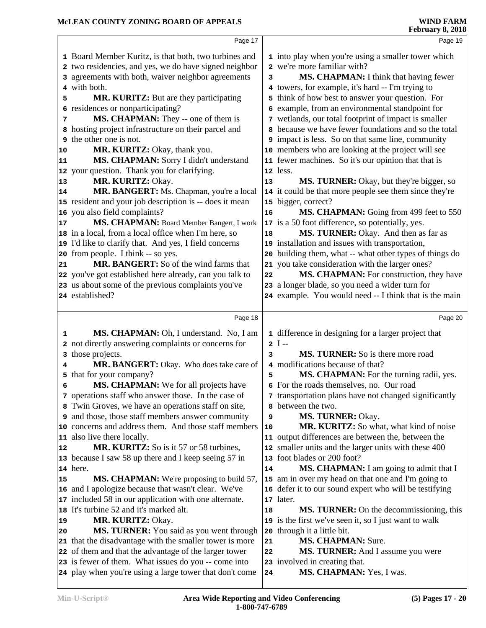|    | Page 17                                                  |            | Page 19                                                |  |
|----|----------------------------------------------------------|------------|--------------------------------------------------------|--|
|    | 1 Board Member Kuritz, is that both, two turbines and    |            | 1 into play when you're using a smaller tower which    |  |
|    | 2 two residencies, and yes, we do have signed neighbor   |            | 2 we're more familiar with?                            |  |
|    | 3 agreements with both, waiver neighbor agreements       | 3          | MS. CHAPMAN: I think that having fewer                 |  |
|    | 4 with both.                                             |            | 4 towers, for example, it's hard -- I'm trying to      |  |
| 5  | MR. KURITZ: But are they participating                   |            | 5 think of how best to answer your question. For       |  |
|    | 6 residences or nonparticipating?                        |            | 6 example, from an environmental standpoint for        |  |
| 7  | MS. CHAPMAN: They -- one of them is                      |            | 7 wetlands, our total footprint of impact is smaller   |  |
|    | 8 hosting project infrastructure on their parcel and     |            | 8 because we have fewer foundations and so the total   |  |
|    | <b>9</b> the other one is not.                           |            | 9 impact is less. So on that same line, community      |  |
| 10 | MR. KURITZ: Okay, thank you.                             |            | 10 members who are looking at the project will see     |  |
| 11 | MS. CHAPMAN: Sorry I didn't understand                   |            | 11 fewer machines. So it's our opinion that that is    |  |
|    | 12 your question. Thank you for clarifying.              |            | 12 less.                                               |  |
| 13 | MR. KURITZ: Okay.                                        | 13         | MS. TURNER: Okay, but they're bigger, so               |  |
| 14 | MR. BANGERT: Ms. Chapman, you're a local                 |            | 14 it could be that more people see them since they're |  |
|    | 15 resident and your job description is -- does it mean  |            | 15 bigger, correct?                                    |  |
|    | 16 you also field complaints?                            | ${\bf 16}$ | MS. CHAPMAN: Going from 499 feet to 550                |  |
| 17 | MS. CHAPMAN: Board Member Bangert, I work                |            | 17 is a 50 foot difference, so potentially, yes.       |  |
|    | 18 in a local, from a local office when I'm here, so     | 18         | MS. TURNER: Okay. And then as far as                   |  |
|    | 19 I'd like to clarify that. And yes, I field concerns   |            | 19 installation and issues with transportation,        |  |
|    | 20 from people. I think -- so yes.                       | 20         | building them, what -- what other types of things do   |  |
| 21 | MR. BANGERT: So of the wind farms that                   |            | 21 you take consideration with the larger ones?        |  |
|    | 22 you've got established here already, can you talk to  | 22         | MS. CHAPMAN: For construction, they have               |  |
|    | 23 us about some of the previous complaints you've       |            | 23 a longer blade, so you need a wider turn for        |  |
|    | 24 established?                                          |            | 24 example. You would need -- I think that is the main |  |
|    |                                                          |            |                                                        |  |
|    | Page 18                                                  |            | Page 20                                                |  |
| 1  | MS. CHAPMAN: Oh, I understand. No, I am                  |            | 1 difference in designing for a larger project that    |  |
|    | 2 not directly answering complaints or concerns for      |            | $2$ I --                                               |  |
|    | 3 those projects.                                        | 3          | MS. TURNER: So is there more road                      |  |
| 4  | MR. BANGERT: Okay. Who does take care of                 |            | 4 modifications because of that?                       |  |
|    | 5 that for your company?                                 | 5          | MS. CHAPMAN: For the turning radii, yes.               |  |
| 6  | MS. CHAPMAN: We for all projects have                    |            | 6 For the roads themselves, no. Our road               |  |
|    | 7 operations staff who answer those. In the case of      |            | 7 transportation plans have not changed significantly  |  |
|    | 8 Twin Groves, we have an operations staff on site,      |            | 8 between the two.                                     |  |
|    | <b>9</b> and those, those staff members answer community | 9          | MS. TURNER: Okay.                                      |  |
|    | 10 concerns and address them. And those staff members    | 10         | MR. KURITZ: So what, what kind of noise                |  |
|    | 11 also live there locally.                              |            | 11 output differences are between the, between the     |  |
| 12 | MR. KURITZ: So is it 57 or 58 turbines,                  |            | 12 smaller units and the larger units with these 400   |  |
|    | 13 because I saw 58 up there and I keep seeing 57 in     |            | 13 foot blades or 200 foot?                            |  |
|    | 14 here.                                                 | 14         | MS. CHAPMAN: I am going to admit that I                |  |
| 15 | <b>MS. CHAPMAN:</b> We're proposing to build 57,         |            | 15 am in over my head on that one and I'm going to     |  |
|    | 16 and I apologize because that wasn't clear. We've      |            | 16 defer it to our sound expert who will be testifying |  |
|    | 17 included 58 in our application with one alternate.    |            | 17 later.                                              |  |
|    | 18 It's turbine 52 and it's marked alt.                  | 18         | MS. TURNER: On the decommissioning, this               |  |
| 19 | MR. KURITZ: Okay.                                        |            | 19 is the first we've seen it, so I just want to walk  |  |
| 20 | MS. TURNER: You said as you went through                 | 20         | through it a little bit.                               |  |
|    | 21 that the disadvantage with the smaller tower is more  | 21         | <b>MS. CHAPMAN:</b> Sure.                              |  |
|    | 22 of them and that the advantage of the larger tower    | 22         | MS. TURNER: And I assume you were                      |  |
|    | 23 is fewer of them. What issues do you -- come into     |            | 23 involved in creating that.                          |  |
|    |                                                          |            |                                                        |  |
|    | 24 play when you're using a large tower that don't come  | 24         | MS. CHAPMAN: Yes, I was.                               |  |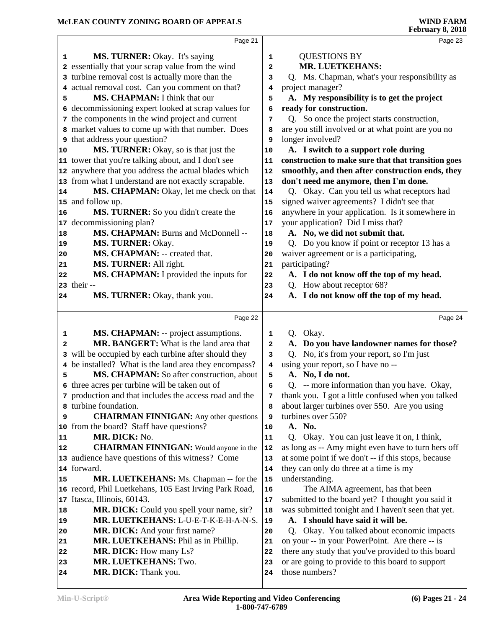|              | Page 21                                                |                | Page 23                                             |
|--------------|--------------------------------------------------------|----------------|-----------------------------------------------------|
| 1            | MS. TURNER: Okay. It's saying                          | 1              | <b>QUESTIONS BY</b>                                 |
|              | 2 essentially that your scrap value from the wind      | $\overline{a}$ | MR. LUETKEHANS:                                     |
|              | 3 turbine removal cost is actually more than the       | 3              | Q. Ms. Chapman, what's your responsibility as       |
|              | 4 actual removal cost. Can you comment on that?        | 4              | project manager?                                    |
| 5            | MS. CHAPMAN: I think that our                          | 5              | A. My responsibility is to get the project          |
|              | 6 decommissioning expert looked at scrap values for    | 6              | ready for construction.                             |
|              | 7 the components in the wind project and current       | 7              | Q. So once the project starts construction,         |
|              | 8 market values to come up with that number. Does      | 8              | are you still involved or at what point are you no  |
|              | <b>9</b> that address your question?                   | 9              | longer involved?                                    |
| 10           | MS. TURNER: Okay, so is that just the                  | ${\bf 10}$     | A. I switch to a support role during                |
|              | 11 tower that you're talking about, and I don't see    | 11             | construction to make sure that that transition goes |
|              | 12 anywhere that you address the actual blades which   | 12             | smoothly, and then after construction ends, they    |
|              | 13 from what I understand are not exactly scrapable.   | 13             | don't need me anymore, then I'm done.               |
| 14           | MS. CHAPMAN: Okay, let me check on that                | 14             | Q. Okay. Can you tell us what receptors had         |
|              | 15 and follow up.                                      | 15             | signed waiver agreements? I didn't see that         |
| 16           | MS. TURNER: So you didn't create the                   | 16             | anywhere in your application. Is it somewhere in    |
| 17           | decommissioning plan?                                  | 17             | your application? Did I miss that?                  |
| 18           | MS. CHAPMAN: Burns and McDonnell --                    | 18             | A. No, we did not submit that.                      |
| 19           | MS. TURNER: Okay.                                      | 19             | Q. Do you know if point or receptor 13 has a        |
| 20           | MS. CHAPMAN: -- created that.                          | 20             | waiver agreement or is a participating,             |
| 21           | MS. TURNER: All right.                                 | 21             | participating?                                      |
| 22           | MS. CHAPMAN: I provided the inputs for                 | 22             | A. I do not know off the top of my head.            |
|              | 23 their --                                            | 23             | Q. How about receptor 68?                           |
| 24           | MS. TURNER: Okay, thank you.                           | 24             | A. I do not know off the top of my head.            |
|              |                                                        |                |                                                     |
|              | Page 22                                                |                | Page 24                                             |
| 1            | <b>MS. CHAPMAN:</b> -- project assumptions.            | 1              | Q. Okay.                                            |
| $\mathbf{2}$ | MR. BANGERT: What is the land area that                | 2              | A. Do you have landowner names for those?           |
|              | 3 will be occupied by each turbine after should they   | 3              | Q. No, it's from your report, so I'm just           |
|              | 4 be installed? What is the land area they encompass?  | 4              | using your report, so I have no --                  |
| 5            | MS. CHAPMAN: So after construction, about              | 5              | A. No, I do not.                                    |
|              | 6 three acres per turbine will be taken out of         | 6              | Q. -- more information than you have. Okay,         |
|              | 7 production and that includes the access road and the | 7              | thank you. I got a little confused when you talked  |
|              | 8 turbine foundation.                                  | 8              | about larger turbines over 550. Are you using       |
| 9            | <b>CHAIRMAN FINNIGAN:</b> Any other questions          | 9              | turbines over 550?                                  |
|              | 10 from the board? Staff have questions?               | 10             | A. No.                                              |
| 11           | MR. DICK: No.                                          | 11             | Q. Okay. You can just leave it on, I think,         |
| 12           | <b>CHAIRMAN FINNIGAN:</b> Would anyone in the          | 12             | as long as -- Amy might even have to turn hers off  |
|              | 13 audience have questions of this witness? Come       | 13             | at some point if we don't -- if this stops, because |
|              | 14 forward.                                            | 14             | they can only do three at a time is my              |
| 15           | MR. LUETKEHANS: Ms. Chapman -- for the                 | 15             | understanding.                                      |
|              | 16 record, Phil Luetkehans, 105 East Irving Park Road, | 16             | The AIMA agreement, has that been                   |
|              | 17 Itasca, Illinois, 60143.                            | $17\,$         | submitted to the board yet? I thought you said it   |
| 18           | MR. DICK: Could you spell your name, sir?              | 18             | was submitted tonight and I haven't seen that yet.  |
| 19           | MR. LUETKEHANS: L-U-E-T-K-E-H-A-N-S.                   | 19             | A. I should have said it will be.                   |
| 20           | MR. DICK: And your first name?                         | 20             | Q. Okay. You talked about economic impacts          |
| 21           | MR. LUETKEHANS: Phil as in Phillip.                    | 21             | on your -- in your PowerPoint. Are there -- is      |
| 22           | MR. DICK: How many Ls?                                 | 22             | there any study that you've provided to this board  |
| 23           | MR. LUETKEHANS: Two.                                   | 23             | or are going to provide to this board to support    |
|              |                                                        |                |                                                     |
| 24           | MR. DICK: Thank you.                                   | 24             | those numbers?                                      |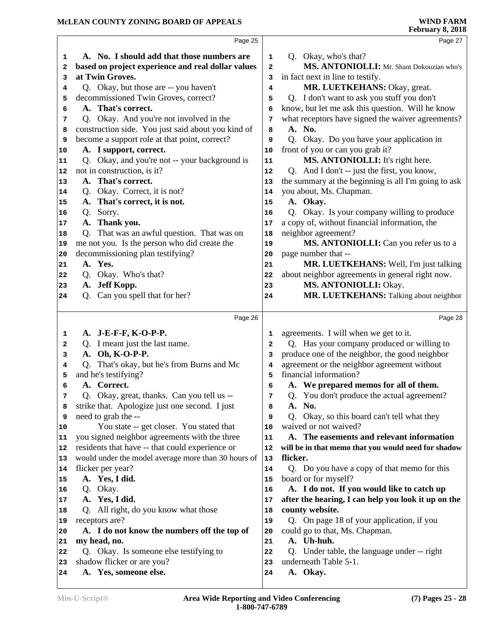|    |                                                     |              | r coruary 0, 2010                                    |
|----|-----------------------------------------------------|--------------|------------------------------------------------------|
|    | Page 25                                             |              | Page 27                                              |
| 1  | A. No. I should add that those numbers are          | 1            | Q. Okay, who's that?                                 |
| 2  | based on project experience and real dollar values  | 2            | MS. ANTONIOLLI: Mr. Shant Dokouzian who's            |
| 3  | at Twin Groves.                                     | 3            | in fact next in line to testify.                     |
| 4  | Q. Okay, but those are -- you haven't               | 4            | MR. LUETKEHANS: Okay, great.                         |
| 5  | decommissioned Twin Groves, correct?                | 5            | Q. I don't want to ask you stuff you don't           |
| 6  | A. That's correct.                                  | 6            | know, but let me ask this question. Will he know     |
| 7  | Q. Okay. And you're not involved in the             | 7            | what receptors have signed the waiver agreements?    |
| 8  | construction side. You just said about you kind of  | 8            | A. No.                                               |
| 9  | become a support role at that point, correct?       | 9            | Q. Okay. Do you have your application in             |
| 10 | A. I support, correct.                              | 10           | front of you or can you grab it?                     |
| 11 | Q. Okay, and you're not -- your background is       | 11           | MS. ANTONIOLLI: It's right here.                     |
| 12 | not in construction, is it?                         | 12           | Q. And I don't -- just the first, you know,          |
| 13 | A. That's correct.                                  | 13           | the summary at the beginning is all I'm going to ask |
| 14 | Q. Okay. Correct, it is not?                        | 14           | you about, Ms. Chapman.                              |
| 15 | A. That's correct, it is not.                       | 15           | A. Okay.                                             |
| 16 | Q. Sorry.                                           | 16           | Q. Okay. Is your company willing to produce          |
| 17 | A. Thank you.                                       | 17           | a copy of, without financial information, the        |
| 18 | Q. That was an awful question. That was on          | 18           | neighbor agreement?                                  |
| 19 | me not you. Is the person who did create the        | 19           | MS. ANTONIOLLI: Can you refer us to a                |
| 20 | decommissioning plan testifying?                    | 20           | page number that --                                  |
| 21 | A. Yes.                                             | 21           | MR. LUETKEHANS: Well, I'm just talking               |
| 22 | Q. Okay. Who's that?                                | 22           | about neighbor agreements in general right now.      |
| 23 | A. Jeff Kopp.                                       | 23           | MS. ANTONIOLLI: Okay.                                |
| 24 | Q. Can you spell that for her?                      | 24           | MR. LUETKEHANS: Talking about neighbor               |
|    |                                                     |              |                                                      |
|    | Page 26                                             |              | Page 28                                              |
| 1  | A. J-E-F-F, K-O-P-P.                                | 1            | agreements. I will when we get to it.                |
| 2  | Q. I meant just the last name.                      | $\mathbf{2}$ | Q. Has your company produced or willing to           |
| з  | A. Oh, K-O-P-P.                                     | 3            | produce one of the neighbor, the good neighbor       |
| 4  | Q. That's okay, but he's from Burns and Mc          | 4            | agreement or the neighbor agreement without          |
| 5  | and he's testifying?                                | 5            | financial information?                               |
| 6  | A. Correct.                                         | 6            | A. We prepared memos for all of them.                |
| 7  | Q. Okay, great, thanks. Can you tell us --          | 7            | Q. You don't produce the actual agreement?           |
| 8  | strike that. Apologize just one second. I just      | 8            | No.<br>А.                                            |
| 9  | need to grab the --                                 | 9            | Okay, so this board can't tell what they<br>Q.       |
| 10 | You state -- get closer. You stated that            | 10           | waived or not waived?                                |
| 11 | you signed neighbor agreements with the three       | 11           | A. The easements and relevant information            |
| 12 | residents that have -- that could experience or     | 12           | will be in that memo that you would need for shadow  |
| 13 | would under the model average more than 30 hours of | 13           | flicker.                                             |
| 14 | flicker per year?                                   | 14           | Q. Do you have a copy of that memo for this          |
| 15 | A. Yes, I did.                                      | 15           | board or for myself?                                 |
| 16 | Q. Okay.                                            | 16           | A. I do not. If you would like to catch up           |
| 17 | A. Yes, I did.                                      | 17           | after the hearing, I can help you look it up on the  |
| 18 | Q. All right, do you know what those                | 18           | county website.                                      |
| 19 | receptors are?                                      | 19           | Q. On page 18 of your application, if you            |
| 20 | A. I do not know the numbers off the top of         | 20           | could go to that, Ms. Chapman.                       |
| 21 | my head, no.                                        | 21           | A. Uh-huh.                                           |
| 22 | Q. Okay. Is someone else testifying to              | 22           | Under table, the language under -- right<br>O.       |
| 23 | shadow flicker or are you?                          | 23           | underneath Table 5-1.                                |
| 24 | A. Yes, someone else.                               | 24           | A. Okay.                                             |
|    |                                                     |              |                                                      |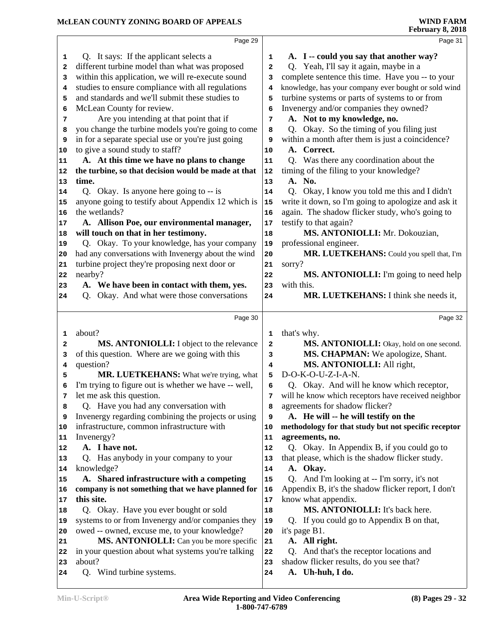|                                   | Page 29                                                     |              | Page 31                                                         |
|-----------------------------------|-------------------------------------------------------------|--------------|-----------------------------------------------------------------|
| 1                                 | Q. It says: If the applicant selects a                      | 1            | A. I -- could you say that another way?                         |
| 2                                 | different turbine model than what was proposed              | $\mathbf{2}$ | Q. Yeah, I'll say it again, maybe in a                          |
| 3                                 | within this application, we will re-execute sound           | 3            | complete sentence this time. Have you -- to your                |
| 4                                 | studies to ensure compliance with all regulations           | 4            | knowledge, has your company ever bought or sold wind            |
| 5                                 | and standards and we'll submit these studies to             | 5            | turbine systems or parts of systems to or from                  |
| 6                                 | McLean County for review.                                   | 6            | Invenergy and/or companies they owned?                          |
| 7                                 | Are you intending at that point that if                     | 7            | A. Not to my knowledge, no.                                     |
| 8                                 | you change the turbine models you're going to come          | 8            | Q. Okay. So the timing of you filing just                       |
| 9                                 | in for a separate special use or you're just going          | 9            | within a month after them is just a coincidence?                |
| 10                                | to give a sound study to staff?                             | 10           | A. Correct.                                                     |
| 11                                | A. At this time we have no plans to change                  | 11           | Q. Was there any coordination about the                         |
| 12                                | the turbine, so that decision would be made at that         | 12           | timing of the filing to your knowledge?                         |
| 13                                | time.                                                       | 13           | A. No.                                                          |
| 14                                | Q. Okay. Is anyone here going to -- is                      | 14           | Q. Okay, I know you told me this and I didn't                   |
| 15                                | anyone going to testify about Appendix 12 which is          | 15           | write it down, so I'm going to apologize and ask it             |
| 16                                | the wetlands?                                               | 16           | again. The shadow flicker study, who's going to                 |
| 17                                | A. Allison Poe, our environmental manager,                  | 17           | testify to that again?                                          |
| 18                                | will touch on that in her testimony.                        | 18           | MS. ANTONIOLLI: Mr. Dokouzian,                                  |
| 19                                | Q. Okay. To your knowledge, has your company                | 19           | professional engineer.                                          |
| 20                                | had any conversations with Invenergy about the wind         | 20           | MR. LUETKEHANS: Could you spell that, I'm                       |
| 21                                | turbine project they're proposing next door or              | 21           | sorry?                                                          |
| 22                                | nearby?                                                     | 22           | MS. ANTONIOLLI: I'm going to need help                          |
| 23                                | A. We have been in contact with them, yes.                  | 23           | with this.                                                      |
| 24                                | Q. Okay. And what were those conversations                  | 24           | MR. LUETKEHANS: I think she needs it,                           |
|                                   |                                                             |              |                                                                 |
|                                   |                                                             |              |                                                                 |
|                                   | Page 30                                                     |              | Page 32                                                         |
| 1                                 | about?                                                      | 1            |                                                                 |
| 2                                 |                                                             | $\mathbf{2}$ | that's why.                                                     |
| з                                 | MS. ANTONIOLLI: I object to the relevance                   | 3            | MS. ANTONIOLLI: Okay, hold on one second.                       |
| 4                                 | of this question. Where are we going with this<br>question? | 4            | MS. CHAPMAN: We apologize, Shant.<br>MS. ANTONIOLLI: All right, |
| 5                                 | MR. LUETKEHANS: What we're trying, what                     | 5            | D-O-K-O-U-Z-I-A-N.                                              |
| 6                                 | I'm trying to figure out is whether we have -- well,        | 6            | Q. Okay. And will he know which receptor,                       |
| 7                                 | let me ask this question.                                   | 7            | will he know which receptors have received neighbor             |
| 8                                 | Q. Have you had any conversation with                       | 8            | agreements for shadow flicker?                                  |
| 9                                 | Invenergy regarding combining the projects or using         | 9            | A. He will -- he will testify on the                            |
|                                   | infrastructure, common infrastructure with                  | 10           | methodology for that study but not specific receptor            |
| 11                                | Invenergy?                                                  | 11           | agreements, no.                                                 |
|                                   | A. I have not.                                              | 12           | Q. Okay. In Appendix B, if you could go to                      |
|                                   | Q. Has anybody in your company to your                      | 13           | that please, which is the shadow flicker study.                 |
|                                   | knowledge?                                                  | 14           | A. Okay.                                                        |
| 15                                | A. Shared infrastructure with a competing                   | 15           | Q. And I'm looking at -- I'm sorry, it's not                    |
| 16                                | company is not something that we have planned for           | 16           | Appendix B, it's the shadow flicker report, I don't             |
|                                   | this site.                                                  | 17           | know what appendix.                                             |
| 10<br>12<br> 13<br>14<br>17<br>18 | Q. Okay. Have you ever bought or sold                       | 18           | MS. ANTONIOLLI: It's back here.                                 |
| 19                                | systems to or from Invenergy and/or companies they          | 19           | Q. If you could go to Appendix B on that,                       |
| 20                                | owed -- owned, excuse me, to your knowledge?                | 20           | it's page B1.                                                   |
| 21                                | MS. ANTONIOLLI: Can you be more specific                    | 21           | A. All right.                                                   |
| 22                                | in your question about what systems you're talking          | 22           | Q. And that's the receptor locations and                        |
| 23                                | about?                                                      | 23           | shadow flicker results, do you see that?                        |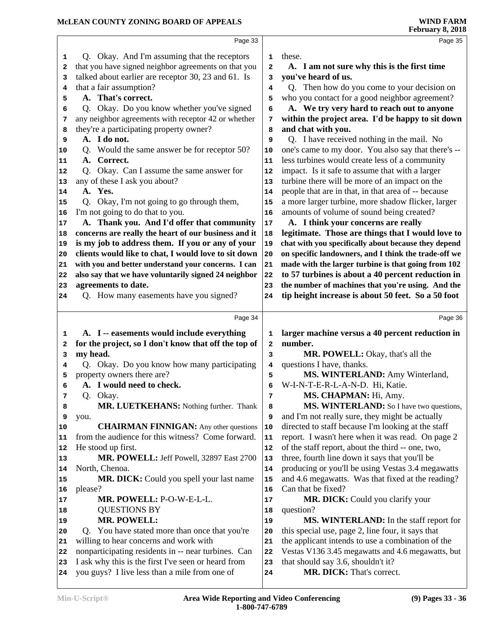|              | Page 33                                                                                              |          | Page 35                                                           |
|--------------|------------------------------------------------------------------------------------------------------|----------|-------------------------------------------------------------------|
| 1            | Q. Okay. And I'm assuming that the receptors                                                         | 1        | these.                                                            |
| 2            | that you have signed neighbor agreements on that you                                                 | 2        | A. I am not sure why this is the first time                       |
| 3            | talked about earlier are receptor 30, 23 and 61. Is                                                  | 3        | you've heard of us.                                               |
| 4            | that a fair assumption?                                                                              | 4        | Q. Then how do you come to your decision on                       |
| 5            | A. That's correct.                                                                                   | 5        | who you contact for a good neighbor agreement?                    |
| 6            | Q. Okay. Do you know whether you've signed                                                           | 6        | A. We try very hard to reach out to anyone                        |
| 7            | any neighbor agreements with receptor 42 or whether                                                  | 7        | within the project area. I'd be happy to sit down                 |
| 8            | they're a participating property owner?                                                              | 8        | and chat with you.                                                |
| 9            | A. I do not.                                                                                         | 9        | Q. I have received nothing in the mail. No                        |
| 10           | Q. Would the same answer be for receptor 50?                                                         | 10       | one's came to my door. You also say that there's --               |
| 11           | Correct.<br>A.                                                                                       | 11       | less turbines would create less of a community                    |
| 12           | Okay. Can I assume the same answer for<br>O.                                                         | 12       | impact. Is it safe to assume that with a larger                   |
| 13           | any of these I ask you about?                                                                        | 13       | turbine there will be more of an impact on the                    |
| 14           | A. Yes.                                                                                              | 14       | people that are in that, in that area of -- because               |
| 15           | Q. Okay, I'm not going to go through them,                                                           | 15       | a more larger turbine, more shadow flicker, larger                |
| 16           | I'm not going to do that to you.                                                                     | 16       | amounts of volume of sound being created?                         |
| 17           | A. Thank you. And I'd offer that community                                                           | 17       | A. I think your concerns are really                               |
| 18           | concerns are really the heart of our business and it                                                 | 18       | legitimate. Those are things that I would love to                 |
| 19           | is my job to address them. If you or any of your                                                     | 19       | chat with you specifically about because they depend              |
| 20           | clients would like to chat, I would love to sit down                                                 | 20       | on specific landowners, and I think the trade-off we              |
| 21           | with you and better understand your concerns. I can                                                  | 21       | made with the larger turbine is that going from 102               |
| 22           | also say that we have voluntarily signed 24 neighbor                                                 | 22       | to 57 turbines is about a 40 percent reduction in                 |
| 23           | agreements to date.                                                                                  | 23       | the number of machines that you're using. And the                 |
| 24           | Q. How many easements have you signed?                                                               | 24       | tip height increase is about 50 feet. So a 50 foot                |
|              |                                                                                                      |          |                                                                   |
|              | Page 34                                                                                              |          | Page 36                                                           |
|              |                                                                                                      |          |                                                                   |
| 1            | A. I -- easements would include everything                                                           | 1        | larger machine versus a 40 percent reduction in                   |
| $\mathbf{2}$ | for the project, so I don't know that off the top of                                                 | 2        | number.                                                           |
| 3<br>4       | my head.                                                                                             | 3<br>4   | MR. POWELL: Okay, that's all the                                  |
| 5            | Q. Okay. Do you know how many participating                                                          | 5        | questions I have, thanks.                                         |
| 6            | property owners there are?<br>A. I would need to check.                                              | 6        | MS. WINTERLAND: Amy Winterland,                                   |
| 7            |                                                                                                      | 7        | W-I-N-T-E-R-L-A-N-D. Hi, Katie.                                   |
| 8            | Q. Okay.<br><b>MR. LUETKEHANS:</b> Nothing further. Thank                                            | 8        | MS. CHAPMAN: Hi, Amy.<br>MS. WINTERLAND: So I have two questions, |
| 9            | you.                                                                                                 | 9        | and I'm not really sure, they might be actually                   |
| 10           | <b>CHAIRMAN FINNIGAN:</b> Any other questions                                                        | 10       | directed to staff because I'm looking at the staff                |
| 11           | from the audience for this witness? Come forward.                                                    | 11       | report. I wasn't here when it was read. On page 2                 |
| 12           | He stood up first.                                                                                   | 12       | of the staff report, about the third -- one, two,                 |
| 13           | MR. POWELL: Jeff Powell, 32897 East 2700                                                             | 13       | three, fourth line down it says that you'll be                    |
| 14           | North, Chenoa.                                                                                       | 14       | producing or you'll be using Vestas 3.4 megawatts                 |
| 15           | MR. DICK: Could you spell your last name                                                             | 15       | and 4.6 megawatts. Was that fixed at the reading?                 |
| 16           | please?                                                                                              | 16       | Can that be fixed?                                                |
| 17           | MR. POWELL: P-O-W-E-L-L.                                                                             | 17       | MR. DICK: Could you clarify your                                  |
| 18           | <b>QUESTIONS BY</b>                                                                                  | 18       | question?                                                         |
| 19           | <b>MR. POWELL:</b>                                                                                   | 19       | <b>MS. WINTERLAND:</b> In the staff report for                    |
| 20           | Q. You have stated more than once that you're                                                        | 20       | this special use, page 2, line four, it says that                 |
| 21           | willing to hear concerns and work with                                                               | 21       | the applicant intends to use a combination of the                 |
| 22           | nonparticipating residents in -- near turbines. Can                                                  | 22       | Vestas V136 3.45 megawatts and 4.6 megawatts, but                 |
| 23<br>24     | I ask why this is the first I've seen or heard from<br>you guys? I live less than a mile from one of | 23<br>24 | that should say 3.6, shouldn't it?<br>MR. DICK: That's correct.   |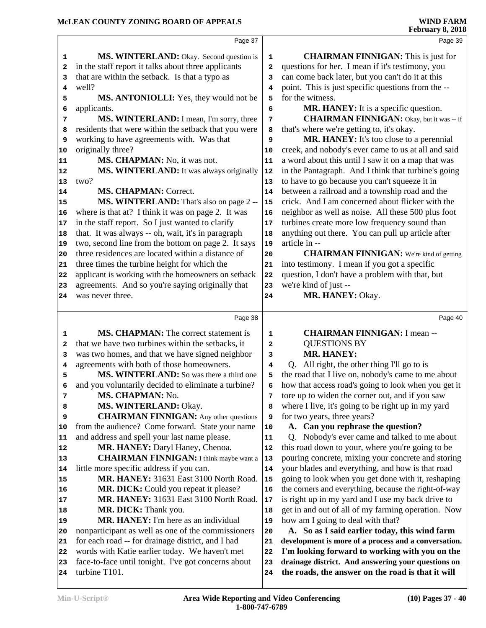|              | Page 37                                                                                      |                | Page 39                                                                                 |
|--------------|----------------------------------------------------------------------------------------------|----------------|-----------------------------------------------------------------------------------------|
| 1            | MS. WINTERLAND: Okay. Second question is                                                     | $\mathbf 1$    | <b>CHAIRMAN FINNIGAN:</b> This is just for                                              |
| 2            | in the staff report it talks about three applicants                                          | $\overline{a}$ | questions for her. I mean if it's testimony, you                                        |
| 3            | that are within the setback. Is that a typo as                                               | 3              | can come back later, but you can't do it at this                                        |
| 4            | well?                                                                                        | 4              | point. This is just specific questions from the --                                      |
| 5            | MS. ANTONIOLLI: Yes, they would not be                                                       | 5              | for the witness.                                                                        |
| 6            | applicants.                                                                                  | 6              | <b>MR. HANEY:</b> It is a specific question.                                            |
| 7            | MS. WINTERLAND: I mean, I'm sorry, three                                                     | 7              | <b>CHAIRMAN FINNIGAN:</b> Okay, but it was -- if                                        |
| 8            | residents that were within the setback that you were                                         | 8              | that's where we're getting to, it's okay.                                               |
| 9            | working to have agreements with. Was that                                                    | 9              | MR. HANEY: It's too close to a perennial                                                |
| 10           | originally three?                                                                            | 10             | creek, and nobody's ever came to us at all and said                                     |
| 11           | MS. CHAPMAN: No, it was not.                                                                 | 11             | a word about this until I saw it on a map that was                                      |
| 12           | MS. WINTERLAND: It was always originally                                                     | 12             | in the Pantagraph. And I think that turbine's going                                     |
| 13           | two?                                                                                         | 13             | to have to go because you can't squeeze it in                                           |
| 14           | <b>MS. CHAPMAN: Correct.</b>                                                                 | 14             | between a railroad and a township road and the                                          |
| 15           | MS. WINTERLAND: That's also on page 2 --                                                     | 15             | crick. And I am concerned about flicker with the                                        |
| 16           | where is that at? I think it was on page 2. It was                                           | 16             | neighbor as well as noise. All these 500 plus foot                                      |
| $17$         | in the staff report. So I just wanted to clarify                                             | 17             | turbines create more low frequency sound than                                           |
| 18           | that. It was always -- oh, wait, it's in paragraph                                           | 18             | anything out there. You can pull up article after                                       |
| 19           | two, second line from the bottom on page 2. It says                                          | 19             | article in --                                                                           |
| 20           | three residences are located within a distance of                                            | 20             | <b>CHAIRMAN FINNIGAN:</b> We're kind of getting                                         |
| 21           | three times the turbine height for which the                                                 | 21             | into testimony. I mean if you got a specific                                            |
| 22           | applicant is working with the homeowners on setback                                          | 22             | question, I don't have a problem with that, but                                         |
| 23           | agreements. And so you're saying originally that                                             | 23             | we're kind of just --                                                                   |
| 24           | was never three.                                                                             | 24             | MR. HANEY: Okay.                                                                        |
|              | Page 38                                                                                      |                | Page 40                                                                                 |
|              |                                                                                              |                |                                                                                         |
| 1            | <b>MS. CHAPMAN:</b> The correct statement is                                                 | 1              | <b>CHAIRMAN FINNIGAN: I mean --</b>                                                     |
| $\mathbf{2}$ | that we have two turbines within the setbacks, it                                            | 2              | <b>QUESTIONS BY</b>                                                                     |
| 3            | was two homes, and that we have signed neighbor<br>agreements with both of those homeowners. | 3              | <b>MR. HANEY:</b>                                                                       |
|              |                                                                                              |                |                                                                                         |
| 4            |                                                                                              | $\overline{4}$ | Q. All right, the other thing I'll go to is                                             |
| 5            | MS. WINTERLAND: So was there a third one                                                     | 5              | the road that I live on, nobody's came to me about                                      |
| 6            | and you voluntarily decided to eliminate a turbine?                                          | 6              | how that access road's going to look when you get it                                    |
| 7            | MS. CHAPMAN: No.                                                                             | 7              | tore up to widen the corner out, and if you saw                                         |
| 8            | MS. WINTERLAND: Okay.                                                                        | 8              | where I live, it's going to be right up in my yard                                      |
| 9            | <b>CHAIRMAN FINNIGAN:</b> Any other questions                                                | 9              | for two years, three years?                                                             |
| 10           | from the audience? Come forward. State your name                                             | 10             | A. Can you rephrase the question?                                                       |
| 11           | and address and spell your last name please.                                                 | 11             | Q. Nobody's ever came and talked to me about                                            |
| 12           | MR. HANEY: Daryl Haney, Chenoa.                                                              | 12             | this road down to your, where you're going to be                                        |
| 13           | <b>CHAIRMAN FINNIGAN:</b> I think maybe want a                                               | 13             | pouring concrete, mixing your concrete and storing                                      |
| 14           | little more specific address if you can.                                                     | 14<br>15       | your blades and everything, and how is that road                                        |
| 15<br>16     | MR. HANEY: 31631 East 3100 North Road.                                                       | 16             | going to look when you get done with it, reshaping                                      |
| 17           | MR. DICK: Could you repeat it please?<br>MR. HANEY: 31631 East 3100 North Road.              | 17             | the corners and everything, because the right-of-way                                    |
| 18           | MR. DICK: Thank you.                                                                         | 18             | is right up in my yard and I use my back drive to                                       |
| 19           | <b>MR. HANEY:</b> I'm here as an individual                                                  | 19             | get in and out of all of my farming operation. Now<br>how am I going to deal with that? |
| 20           | nonparticipant as well as one of the commissioners                                           | 20             | A. So as I said earlier today, this wind farm                                           |
| 21           | for each road -- for drainage district, and I had                                            | 21             | development is more of a process and a conversation.                                    |
| 22           | words with Katie earlier today. We haven't met                                               | 22             | I'm looking forward to working with you on the                                          |
| 23           | face-to-face until tonight. I've got concerns about                                          | 23             | drainage district. And answering your questions on                                      |
| 24           | turbine T101.                                                                                | 24             | the roads, the answer on the road is that it will                                       |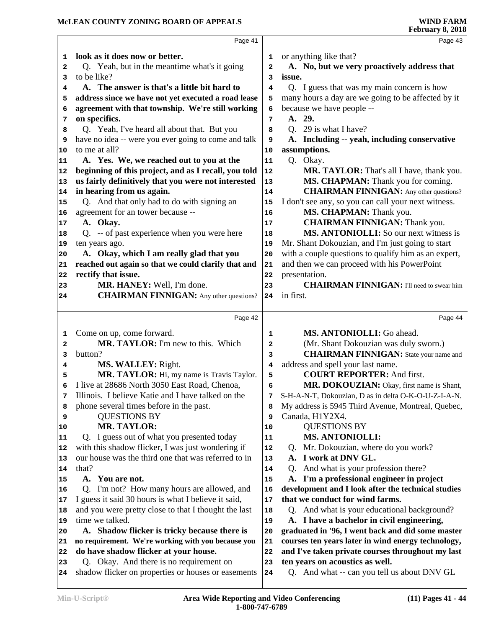|          | Page 41                                                                                        |          | Page 43                                                                        |
|----------|------------------------------------------------------------------------------------------------|----------|--------------------------------------------------------------------------------|
| 1        | look as it does now or better.                                                                 | 1        | or anything like that?                                                         |
| 2        | Q. Yeah, but in the meantime what's it going                                                   | 2        | A. No, but we very proactively address that                                    |
| 3        | to be like?                                                                                    | 3        | issue.                                                                         |
| 4        | A. The answer is that's a little bit hard to                                                   | 4        | Q. I guess that was my main concern is how                                     |
| 5        | address since we have not yet executed a road lease                                            | 5        | many hours a day are we going to be affected by it                             |
| 6        | agreement with that township. We're still working                                              | 6        | because we have people --                                                      |
| 7        | on specifics.                                                                                  | 7        | A. 29.                                                                         |
| 8        | Q. Yeah, I've heard all about that. But you                                                    | 8        | Q. 29 is what I have?                                                          |
| 9        | have no idea -- were you ever going to come and talk                                           | 9        | A. Including -- yeah, including conservative                                   |
| 10       | to me at all?                                                                                  | 10       | assumptions.                                                                   |
| 11       | A. Yes. We, we reached out to you at the                                                       | 11       | Q. Okay.                                                                       |
| 12       | beginning of this project, and as I recall, you told                                           | 12       | MR. TAYLOR: That's all I have, thank you.                                      |
| 13       | us fairly definitively that you were not interested                                            | 13       | MS. CHAPMAN: Thank you for coming.                                             |
| 14       | in hearing from us again.                                                                      | 14       | <b>CHAIRMAN FINNIGAN:</b> Any other questions?                                 |
| 15       | Q. And that only had to do with signing an                                                     | 15       | I don't see any, so you can call your next witness.                            |
| 16       | agreement for an tower because --                                                              | 16       | MS. CHAPMAN: Thank you.                                                        |
| 17       | A. Okay.                                                                                       | $17\,$   | <b>CHAIRMAN FINNIGAN: Thank you.</b>                                           |
| 18       | Q. -- of past experience when you were here                                                    | 18       | MS. ANTONIOLLI: So our next witness is                                         |
| 19       | ten years ago.                                                                                 | 19       | Mr. Shant Dokouzian, and I'm just going to start                               |
| 20       | A. Okay, which I am really glad that you                                                       | 20       | with a couple questions to qualify him as an expert,                           |
| 21       | reached out again so that we could clarify that and                                            | 21       | and then we can proceed with his PowerPoint                                    |
| 22       | rectify that issue.                                                                            | 22       | presentation.                                                                  |
| 23       | MR. HANEY: Well, I'm done.                                                                     | 23       | <b>CHAIRMAN FINNIGAN:</b> I'll need to swear him                               |
| 24       | <b>CHAIRMAN FINNIGAN:</b> Any other questions?                                                 | 24       | in first.                                                                      |
|          |                                                                                                |          |                                                                                |
|          | Page 42                                                                                        |          | Page 44                                                                        |
| 1        | Come on up, come forward.                                                                      | 1        | MS. ANTONIOLLI: Go ahead.                                                      |
| 2        | MR. TAYLOR: I'm new to this. Which                                                             | 2        | (Mr. Shant Dokouzian was duly sworn.)                                          |
| 3        | button?                                                                                        | 3        | <b>CHAIRMAN FINNIGAN:</b> State your name and                                  |
| 4        | MS. WALLEY: Right.                                                                             | 4        | address and spell your last name.                                              |
| 5        | MR. TAYLOR: Hi, my name is Travis Taylor.                                                      | 5        | <b>COURT REPORTER: And first.</b>                                              |
| 6        | I live at 28686 North 3050 East Road, Chenoa,                                                  | 6        | MR. DOKOUZIAN: Okay, first name is Shant,                                      |
| 7        | Illinois. I believe Katie and I have talked on the                                             | 7        | S-H-A-N-T, Dokouzian, D as in delta O-K-O-U-Z-I-A-N.                           |
| 8        | phone several times before in the past.                                                        | 8        | My address is 5945 Third Avenue, Montreal, Quebec,                             |
| 9        | <b>QUESTIONS BY</b>                                                                            | 9        | Canada, H1Y2X4.                                                                |
| 10       | <b>MR. TAYLOR:</b>                                                                             | 10       | <b>QUESTIONS BY</b>                                                            |
| 11       | Q. I guess out of what you presented today                                                     | 11       | <b>MS. ANTONIOLLI:</b>                                                         |
| 12       | with this shadow flicker, I was just wondering if                                              | 12       | Mr. Dokouzian, where do you work?<br>Q.                                        |
| 13       | our house was the third one that was referred to in                                            | 13       | A. I work at DNV GL.                                                           |
| 14       | that?                                                                                          | 14       | And what is your profession there?<br>O.                                       |
| 15       | A. You are not.                                                                                | 15       | A. I'm a professional engineer in project                                      |
| 16       | Q. I'm not? How many hours are allowed, and                                                    | 16       | development and I look after the technical studies                             |
| 17       | I guess it said 30 hours is what I believe it said,                                            | 17       | that we conduct for wind farms.                                                |
| 18       | and you were pretty close to that I thought the last                                           | 18       | Q. And what is your educational background?                                    |
| 19       | time we talked.                                                                                | 19       | A. I have a bachelor in civil engineering,                                     |
| 20       | A. Shadow flicker is tricky because there is                                                   | 20       | graduated in '96, I went back and did some master                              |
| 21       | no requirement. We're working with you because you                                             | 21       | courses ten years later in wind energy technology,                             |
| 22       | do have shadow flicker at your house.                                                          | 22       | and I've taken private courses throughout my last                              |
|          |                                                                                                |          |                                                                                |
|          |                                                                                                |          |                                                                                |
| 23<br>24 | Q. Okay. And there is no requirement on<br>shadow flicker on properties or houses or easements | 23<br>24 | ten years on acoustics as well.<br>Q. And what -- can you tell us about DNV GL |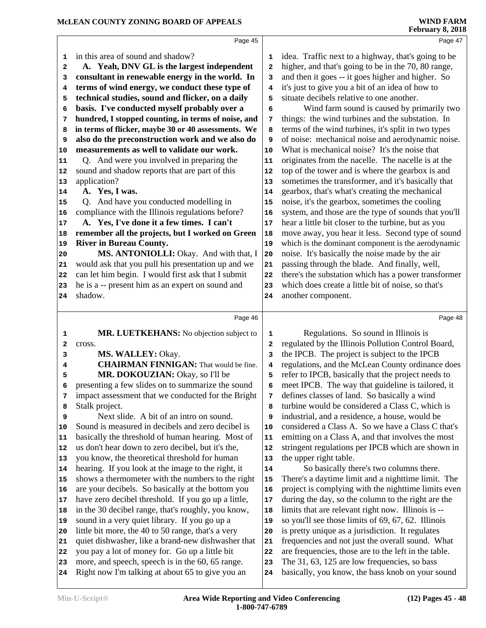|                         | WIND FARM |
|-------------------------|-----------|
| <b>February 8, 2018</b> |           |

|          | Page 45                                                                                            |              | Page 47                                                                                              |
|----------|----------------------------------------------------------------------------------------------------|--------------|------------------------------------------------------------------------------------------------------|
| 1        | in this area of sound and shadow?                                                                  | 1            | idea. Traffic next to a highway, that's going to be                                                  |
| 2        | A. Yeah, DNV GL is the largest independent                                                         | $\mathbf{2}$ | higher, and that's going to be in the 70, 80 range,                                                  |
| 3        | consultant in renewable energy in the world. In                                                    | 3            | and then it goes -- it goes higher and higher. So                                                    |
| 4        | terms of wind energy, we conduct these type of                                                     | 4            | it's just to give you a bit of an idea of how to                                                     |
| 5        | technical studies, sound and flicker, on a daily                                                   | 5            | situate decibels relative to one another.                                                            |
| 6        | basis. I've conducted myself probably over a                                                       | 6            | Wind farm sound is caused by primarily two                                                           |
| 7        | hundred, I stopped counting, in terms of noise, and                                                | 7            | things: the wind turbines and the substation. In                                                     |
| 8        | in terms of flicker, maybe 30 or 40 assessments. We                                                | 8            | terms of the wind turbines, it's split in two types                                                  |
| 9        | also do the preconstruction work and we also do                                                    | 9            | of noise: mechanical noise and aerodynamic noise.                                                    |
| 10       | measurements as well to validate our work.                                                         | 10           | What is mechanical noise? It's the noise that                                                        |
| 11       | Q. And were you involved in preparing the                                                          | 11           | originates from the nacelle. The nacelle is at the                                                   |
| 12       | sound and shadow reports that are part of this                                                     | 12           | top of the tower and is where the gearbox is and                                                     |
| 13       | application?                                                                                       | 13           | sometimes the transformer, and it's basically that                                                   |
| 14       | A. Yes, I was.                                                                                     | 14           | gearbox, that's what's creating the mechanical                                                       |
| 15       | Q. And have you conducted modelling in                                                             | 15           | noise, it's the gearbox, sometimes the cooling                                                       |
| 16       | compliance with the Illinois regulations before?                                                   | 16           | system, and those are the type of sounds that you'll                                                 |
| 17       | A. Yes, I've done it a few times. I can't                                                          | $17$         | hear a little bit closer to the turbine, but as you                                                  |
| 18       | remember all the projects, but I worked on Green                                                   | 18           | move away, you hear it less. Second type of sound                                                    |
| 19       | <b>River in Bureau County.</b>                                                                     | 19           | which is the dominant component is the aerodynamic                                                   |
| 20       | MS. ANTONIOLLI: Okay. And with that, I                                                             | 20           | noise. It's basically the noise made by the air                                                      |
| 21       | would ask that you pull his presentation up and we                                                 | 21           | passing through the blade. And finally, well,                                                        |
| 22       | can let him begin. I would first ask that I submit                                                 | 22           | there's the substation which has a power transformer                                                 |
| 23       | he is a -- present him as an expert on sound and                                                   | 23           | which does create a little bit of noise, so that's                                                   |
| 24       | shadow.                                                                                            | 24           | another component.                                                                                   |
|          |                                                                                                    |              |                                                                                                      |
|          |                                                                                                    |              |                                                                                                      |
|          | Page 46                                                                                            |              | Page 48                                                                                              |
| 1        | MR. LUETKEHANS: No objection subject to                                                            | 1            | Regulations. So sound in Illinois is                                                                 |
| 2        | cross.                                                                                             | 2            | regulated by the Illinois Pollution Control Board,                                                   |
| 3        | MS. WALLEY: Okay.                                                                                  | 3            | the IPCB. The project is subject to the IPCB                                                         |
| 4        | <b>CHAIRMAN FINNIGAN:</b> That would be fine.                                                      | 4            | regulations, and the McLean County ordinance does                                                    |
| 5        | MR. DOKOUZIAN: Okay, so I'll be                                                                    | 5            | refer to IPCB, basically that the project needs to                                                   |
| 6        | presenting a few slides on to summarize the sound                                                  | 6            | meet IPCB. The way that guideline is tailored, it                                                    |
| 7        | impact assessment that we conducted for the Bright                                                 | 7            | defines classes of land. So basically a wind                                                         |
| 8        | Stalk project.                                                                                     | 8            | turbine would be considered a Class C, which is                                                      |
| 9        | Next slide. A bit of an intro on sound.                                                            | 9            | industrial, and a residence, a house, would be                                                       |
| 10       | Sound is measured in decibels and zero decibel is                                                  | 10           | considered a Class A. So we have a Class C that's                                                    |
| 11       | basically the threshold of human hearing. Most of                                                  | 11           | emitting on a Class A, and that involves the most                                                    |
| 12       | us don't hear down to zero decibel, but it's the,                                                  | 12           | stringent regulations per IPCB which are shown in                                                    |
| 13       | you know, the theoretical threshold for human                                                      | 13           | the upper right table.                                                                               |
| 14       | hearing. If you look at the image to the right, it                                                 | 14           | So basically there's two columns there.                                                              |
| 15       | shows a thermometer with the numbers to the right                                                  | 15           | There's a daytime limit and a nighttime limit. The                                                   |
| 16       | are your decibels. So basically at the bottom you                                                  | 16           | project is complying with the nighttime limits even                                                  |
| 17       | have zero decibel threshold. If you go up a little,                                                | $17\,$       | during the day, so the column to the right are the                                                   |
| 18       | in the 30 decibel range, that's roughly, you know,                                                 | 18           | limits that are relevant right now. Illinois is --                                                   |
| 19<br>20 | sound in a very quiet library. If you go up a                                                      | 19<br>20     | so you'll see those limits of 69, 67, 62. Illinois                                                   |
|          | little bit more, the 40 to 50 range, that's a very                                                 | 21           | is pretty unique as a jurisdiction. It regulates                                                     |
| 21<br>22 | quiet dishwasher, like a brand-new dishwasher that                                                 | 22           | frequencies and not just the overall sound. What                                                     |
| 23       | you pay a lot of money for. Go up a little bit<br>more, and speech, speech is in the 60, 65 range. | 23           | are frequencies, those are to the left in the table.<br>The 31, 63, 125 are low frequencies, so bass |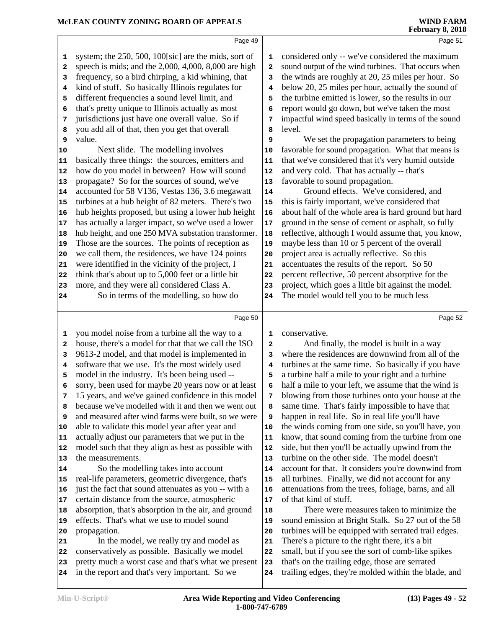|    |                                                        |              | <b>February 8, 2018</b>                              |
|----|--------------------------------------------------------|--------------|------------------------------------------------------|
|    | Page 49                                                |              | Page 51                                              |
| 1  | system; the 250, 500, 100[sic] are the mids, sort of   | 1            | considered only -- we've considered the maximum      |
| 2  | speech is mids; and the $2,000, 4,000, 8,000$ are high | $\mathbf{2}$ | sound output of the wind turbines. That occurs when  |
| з  | frequency, so a bird chirping, a kid whining, that     | 3            | the winds are roughly at 20, 25 miles per hour. So   |
| 4  | kind of stuff. So basically Illinois regulates for     | 4            | below 20, 25 miles per hour, actually the sound of   |
| 5  | different frequencies a sound level limit, and         | 5            | the turbine emitted is lower, so the results in our  |
| 6  | that's pretty unique to Illinois actually as most      | 6            | report would go down, but we've taken the most       |
| 7  | jurisdictions just have one overall value. So if       | 7            | impactful wind speed basically in terms of the sound |
| 8  | you add all of that, then you get that overall         | 8            | level.                                               |
| 9  | value.                                                 | 9            | We set the propagation parameters to being           |
| 10 | Next slide. The modelling involves                     | 10           | favorable for sound propagation. What that means is  |
| 11 | basically three things: the sources, emitters and      | 11           | that we've considered that it's very humid outside   |
| 12 | how do you model in between? How will sound            | 12           | and very cold. That has actually -- that's           |
| 13 | propagate? So for the sources of sound, we've          | 13           | favorable to sound propagation.                      |
| 14 | accounted for 58 V136, Vestas 136, 3.6 megawatt        | 14           | Ground effects. We've considered, and                |
| 15 | turbines at a hub height of 82 meters. There's two     | 15           | this is fairly important, we've considered that      |
| 16 | hub heights proposed, but using a lower hub height     | 16           | about half of the whole area is hard ground but hard |
| 17 | has actually a larger impact, so we've used a lower    | 17           | ground in the sense of cement or asphalt, so fully   |
| 18 | hub height, and one 250 MVA substation transformer.    | 18           | reflective, although I would assume that, you know,  |
| 19 | Those are the sources. The points of reception as      | 19           | maybe less than 10 or 5 percent of the overall       |
| 20 | we call them, the residences, we have 124 points       | 20           | project area is actually reflective. So this         |
| 21 | were identified in the vicinity of the project, I      | 21           | accentuates the results of the report. So 50         |
| 22 | think that's about up to 5,000 feet or a little bit    | 22           | percent reflective, 50 percent absorptive for the    |
| 23 | more, and they were all considered Class A.            | 23           | project, which goes a little bit against the model.  |
| 24 | So in terms of the modelling, so how do                | 24           | The model would tell you to be much less             |
|    | Page 50                                                |              | Page 52                                              |
| 1  | you model noise from a turbine all the way to a        | 1            | conservative.                                        |
| 2  | house, there's a model for that that we call the ISO   | $\mathbf{2}$ | And finally, the model is built in a way             |
| 3  | 9613-2 model, and that model is implemented in         | 3            | where the residences are downwind from all of the    |
| 4  | software that we use. It's the most widely used        | 4            | turbines at the same time. So basically if you have  |
| 5  | model in the industry. It's been being used --         | 5            | a turbine half a mile to your right and a turbine    |
| 6  | sorry, been used for maybe 20 years now or at least    | 6            | half a mile to your left, we assume that the wind is |
| 7  | 15 years, and we've gained confidence in this model    | 7            | blowing from those turbines onto your house at the   |
| 8  | because we've modelled with it and then we went out    | 8            | same time. That's fairly impossible to have that     |
| 9  | and measured after wind farms were built, so we were   | 9            | happen in real life. So in real life you'll have     |
| 10 | able to validate this model year after year and        | 10           | the winds coming from one side, so you'll have, you  |
| 11 | actually adjust our parameters that we put in the      | 11           | know, that sound coming from the turbine from one    |
| 12 | model such that they align as best as possible with    | 12           | side, but then you'll be actually upwind from the    |
| 13 | the measurements.                                      | 13           | turbine on the other side. The model doesn't         |
| 14 | So the modelling takes into account                    | 14           | account for that. It considers you're downwind from  |
| 15 | real-life parameters, geometric divergence, that's     | 15           | all turbines. Finally, we did not account for any    |
| 16 | just the fact that sound attenuates as you -- with a   | 16           | attenuations from the trees, foliage, barns, and all |
| 17 | certain distance from the source, atmospheric          | 17           | of that kind of stuff.                               |
| 18 | absorption, that's absorption in the air, and ground   | 18           | There were measures taken to minimize the            |
| 19 | effects. That's what we use to model sound             | 19           | sound emission at Bright Stalk. So 27 out of the 58  |
| 20 | propagation.                                           | 20           | turbines will be equipped with serrated trail edges. |
| 21 | In the model, we really try and model as               | 21           | There's a picture to the right there, it's a bit     |

- **21** In the model, we really try and model as  $\vert$  **21**
- conservatively as possible. Basically we model pretty much a worst case and that's what we present 23
- in the report and that's very important. So we 24
- that's on the trailing edge, those are serrated trailing edges, they're molded within the blade, and

small, but if you see the sort of comb-like spikes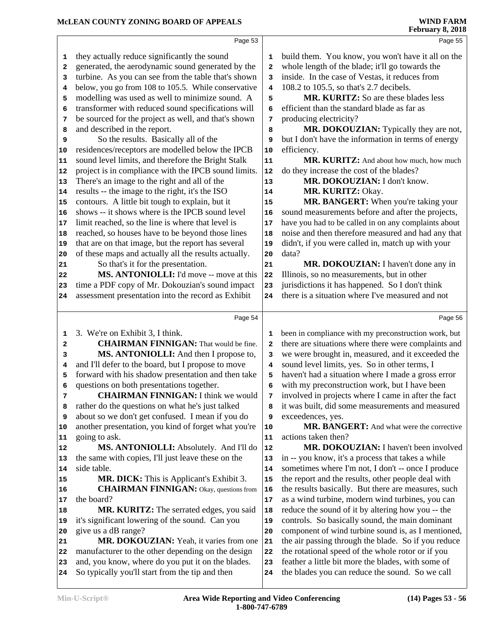|                                                    | Page 53                                                                                               |                         | Page 55                                                                                                    |  |
|----------------------------------------------------|-------------------------------------------------------------------------------------------------------|-------------------------|------------------------------------------------------------------------------------------------------------|--|
| 1                                                  | they actually reduce significantly the sound                                                          | 1                       | build them. You know, you won't have it all on the                                                         |  |
| 2                                                  | generated, the aerodynamic sound generated by the                                                     | 2                       | whole length of the blade; it'll go towards the                                                            |  |
| 3                                                  | turbine. As you can see from the table that's shown                                                   | 3                       | inside. In the case of Vestas, it reduces from                                                             |  |
| 4                                                  | below, you go from 108 to 105.5. While conservative                                                   | 4                       | 108.2 to 105.5, so that's 2.7 decibels.                                                                    |  |
| 5                                                  | modelling was used as well to minimize sound. A                                                       | 5                       | MR. KURITZ: So are these blades less                                                                       |  |
| 6                                                  | transformer with reduced sound specifications will                                                    | 6                       | efficient than the standard blade as far as                                                                |  |
| 7                                                  | be sourced for the project as well, and that's shown                                                  | 7                       | producing electricity?                                                                                     |  |
| 8                                                  | and described in the report.                                                                          | 8                       | MR. DOKOUZIAN: Typically they are not,                                                                     |  |
| 9                                                  | So the results. Basically all of the                                                                  | 9                       | but I don't have the information in terms of energy                                                        |  |
| 10                                                 | residences/receptors are modelled below the IPCB                                                      | 10                      | efficiency.                                                                                                |  |
| 11                                                 | sound level limits, and therefore the Bright Stalk                                                    | 11                      | MR. KURITZ: And about how much, how much                                                                   |  |
| 12                                                 | project is in compliance with the IPCB sound limits.                                                  | 12                      | do they increase the cost of the blades?                                                                   |  |
| 13                                                 | There's an image to the right and all of the                                                          | 13                      | MR. DOKOUZIAN: I don't know.                                                                               |  |
| 14                                                 | results -- the image to the right, it's the ISO                                                       | 14                      | MR. KURITZ: Okay.                                                                                          |  |
| 15                                                 | contours. A little bit tough to explain, but it<br>shows -- it shows where is the IPCB sound level    | 15                      | MR. BANGERT: When you're taking your                                                                       |  |
| 16                                                 |                                                                                                       | 16                      | sound measurements before and after the projects,                                                          |  |
| 17                                                 | limit reached, so the line is where that level is<br>reached, so houses have to be beyond those lines | 17<br>18                | have you had to be called in on any complaints about<br>noise and then therefore measured and had any that |  |
| 18<br>19                                           | that are on that image, but the report has several                                                    | 19                      | didn't, if you were called in, match up with your                                                          |  |
| 20                                                 | of these maps and actually all the results actually.                                                  | 20                      | data?                                                                                                      |  |
| 21                                                 | So that's it for the presentation.                                                                    | 21                      | MR. DOKOUZIAN: I haven't done any in                                                                       |  |
| 22                                                 | MS. ANTONIOLLI: I'd move -- move at this                                                              | 22                      | Illinois, so no measurements, but in other                                                                 |  |
| 23                                                 | time a PDF copy of Mr. Dokouzian's sound impact                                                       | 23                      | jurisdictions it has happened. So I don't think                                                            |  |
| 24                                                 | assessment presentation into the record as Exhibit                                                    | 24                      | there is a situation where I've measured and not                                                           |  |
|                                                    |                                                                                                       |                         |                                                                                                            |  |
|                                                    |                                                                                                       |                         |                                                                                                            |  |
|                                                    | Page 54                                                                                               |                         | Page 56                                                                                                    |  |
| 1                                                  | 3. We're on Exhibit 3, I think.                                                                       | 1                       | been in compliance with my preconstruction work, but                                                       |  |
| 2                                                  | <b>CHAIRMAN FINNIGAN:</b> That would be fine.                                                         | $\overline{\mathbf{2}}$ | there are situations where there were complaints and                                                       |  |
| 3                                                  | MS. ANTONIOLLI: And then I propose to,                                                                | 3                       | we were brought in, measured, and it exceeded the                                                          |  |
| 4                                                  | and I'll defer to the board, but I propose to move                                                    | $\overline{\mathbf{4}}$ | sound level limits, yes. So in other terms, I                                                              |  |
| 5                                                  | forward with his shadow presentation and then take                                                    | 5                       | haven't had a situation where I made a gross error                                                         |  |
| 6                                                  | questions on both presentations together.                                                             | 6                       | with my preconstruction work, but I have been                                                              |  |
| 7                                                  | <b>CHAIRMAN FINNIGAN: I think we would</b>                                                            | 7                       | involved in projects where I came in after the fact                                                        |  |
| 8                                                  | rather do the questions on what he's just talked                                                      | 8                       | it was built, did some measurements and measured                                                           |  |
| 9                                                  | about so we don't get confused. I mean if you do                                                      | 9                       | exceedences, yes.                                                                                          |  |
|                                                    | another presentation, you kind of forget what you're                                                  | 10                      | MR. BANGERT: And what were the corrective                                                                  |  |
| 11                                                 | going to ask.                                                                                         | 11                      | actions taken then?                                                                                        |  |
|                                                    | MS. ANTONIOLLI: Absolutely. And I'll do                                                               | 12                      | MR. DOKOUZIAN: I haven't been involved                                                                     |  |
| 13                                                 | the same with copies, I'll just leave these on the                                                    | 13                      | in -- you know, it's a process that takes a while                                                          |  |
| 14                                                 | side table.                                                                                           | 14                      | sometimes where I'm not, I don't -- once I produce                                                         |  |
|                                                    | MR. DICK: This is Applicant's Exhibit 3.                                                              | 15<br>16                | the report and the results, other people deal with                                                         |  |
|                                                    | <b>CHAIRMAN FINNIGAN:</b> Okay, questions from<br>the board?                                          |                         | the results basically. But there are measures, such                                                        |  |
|                                                    |                                                                                                       | 17<br>18                | as a wind turbine, modern wind turbines, you can                                                           |  |
| 19                                                 | MR. KURITZ: The serrated edges, you said                                                              | 19                      | reduce the sound of it by altering how you -- the                                                          |  |
|                                                    | it's significant lowering of the sound. Can you<br>give us a dB range?                                | 20                      | controls. So basically sound, the main dominant<br>component of wind turbine sound is, as I mentioned,     |  |
|                                                    | MR. DOKOUZIAN: Yeah, it varies from one                                                               | 21                      | the air passing through the blade. So if you reduce                                                        |  |
| 10<br>12<br>15<br>16<br>17<br>18<br>20<br>21<br>22 | manufacturer to the other depending on the design                                                     | 22                      | the rotational speed of the whole rotor or if you                                                          |  |
| 23                                                 | and, you know, where do you put it on the blades.                                                     | 23                      | feather a little bit more the blades, with some of                                                         |  |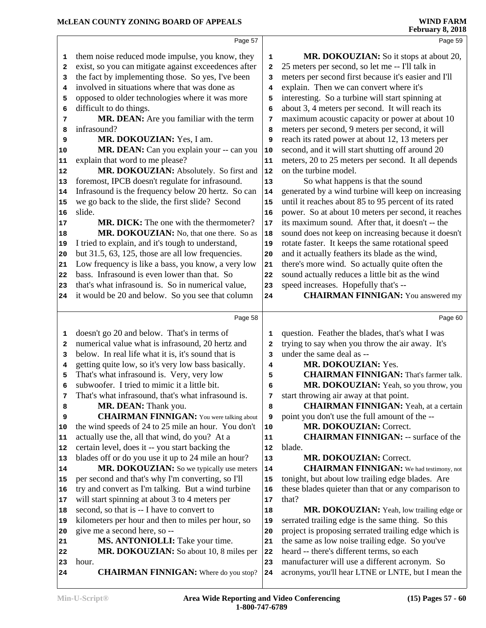|          | Page 57                                                                                                 |                         | Page 59                                                      |  |
|----------|---------------------------------------------------------------------------------------------------------|-------------------------|--------------------------------------------------------------|--|
| 1        | them noise reduced mode impulse, you know, they                                                         | 1                       | MR. DOKOUZIAN: So it stops at about 20,                      |  |
| 2        | exist, so you can mitigate against exceedences after                                                    | $\mathbf{2}$            | 25 meters per second, so let me -- I'll talk in              |  |
| 3        | the fact by implementing those. So yes, I've been                                                       | 3                       | meters per second first because it's easier and I'll         |  |
| 4        | involved in situations where that was done as                                                           | 4                       | explain. Then we can convert where it's                      |  |
| 5        | opposed to older technologies where it was more                                                         | 5                       | interesting. So a turbine will start spinning at             |  |
| 6        | difficult to do things.                                                                                 | 6                       | about 3, 4 meters per second. It will reach its              |  |
| 7        | MR. DEAN: Are you familiar with the term                                                                | 7                       | maximum acoustic capacity or power at about 10               |  |
| 8        | infrasound?                                                                                             | 8                       | meters per second, 9 meters per second, it will              |  |
| 9        | MR. DOKOUZIAN: Yes, I am.                                                                               | 9                       | reach its rated power at about 12, 13 meters per             |  |
| 10       | MR. DEAN: Can you explain your -- can you                                                               | 10                      | second, and it will start shutting off around 20             |  |
| 11       | explain that word to me please?                                                                         | 11                      | meters, 20 to 25 meters per second. It all depends           |  |
| 12       | MR. DOKOUZIAN: Absolutely. So first and                                                                 | 12                      | on the turbine model.                                        |  |
| 13       | foremost, IPCB doesn't regulate for infrasound.                                                         | 13                      | So what happens is that the sound                            |  |
| 14       | Infrasound is the frequency below 20 hertz. So can                                                      | 14                      | generated by a wind turbine will keep on increasing          |  |
| 15       | we go back to the slide, the first slide? Second                                                        | 15                      | until it reaches about 85 to 95 percent of its rated         |  |
| 16       | slide.                                                                                                  | 16                      | power. So at about 10 meters per second, it reaches          |  |
| 17       | MR. DICK: The one with the thermometer?                                                                 | 17                      | its maximum sound. After that, it doesn't -- the             |  |
| 18       | MR. DOKOUZIAN: No, that one there. So as                                                                | 18                      | sound does not keep on increasing because it doesn't         |  |
| 19       | I tried to explain, and it's tough to understand,                                                       | 19                      | rotate faster. It keeps the same rotational speed            |  |
| 20       | but 31.5, 63, 125, those are all low frequencies.                                                       | 20                      | and it actually feathers its blade as the wind,              |  |
| 21       | Low frequency is like a bass, you know, a very low                                                      | 21                      | there's more wind. So actually quite often the               |  |
| 22       | bass. Infrasound is even lower than that. So                                                            | 22                      | sound actually reduces a little bit as the wind              |  |
| 23       | that's what infrasound is. So in numerical value,                                                       | 23                      | speed increases. Hopefully that's --                         |  |
| 24       | it would be 20 and below. So you see that column                                                        | 24                      | <b>CHAIRMAN FINNIGAN:</b> You answered my                    |  |
|          | Page 58                                                                                                 |                         | Page 60                                                      |  |
| 1        | doesn't go 20 and below. That's in terms of                                                             | 1                       | question. Feather the blades, that's what I was              |  |
| 2        | numerical value what is infrasound, 20 hertz and                                                        | $\overline{\mathbf{2}}$ | trying to say when you throw the air away. It's              |  |
| 3        | below. In real life what it is, it's sound that is                                                      | 3                       | under the same deal as --                                    |  |
| 4        | getting quite low, so it's very low bass basically.                                                     | 4                       | MR. DOKOUZIAN: Yes.                                          |  |
| 5        | That's what infrasound is. Very, very low                                                               | 5                       | <b>CHAIRMAN FINNIGAN:</b> That's farmer talk.                |  |
| 6        | subwoofer. I tried to mimic it a little bit.                                                            | 6                       | MR. DOKOUZIAN: Yeah, so you throw, you                       |  |
| 7        | That's what infrasound, that's what infrasound is.                                                      | 7                       | start throwing air away at that point.                       |  |
| 8        | MR. DEAN: Thank you.                                                                                    | 8                       | <b>CHAIRMAN FINNIGAN:</b> Yeah, at a certain                 |  |
| 9        | <b>CHAIRMAN FINNIGAN:</b> You were talking about                                                        | 9                       | point you don't use the full amount of the --                |  |
| 10       | the wind speeds of 24 to 25 mile an hour. You don't                                                     | 10                      | MR. DOKOUZIAN: Correct.                                      |  |
| 11       | actually use the, all that wind, do you? At a                                                           | 11                      | <b>CHAIRMAN FINNIGAN: -- surface of the</b>                  |  |
| 12       | certain level, does it -- you start backing the                                                         | 12                      | blade.                                                       |  |
| 13       | blades off or do you use it up to 24 mile an hour?                                                      | 13                      | MR. DOKOUZIAN: Correct.                                      |  |
| 14       | MR. DOKOUZIAN: So we typically use meters                                                               | 14                      | <b>CHAIRMAN FINNIGAN:</b> We had testimony, not              |  |
| 15       | per second and that's why I'm converting, so I'll<br>try and convert as I'm talking. But a wind turbine | 15                      | tonight, but about low trailing edge blades. Are             |  |
| 16       | will start spinning at about 3 to 4 meters per                                                          | 16<br>17                | these blades quieter than that or any comparison to<br>that? |  |
| 17       | second, so that is -- I have to convert to                                                              | 18                      | MR. DOKOUZIAN: Yeah, low trailing edge or                    |  |
| 18<br>19 | kilometers per hour and then to miles per hour, so                                                      | 19                      | serrated trailing edge is the same thing. So this            |  |
| 20       | give me a second here, so --                                                                            | 20                      | project is proposing serrated trailing edge which is         |  |
| 21       | MS. ANTONIOLLI: Take your time.                                                                         | 21                      | the same as low noise trailing edge. So you've               |  |
| 22       | MR. DOKOUZIAN: So about 10, 8 miles per                                                                 | 22                      | heard -- there's different terms, so each                    |  |
| 23       | hour.                                                                                                   | 23                      | manufacturer will use a different acronym. So                |  |
| 24       | <b>CHAIRMAN FINNIGAN:</b> Where do you stop?                                                            | 24                      | acronyms, you'll hear LTNE or LNTE, but I mean the           |  |
|          |                                                                                                         |                         |                                                              |  |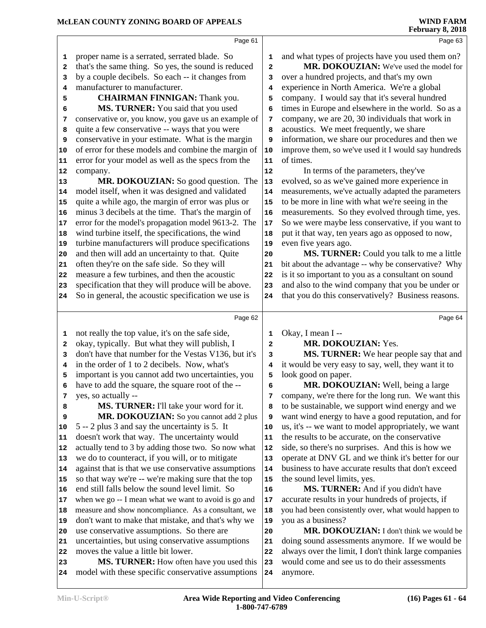|                                         | Page 61                                                                                                |              | Page 63                                                                                        |
|-----------------------------------------|--------------------------------------------------------------------------------------------------------|--------------|------------------------------------------------------------------------------------------------|
| 1                                       | proper name is a serrated, serrated blade. So                                                          | 1            | and what types of projects have you used them on?                                              |
| 2                                       | that's the same thing. So yes, the sound is reduced                                                    | $\mathbf{2}$ | MR. DOKOUZIAN: We've used the model for                                                        |
| 3                                       | by a couple decibels. So each -- it changes from                                                       | 3            | over a hundred projects, and that's my own                                                     |
| 4                                       | manufacturer to manufacturer.                                                                          | 4            | experience in North America. We're a global                                                    |
| 5                                       | <b>CHAIRMAN FINNIGAN:</b> Thank you.                                                                   | 5            | company. I would say that it's several hundred                                                 |
| 6                                       | MS. TURNER: You said that you used                                                                     | 6            | times in Europe and elsewhere in the world. So as a                                            |
| 7                                       | conservative or, you know, you gave us an example of                                                   | 7            | company, we are 20, 30 individuals that work in                                                |
| 8                                       | quite a few conservative -- ways that you were                                                         | 8            | acoustics. We meet frequently, we share                                                        |
| 9                                       | conservative in your estimate. What is the margin                                                      | 9            | information, we share our procedures and then we                                               |
| 10                                      | of error for these models and combine the margin of                                                    | 10           | improve them, so we've used it I would say hundreds                                            |
| 11                                      | error for your model as well as the specs from the                                                     | 11           | of times.                                                                                      |
| 12                                      | company.                                                                                               | 12           | In terms of the parameters, they've                                                            |
| 13                                      | MR. DOKOUZIAN: So good question. The                                                                   | 13           | evolved, so as we've gained more experience in                                                 |
| 14                                      | model itself, when it was designed and validated                                                       | 14           | measurements, we've actually adapted the parameters                                            |
| 15                                      | quite a while ago, the margin of error was plus or                                                     | 15           | to be more in line with what we're seeing in the                                               |
| 16                                      | minus 3 decibels at the time. That's the margin of                                                     | 16           | measurements. So they evolved through time, yes.                                               |
| 17                                      | error for the model's propagation model 9613-2. The                                                    | 17           | So we were maybe less conservative, if you want to                                             |
| 18                                      | wind turbine itself, the specifications, the wind                                                      | 18           | put it that way, ten years ago as opposed to now,                                              |
| 19                                      | turbine manufacturers will produce specifications                                                      | 19           | even five years ago.                                                                           |
| 20                                      | and then will add an uncertainty to that. Quite                                                        | 20           | MS. TURNER: Could you talk to me a little                                                      |
| 21                                      | often they're on the safe side. So they will                                                           | 21           | bit about the advantage -- why be conservative? Why                                            |
| 22                                      | measure a few turbines, and then the acoustic                                                          | 22           | is it so important to you as a consultant on sound                                             |
| 23                                      | specification that they will produce will be above.                                                    | 23           | and also to the wind company that you be under or                                              |
| 24                                      | So in general, the acoustic specification we use is                                                    | 24           | that you do this conservatively? Business reasons.                                             |
|                                         |                                                                                                        |              |                                                                                                |
|                                         | Page 62                                                                                                |              | Page 64                                                                                        |
|                                         |                                                                                                        | $\mathbf 1$  |                                                                                                |
| 1<br>2                                  | not really the top value, it's on the safe side,                                                       | 2            | Okay, I mean I --                                                                              |
| 3                                       | okay, typically. But what they will publish, I<br>don't have that number for the Vestas V136, but it's | 3            | MR. DOKOUZIAN: Yes.                                                                            |
| 4                                       | in the order of 1 to 2 decibels. Now, what's                                                           | 4            | MS. TURNER: We hear people say that and<br>it would be very easy to say, well, they want it to |
| 5                                       | important is you cannot add two uncertainties, you                                                     | 5            | look good on paper.                                                                            |
| 6                                       | have to add the square, the square root of the --                                                      | 6            | MR. DOKOUZIAN: Well, being a large                                                             |
| 7                                       | yes, so actually --                                                                                    | 7            | company, we're there for the long run. We want this                                            |
| 8                                       | MS. TURNER: I'll take your word for it.                                                                | 8            | to be sustainable, we support wind energy and we                                               |
| 9                                       | MR. DOKOUZIAN: So you cannot add 2 plus                                                                | 9            | want wind energy to have a good reputation, and for                                            |
| 10                                      | 5 -- 2 plus 3 and say the uncertainty is 5. It                                                         | 10           | us, it's -- we want to model appropriately, we want                                            |
|                                         | doesn't work that way. The uncertainty would                                                           | 11           | the results to be accurate, on the conservative                                                |
|                                         | actually tend to 3 by adding those two. So now what                                                    | 12           | side, so there's no surprises. And this is how we                                              |
|                                         | we do to counteract, if you will, or to mitigate                                                       | 13           | operate at DNV GL and we think it's better for our                                             |
|                                         | against that is that we use conservative assumptions                                                   | 14           | business to have accurate results that don't exceed                                            |
|                                         | so that way we're -- we're making sure that the top                                                    | 15           | the sound level limits, yes.                                                                   |
|                                         | end still falls below the sound level limit. So                                                        | 16           | MS. TURNER: And if you didn't have                                                             |
|                                         | when we go -- I mean what we want to avoid is go and                                                   | 17           | accurate results in your hundreds of projects, if                                              |
|                                         | measure and show noncompliance. As a consultant, we                                                    | 18           | you had been consistently over, what would happen to                                           |
|                                         | don't want to make that mistake, and that's why we                                                     | 19           | you as a business?                                                                             |
| 11<br>14<br>18<br>19                    | use conservative assumptions. So there are                                                             | 20           | MR. DOKOUZIAN: I don't think we would be                                                       |
| 21                                      | uncertainties, but using conservative assumptions                                                      | 21           | doing sound assessments anymore. If we would be                                                |
| 12<br> 13<br>15<br>16<br>17<br>20<br>22 | moves the value a little bit lower.                                                                    | 22           | always over the limit, I don't think large companies                                           |
| 23<br>24                                | MS. TURNER: How often have you used this<br>model with these specific conservative assumptions         | 23<br>24     | would come and see us to do their assessments<br>anymore.                                      |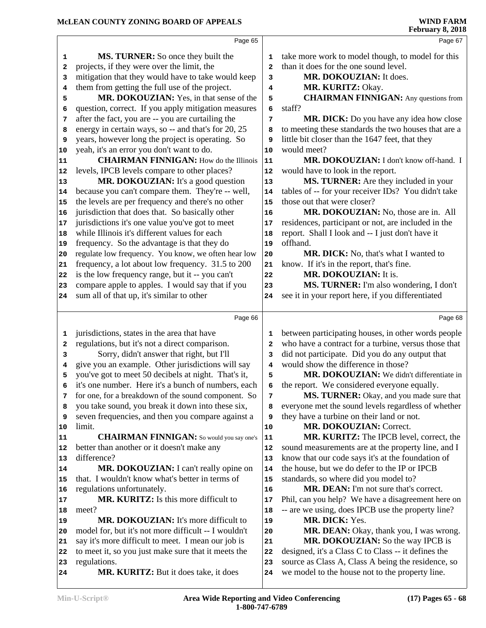|          | Page 65                                                                                   |                | Page 67                                                                                                 |
|----------|-------------------------------------------------------------------------------------------|----------------|---------------------------------------------------------------------------------------------------------|
| 1        | <b>MS. TURNER:</b> So once they built the                                                 | 1              | take more work to model though, to model for this                                                       |
| 2        | projects, if they were over the limit, the                                                | $\overline{a}$ | than it does for the one sound level.                                                                   |
| 3        | mitigation that they would have to take would keep                                        | 3              | MR. DOKOUZIAN: It does.                                                                                 |
| 4        | them from getting the full use of the project.                                            | 4              | MR. KURITZ: Okay.                                                                                       |
| 5        | MR. DOKOUZIAN: Yes, in that sense of the                                                  | 5              | <b>CHAIRMAN FINNIGAN:</b> Any questions from                                                            |
| 6        | question, correct. If you apply mitigation measures                                       | 6              | staff?                                                                                                  |
| 7        | after the fact, you are -- you are curtailing the                                         | 7              | MR. DICK: Do you have any idea how close                                                                |
| 8        | energy in certain ways, so -- and that's for 20, 25                                       | 8              | to meeting these standards the two houses that are a                                                    |
| 9        | years, however long the project is operating. So                                          | 9              | little bit closer than the 1647 feet, that they                                                         |
| 10       | yeah, it's an error you don't want to do.                                                 | 10             | would meet?                                                                                             |
| 11       | <b>CHAIRMAN FINNIGAN:</b> How do the Illinois                                             | 11             | MR. DOKOUZIAN: I don't know off-hand. I                                                                 |
| 12       | levels, IPCB levels compare to other places?                                              | 12             | would have to look in the report.                                                                       |
| 13       | MR. DOKOUZIAN: It's a good question                                                       | 13             | MS. TURNER: Are they included in your                                                                   |
| 14       | because you can't compare them. They're -- well,                                          | 14             | tables of -- for your receiver IDs? You didn't take                                                     |
| 15       | the levels are per frequency and there's no other                                         | 15             | those out that were closer?                                                                             |
| 16       | jurisdiction that does that. So basically other                                           | 16             | MR. DOKOUZIAN: No, those are in. All                                                                    |
| 17       | jurisdictions it's one value you've got to meet                                           | 17             | residences, participant or not, are included in the                                                     |
| 18       | while Illinois it's different values for each                                             | 18             | report. Shall I look and -- I just don't have it                                                        |
| 19       | frequency. So the advantage is that they do                                               | 19             | offhand.                                                                                                |
| 20       | regulate low frequency. You know, we often hear low                                       | 20             | MR. DICK: No, that's what I wanted to                                                                   |
| 21       | frequency, a lot about low frequency. 31.5 to 200                                         | 21             | know. If it's in the report, that's fine.                                                               |
| 22       | is the low frequency range, but it -- you can't                                           | 22             | MR. DOKOUZIAN: It is.                                                                                   |
| 23       | compare apple to apples. I would say that if you                                          | 23             | MS. TURNER: I'm also wondering, I don't                                                                 |
| 24       | sum all of that up, it's similar to other                                                 | 24             | see it in your report here, if you differentiated                                                       |
|          |                                                                                           |                |                                                                                                         |
|          | Page 66                                                                                   |                | Page 68                                                                                                 |
| 1        | jurisdictions, states in the area that have                                               | 1              | between participating houses, in other words people                                                     |
| 2        | regulations, but it's not a direct comparison.                                            | $\mathbf{2}$   | who have a contract for a turbine, versus those that                                                    |
| 3        | Sorry, didn't answer that right, but I'll                                                 | 3              | did not participate. Did you do any output that                                                         |
| 4        | give you an example. Other jurisdictions will say                                         | 4              | would show the difference in those?                                                                     |
| 5        | you've got to meet 50 decibels at night. That's it,                                       | 5              | MR. DOKOUZIAN: We didn't differentiate in                                                               |
| 6        | it's one number. Here it's a bunch of numbers, each                                       | 6              | the report. We considered everyone equally.                                                             |
| 7        | for one, for a breakdown of the sound component. So                                       | 7              | MS. TURNER: Okay, and you made sure that                                                                |
| 8        | you take sound, you break it down into these six,                                         | 8              | everyone met the sound levels regardless of whether                                                     |
| 9        | seven frequencies, and then you compare against a                                         | 9              | they have a turbine on their land or not.                                                               |
| 10       | limit.                                                                                    | 10             | MR. DOKOUZIAN: Correct.                                                                                 |
| 11       | <b>CHAIRMAN FINNIGAN:</b> So would you say one's                                          | 11             | MR. KURITZ: The IPCB level, correct, the                                                                |
| 12       | better than another or it doesn't make any                                                | 12             | sound measurements are at the property line, and I                                                      |
| 13       | difference?                                                                               | 13             | know that our code says it's at the foundation of                                                       |
| 14       | MR. DOKOUZIAN: I can't really opine on<br>that. I wouldn't know what's better in terms of | 14             | the house, but we do defer to the IP or IPCB                                                            |
| 15       |                                                                                           | 15             | standards, so where did you model to?<br>MR. DEAN: I'm not sure that's correct.                         |
| 16       | regulations unfortunately.<br>MR. KURITZ: Is this more difficult to                       | 16             |                                                                                                         |
| 17       | meet?                                                                                     | 17             | Phil, can you help? We have a disagreement here on<br>-- are we using, does IPCB use the property line? |
| 18       | MR. DOKOUZIAN: It's more difficult to                                                     | 18<br>19       | MR. DICK: Yes.                                                                                          |
| 19       | model for, but it's not more difficult -- I wouldn't                                      | 20             | MR. DEAN: Okay, thank you, I was wrong.                                                                 |
| 20<br>21 | say it's more difficult to meet. I mean our job is                                        | 21             | MR. DOKOUZIAN: So the way IPCB is                                                                       |
| 22       | to meet it, so you just make sure that it meets the                                       | 22             | designed, it's a Class C to Class -- it defines the                                                     |
| 23       | regulations.                                                                              | 23             | source as Class A, Class A being the residence, so                                                      |
| 24       | MR. KURITZ: But it does take, it does                                                     | 24             | we model to the house not to the property line.                                                         |
|          |                                                                                           |                |                                                                                                         |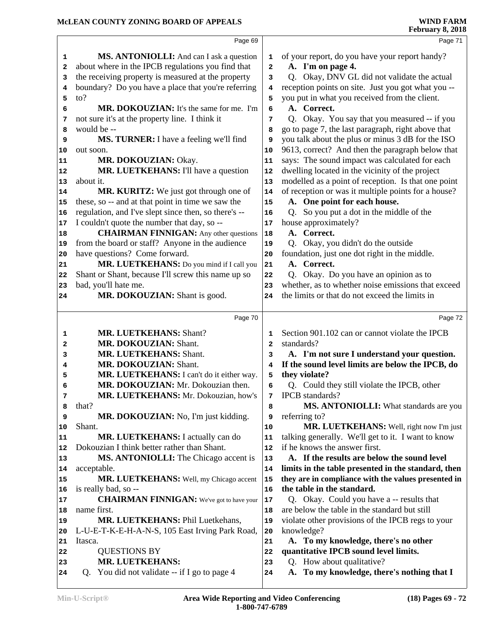|          | Page 69                                                      |                   | Page 71                                                                             |
|----------|--------------------------------------------------------------|-------------------|-------------------------------------------------------------------------------------|
| 1        | <b>MS. ANTONIOLLI:</b> And can I ask a question              | 1                 | of your report, do you have your report handy?                                      |
| 2        | about where in the IPCB regulations you find that            | 2                 | A. I'm on page 4.                                                                   |
| з        | the receiving property is measured at the property           | 3                 | Q. Okay, DNV GL did not validate the actual                                         |
| 4        | boundary? Do you have a place that you're referring          | 4                 | reception points on site. Just you got what you --                                  |
| 5        | $\mathfrak{g}$                                               | 5                 | you put in what you received from the client.                                       |
| 6        | MR. DOKOUZIAN: It's the same for me. I'm                     | 6                 | A. Correct.                                                                         |
| 7        | not sure it's at the property line. I think it               | 7                 | Q. Okay. You say that you measured -- if you                                        |
| 8        | would be --                                                  | 8                 | go to page 7, the last paragraph, right above that                                  |
| 9        | MS. TURNER: I have a feeling we'll find                      | 9                 | you talk about the plus or minus 3 dB for the ISO                                   |
| 10       | out soon.                                                    | 10                | 9613, correct? And then the paragraph below that                                    |
| 11       | MR. DOKOUZIAN: Okay.                                         | 11                | says: The sound impact was calculated for each                                      |
| 12       | MR. LUETKEHANS: I'll have a question                         | 12                | dwelling located in the vicinity of the project                                     |
| 13       | about it.                                                    | 13                | modelled as a point of reception. Is that one point                                 |
| 14       | MR. KURITZ: We just got through one of                       | 14                | of reception or was it multiple points for a house?                                 |
| 15       | these, so -- and at that point in time we saw the            | 15                | A. One point for each house.                                                        |
| 16       | regulation, and I've slept since then, so there's --         | 16                | Q. So you put a dot in the middle of the                                            |
| 17       | I couldn't quote the number that day, so --                  | 17                | house approximately?                                                                |
| 18       | <b>CHAIRMAN FINNIGAN:</b> Any other questions                | 18                | A. Correct.                                                                         |
| 19       | from the board or staff? Anyone in the audience              | 19                | Q. Okay, you didn't do the outside                                                  |
| 20       | have questions? Come forward.                                | 20                | foundation, just one dot right in the middle.                                       |
| 21       | MR. LUETKEHANS: Do you mind if I call you                    | 21                | A. Correct.                                                                         |
| 22       | Shant or Shant, because I'll screw this name up so           | 22                | Q. Okay. Do you have an opinion as to                                               |
| 23       | bad, you'll hate me.                                         | 23                | whether, as to whether noise emissions that exceed                                  |
| 24       | MR. DOKOUZIAN: Shant is good.                                | 24                | the limits or that do not exceed the limits in                                      |
|          | Page 70                                                      |                   | Page 72                                                                             |
|          |                                                              |                   |                                                                                     |
| 1        | <b>MR. LUETKEHANS: Shant?</b><br>MR. DOKOUZIAN: Shant.       | 1                 | Section 901.102 can or cannot violate the IPCB<br>standards?                        |
| 2        | <b>MR. LUETKEHANS: Shant.</b>                                | $\mathbf{2}$<br>3 | A. I'm not sure I understand your question.                                         |
| 3<br>4   | MR. DOKOUZIAN: Shant.                                        | 4                 | If the sound level limits are below the IPCB, do                                    |
| 5        | MR. LUETKEHANS: I can't do it either way.                    | 5                 | they violate?                                                                       |
| 6        |                                                              |                   |                                                                                     |
|          |                                                              |                   |                                                                                     |
|          | MR. DOKOUZIAN: Mr. Dokouzian then.                           | 6                 | Q. Could they still violate the IPCB, other                                         |
| 7        | MR. LUETKEHANS: Mr. Dokouzian, how's                         | 7                 | <b>IPCB</b> standards?                                                              |
| 8        | that?                                                        | 8                 | MS. ANTONIOLLI: What standards are you                                              |
| 9        | MR. DOKOUZIAN: No, I'm just kidding.                         | 9                 | referring to?                                                                       |
| 10<br>11 | Shant.                                                       | 10<br>11          | MR. LUETKEHANS: Well, right now I'm just                                            |
| 12       | <b>MR. LUETKEHANS:</b> I actually can do                     | 12                | talking generally. We'll get to it. I want to know<br>if he knows the answer first. |
| 13       | Dokouzian I think better rather than Shant.                  | 13                | A. If the results are below the sound level                                         |
| 14       | MS. ANTONIOLLI: The Chicago accent is<br>acceptable.         | 14                | limits in the table presented in the standard, then                                 |
| 15       | MR. LUETKEHANS: Well, my Chicago accent                      | 15                | they are in compliance with the values presented in                                 |
| 16       | is really bad, so --                                         | 16                | the table in the standard.                                                          |
| 17       | <b>CHAIRMAN FINNIGAN:</b> We've got to have your             | 17                | Q. Okay. Could you have a -- results that                                           |
| 18       | name first.                                                  | 18                | are below the table in the standard but still                                       |
| 19       | MR. LUETKEHANS: Phil Luetkehans,                             | 19                | violate other provisions of the IPCB regs to your                                   |
| 20       | L-U-E-T-K-E-H-A-N-S, 105 East Irving Park Road,              | 20                | knowledge?                                                                          |
| 21       | Itasca.                                                      | 21                | A. To my knowledge, there's no other                                                |
| 22       | <b>QUESTIONS BY</b>                                          | 22                | quantitative IPCB sound level limits.                                               |
| 23       | MR. LUETKEHANS:<br>You did not validate -- if I go to page 4 | 23                | Q. How about qualitative?<br>To my knowledge, there's nothing that I                |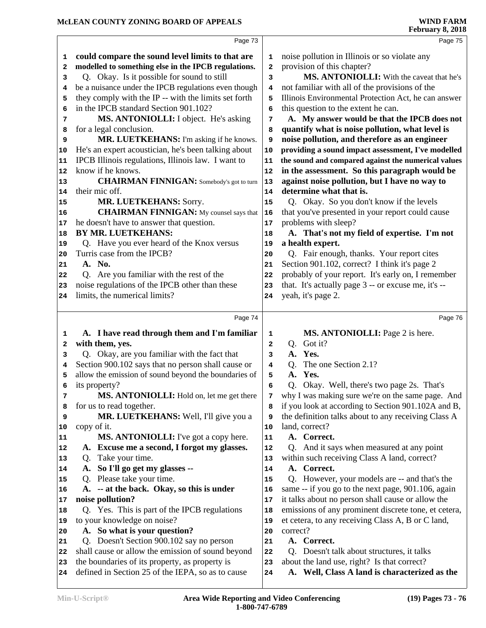|          | Page 73                                                                                       |    | Page 75                                                                                   |
|----------|-----------------------------------------------------------------------------------------------|----|-------------------------------------------------------------------------------------------|
| 1        | could compare the sound level limits to that are                                              | 1  | noise pollution in Illinois or so violate any                                             |
| 2        | modelled to something else in the IPCB regulations.                                           | 2  | provision of this chapter?                                                                |
| 3        | Q. Okay. Is it possible for sound to still                                                    | 3  | MS. ANTONIOLLI: With the caveat that he's                                                 |
| 4        | be a nuisance under the IPCB regulations even though                                          | 4  | not familiar with all of the provisions of the                                            |
| 5        | they comply with the IP -- with the limits set forth                                          | 5  | Illinois Environmental Protection Act, he can answer                                      |
| 6        | in the IPCB standard Section 901.102?                                                         | 6  | this question to the extent he can.                                                       |
| 7        | MS. ANTONIOLLI: I object. He's asking                                                         | 7  | A. My answer would be that the IPCB does not                                              |
| 8        | for a legal conclusion.                                                                       | 8  | quantify what is noise pollution, what level is                                           |
| 9        | MR. LUETKEHANS: I'm asking if he knows.                                                       | 9  | noise pollution, and therefore as an engineer                                             |
| 10       | He's an expert acoustician, he's been talking about                                           | 10 | providing a sound impact assessment, I've modelled                                        |
| 11       | IPCB Illinois regulations, Illinois law. I want to                                            | 11 | the sound and compared against the numerical values                                       |
| 12       | know if he knows.                                                                             | 12 | in the assessment. So this paragraph would be                                             |
| 13       | <b>CHAIRMAN FINNIGAN:</b> Somebody's got to turn                                              | 13 | against noise pollution, but I have no way to                                             |
| 14       | their mic off.                                                                                | 14 | determine what that is.                                                                   |
| 15       | MR. LUETKEHANS: Sorry.                                                                        | 15 | Q. Okay. So you don't know if the levels                                                  |
| 16       | <b>CHAIRMAN FINNIGAN:</b> My counsel says that                                                | 16 | that you've presented in your report could cause                                          |
| 17       | he doesn't have to answer that question.                                                      | 17 | problems with sleep?                                                                      |
| 18       | <b>BY MR. LUETKEHANS:</b>                                                                     | 18 | A. That's not my field of expertise. I'm not                                              |
| 19       | Q. Have you ever heard of the Knox versus                                                     | 19 | a health expert.                                                                          |
| 20       | Turris case from the IPCB?                                                                    | 20 | Q. Fair enough, thanks. Your report cites                                                 |
| 21       | A. No.                                                                                        | 21 | Section 901.102, correct? I think it's page 2                                             |
| 22       | Q. Are you familiar with the rest of the                                                      | 22 | probably of your report. It's early on, I remember                                        |
| 23       | noise regulations of the IPCB other than these                                                | 23 | that. It's actually page 3 -- or excuse me, it's --                                       |
| 24       | limits, the numerical limits?                                                                 | 24 | yeah, it's page 2.                                                                        |
|          |                                                                                               |    |                                                                                           |
|          | Page 74                                                                                       |    | Page 76                                                                                   |
| 1        | A. I have read through them and I'm familiar                                                  | 1  | MS. ANTONIOLLI: Page 2 is here.                                                           |
| 2        | with them, yes.                                                                               | 2  | Q. Got it?                                                                                |
| з        | Q. Okay, are you familiar with the fact that                                                  | 3  | A. Yes.                                                                                   |
| 4        | Section 900.102 says that no person shall cause or                                            | 4  | The one Section 2.1?<br>O.                                                                |
| 5        | allow the emission of sound beyond the boundaries of                                          | 5  | Yes.<br>A.                                                                                |
| 6        | its property?                                                                                 | 6  | Q. Okay. Well, there's two page 2s. That's                                                |
| 7        | MS. ANTONIOLLI: Hold on, let me get there                                                     | 7  | why I was making sure we're on the same page. And                                         |
| 8        | for us to read together.                                                                      | 8  | if you look at according to Section 901.102A and B,                                       |
| 9        | MR. LUETKEHANS: Well, I'll give you a                                                         | 9  | the definition talks about to any receiving Class A                                       |
| 10       | copy of it.                                                                                   | 10 | land, correct?                                                                            |
| 11       | MS. ANTONIOLLI: I've got a copy here.                                                         | 11 | A. Correct.                                                                               |
| 12       | A. Excuse me a second, I forgot my glasses.                                                   | 12 | Q. And it says when measured at any point                                                 |
| 13       | Take your time.<br>Q.                                                                         | 13 | within such receiving Class A land, correct?                                              |
| 14       | So I'll go get my glasses --<br>A.                                                            | 14 | A. Correct.                                                                               |
| 15       | Please take your time.<br>Q.                                                                  | 15 | Q. However, your models are -- and that's the                                             |
| 16       | A. -- at the back. Okay, so this is under                                                     | 16 | same -- if you go to the next page, 901.106, again                                        |
| 17       | noise pollution?                                                                              | 17 | it talks about no person shall cause or allow the                                         |
| 18       | Q. Yes. This is part of the IPCB regulations                                                  | 18 | emissions of any prominent discrete tone, et cetera,                                      |
| 19       | to your knowledge on noise?                                                                   | 19 | et cetera, to any receiving Class A, B or C land,                                         |
| 20       | A. So what is your question?                                                                  | 20 | correct?                                                                                  |
| 21       | Q. Doesn't Section 900.102 say no person<br>shall cause or allow the emission of sound beyond | 21 | A. Correct.                                                                               |
| 22       | the boundaries of its property, as property is                                                | 22 | Q. Doesn't talk about structures, it talks<br>about the land use, right? Is that correct? |
| 23<br>24 | defined in Section 25 of the IEPA, so as to cause                                             | 23 | A. Well, Class A land is characterized as the                                             |
|          |                                                                                               | 24 |                                                                                           |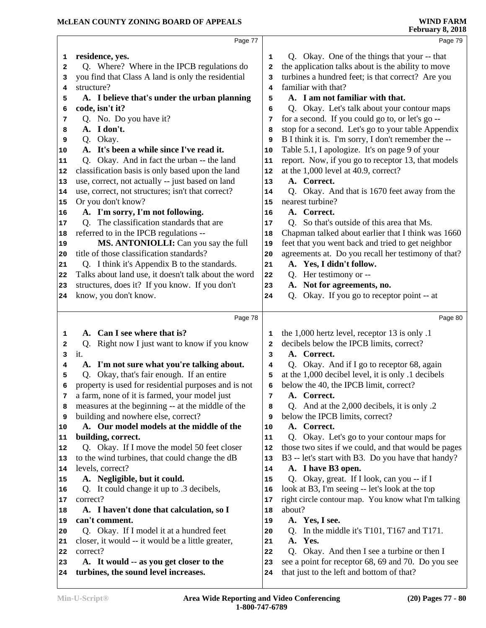|                | Page 77                                              |                | Page 79                                              |
|----------------|------------------------------------------------------|----------------|------------------------------------------------------|
| 1              | residence, yes.                                      | 1              | Q. Okay. One of the things that your -- that         |
| $\overline{a}$ | Q. Where? Where in the IPCB regulations do           | $\overline{a}$ | the application talks about is the ability to move   |
| 3              | you find that Class A land is only the residential   | 3              | turbines a hundred feet; is that correct? Are you    |
| 4              | structure?                                           | 4              | familiar with that?                                  |
| 5              | A. I believe that's under the urban planning         | 5              | A. I am not familiar with that.                      |
| 6              | code, isn't it?                                      | 6              | Q. Okay. Let's talk about your contour maps          |
| 7              | Q. No. Do you have it?                               | 7              | for a second. If you could go to, or let's go --     |
| 8              | A. I don't.                                          | 8              | stop for a second. Let's go to your table Appendix   |
| 9              | Q. Okay.                                             | 9              | B I think it is. I'm sorry, I don't remember the --  |
| 10             | A. It's been a while since I've read it.             | 10             | Table 5.1, I apologize. It's on page 9 of your       |
| 11             | Q. Okay. And in fact the urban -- the land           | 11             | report. Now, if you go to receptor 13, that models   |
| 12             | classification basis is only based upon the land     | 12             | at the 1,000 level at 40.9, correct?                 |
| 13             | use, correct, not actually -- just based on land     | 13             | A. Correct.                                          |
| 14             | use, correct, not structures; isn't that correct?    | 14             | Q. Okay. And that is 1670 feet away from the         |
| 15             | Or you don't know?                                   | 15             | nearest turbine?                                     |
| 16             | A. I'm sorry, I'm not following.                     | 16             | A. Correct.                                          |
| 17             | Q. The classification standards that are             | 17             | Q. So that's outside of this area that Ms.           |
| 18             | referred to in the IPCB regulations --               | 18             | Chapman talked about earlier that I think was 1660   |
| 19             | MS. ANTONIOLLI: Can you say the full                 | 19             | feet that you went back and tried to get neighbor    |
| 20             | title of those classification standards?             | 20             | agreements at. Do you recall her testimony of that?  |
| 21             | Q. I think it's Appendix B to the standards.         | 21             | A. Yes, I didn't follow.                             |
| 22             | Talks about land use, it doesn't talk about the word | 22             | Q. Her testimony or --                               |
| 23             | structures, does it? If you know. If you don't       | 23             | A. Not for agreements, no.                           |
| 24             | know, you don't know.                                | 24             | Okay. If you go to receptor point -- at<br>Q.        |
|                |                                                      |                |                                                      |
|                | Page 78                                              |                | Page 80                                              |
|                | A. Can I see where that is?                          | 1              | the 1,000 hertz level, receptor 13 is only .1        |
| 1<br>2         | Right now I just want to know if you know<br>Q.      | $\mathbf{2}$   | decibels below the IPCB limits, correct?             |
| 3              | it.                                                  | 3              | A. Correct.                                          |
| 4              | A. I'm not sure what you're talking about.           | 4              | Q. Okay. And if I go to receptor 68, again           |
| 5              | Q. Okay, that's fair enough. If an entire            | 5              | at the 1,000 decibel level, it is only .1 decibels   |
| 6              | property is used for residential purposes and is not | 6              | below the 40, the IPCB limit, correct?               |
| 7              | a farm, none of it is farmed, your model just        | 7              | A. Correct.                                          |
| 8              | measures at the beginning -- at the middle of the    | 8              | Q. And at the 2,000 decibels, it is only .2          |
| 9              | building and nowhere else, correct?                  | 9              | below the IPCB limits, correct?                      |
| 10             | A. Our model models at the middle of the             | 10             | A. Correct.                                          |
| 11             | building, correct.                                   | 11             | Q. Okay. Let's go to your contour maps for           |
| 12             | Q. Okay. If I move the model 50 feet closer          | 12             | those two sites if we could, and that would be pages |
| 13             | to the wind turbines, that could change the dB       | 13             | B3 -- let's start with B3. Do you have that handy?   |
| 14             | levels, correct?                                     | 14             | A. I have B3 open.                                   |
| 15             | A. Negligible, but it could.                         | 15             | Q. Okay, great. If I look, can you -- if I           |
| 16             | Q. It could change it up to .3 decibels,             | 16             | look at B3, I'm seeing -- let's look at the top      |
| 17             | correct?                                             | 17             | right circle contour map. You know what I'm talking  |
| 18             | A. I haven't done that calculation, so I             | 18             | about?                                               |
| 19             | can't comment.                                       | 19             | A. Yes, I see.                                       |
| 20             | Q. Okay. If I model it at a hundred feet             | 20             | In the middle it's T101, T167 and T171.<br>Q.        |
| 21             | closer, it would -- it would be a little greater,    | 21             | Yes.<br>A.                                           |
| 22             | correct?                                             | 22             | Okay. And then I see a turbine or then I<br>Q.       |
| 23             | A. It would -- as you get closer to the              | 23             | see a point for receptor 68, 69 and 70. Do you see   |
|                | turbines, the sound level increases.                 | 24             | that just to the left and bottom of that?            |
| 24             |                                                      |                |                                                      |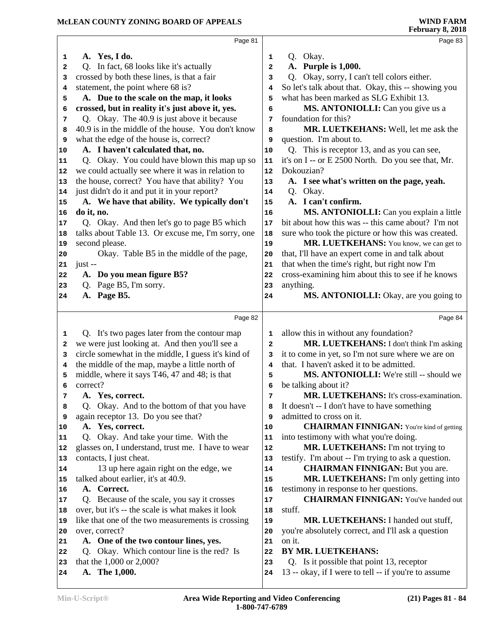|              | Page 81                                             |                | Page 83                                              |
|--------------|-----------------------------------------------------|----------------|------------------------------------------------------|
| 1            | A. Yes, I do.                                       | 1              | Q. Okay.                                             |
| $\mathbf{2}$ | Q. In fact, 68 looks like it's actually             | $\overline{a}$ | A. Purple is 1,000.                                  |
| 3            | crossed by both these lines, is that a fair         | 3              | Q. Okay, sorry, I can't tell colors either.          |
| 4            | statement, the point where 68 is?                   | 4              | So let's talk about that. Okay, this -- showing you  |
| 5            | A. Due to the scale on the map, it looks            | 5              | what has been marked as SLG Exhibit 13.              |
| 6            | crossed, but in reality it's just above it, yes.    | 6              | MS. ANTONIOLLI: Can you give us a                    |
| 7            | Q. Okay. The 40.9 is just above it because          | 7              | foundation for this?                                 |
| 8            | 40.9 is in the middle of the house. You don't know  | 8              | MR. LUETKEHANS: Well, let me ask the                 |
| 9            | what the edge of the house is, correct?             | 9              | question. I'm about to.                              |
| 10           | A. I haven't calculated that, no.                   | 10             | Q. This is receptor 13, and as you can see,          |
| 11           | Q. Okay. You could have blown this map up so        | ${\bf 11}$     | it's on I -- or E 2500 North. Do you see that, Mr.   |
| 12           | we could actually see where it was in relation to   | 12             | Dokouzian?                                           |
| 13           | the house, correct? You have that ability? You      | 13             | A. I see what's written on the page, yeah.           |
| 14           | just didn't do it and put it in your report?        | 14             | Q. Okay.                                             |
| 15           | A. We have that ability. We typically don't         | 15             | A. I can't confirm.                                  |
| 16           | do it, no.                                          | 16             | MS. ANTONIOLLI: Can you explain a little             |
| 17           | Q. Okay. And then let's go to page B5 which         | 17             | bit about how this was -- this came about? I'm not   |
| 18           | talks about Table 13. Or excuse me, I'm sorry, one  | 18             | sure who took the picture or how this was created.   |
| 19           | second please.                                      | 19             | MR. LUETKEHANS: You know, we can get to              |
| 20           | Okay. Table B5 in the middle of the page,           | 20             | that, I'll have an expert come in and talk about     |
| 21           | $just -$                                            | 21             | that when the time's right, but right now I'm        |
| 22           | A. Do you mean figure B5?                           | 22             | cross-examining him about this to see if he knows    |
| 23           | Q. Page B5, I'm sorry.                              | 23             | anything.                                            |
| 24           | A. Page B5.                                         | 24             | MS. ANTONIOLLI: Okay, are you going to               |
|              |                                                     |                |                                                      |
|              | Page 82                                             |                | Page 84                                              |
| 1            | Q. It's two pages later from the contour map        | 1              | allow this in without any foundation?                |
| 2            | we were just looking at. And then you'll see a      | $\overline{a}$ | MR. LUETKEHANS: I don't think I'm asking             |
| з            | circle somewhat in the middle, I guess it's kind of | 3              | it to come in yet, so I'm not sure where we are on   |
| 4            | the middle of the map, maybe a little north of      | 4              | that. I haven't asked it to be admitted.             |
| 5            | middle, where it says T46, 47 and 48; is that       | 5              | MS. ANTONIOLLI: We're still -- should we             |
| 6            | correct?                                            | 6              | be talking about it?                                 |
| 7            | A. Yes, correct.                                    | 7              | MR. LUETKEHANS: It's cross-examination.              |
| 8            | Okay. And to the bottom of that you have<br>O.      | 8              | It doesn't -- I don't have to have something         |
| 9            | again receptor 13. Do you see that?                 | 9              | admitted to cross on it.                             |
| 10           | A. Yes, correct.                                    | 10             | <b>CHAIRMAN FINNIGAN:</b> You're kind of getting     |
| 11           | Q. Okay. And take your time. With the               | 11             | into testimony with what you're doing.               |
| 12           | glasses on, I understand, trust me. I have to wear  | 12             | MR. LUETKEHANS: I'm not trying to                    |
| 13           | contacts, I just cheat.                             | 13             | testify. I'm about -- I'm trying to ask a question.  |
| 14           | 13 up here again right on the edge, we              | 14             | <b>CHAIRMAN FINNIGAN:</b> But you are.               |
| 15           | talked about earlier, it's at 40.9.                 | 15             | MR. LUETKEHANS: I'm only getting into                |
| 16           | A. Correct.                                         | 16             | testimony in response to her questions.              |
| 17           | Q. Because of the scale, you say it crosses         | 17             | <b>CHAIRMAN FINNIGAN:</b> You've handed out          |
| 18           | over, but it's -- the scale is what makes it look   | 18             | stuff.                                               |
| 19           | like that one of the two measurements is crossing   | 19             | MR. LUETKEHANS: I handed out stuff,                  |
| 20           | over, correct?                                      | 20             | you're absolutely correct, and I'll ask a question   |
| 21           | A. One of the two contour lines, yes.               | 21             | on it.                                               |
| 22           | Q. Okay. Which contour line is the red? Is          | 22             | BY MR. LUETKEHANS:                                   |
| 23           | that the 1,000 or 2,000?                            | 23             | Q. Is it possible that point 13, receptor            |
|              | A. The 1,000.                                       | 24             | 13 -- okay, if I were to tell -- if you're to assume |
| 24           |                                                     |                |                                                      |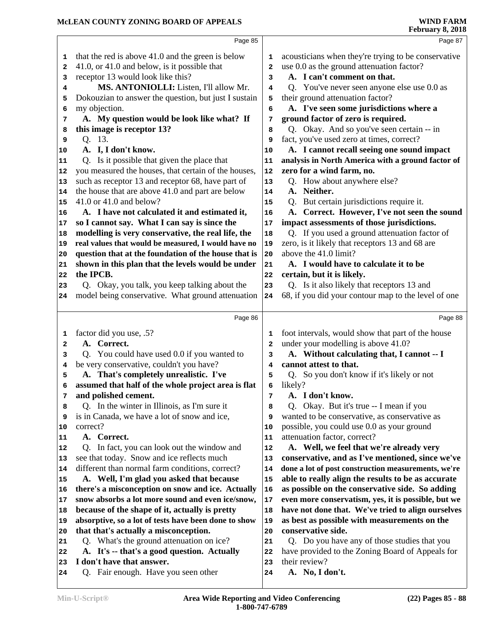|    | Page 85                                              |    | Page 87                                             |
|----|------------------------------------------------------|----|-----------------------------------------------------|
| 1  | that the red is above 41.0 and the green is below    | 1  | acousticians when they're trying to be conservative |
| 2  | 41.0, or 41.0 and below, is it possible that         | 2  | use 0.0 as the ground attenuation factor?           |
| 3  | receptor 13 would look like this?                    | 3  | A. I can't comment on that.                         |
| 4  | MS. ANTONIOLLI: Listen, I'll allow Mr.               | 4  | Q. You've never seen anyone else use 0.0 as         |
| 5  | Dokouzian to answer the question, but just I sustain | 5  | their ground attenuation factor?                    |
| 6  | my objection.                                        | 6  | A. I've seen some jurisdictions where a             |
| 7  | A. My question would be look like what? If           | 7  | ground factor of zero is required.                  |
| 8  | this image is receptor 13?                           | 8  | Q. Okay. And so you've seen certain -- in           |
| 9  | Q. 13.                                               | 9  | fact, you've used zero at times, correct?           |
| 10 | A. I, I don't know.                                  | 10 | A. I cannot recall seeing one sound impact          |
| 11 | Q. Is it possible that given the place that          | 11 | analysis in North America with a ground factor of   |
| 12 | you measured the houses, that certain of the houses, | 12 | zero for a wind farm, no.                           |
| 13 | such as receptor 13 and receptor 68, have part of    | 13 | Q. How about anywhere else?                         |
| 14 | the house that are above 41.0 and part are below     | 14 | A. Neither.                                         |
| 15 | 41.0 or 41.0 and below?                              | 15 | Q. But certain jurisdictions require it.            |
| 16 | A. I have not calculated it and estimated it,        | 16 | A. Correct. However, I've not seen the sound        |
| 17 | so I cannot say. What I can say is since the         | 17 | impact assessments of those jurisdictions.          |
| 18 | modelling is very conservative, the real life, the   | 18 | Q. If you used a ground attenuation factor of       |
| 19 | real values that would be measured, I would have no  | 19 | zero, is it likely that receptors 13 and 68 are     |
| 20 | question that at the foundation of the house that is | 20 | above the 41.0 limit?                               |
| 21 | shown in this plan that the levels would be under    | 21 | A. I would have to calculate it to be               |
| 22 | the IPCB.                                            | 22 | certain, but it is likely.                          |
| 23 | Q. Okay, you talk, you keep talking about the        | 23 | Q. Is it also likely that receptors 13 and          |
| 24 | model being conservative. What ground attenuation    | 24 | 68, if you did your contour map to the level of one |
|    |                                                      |    |                                                     |
|    | Page 86                                              |    | Page 88                                             |
| 1  | factor did you use, .5?                              | 1  | foot intervals, would show that part of the house   |
| 2  | A. Correct.                                          | 2  | under your modelling is above 41.0?                 |
| 3  | Q. You could have used 0.0 if you wanted to          | з  | A. Without calculating that, I cannot -- I          |
| 4  | be very conservative, couldn't you have?             | 4  | cannot attest to that.                              |
| 5  | A. That's completely unrealistic. I've               | 5  | Q. So you don't know if it's likely or not          |
| 6  | assumed that half of the whole project area is flat  | 6  | likely?                                             |
| 7  | and polished cement.                                 | 7  | A. I don't know.                                    |
| 8  | Q. In the winter in Illinois, as I'm sure it         | 8  | Q. Okay. But it's true -- I mean if you             |
| 9  | is in Canada, we have a lot of snow and ice,         | 9  | wanted to be conservative, as conservative as       |
| 10 | correct?                                             | 10 | possible, you could use 0.0 as your ground          |
| 11 | A. Correct.                                          | 11 | attenuation factor, correct?                        |
| 12 | Q. In fact, you can look out the window and          | 12 | A. Well, we feel that we're already very            |
| 13 | see that today. Snow and ice reflects much           | 13 | conservative, and as I've mentioned, since we've    |
| 14 | different than normal farm conditions, correct?      | 14 | done a lot of post construction measurements, we're |
| 15 | A. Well, I'm glad you asked that because             | 15 | able to really align the results to be as accurate  |
| 16 | there's a misconception on snow and ice. Actually    | 16 | as possible on the conservative side. So adding     |
| 17 | snow absorbs a lot more sound and even ice/snow,     | 17 | even more conservatism, yes, it is possible, but we |
| 18 | because of the shape of it, actually is pretty       | 18 | have not done that. We've tried to align ourselves  |
| 19 | absorptive, so a lot of tests have been done to show | 19 | as best as possible with measurements on the        |
| 20 | that that's actually a misconception.                | 20 | conservative side.                                  |
| 21 | Q. What's the ground attenuation on ice?             | 21 | Q. Do you have any of those studies that you        |
| 22 | A. It's -- that's a good question. Actually          | 22 | have provided to the Zoning Board of Appeals for    |
| 23 | I don't have that answer.                            | 23 | their review?                                       |
| 24 | Q. Fair enough. Have you seen other                  | 24 | A. No, I don't.                                     |
|    |                                                      |    |                                                     |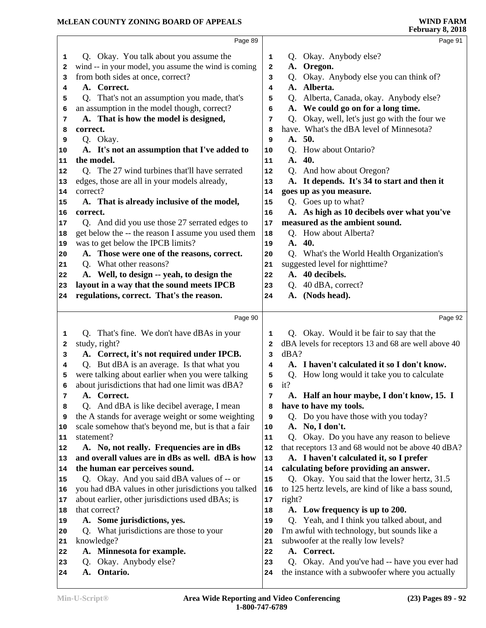|                  | Page 89                                                     |              | Page 91                                                                                           |
|------------------|-------------------------------------------------------------|--------------|---------------------------------------------------------------------------------------------------|
| 1                | Q. Okay. You talk about you assume the                      | 1            | Okay. Anybody else?<br>Q.                                                                         |
| 2                | wind -- in your model, you assume the wind is coming        | $\mathbf{2}$ | A. Oregon.                                                                                        |
| 3                | from both sides at once, correct?                           | з            | Q. Okay. Anybody else you can think of?                                                           |
| 4                | A. Correct.                                                 | 4            | A. Alberta.                                                                                       |
| 5                | Q. That's not an assumption you made, that's                | 5            | Alberta, Canada, okay. Anybody else?<br>Q.                                                        |
| 6                | an assumption in the model though, correct?                 | 6            | A. We could go on for a long time.                                                                |
| 7                | A. That is how the model is designed,                       | 7            | Q. Okay, well, let's just go with the four we                                                     |
| 8                | correct.                                                    | 8            | have. What's the dBA level of Minnesota?                                                          |
| 9                | Q. Okay.                                                    | 9            | A. 50.                                                                                            |
| 10               | A. It's not an assumption that I've added to                | 10           | Q. How about Ontario?                                                                             |
| 11               | the model.                                                  | 11           | 40.<br>A.                                                                                         |
| 12               | Q. The 27 wind turbines that'll have serrated               | 12           | Q. And how about Oregon?                                                                          |
| 13               | edges, those are all in your models already,                | 13           | A. It depends. It's 34 to start and then it                                                       |
| 14               | correct?                                                    | 14           | goes up as you measure.                                                                           |
| 15               | A. That is already inclusive of the model,                  | 15           | Q. Goes up to what?                                                                               |
| 16               | correct.                                                    | 16           | A. As high as 10 decibels over what you've                                                        |
| 17               | Q. And did you use those 27 serrated edges to               | 17           | measured as the ambient sound.                                                                    |
| 18               | get below the -- the reason I assume you used them          | 18           | Q. How about Alberta?                                                                             |
| 19               | was to get below the IPCB limits?                           | 19           | A. 40.                                                                                            |
| 20               | A. Those were one of the reasons, correct.                  | 20           | Q. What's the World Health Organization's                                                         |
| 21               | Q. What other reasons?                                      | 21           | suggested level for nighttime?                                                                    |
| 22               | A. Well, to design -- yeah, to design the                   | 22           | A. 40 decibels.                                                                                   |
| 23               | layout in a way that the sound meets IPCB                   | 23           | 40 dBA, correct?<br>Q.                                                                            |
| 24               | regulations, correct. That's the reason.                    | 24           | A. (Nods head).                                                                                   |
|                  |                                                             |              |                                                                                                   |
|                  |                                                             |              |                                                                                                   |
|                  | Page 90                                                     |              | Page 92                                                                                           |
| 1                |                                                             | 1            |                                                                                                   |
| 2                | Q. That's fine. We don't have dBAs in your<br>study, right? | $\mathbf{2}$ | Q. Okay. Would it be fair to say that the<br>dBA levels for receptors 13 and 68 are well above 40 |
| 3                | A. Correct, it's not required under IPCB.                   | 3            | dBA?                                                                                              |
| 4                | Q. But dBA is an average. Is that what you                  | 4            | A. I haven't calculated it so I don't know.                                                       |
| 5                | were talking about earlier when you were talking            | 5            | How long would it take you to calculate<br>Q.                                                     |
| 6                | about jurisdictions that had one limit was dBA?             | 6            | it?                                                                                               |
| 7                | A. Correct.                                                 | 7            | A. Half an hour maybe, I don't know, 15. I                                                        |
| 8                | Q. And dBA is like decibel average, I mean                  | 8            | have to have my tools.                                                                            |
| 9                | the A stands for average weight or some weighting           | 9            | Q. Do you have those with you today?                                                              |
| 10               | scale somehow that's beyond me, but is that a fair          | 10           | No, I don't.<br>A.                                                                                |
| 11               | statement?                                                  | 11           | Okay. Do you have any reason to believe<br>Q.                                                     |
| 12               | A. No, not really. Frequencies are in dBs                   | 12           | that receptors 13 and 68 would not be above 40 dBA?                                               |
| 13               | and overall values are in dBs as well. dBA is how           | 13           | A. I haven't calculated it, so I prefer                                                           |
| 14               | the human ear perceives sound.                              | 14           | calculating before providing an answer.                                                           |
| 15               | Q. Okay. And you said dBA values of -- or                   | 15           | Q. Okay. You said that the lower hertz, 31.5                                                      |
| 16               | you had dBA values in other jurisdictions you talked        | 16           | to 125 hertz levels, are kind of like a bass sound,                                               |
| 17               | about earlier, other jurisdictions used dBAs; is            | $17\,$       | right?                                                                                            |
| 18               | that correct?                                               | 18           | A. Low frequency is up to 200.                                                                    |
| 19               | A. Some jurisdictions, yes.                                 | 19           | Q. Yeah, and I think you talked about, and                                                        |
| 20               | Q. What jurisdictions are those to your                     | 20           | I'm awful with technology, but sounds like a                                                      |
| 21               | knowledge?                                                  | 21           | subwoofer at the really low levels?                                                               |
| 22               | A. Minnesota for example.                                   | 22           | A. Correct.                                                                                       |
| 23<br>${\bf 24}$ | Okay. Anybody else?<br>Q.<br>Ontario.<br>A.                 | 23<br>24     | Q. Okay. And you've had -- have you ever had<br>the instance with a subwoofer where you actually  |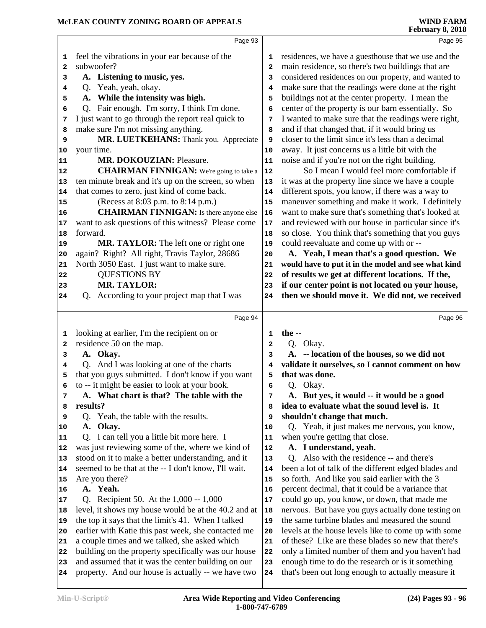|              | Page 93                                                                                                  |                     | Page 95                                                                                                 |
|--------------|----------------------------------------------------------------------------------------------------------|---------------------|---------------------------------------------------------------------------------------------------------|
| 1            | feel the vibrations in your ear because of the                                                           | 1                   | residences, we have a guesthouse that we use and the                                                    |
| $\mathbf{2}$ | subwoofer?                                                                                               | $\overline{2}$      | main residence, so there's two buildings that are                                                       |
| 3            | A. Listening to music, yes.                                                                              | 3                   | considered residences on our property, and wanted to                                                    |
| 4            | Q. Yeah, yeah, okay.                                                                                     | 4                   | make sure that the readings were done at the right                                                      |
| 5            | A. While the intensity was high.                                                                         | 5                   | buildings not at the center property. I mean the                                                        |
| 6            | Q. Fair enough. I'm sorry, I think I'm done.                                                             | 6                   | center of the property is our barn essentially. So                                                      |
| 7            | I just want to go through the report real quick to                                                       | 7                   | I wanted to make sure that the readings were right,                                                     |
| 8            | make sure I'm not missing anything.                                                                      | 8                   | and if that changed that, if it would bring us                                                          |
| 9            | MR. LUETKEHANS: Thank you. Appreciate                                                                    | 9                   | closer to the limit since it's less than a decimal                                                      |
| 10           | your time.                                                                                               | 10                  | away. It just concerns us a little bit with the                                                         |
| 11           | MR. DOKOUZIAN: Pleasure.                                                                                 | 11                  | noise and if you're not on the right building.                                                          |
| 12           | <b>CHAIRMAN FINNIGAN:</b> We're going to take a                                                          | 12                  | So I mean I would feel more comfortable if                                                              |
| 13           | ten minute break and it's up on the screen, so when                                                      | 13                  | it was at the property line since we have a couple                                                      |
| 14           | that comes to zero, just kind of come back.                                                              | 14                  | different spots, you know, if there was a way to                                                        |
| 15           | (Recess at 8:03 p.m. to 8:14 p.m.)                                                                       | 15                  | maneuver something and make it work. I definitely                                                       |
| 16           | <b>CHAIRMAN FINNIGAN:</b> Is there anyone else                                                           | 16                  | want to make sure that's something that's looked at                                                     |
| 17           | want to ask questions of this witness? Please come                                                       | 17                  | and reviewed with our house in particular since it's                                                    |
| 18           | forward.                                                                                                 | 18                  | so close. You think that's something that you guys                                                      |
| 19           | MR. TAYLOR: The left one or right one                                                                    | 19                  | could reevaluate and come up with or --                                                                 |
| 20           | again? Right? All right, Travis Taylor, 28686                                                            | 20                  | A. Yeah, I mean that's a good question. We                                                              |
| 21           | North 3050 East. I just want to make sure.                                                               | 21                  | would have to put it in the model and see what kind                                                     |
| 22           | <b>QUESTIONS BY</b>                                                                                      | 22                  | of results we get at different locations. If the,                                                       |
| 23           | <b>MR. TAYLOR:</b>                                                                                       | 23                  | if our center point is not located on your house,                                                       |
| 24           | Q. According to your project map that I was                                                              | 24                  | then we should move it. We did not, we received                                                         |
|              |                                                                                                          |                     |                                                                                                         |
|              |                                                                                                          |                     |                                                                                                         |
|              | Page 94                                                                                                  |                     | Page 96                                                                                                 |
|              |                                                                                                          |                     |                                                                                                         |
| 1            | looking at earlier, I'm the recipient on or                                                              | 1<br>$\overline{a}$ | the $-$                                                                                                 |
| 2<br>3       | residence 50 on the map.                                                                                 | 3                   | Q. Okay.                                                                                                |
|              | A. Okay.                                                                                                 |                     | A. -- location of the houses, so we did not                                                             |
| 4            | Q. And I was looking at one of the charts                                                                | 4                   | validate it ourselves, so I cannot comment on how                                                       |
| 5            | that you guys submitted. I don't know if you want                                                        | 5                   | that was done.                                                                                          |
| 6            | to -- it might be easier to look at your book.                                                           | 6                   | Q. Okay.                                                                                                |
| 7            | A. What chart is that? The table with the                                                                | 7                   | A. But yes, it would -- it would be a good                                                              |
| 8            | results?                                                                                                 | 8                   | idea to evaluate what the sound level is. It                                                            |
| 9            | Q. Yeah, the table with the results.                                                                     | 9                   | shouldn't change that much.                                                                             |
| 10           | A. Okay.                                                                                                 | 10                  | Q. Yeah, it just makes me nervous, you know,                                                            |
| 11           | Q. I can tell you a little bit more here. I                                                              | 11                  | when you're getting that close.                                                                         |
| 12           | was just reviewing some of the, where we kind of                                                         | 12                  | A. I understand, yeah.                                                                                  |
| 13           | stood on it to make a better understanding, and it                                                       | 13                  | Q. Also with the residence -- and there's                                                               |
| 14           | seemed to be that at the -- I don't know, I'll wait.                                                     | 14                  | been a lot of talk of the different edged blades and                                                    |
| 15           | Are you there?                                                                                           | 15                  | so forth. And like you said earlier with the 3                                                          |
| 16           | A. Yeah.                                                                                                 | 16                  | percent decimal, that it could be a variance that                                                       |
| 17           | Q. Recipient 50. At the 1,000 -- 1,000                                                                   | 17                  | could go up, you know, or down, that made me                                                            |
| 18           | level, it shows my house would be at the 40.2 and at                                                     | 18                  | nervous. But have you guys actually done testing on                                                     |
| 19           | the top it says that the limit's 41. When I talked                                                       | 19                  | the same turbine blades and measured the sound                                                          |
| 20           | earlier with Katie this past week, she contacted me                                                      | 20                  | levels at the house levels like to come up with some                                                    |
| 21           | a couple times and we talked, she asked which                                                            | 21                  | of these? Like are these blades so new that there's                                                     |
| 22           | building on the property specifically was our house                                                      | 22                  | only a limited number of them and you haven't had                                                       |
| 23<br>24     | and assumed that it was the center building on our<br>property. And our house is actually -- we have two | 23<br>24            | enough time to do the research or is it something<br>that's been out long enough to actually measure it |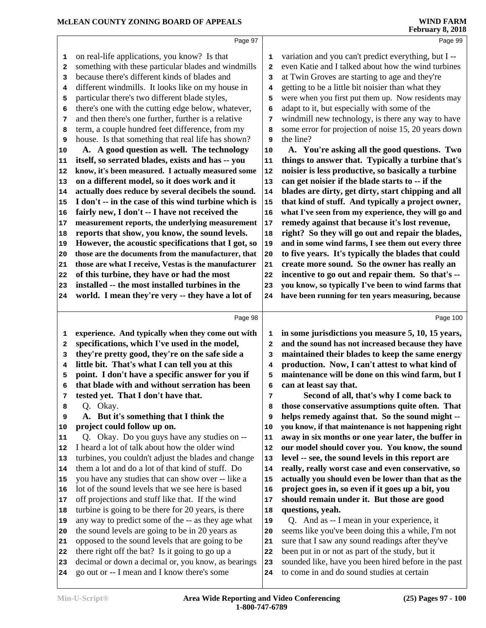|              |                                                      |      | 1 COI 001 y 0, 2010                                  |
|--------------|------------------------------------------------------|------|------------------------------------------------------|
|              | Page 97                                              |      | Page 99                                              |
| 1            | on real-life applications, you know? Is that         | 1    | variation and you can't predict everything, but I -- |
| $\mathbf{2}$ | something with these particular blades and windmills | 2    | even Katie and I talked about how the wind turbines  |
| 3            | because there's different kinds of blades and        | 3    | at Twin Groves are starting to age and they're       |
| 4            | different windmills. It looks like on my house in    | 4    | getting to be a little bit noisier than what they    |
| 5            | particular there's two different blade styles,       | 5    | were when you first put them up. Now residents may   |
| 6            | there's one with the cutting edge below, whatever,   | 6    | adapt to it, but especially with some of the         |
| 7            | and then there's one further, further is a relative  | 7    | windmill new technology, is there any way to have    |
| 8            | term, a couple hundred feet difference, from my      | 8    | some error for projection of noise 15, 20 years down |
| 9            | house. Is that something that real life has shown?   | 9    | the line?                                            |
| 10           | A. A good question as well. The technology           | 10   | A. You're asking all the good questions. Two         |
| 11           | itself, so serrated blades, exists and has -- you    | 11   | things to answer that. Typically a turbine that's    |
| 12           | know, it's been measured. I actually measured some   | 12   | noisier is less productive, so basically a turbine   |
| 13           | on a different model, so it does work and it         | 13   | can get noisier if the blade starts to -- if the     |
| 14           | actually does reduce by several decibels the sound.  | 14   | blades are dirty, get dirty, start chipping and all  |
| 15           | I don't -- in the case of this wind turbine which is | 15   | that kind of stuff. And typically a project owner,   |
| 16           | fairly new, I don't -- I have not received the       | 16   | what I've seen from my experience, they will go and  |
| 17           | measurement reports, the underlying measurement      | $17$ | remedy against that because it's lost revenue,       |
| 18           | reports that show, you know, the sound levels.       | 18   | right? So they will go out and repair the blades,    |
| 19           | However, the acoustic specifications that I got, so  | 19   | and in some wind farms, I see them out every three   |
| 20           | those are the documents from the manufacturer, that  | 20   | to five years. It's typically the blades that could  |
| 21           | those are what I receive, Vestas is the manufacturer | 21   | create more sound. So the owner has really an        |
| 22           | of this turbine, they have or had the most           | 22   | incentive to go out and repair them. So that's --    |
| 23           | installed -- the most installed turbines in the      | 23   | you know, so typically I've been to wind farms that  |
| 24           | world. I mean they're very -- they have a lot of     | 24   | have been running for ten years measuring, because   |
|              |                                                      |      |                                                      |
|              | Page 98                                              |      | Page 100                                             |
| 1            | experience. And typically when they come out with    | 1    | in some jurisdictions you measure 5, 10, 15 years,   |
| $\mathbf{2}$ | specifications, which I've used in the model,        | 2    | and the sound has not increased because they have    |
| 3            | they're pretty good, they're on the safe side a      | 3    | maintained their blades to keep the same energy      |
| 4            | little bit. That's what I can tell you at this       | 4    | production. Now, I can't attest to what kind of      |
| 5            | point. I don't have a specific answer for you if     | 5    | maintenance will be done on this wind farm, but I    |
| 6            | that blade with and without serration has been       | 6    | can at least say that.                               |
| 7            | tested yet. That I don't have that.                  | 7    | Second of all, that's why I come back to             |
| 8            | Q. Okay.                                             | 8    | those conservative assumptions quite often. That     |
| 9            | A. But it's something that I think the               | 9    | helps remedy against that. So the sound might --     |
| 10           | project could follow up on.                          | 10   | you know, if that maintenance is not happening right |
| 11           | Q. Okay. Do you guys have any studies on --          | 11   | away in six months or one year later, the buffer in  |
| 12           | I heard a lot of talk about how the older wind       | 12   | our model should cover you. You know, the sound      |
| 13           | turbines, you couldn't adjust the blades and change  | 13   | level -- see, the sound levels in this report are    |
| 14           | them a lot and do a lot of that kind of stuff. Do    | 14   | really, really worst case and even conservative, so  |
| 15           | you have any studies that can show over -- like a    | 15   | actually you should even be lower than that as the   |
| 16           | lot of the sound levels that we see here is based    | 16   | project goes in, so even if it goes up a bit, you    |
| 17           | off projections and stuff like that. If the wind     | 17   | should remain under it. But those are good           |
| 18           | turbine is going to be there for 20 years, is there  | 18   | questions, yeah.                                     |
| 19           | any way to predict some of the -- as they age what   | 19   | Q. And as -- I mean in your experience, it           |
| 20           | the sound levels are going to be in 20 years as      | 20   | seems like you've been doing this a while, I'm not   |
| 21           |                                                      | 21   | sure that I saw any sound readings after they've     |
|              | opposed to the sound levels that are going to be     |      |                                                      |
| 22           | there right off the bat? Is it going to go up a      | 22   | been put in or not as part of the study, but it      |
| 23           | decimal or down a decimal or, you know, as bearings  | 23   | sounded like, have you been hired before in the past |
| 24           | go out or -- I mean and I know there's some          | 24   | to come in and do sound studies at certain           |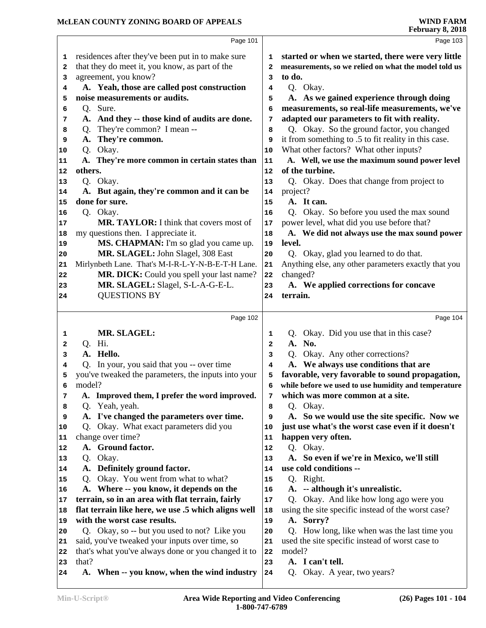|          | Page 101                                                                      |              | Page 103                                                         |
|----------|-------------------------------------------------------------------------------|--------------|------------------------------------------------------------------|
| 1        | residences after they've been put in to make sure                             | 1            | started or when we started, there were very little               |
| 2        | that they do meet it, you know, as part of the                                | 2            | measurements, so we relied on what the model told us             |
| з        | agreement, you know?                                                          | 3            | to do.                                                           |
| 4        | A. Yeah, those are called post construction                                   | 4            | Q. Okay.                                                         |
| 5        | noise measurements or audits.                                                 | 5            | A. As we gained experience through doing                         |
| 6        | Q. Sure.                                                                      | 6            | measurements, so real-life measurements, we've                   |
| 7        | A. And they -- those kind of audits are done.                                 | 7            | adapted our parameters to fit with reality.                      |
| 8        | Q. They're common? I mean --                                                  | 8            | Q. Okay. So the ground factor, you changed                       |
| 9        | A. They're common.                                                            | 9            | it from something to .5 to fit reality in this case.             |
| 10       | Q. Okay.                                                                      | 10           | What other factors? What other inputs?                           |
| 11       | A. They're more common in certain states than                                 | ${\bf 11}$   | A. Well, we use the maximum sound power level                    |
| 12       | others.                                                                       | 12           | of the turbine.                                                  |
| 13       | Q. Okay.                                                                      | 13           | Q. Okay. Does that change from project to                        |
| 14       | A. But again, they're common and it can be                                    | 14           | project?                                                         |
| 15       | done for sure.                                                                | 15           | A. It can.                                                       |
| 16       | Q. Okay.                                                                      | 16           | Q. Okay. So before you used the max sound                        |
| 17       | MR. TAYLOR: I think that covers most of                                       | 17           | power level, what did you use before that?                       |
| 18       | my questions then. I appreciate it.                                           | 18           | A. We did not always use the max sound power                     |
| 19       | MS. CHAPMAN: I'm so glad you came up.                                         | 19           | level.                                                           |
| 20       | MR. SLAGEL: John Slagel, 308 East                                             | 20           | Q. Okay, glad you learned to do that.                            |
| 21       | Mirlynbeth Lane. That's M-I-R-L-Y-N-B-E-T-H Lane.                             | 21<br>22     | Anything else, any other parameters exactly that you<br>changed? |
| 22       | MR. DICK: Could you spell your last name?<br>MR. SLAGEL: Slagel, S-L-A-G-E-L. | 23           | A. We applied corrections for concave                            |
| 23<br>24 | <b>QUESTIONS BY</b>                                                           | 24           | terrain.                                                         |
|          |                                                                               |              |                                                                  |
|          | Page 102                                                                      |              | Page 104                                                         |
| 1        | MR. SLAGEL:                                                                   | 1            | Q. Okay. Did you use that in this case?                          |
| 2        | Q. Hi.                                                                        | $\mathbf{2}$ | A. No.                                                           |
| 3        | A. Hello.                                                                     | 3            | Q. Okay. Any other corrections?                                  |
| 4        | Q. In your, you said that you -- over time                                    | 4            | A. We always use conditions that are                             |
| 5        | you've tweaked the parameters, the inputs into your                           | 5            | favorable, very favorable to sound propagation,                  |
| 6        | model?                                                                        | 6            | while before we used to use humidity and temperature             |
| 7        | A. Improved them, I prefer the word improved.                                 | 7            | which was more common at a site.                                 |
| 8        |                                                                               |              |                                                                  |
| 9        | Yeah, yeah.<br>Q.                                                             | 8            | Q. Okay.                                                         |
|          | A. I've changed the parameters over time.                                     | 9            | A. So we would use the site specific. Now we                     |
| 10       | Q. Okay. What exact parameters did you                                        | 10           | just use what's the worst case even if it doesn't                |
| 11       | change over time?                                                             | 11           | happen very often.                                               |
| 12       | A. Ground factor.                                                             | 12           | Q. Okay.                                                         |
| 13       | Q. Okay.                                                                      | 13           | A. So even if we're in Mexico, we'll still                       |
| 14       | A. Definitely ground factor.                                                  | 14           | use cold conditions --                                           |
| 15       | Q. Okay. You went from what to what?                                          | 15           | Q. Right.                                                        |
| 16       | A. Where -- you know, it depends on the                                       | 16           | A. -- although it's unrealistic.                                 |
| 17       | terrain, so in an area with flat terrain, fairly                              | 17           | Q. Okay. And like how long ago were you                          |
| 18       | flat terrain like here, we use .5 which aligns well                           | 18           | using the site specific instead of the worst case?               |
| 19       | with the worst case results.                                                  | 19           | A. Sorry?                                                        |
| 20       | Q. Okay, so -- but you used to not? Like you                                  | 20           | Q. How long, like when was the last time you                     |
| 21       | said, you've tweaked your inputs over time, so                                | 21           | used the site specific instead of worst case to                  |
| 22       | that's what you've always done or you changed it to                           | 22           | model?                                                           |
| 23<br>24 | that?<br>A. When -- you know, when the wind industry                          | 23<br>24     | A. I can't tell.<br>Q. Okay. A year, two years?                  |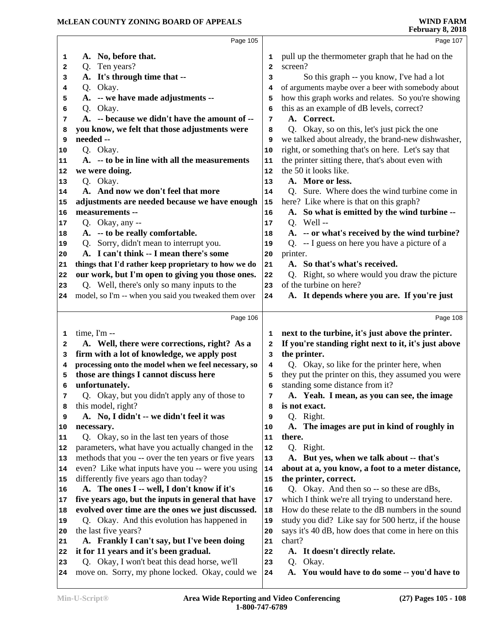|    |                                                      |              | $1 \text{cm}$ and $1 \text{cm}$                      |
|----|------------------------------------------------------|--------------|------------------------------------------------------|
|    | Page 105                                             |              | Page 107                                             |
| 1  | A. No, before that.                                  | 1            | pull up the thermometer graph that he had on the     |
| 2  | Q. Ten years?                                        | $\mathbf{2}$ | screen?                                              |
| з  | A. It's through time that --                         | 3            | So this graph -- you know, I've had a lot            |
| 4  | Q. Okay.                                             | 4            | of arguments maybe over a beer with somebody about   |
| 5  | A. -- we have made adjustments --                    | 5            | how this graph works and relates. So you're showing  |
| 6  | Q. Okay.                                             | 6            | this as an example of dB levels, correct?            |
| 7  | A. -- because we didn't have the amount of --        | 7            | A. Correct.                                          |
| 8  | you know, we felt that those adjustments were        | 8            | Q. Okay, so on this, let's just pick the one         |
| 9  | needed --                                            | 9            | we talked about already, the brand-new dishwasher,   |
| 10 | Q. Okay.                                             | 10           | right, or something that's on here. Let's say that   |
| 11 | A. -- to be in line with all the measurements        | 11           | the printer sitting there, that's about even with    |
| 12 | we were doing.                                       | 12           | the 50 it looks like.                                |
| 13 | Q. Okay.                                             | 13           | A. More or less.                                     |
| 14 | A. And now we don't feel that more                   | 14           | Q. Sure. Where does the wind turbine come in         |
| 15 | adjustments are needed because we have enough        | 15           | here? Like where is that on this graph?              |
| 16 | measurements --                                      | 16           | A. So what is emitted by the wind turbine --         |
| 17 | Q. Okay, any --                                      | 17           | Q. Well $-$                                          |
| 18 | A. -- to be really comfortable.                      | 18           | A. -- or what's received by the wind turbine?        |
| 19 | Q. Sorry, didn't mean to interrupt you.              | 19           | Q. -- I guess on here you have a picture of a        |
| 20 | A. I can't think -- I mean there's some              | 20           | printer.                                             |
| 21 | things that I'd rather keep proprietary to how we do | 21           | A. So that's what's received.                        |
| 22 | our work, but I'm open to giving you those ones.     | 22           | Q. Right, so where would you draw the picture        |
| 23 | Q. Well, there's only so many inputs to the          | 23           | of the turbine on here?                              |
| 24 | model, so I'm -- when you said you tweaked them over | 24           | A. It depends where you are. If you're just          |
|    |                                                      |              |                                                      |
|    | Page 106                                             |              | Page 108                                             |
| 1  | time, $\Gamma$ m --                                  | 1            | next to the turbine, it's just above the printer.    |
| 2  | A. Well, there were corrections, right? As a         | 2            | If you're standing right next to it, it's just above |
| 3  | firm with a lot of knowledge, we apply post          | 3            | the printer.                                         |
| 4  | processing onto the model when we feel necessary, so | 4            | Q. Okay, so like for the printer here, when          |
| 5  | those are things I cannot discuss here               | 5            | they put the printer on this, they assumed you were  |
| 6  | unfortunately.                                       | 6            | standing some distance from it?                      |
| 7  | Q. Okay, but you didn't apply any of those to        | 7            | A. Yeah. I mean, as you can see, the image           |
| 8  | this model, right?                                   | 8            | is not exact.                                        |
| 9  | A. No, I didn't -- we didn't feel it was             | 9            | Q. Right.                                            |
| 10 | necessary.                                           | 10           | A. The images are put in kind of roughly in          |
| 11 | Q. Okay, so in the last ten years of those           | 11           | there.                                               |
| 12 | parameters, what have you actually changed in the    | 12           | Q. Right.                                            |
| 13 | methods that you -- over the ten years or five years | 13           | A. But yes, when we talk about -- that's             |
| 14 | even? Like what inputs have you -- were you using    | 14           | about at a, you know, a foot to a meter distance,    |
| 15 | differently five years ago than today?               | 15           | the printer, correct.                                |
| 16 | A. The ones I -- well, I don't know if it's          | 16           | Q. Okay. And then so -- so these are dBs,            |
| 17 | five years ago, but the inputs in general that have  | 17           | which I think we're all trying to understand here.   |
| 18 | evolved over time are the ones we just discussed.    | 18           | How do these relate to the dB numbers in the sound   |
| 19 | Q. Okay. And this evolution has happened in          | 19           | study you did? Like say for 500 hertz, if the house  |
| 20 | the last five years?                                 | 20           | says it's 40 dB, how does that come in here on this  |
| 21 | A. Frankly I can't say, but I've been doing          | 21           | chart?                                               |
| 22 | it for 11 years and it's been gradual.               | 22           | A. It doesn't directly relate.                       |
| 23 | Q. Okay, I won't beat this dead horse, we'll         | 23           | Okay.<br>Q.                                          |
| 24 | move on. Sorry, my phone locked. Okay, could we      | 24           | A. You would have to do some -- you'd have to        |
|    |                                                      |              |                                                      |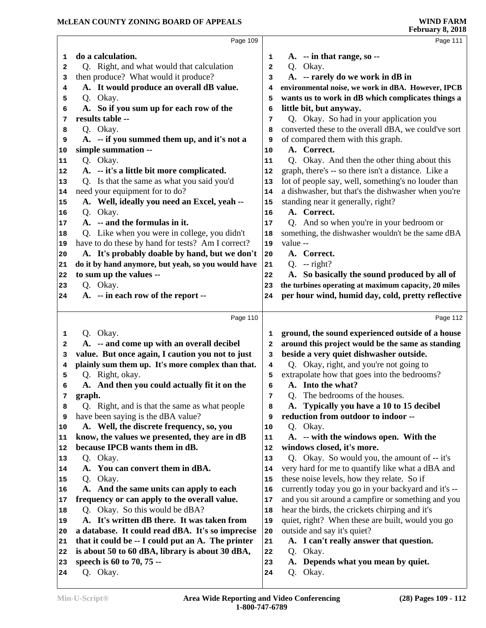| Page 109                                                |                                                                                                                                                                                                                                                                                                                                                          | Page 111                                                                   |
|---------------------------------------------------------|----------------------------------------------------------------------------------------------------------------------------------------------------------------------------------------------------------------------------------------------------------------------------------------------------------------------------------------------------------|----------------------------------------------------------------------------|
| do a calculation.                                       | 1                                                                                                                                                                                                                                                                                                                                                        | $A.$ -- in that range, so --                                               |
| Q. Right, and what would that calculation               | 2                                                                                                                                                                                                                                                                                                                                                        | Q. Okay.                                                                   |
| then produce? What would it produce?                    | 3                                                                                                                                                                                                                                                                                                                                                        | A. -- rarely do we work in dB in                                           |
| A. It would produce an overall dB value.                | 4                                                                                                                                                                                                                                                                                                                                                        | environmental noise, we work in dBA. However, IPCB                         |
| Q. Okay.                                                | 5                                                                                                                                                                                                                                                                                                                                                        | wants us to work in dB which complicates things a                          |
| A. So if you sum up for each row of the                 | 6                                                                                                                                                                                                                                                                                                                                                        | little bit, but anyway.                                                    |
| results table --                                        | 7                                                                                                                                                                                                                                                                                                                                                        | Q. Okay. So had in your application you                                    |
| Q. Okay.                                                | 8                                                                                                                                                                                                                                                                                                                                                        | converted these to the overall dBA, we could've sort                       |
| A. -- if you summed them up, and it's not a             | 9                                                                                                                                                                                                                                                                                                                                                        | of compared them with this graph.                                          |
| simple summation --                                     | 10                                                                                                                                                                                                                                                                                                                                                       | A. Correct.                                                                |
| Q. Okay.                                                | 11                                                                                                                                                                                                                                                                                                                                                       | Q. Okay. And then the other thing about this                               |
| A. -- it's a little bit more complicated.               | 12                                                                                                                                                                                                                                                                                                                                                       | graph, there's -- so there isn't a distance. Like a                        |
| Q. Is that the same as what you said you'd              | 13                                                                                                                                                                                                                                                                                                                                                       | lot of people say, well, something's no louder than                        |
|                                                         | 14                                                                                                                                                                                                                                                                                                                                                       | a dishwasher, but that's the dishwasher when you're                        |
| A. Well, ideally you need an Excel, yeah --             | 15                                                                                                                                                                                                                                                                                                                                                       | standing near it generally, right?                                         |
| Q. Okay.                                                | 16                                                                                                                                                                                                                                                                                                                                                       | A. Correct.                                                                |
|                                                         | 17                                                                                                                                                                                                                                                                                                                                                       | Q. And so when you're in your bedroom or                                   |
|                                                         | 18                                                                                                                                                                                                                                                                                                                                                       | something, the dishwasher wouldn't be the same dBA                         |
|                                                         | 19                                                                                                                                                                                                                                                                                                                                                       | value --                                                                   |
|                                                         | 20                                                                                                                                                                                                                                                                                                                                                       | A. Correct.                                                                |
|                                                         | 21                                                                                                                                                                                                                                                                                                                                                       | $Q. - right?$                                                              |
|                                                         |                                                                                                                                                                                                                                                                                                                                                          | A. So basically the sound produced by all of                               |
|                                                         | 23                                                                                                                                                                                                                                                                                                                                                       | the turbines operating at maximum capacity, 20 miles                       |
|                                                         | 24                                                                                                                                                                                                                                                                                                                                                       | per hour wind, humid day, cold, pretty reflective                          |
|                                                         |                                                                                                                                                                                                                                                                                                                                                          |                                                                            |
| Page 110                                                |                                                                                                                                                                                                                                                                                                                                                          | Page 112                                                                   |
|                                                         |                                                                                                                                                                                                                                                                                                                                                          |                                                                            |
| Q. Okay.                                                | 1                                                                                                                                                                                                                                                                                                                                                        | ground, the sound experienced outside of a house                           |
| A. -- and come up with an overall decibel               | 2                                                                                                                                                                                                                                                                                                                                                        | around this project would be the same as standing                          |
| value. But once again, I caution you not to just        | з<br>4                                                                                                                                                                                                                                                                                                                                                   | beside a very quiet dishwasher outside.                                    |
| plainly sum them up. It's more complex than that.       | 5                                                                                                                                                                                                                                                                                                                                                        | Q. Okay, right, and you're not going to                                    |
| Q. Right, okay.                                         | 6                                                                                                                                                                                                                                                                                                                                                        | extrapolate how that goes into the bedrooms?<br>A. Into the what?          |
| A. And then you could actually fit it on the            | 7                                                                                                                                                                                                                                                                                                                                                        |                                                                            |
| graph.<br>Q. Right, and is that the same as what people | 8                                                                                                                                                                                                                                                                                                                                                        | Q. The bedrooms of the houses.<br>A. Typically you have a 10 to 15 decibel |
| have been saying is the dBA value?                      | 9                                                                                                                                                                                                                                                                                                                                                        | reduction from outdoor to indoor --                                        |
| A. Well, the discrete frequency, so, you                | 10                                                                                                                                                                                                                                                                                                                                                       | Q. Okay.                                                                   |
| know, the values we presented, they are in dB           | 11                                                                                                                                                                                                                                                                                                                                                       | A. -- with the windows open. With the                                      |
| because IPCB wants them in dB.                          | 12                                                                                                                                                                                                                                                                                                                                                       | windows closed, it's more.                                                 |
| Q. Okay.                                                | 13                                                                                                                                                                                                                                                                                                                                                       | Q. Okay. So would you, the amount of -- it's                               |
| A. You can convert them in dBA.                         | 14                                                                                                                                                                                                                                                                                                                                                       | very hard for me to quantify like what a dBA and                           |
| Q. Okay.                                                | 15                                                                                                                                                                                                                                                                                                                                                       | these noise levels, how they relate. So if                                 |
| A. And the same units can apply to each                 | 16                                                                                                                                                                                                                                                                                                                                                       | currently today you go in your backyard and it's --                        |
| frequency or can apply to the overall value.            | 17                                                                                                                                                                                                                                                                                                                                                       | and you sit around a campfire or something and you                         |
| Q. Okay. So this would be dBA?                          | 18                                                                                                                                                                                                                                                                                                                                                       | hear the birds, the crickets chirping and it's                             |
| A. It's written dB there. It was taken from             | 19                                                                                                                                                                                                                                                                                                                                                       | quiet, right? When these are built, would you go                           |
| a database. It could read dBA. It's so imprecise        | 20                                                                                                                                                                                                                                                                                                                                                       | outside and say it's quiet?                                                |
| that it could be -- I could put an A. The printer       | 21                                                                                                                                                                                                                                                                                                                                                       | A. I can't really answer that question.                                    |
| is about 50 to 60 dBA, library is about 30 dBA,         | 22                                                                                                                                                                                                                                                                                                                                                       | Okay.<br>Q.                                                                |
| speech is 60 to 70, 75 --<br>Q. Okay.                   | 23                                                                                                                                                                                                                                                                                                                                                       | A. Depends what you mean by quiet.<br>Okay.<br>Q.                          |
|                                                         | need your equipment for to do?<br>A. -- and the formulas in it.<br>Q. Like when you were in college, you didn't<br>have to do these by hand for tests? Am I correct?<br>A. It's probably doable by hand, but we don't<br>do it by hand anymore, but yeah, so you would have<br>to sum up the values --<br>Q. Okay.<br>A. -- in each row of the report -- | 22                                                                         |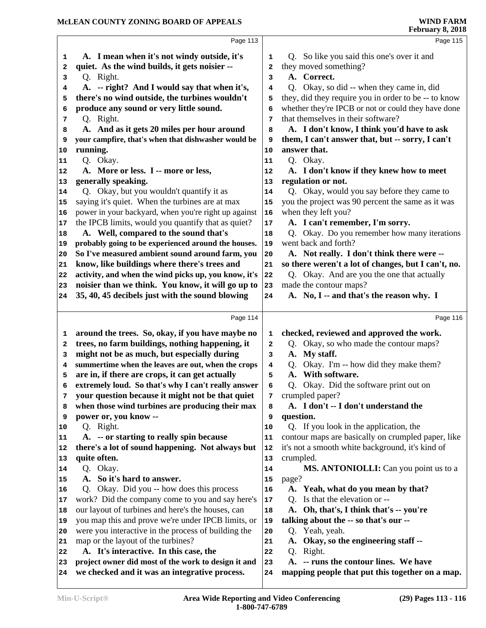|                                                                | Page 113                                                                                                  |                | Page 115                                                                 |
|----------------------------------------------------------------|-----------------------------------------------------------------------------------------------------------|----------------|--------------------------------------------------------------------------|
| 1                                                              | A. I mean when it's not windy outside, it's                                                               | 1              | Q. So like you said this one's over it and                               |
| 2                                                              | quiet. As the wind builds, it gets noisier --                                                             | 2              | they moved something?                                                    |
| 3                                                              | Q. Right.                                                                                                 | 3              | A. Correct.                                                              |
| 4                                                              | A. -- right? And I would say that when it's,                                                              | 4              | Q. Okay, so did -- when they came in, did                                |
| 5                                                              | there's no wind outside, the turbines wouldn't                                                            | 5              | they, did they require you in order to be -- to know                     |
| 6                                                              | produce any sound or very little sound.                                                                   | 6              | whether they're IPCB or not or could they have done                      |
| 7                                                              | Q. Right.                                                                                                 | 7              | that themselves in their software?                                       |
| 8                                                              | A. And as it gets 20 miles per hour around                                                                | 8              | A. I don't know, I think you'd have to ask                               |
| 9                                                              | your campfire, that's when that dishwasher would be                                                       | 9              | them, I can't answer that, but -- sorry, I can't                         |
| 10                                                             | running.                                                                                                  | 10             | answer that.                                                             |
| 11                                                             | Q. Okay.                                                                                                  | 11             | Q. Okay.                                                                 |
| 12                                                             | A. More or less. I -- more or less,                                                                       | 12             | A. I don't know if they knew how to meet                                 |
| 13                                                             | generally speaking.                                                                                       | 13             | regulation or not.                                                       |
| 14                                                             | Q. Okay, but you wouldn't quantify it as                                                                  | 14             | Q. Okay, would you say before they came to                               |
| 15                                                             | saying it's quiet. When the turbines are at max                                                           | 15             | you the project was 90 percent the same as it was                        |
| 16                                                             | power in your backyard, when you're right up against                                                      | 16             | when they left you?                                                      |
| 17                                                             | the IPCB limits, would you quantify that as quiet?                                                        | 17             | A. I can't remember, I'm sorry.                                          |
|                                                                | A. Well, compared to the sound that's                                                                     | 18             | Q. Okay. Do you remember how many iterations                             |
| 18                                                             | probably going to be experienced around the houses.                                                       | 19             | went back and forth?                                                     |
| 19                                                             | So I've measured ambient sound around farm, you                                                           | 20             | A. Not really. I don't think there were --                               |
| 20                                                             | know, like buildings where there's trees and                                                              |                | so there weren't a lot of changes, but I can't, no.                      |
| 21                                                             |                                                                                                           | 21             | Q. Okay. And are you the one that actually                               |
| 22                                                             | activity, and when the wind picks up, you know, it's<br>noisier than we think. You know, it will go up to | 22             | made the contour maps?                                                   |
| 23                                                             | 35, 40, 45 decibels just with the sound blowing                                                           | 23             | A. No, I -- and that's the reason why. I                                 |
| 24                                                             |                                                                                                           | 24             |                                                                          |
|                                                                | Page 114                                                                                                  |                | Page 116                                                                 |
| 1                                                              | around the trees. So, okay, if you have maybe no                                                          | 1              | checked, reviewed and approved the work.                                 |
|                                                                | trees, no farm buildings, nothing happening, it                                                           | $\overline{a}$ | Q. Okay, so who made the contour maps?                                   |
| 2                                                              |                                                                                                           |                |                                                                          |
| 3                                                              | might not be as much, but especially during                                                               | 3              | A. My staff.                                                             |
| 4                                                              |                                                                                                           | 4              |                                                                          |
| 5                                                              | summertime when the leaves are out, when the crops                                                        | 5              | Q. Okay. I'm -- how did they make them?<br>With software.<br>$A_{\cdot}$ |
| 6                                                              | are in, if there are crops, it can get actually                                                           | 6              |                                                                          |
| 7                                                              | extremely loud. So that's why I can't really answer<br>your question because it might not be that quiet   | 7              | Q. Okay. Did the software print out on<br>crumpled paper?                |
| 8                                                              |                                                                                                           | 8              | A. I don't -- I don't understand the                                     |
| 9                                                              | when those wind turbines are producing their max<br>power or, you know --                                 | 9              | question.                                                                |
|                                                                | Q. Right.                                                                                                 | 10             | Q. If you look in the application, the                                   |
|                                                                |                                                                                                           | 11             |                                                                          |
|                                                                | A. -- or starting to really spin because<br>there's a lot of sound happening. Not always but              | 12             | contour maps are basically on crumpled paper, like                       |
|                                                                | quite often.                                                                                              | 13             | it's not a smooth white background, it's kind of                         |
|                                                                |                                                                                                           | 14             | crumpled.                                                                |
|                                                                | Q. Okay.<br>A. So it's hard to answer.                                                                    |                | MS. ANTONIOLLI: Can you point us to a                                    |
|                                                                |                                                                                                           | 15             | page?                                                                    |
|                                                                | Q. Okay. Did you -- how does this process                                                                 | 16             | A. Yeah, what do you mean by that?                                       |
|                                                                | work? Did the company come to you and say here's                                                          | 17             | Q. Is that the elevation or --                                           |
|                                                                | our layout of turbines and here's the houses, can                                                         | 18             | A. Oh, that's, I think that's -- you're                                  |
|                                                                | you map this and prove we're under IPCB limits, or                                                        | 19             | talking about the -- so that's our --                                    |
| 10<br>11<br>12<br>13<br>14<br>15<br>16<br>17<br>18<br>19<br>20 | were you interactive in the process of building the                                                       | 20             | Q. Yeah, yeah.                                                           |
| 21                                                             | map or the layout of the turbines?                                                                        | 21             | A. Okay, so the engineering staff --                                     |
|                                                                | A. It's interactive. In this case, the                                                                    | 22             | Right.<br>Q.                                                             |
| 22<br>23<br>24                                                 | project owner did most of the work to design it and                                                       | 23             | A. -- runs the contour lines. We have                                    |
|                                                                | we checked and it was an integrative process.                                                             | 24             | mapping people that put this together on a map.                          |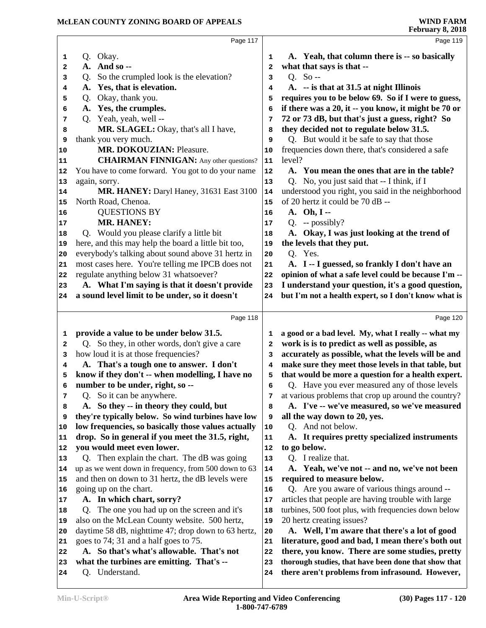| Page 117                                                   |    | Page 119                                             |
|------------------------------------------------------------|----|------------------------------------------------------|
| Q. Okay.<br>1                                              | 1  | A. Yeah, that column there is -- so basically        |
| A. And so --<br>2                                          | 2  | what that says is that --                            |
| So the crumpled look is the elevation?<br>Q.<br>3          | 3  | Q. So --                                             |
| A. Yes, that is elevation.<br>4                            | 4  | A. -- is that at 31.5 at night Illinois              |
| Okay, thank you.<br>Q.<br>5                                | 5  | requires you to be below 69. So if I were to guess,  |
| Yes, the crumples.<br>A.<br>6                              | 6  | if there was a 20, it -- you know, it might be 70 or |
| Q. Yeah, yeah, well --<br>7                                | 7  | 72 or 73 dB, but that's just a guess, right? So      |
| MR. SLAGEL: Okay, that's all I have,<br>8                  | 8  | they decided not to regulate below 31.5.             |
| thank you very much.<br>9                                  | 9  | Q. But would it be safe to say that those            |
| MR. DOKOUZIAN: Pleasure.<br>10                             | 10 | frequencies down there, that's considered a safe     |
| <b>CHAIRMAN FINNIGAN:</b> Any other questions?<br>11       | 11 | level?                                               |
| You have to come forward. You got to do your name<br>12    | 12 | A. You mean the ones that are in the table?          |
| again, sorry.<br>13                                        | 13 | Q. No, you just said that -- I think, if I           |
| MR. HANEY: Daryl Haney, 31631 East 3100<br>14              | 14 | understood you right, you said in the neighborhood   |
| North Road, Chenoa.<br>15                                  | 15 | of 20 hertz it could be 70 dB --                     |
| <b>QUESTIONS BY</b><br>16                                  | 16 | A. Oh, I --                                          |
| <b>MR. HANEY:</b><br>17                                    | 17 | $Q. -$ possibly?                                     |
| Q. Would you please clarify a little bit<br>18             | 18 | A. Okay, I was just looking at the trend of          |
| here, and this may help the board a little bit too,<br>19  | 19 | the levels that they put.                            |
| everybody's talking about sound above 31 hertz in<br>20    | 20 | Q. Yes.                                              |
| most cases here. You're telling me IPCB does not<br>21     | 21 | A. I -- I guessed, so frankly I don't have an        |
| regulate anything below 31 whatsoever?<br>22               | 22 | opinion of what a safe level could be because I'm -- |
| A. What I'm saying is that it doesn't provide<br>23        | 23 | I understand your question, it's a good question,    |
| a sound level limit to be under, so it doesn't<br>24       | 24 | but I'm not a health expert, so I don't know what is |
|                                                            |    |                                                      |
| Page 118                                                   |    | Page 120                                             |
| provide a value to be under below 31.5.<br>1               | 1  | a good or a bad level. My, what I really -- what my  |
| Q. So they, in other words, don't give a care<br>2         | 2  | work is is to predict as well as possible, as        |
| how loud it is at those frequencies?<br>3                  | 3  | accurately as possible, what the levels will be and  |
| A. That's a tough one to answer. I don't<br>4              | 4  | make sure they meet those levels in that table, but  |
| know if they don't -- when modelling, I have no<br>5       | 5  | that would be more a question for a health expert.   |
| number to be under, right, so --<br>6                      | 6  | Q. Have you ever measured any of those levels        |
| Q. So it can be anywhere.<br>7                             | 7  | at various problems that crop up around the country? |
| A. So they -- in theory they could, but<br>8               | 8  | A. I've -- we've measured, so we've measured         |
| they're typically below. So wind turbines have low<br>9    | 9  | all the way down to 20, yes.                         |
| low frequencies, so basically those values actually<br>10  | 10 | Q. And not below.                                    |
| drop. So in general if you meet the 31.5, right,<br>11     | 11 | A. It requires pretty specialized instruments        |
| you would meet even lower.<br>12                           | 12 | to go below.                                         |
| Q. Then explain the chart. The dB was going<br>13          | 13 | Q. I realize that.                                   |
| up as we went down in frequency, from 500 down to 63<br>14 | 14 | A. Yeah, we've not -- and no, we've not been         |
| and then on down to 31 hertz, the dB levels were<br>15     | 15 | required to measure below.                           |
| going up on the chart.<br>16                               | 16 | Q. Are you aware of various things around --         |
| A. In which chart, sorry?<br>17                            | 17 | articles that people are having trouble with large   |
| Q. The one you had up on the screen and it's<br>18         | 18 | turbines, 500 foot plus, with frequencies down below |
| also on the McLean County website. 500 hertz,              | 19 | 20 hertz creating issues?                            |
| 19<br>daytime 58 dB, nighttime 47; drop down to 63 hertz,  | 20 | A. Well, I'm aware that there's a lot of good        |
| 20<br>goes to 74; 31 and a half goes to 75.                |    | literature, good and bad, I mean there's both out    |
| 21<br>A. So that's what's allowable. That's not            | 21 |                                                      |
| 22                                                         | 22 | there, you know. There are some studies, pretty      |
| what the turbines are emitting. That's --<br>23            | 23 | thorough studies, that have been done that show that |
| Q. Understand.<br>24                                       | 24 | there aren't problems from infrasound. However,      |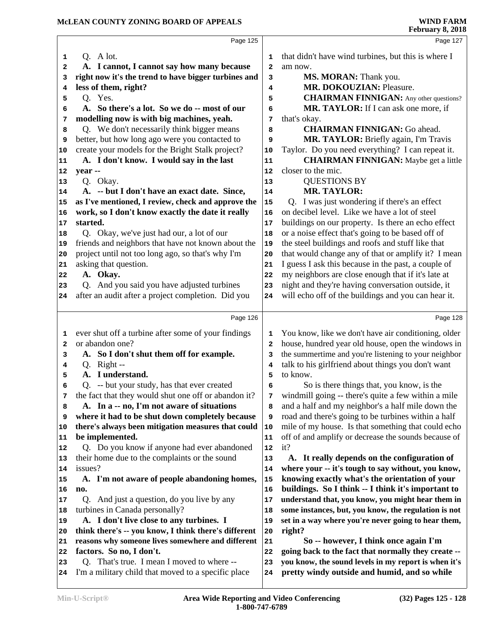|          | Page 125                                                                                              |                         | Page 127                                                                                                    |  |
|----------|-------------------------------------------------------------------------------------------------------|-------------------------|-------------------------------------------------------------------------------------------------------------|--|
| 1        | Q. A lot.                                                                                             | 1                       | that didn't have wind turbines, but this is where I                                                         |  |
| 2        | A. I cannot, I cannot say how many because                                                            | 2                       | am now.                                                                                                     |  |
| з        | right now it's the trend to have bigger turbines and                                                  | 3                       | MS. MORAN: Thank you.                                                                                       |  |
| 4        | less of them, right?                                                                                  | 4                       | MR. DOKOUZIAN: Pleasure.                                                                                    |  |
| 5        | Q. Yes.                                                                                               | 5                       | <b>CHAIRMAN FINNIGAN:</b> Any other questions?                                                              |  |
| 6        | A. So there's a lot. So we do -- most of our                                                          | 6                       | MR. TAYLOR: If I can ask one more, if                                                                       |  |
| 7        | modelling now is with big machines, yeah.                                                             | 7                       | that's okay.                                                                                                |  |
| 8        | Q. We don't necessarily think bigger means                                                            | 8                       | <b>CHAIRMAN FINNIGAN: Go ahead.</b>                                                                         |  |
| 9        | better, but how long ago were you contacted to                                                        | 9                       | MR. TAYLOR: Briefly again, I'm Travis                                                                       |  |
| 10       | create your models for the Bright Stalk project?                                                      | 10                      | Taylor. Do you need everything? I can repeat it.                                                            |  |
| 11       | A. I don't know. I would say in the last                                                              | 11                      | <b>CHAIRMAN FINNIGAN:</b> Maybe get a little                                                                |  |
| 12       | year --                                                                                               | 12                      | closer to the mic.                                                                                          |  |
| 13       | Q. Okay.                                                                                              | 13                      | <b>QUESTIONS BY</b>                                                                                         |  |
| 14       | A. -- but I don't have an exact date. Since,                                                          | 14                      | <b>MR. TAYLOR:</b>                                                                                          |  |
| 15       | as I've mentioned, I review, check and approve the                                                    | 15                      | Q. I was just wondering if there's an effect                                                                |  |
| 16       | work, so I don't know exactly the date it really                                                      | 16                      | on decibel level. Like we have a lot of steel                                                               |  |
| 17       | started.                                                                                              | 17                      | buildings on our property. Is there an echo effect                                                          |  |
| 18       | Q. Okay, we've just had our, a lot of our                                                             | 18                      | or a noise effect that's going to be based off of                                                           |  |
| 19       | friends and neighbors that have not known about the                                                   | 19                      | the steel buildings and roofs and stuff like that                                                           |  |
| 20       | project until not too long ago, so that's why I'm                                                     | 20                      | that would change any of that or amplify it? I mean                                                         |  |
| 21       | asking that question.                                                                                 | 21                      | I guess I ask this because in the past, a couple of                                                         |  |
| 22       | A. Okay.                                                                                              | 22                      | my neighbors are close enough that if it's late at                                                          |  |
| 23       | Q. And you said you have adjusted turbines                                                            | 23                      | night and they're having conversation outside, it<br>will echo off of the buildings and you can hear it.    |  |
| 24       | after an audit after a project completion. Did you                                                    | 24                      |                                                                                                             |  |
|          |                                                                                                       |                         |                                                                                                             |  |
|          | Page 126                                                                                              |                         | Page 128                                                                                                    |  |
|          |                                                                                                       |                         |                                                                                                             |  |
| 1        | ever shut off a turbine after some of your findings                                                   | 1                       | You know, like we don't have air conditioning, older                                                        |  |
| 2        | or abandon one?                                                                                       | $\overline{\mathbf{2}}$ | house, hundred year old house, open the windows in                                                          |  |
| з        | A. So I don't shut them off for example.                                                              | 3                       | the summertime and you're listening to your neighbor                                                        |  |
| 4        | Q. Right --                                                                                           | 4                       | talk to his girlfriend about things you don't want                                                          |  |
| 5        | A. I understand.                                                                                      | 5                       | to know.                                                                                                    |  |
| 6        | Q. -- but your study, has that ever created                                                           | 6                       | So is there things that, you know, is the                                                                   |  |
| 7        | the fact that they would shut one off or abandon it?                                                  | 7                       | windmill going -- there's quite a few within a mile                                                         |  |
| 8        | A. In a -- no, I'm not aware of situations                                                            | 8                       | and a half and my neighbor's a half mile down the                                                           |  |
| 9<br>10  | where it had to be shut down completely because<br>there's always been mitigation measures that could | 9<br>10                 | road and there's going to be turbines within a half                                                         |  |
| 11       | be implemented.                                                                                       | 11                      | mile of my house. Is that something that could echo<br>off of and amplify or decrease the sounds because of |  |
| 12       | Q. Do you know if anyone had ever abandoned                                                           | 12                      | it?                                                                                                         |  |
| 13       | their home due to the complaints or the sound                                                         | 13                      | A. It really depends on the configuration of                                                                |  |
| 14       | issues?                                                                                               | 14                      | where your -- it's tough to say without, you know,                                                          |  |
| 15       | A. I'm not aware of people abandoning homes,                                                          | 15                      | knowing exactly what's the orientation of your                                                              |  |
| 16       | no.                                                                                                   | 16                      | buildings. So I think -- I think it's important to                                                          |  |
| 17       | Q. And just a question, do you live by any                                                            | 17                      | understand that, you know, you might hear them in                                                           |  |
| 18       | turbines in Canada personally?                                                                        | 18                      | some instances, but, you know, the regulation is not                                                        |  |
| 19       | A. I don't live close to any turbines. I                                                              | 19                      | set in a way where you're never going to hear them,                                                         |  |
| 20       | think there's -- you know, I think there's different                                                  | 20                      | right?                                                                                                      |  |
| 21       | reasons why someone lives somewhere and different                                                     | 21                      | So -- however, I think once again I'm                                                                       |  |
| 22       | factors. So no, I don't.                                                                              | 22                      | going back to the fact that normally they create --                                                         |  |
| 23<br>24 | Q. That's true. I mean I moved to where --<br>I'm a military child that moved to a specific place     | 23<br>24                | you know, the sound levels in my report is when it's<br>pretty windy outside and humid, and so while        |  |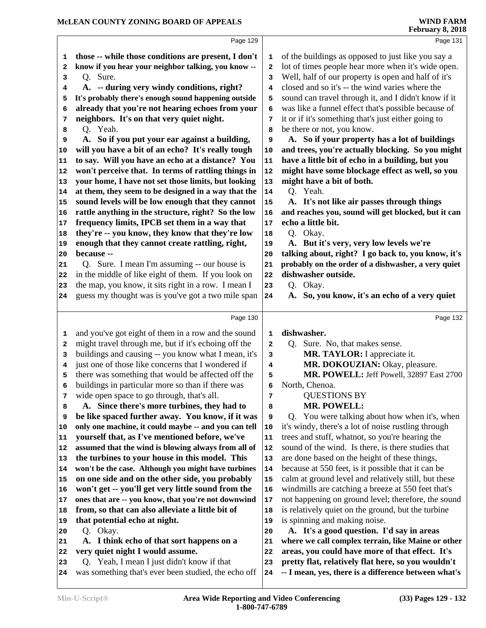|    | Page 129                                                                       |              | Page 131                                                                                              |
|----|--------------------------------------------------------------------------------|--------------|-------------------------------------------------------------------------------------------------------|
| 1  | those -- while those conditions are present, I don't                           | 1            | of the buildings as opposed to just like you say a                                                    |
| 2  | know if you hear your neighbor talking, you know --                            | $\mathbf{2}$ | lot of times people hear more when it's wide open.                                                    |
| 3  | Q. Sure.                                                                       | 3            | Well, half of our property is open and half of it's                                                   |
| 4  | A. -- during very windy conditions, right?                                     | 4            | closed and so it's -- the wind varies where the                                                       |
| 5  | It's probably there's enough sound happening outside                           | 5            | sound can travel through it, and I didn't know if it                                                  |
| 6  | already that you're not hearing echoes from your                               | 6            | was like a funnel effect that's possible because of                                                   |
| 7  | neighbors. It's on that very quiet night.                                      | 7            | it or if it's something that's just either going to                                                   |
| 8  | Q. Yeah.                                                                       | 8            | be there or not, you know.                                                                            |
| 9  | A. So if you put your ear against a building,                                  | 9            | A. So if your property has a lot of buildings                                                         |
| 10 | will you have a bit of an echo? It's really tough                              | 10           | and trees, you're actually blocking. So you might                                                     |
| 11 | to say. Will you have an echo at a distance? You                               | 11           | have a little bit of echo in a building, but you                                                      |
| 12 | won't perceive that. In terms of rattling things in                            | 12           | might have some blockage effect as well, so you                                                       |
| 13 | your home, I have not set those limits, but looking                            | 13           | might have a bit of both.                                                                             |
| 14 | at them, they seem to be designed in a way that the                            | ${\bf 14}$   | Q. Yeah.                                                                                              |
| 15 | sound levels will be low enough that they cannot                               | 15           | A. It's not like air passes through things                                                            |
| 16 | rattle anything in the structure, right? So the low                            | 16           | and reaches you, sound will get blocked, but it can                                                   |
| 17 | frequency limits, IPCB set them in a way that                                  | 17           | echo a little bit.                                                                                    |
| 18 | they're -- you know, they know that they're low                                | 18           | Q. Okay.                                                                                              |
| 19 | enough that they cannot create rattling, right,                                | 19           | A. But it's very, very low levels we're                                                               |
| 20 | because --                                                                     | 20           | talking about, right? I go back to, you know, it's                                                    |
| 21 | Q. Sure. I mean I'm assuming -- our house is                                   | 21           | probably on the order of a dishwasher, a very quiet                                                   |
| 22 | in the middle of like eight of them. If you look on                            | 22           | dishwasher outside.                                                                                   |
| 23 | the map, you know, it sits right in a row. I mean I                            | 23           | Q. Okay.                                                                                              |
| 24 | guess my thought was is you've got a two mile span                             | 24           | So, you know, it's an echo of a very quiet<br>A.                                                      |
|    |                                                                                |              |                                                                                                       |
|    | Page 130                                                                       |              | Page 132                                                                                              |
| 1  | and you've got eight of them in a row and the sound                            | 1            | dishwasher.                                                                                           |
| 2  | might travel through me, but if it's echoing off the                           | 2            | Q. Sure. No, that makes sense.                                                                        |
| 3  | buildings and causing -- you know what I mean, it's                            | 3            | MR. TAYLOR: I appreciate it.                                                                          |
| 4  | just one of those like concerns that I wondered if                             | 4            | MR. DOKOUZIAN: Okay, pleasure.                                                                        |
| 5  | there was something that would be affected off the                             | 5            | MR. POWELL: Jeff Powell, 32897 East 2700                                                              |
| 6  | buildings in particular more so than if there was                              | 6            | North, Chenoa.                                                                                        |
| 7  | wide open space to go through, that's all.                                     | 7            | <b>QUESTIONS BY</b>                                                                                   |
| 8  | A. Since there's more turbines, they had to                                    | 8            | <b>MR. POWELL:</b>                                                                                    |
| 9  | be like spaced further away. You know, if it was                               | 9            | Q. You were talking about how when it's, when                                                         |
| 10 | only one machine, it could maybe -- and you can tell                           | 10           | it's windy, there's a lot of noise rustling through                                                   |
| 11 | yourself that, as I've mentioned before, we've                                 | 11           | trees and stuff, whatnot, so you're hearing the                                                       |
| 12 | assumed that the wind is blowing always from all of                            | 12           | sound of the wind. Is there, is there studies that                                                    |
| 13 | the turbines to your house in this model. This                                 | 13           | are done based on the height of these things,                                                         |
| 14 | won't be the case. Although you might have turbines                            | 14           | because at 550 feet, is it possible that it can be                                                    |
| 15 | on one side and on the other side, you probably                                | 15           | calm at ground level and relatively still, but these                                                  |
| 16 | won't get -- you'll get very little sound from the                             | 16           | windmills are catching a breeze at 550 feet that's                                                    |
| 17 | ones that are -- you know, that you're not downwind                            | 17           | not happening on ground level; therefore, the sound                                                   |
| 18 | from, so that can also alleviate a little bit of                               | 18           | is relatively quiet on the ground, but the turbine                                                    |
| 19 | that potential echo at night.                                                  | 19           | is spinning and making noise.                                                                         |
| 20 | Q. Okay.                                                                       | 20           | A. It's a good question. I'd say in areas                                                             |
|    |                                                                                |              |                                                                                                       |
| 21 | A. I think echo of that sort happens on a                                      | 21           | where we call complex terrain, like Maine or other                                                    |
| 22 | very quiet night I would assume.<br>Q. Yeah, I mean I just didn't know if that | 22           | areas, you could have more of that effect. It's<br>pretty flat, relatively flat here, so you wouldn't |

- Q. Yeah, I mean I just didn't know if that
- was something that's ever been studied, the echo off  **-- I mean, yes, there is a difference between what's**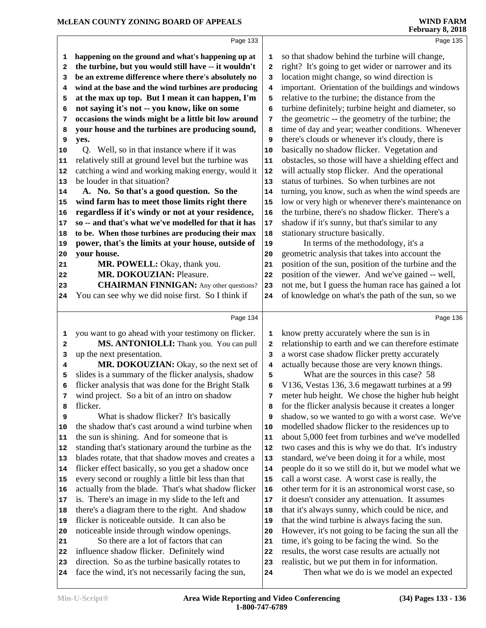|              | Page 133                                             |              | Page 135                                             |
|--------------|------------------------------------------------------|--------------|------------------------------------------------------|
| 1            | happening on the ground and what's happening up at   | 1            | so that shadow behind the turbine will change,       |
| 2            | the turbine, but you would still have -- it wouldn't | $\mathbf{2}$ | right? It's going to get wider or narrower and its   |
| 3            | be an extreme difference where there's absolutely no | 3            | location might change, so wind direction is          |
| 4            | wind at the base and the wind turbines are producing | 4            | important. Orientation of the buildings and windows  |
| 5            | at the max up top. But I mean it can happen, I'm     | 5            | relative to the turbine; the distance from the       |
| 6            | not saying it's not -- you know, like on some        | 6            | turbine definitely; turbine height and diameter, so  |
| 7            | occasions the winds might be a little bit low around | 7            | the geometric -- the geometry of the turbine; the    |
| 8            | your house and the turbines are producing sound,     | 8            | time of day and year; weather conditions. Whenever   |
| 9            | yes.                                                 | 9            | there's clouds or whenever it's cloudy, there is     |
| 10           | Q. Well, so in that instance where if it was         | 10           | basically no shadow flicker. Vegetation and          |
| 11           | relatively still at ground level but the turbine was | ${\bf 11}$   | obstacles, so those will have a shielding effect and |
| 12           | catching a wind and working making energy, would it  | 12           | will actually stop flicker. And the operational      |
| 13           | be louder in that situation?                         | 13           | status of turbines. So when turbines are not         |
| 14           | A. No. So that's a good question. So the             | 14           | turning, you know, such as when the wind speeds are  |
| 15           | wind farm has to meet those limits right there       | 15           | low or very high or whenever there's maintenance on  |
| 16           | regardless if it's windy or not at your residence,   | 16           | the turbine, there's no shadow flicker. There's a    |
| 17           | so -- and that's what we've modelled for that it has | 17           | shadow if it's sunny, but that's similar to any      |
| 18           | to be. When those turbines are producing their max   | 18           | stationary structure basically.                      |
| 19           | power, that's the limits at your house, outside of   | 19           | In terms of the methodology, it's a                  |
| 20           | your house.                                          | 20           | geometric analysis that takes into account the       |
| 21           | MR. POWELL: Okay, thank you.                         | 21           | position of the sun, position of the turbine and the |
| 22           | <b>MR. DOKOUZIAN: Pleasure.</b>                      | 22           | position of the viewer. And we've gained -- well,    |
| 23           | <b>CHAIRMAN FINNIGAN:</b> Any other questions?       | 23           | not me, but I guess the human race has gained a lot  |
| 24           | You can see why we did noise first. So I think if    | 24           | of knowledge on what's the path of the sun, so we    |
|              |                                                      |              |                                                      |
|              | Page 134                                             |              | Page 136                                             |
| 1            | you want to go ahead with your testimony on flicker. | 1            | know pretty accurately where the sun is in           |
| $\mathbf{2}$ | MS. ANTONIOLLI: Thank you. You can pull              | 2            | relationship to earth and we can therefore estimate  |
| 3            | up the next presentation.                            | 3            | a worst case shadow flicker pretty accurately        |
| 4            | MR. DOKOUZIAN: Okay, so the next set of              | 4            | actually because those are very known things.        |
| 5            | slides is a summary of the flicker analysis, shadow  | 5            | What are the sources in this case? 58                |
| 6            | flicker analysis that was done for the Bright Stalk  | 6            | V136, Vestas 136, 3.6 megawatt turbines at a 99      |
| 7            | wind project. So a bit of an intro on shadow         | 7            | meter hub height. We chose the higher hub height     |
| 8            | flicker.                                             | 8            | for the flicker analysis because it creates a longer |
| 9            | What is shadow flicker? It's basically               | 9            | shadow, so we wanted to go with a worst case. We've  |
| 10           | the shadow that's cast around a wind turbine when    | 10           | modelled shadow flicker to the residences up to      |
| 11           | the sun is shining. And for someone that is          | 11           | about 5,000 feet from turbines and we've modelled    |
| 12           | standing that's stationary around the turbine as the | 12           | two cases and this is why we do that. It's industry  |
| 13           | blades rotate, that that shadow moves and creates a  | 13           | standard, we've been doing it for a while, most      |
| 14           | flicker effect basically, so you get a shadow once   | 14           | people do it so we still do it, but we model what we |
| 15           | every second or roughly a little bit less than that  | 15           | call a worst case. A worst case is really, the       |
| 16           | actually from the blade. That's what shadow flicker  | 16           | other term for it is an astronomical worst case, so  |
| 17           | is. There's an image in my slide to the left and     | 17           | it doesn't consider any attenuation. It assumes      |
| 18           | there's a diagram there to the right. And shadow     | 18           | that it's always sunny, which could be nice, and     |
| 19           | flicker is noticeable outside. It can also be        | 19           | that the wind turbine is always facing the sun.      |
| 20           | noticeable inside through window openings.           | 20           | However, it's not going to be facing the sun all the |
|              |                                                      |              |                                                      |
| 21           | So there are a lot of factors that can               | 21           | time, it's going to be facing the wind. So the       |

direction. So as the turbine basically rotates to

face the wind, it's not necessarily facing the sun,

 realistic, but we put them in for information. Then what we do is we model an expected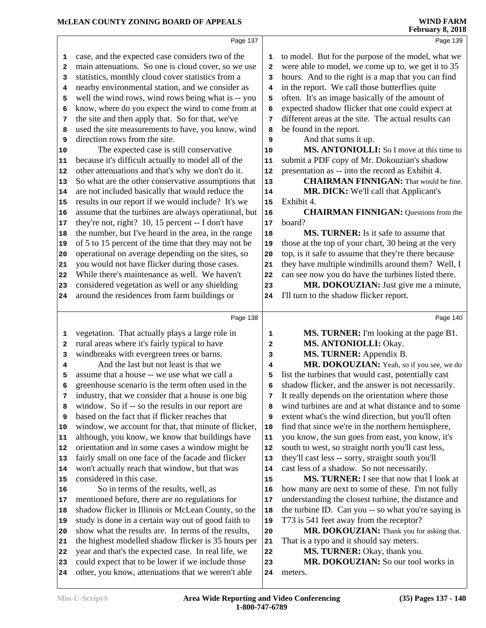# **McLEAN COUNTY ZONING BOARD OF APPEALS**

|              |                                                      |              | repruary 6, 2016                                     |
|--------------|------------------------------------------------------|--------------|------------------------------------------------------|
|              | Page 137                                             |              | Page 139                                             |
| 1            | case, and the expected case considers two of the     | 1            | to model. But for the purpose of the model, what we  |
| 2            | main attenuations. So one is cloud cover, so we use  | $\mathbf{2}$ | were able to model, we come up to, we get it to 35   |
| 3            | statistics, monthly cloud cover statistics from a    | 3            | hours. And to the right is a map that you can find   |
| 4            | nearby environmental station, and we consider as     | 4            | in the report. We call those butterflies quite       |
| 5            | well the wind rows, wind rows being what is -- you   | 5            | often. It's an image basically of the amount of      |
| 6            | know, where do you expect the wind to come from at   | 6            | expected shadow flicker that one could expect at     |
| 7            | the site and then apply that. So for that, we've     | 7            | different areas at the site. The actual results can  |
| 8            | used the site measurements to have, you know, wind   | 8            | be found in the report.                              |
| 9            | direction rows from the site.                        | 9            | And that sums it up.                                 |
| 10           | The expected case is still conservative              | 10           | MS. ANTONIOLLI: So I move at this time to            |
| 11           | because it's difficult actually to model all of the  | 11           | submit a PDF copy of Mr. Dokouzian's shadow          |
| 12           | other attenuations and that's why we don't do it.    | 12           | presentation as -- into the record as Exhibit 4.     |
| 13           | So what are the other conservative assumptions that  | 13           | <b>CHAIRMAN FINNIGAN:</b> That would be fine.        |
| 14           | are not included basically that would reduce the     | 14           | MR. DICK: We'll call that Applicant's                |
| 15           | results in our report if we would include? It's we   | 15           | Exhibit 4.                                           |
| 16           | assume that the turbines are always operational, but | 16           | <b>CHAIRMAN FINNIGAN:</b> Questions from the         |
| 17           | they're not, right? 10, 15 percent -- I don't have   | 17           | board?                                               |
| 18           | the number, but I've heard in the area, in the range | 18           | MS. TURNER: Is it safe to assume that                |
| 19           | of 5 to 15 percent of the time that they may not be  | 19           | those at the top of your chart, 30 being at the very |
| 20           | operational on average depending on the sites, so    | 20           | top, is it safe to assume that they're there because |
| 21           | you would not have flicker during those cases.       | 21           | they have multiple windmills around them? Well, I    |
| 22           | While there's maintenance as well. We haven't        | 22           | can see now you do have the turbines listed there.   |
| 23           | considered vegetation as well or any shielding       | 23           | MR. DOKOUZIAN: Just give me a minute,                |
| 24           | around the residences from farm buildings or         | 24           | I'll turn to the shadow flicker report.              |
|              |                                                      |              |                                                      |
|              | Page 138                                             |              | Page 140                                             |
| 1            | vegetation. That actually plays a large role in      | 1            | MS. TURNER: I'm looking at the page B1.              |
| $\mathbf{2}$ | rural areas where it's fairly typical to have        | $\mathbf{2}$ | MS. ANTONIOLLI: Okay.                                |
| 3            | windbreaks with evergreen trees or barns.            | 3            | MS. TURNER: Appendix B.                              |
| 4            | And the last but not least is that we                | 4            | MR. DOKOUZIAN: Yeah, so if you see, we do            |
| 5            | assume that a house -- we use what we call a         | 5            | list the turbines that would cast, potentially cast  |
|              | greenhouse scenario is the term often used in the    | 6            | shadow flicker, and the answer is not necessarily.   |
| 7            | industry, that we consider that a house is one big   | 7            | It really depends on the orientation where those     |
| 8            | window. So if -- so the results in our report are    | 8            | wind turbines are and at what distance and to some   |
| 9            | based on the fact that if flicker reaches that       | 9            | extent what's the wind direction, but you'll often   |
| 10           | window, we account for that, that minute of flicker, | 10           | find that since we're in the northern hemisphere,    |
| 11           | although, you know, we know that buildings have      | 11           | you know, the sun goes from east, you know, it's     |
| 12           | orientation and in some cases a window might be      | 12           | south to west, so straight north you'll cast less,   |
| 13           | fairly small on one face of the facade and flicker   | 13           | they'll cast less -- sorry, straight south you'll    |
| 14           | won't actually reach that window, but that was       | 14           | cast less of a shadow. So not necessarily.           |
| 15           | considered in this case.                             | 15           | MS. TURNER: I see that now that I look at            |
| 16           | So in terms of the results, well, as                 | 16           | how many are next to some of these. I'm not fully    |
| 17           | mentioned before, there are no regulations for       | 17           | understanding the closest turbine, the distance and  |
| 18           | shadow flicker in Illinois or McLean County, so the  | 18           | the turbine ID. Can you -- so what you're saying is  |
| 19           | study is done in a certain way out of good faith to  | 19           | T73 is 541 feet away from the receptor?              |
| 20           | show what the results are. In terms of the results,  | 20           | MR. DOKOUZIAN: Thank you for asking that.            |
| 21           | the highest modelled shadow flicker is 35 hours per  | 21           | That is a typo and it should say meters.             |
| 22           | year and that's the expected case. In real life, we  | ${\bf 22}$   | MS. TURNER: Okay, thank you.                         |
| 23           | could expect that to be lower if we include those    | 23           | MR. DOKOUZIAN: So our tool works in                  |
|              |                                                      |              |                                                      |

meters.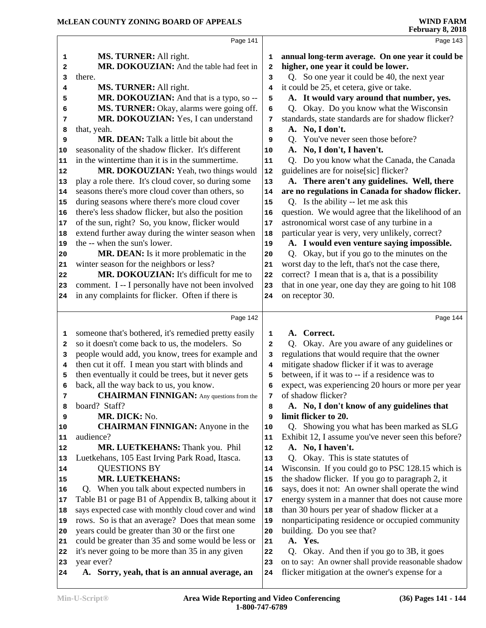|          | Page 141                                                    |                | Page 143                                                                                               |
|----------|-------------------------------------------------------------|----------------|--------------------------------------------------------------------------------------------------------|
| 1        | MS. TURNER: All right.                                      | 1              | annual long-term average. On one year it could be                                                      |
| 2        | MR. DOKOUZIAN: And the table had feet in                    | 2              | higher, one year it could be lower.                                                                    |
| 3        | there.                                                      | 3              | Q. So one year it could be 40, the next year                                                           |
| 4        | MS. TURNER: All right.                                      | 4              | it could be 25, et cetera, give or take.                                                               |
| 5        | MR. DOKOUZIAN: And that is a typo, so --                    | 5              | A. It would vary around that number, yes.                                                              |
| 6        | MS. TURNER: Okay, alarms were going off.                    | 6              | Q. Okay. Do you know what the Wisconsin                                                                |
| 7        | MR. DOKOUZIAN: Yes, I can understand                        | 7              | standards, state standards are for shadow flicker?                                                     |
| 8        | that, yeah.                                                 | 8              | A. No, I don't.                                                                                        |
| 9        | <b>MR. DEAN:</b> Talk a little bit about the                | 9              | Q. You've never seen those before?                                                                     |
| 10       | seasonality of the shadow flicker. It's different           | 10             | A. No, I don't, I haven't.                                                                             |
| 11       | in the wintertime than it is in the summertime.             | 11             | Q. Do you know what the Canada, the Canada                                                             |
| 12       | MR. DOKOUZIAN: Yeah, two things would                       | 12             | guidelines are for noise[sic] flicker?                                                                 |
| 13       | play a role there. It's cloud cover, so during some         | 13             | A. There aren't any guidelines. Well, there                                                            |
| 14       | seasons there's more cloud cover than others, so            | 14             | are no regulations in Canada for shadow flicker.                                                       |
| 15       | during seasons where there's more cloud cover               | 15             | Q. Is the ability -- let me ask this                                                                   |
| 16       | there's less shadow flicker, but also the position          | 16             | question. We would agree that the likelihood of an                                                     |
| 17       | of the sun, right? So, you know, flicker would              | $17$           | astronomical worst case of any turbine in a                                                            |
| 18       | extend further away during the winter season when           | 18             | particular year is very, very unlikely, correct?                                                       |
| 19       | the -- when the sun's lower.                                | 19             | A. I would even venture saying impossible.                                                             |
| 20       | MR. DEAN: Is it more problematic in the                     | 20             | Q. Okay, but if you go to the minutes on the                                                           |
| 21       | winter season for the neighbors or less?                    | 21             | worst day to the left, that's not the case there,                                                      |
| 22       | MR. DOKOUZIAN: It's difficult for me to                     | 22             | correct? I mean that is a, that is a possibility                                                       |
| 23       | comment. I -- I personally have not been involved           | 23             | that in one year, one day they are going to hit 108                                                    |
| 24       | in any complaints for flicker. Often if there is            | 24             | on receptor 30.                                                                                        |
|          |                                                             |                |                                                                                                        |
|          | Page 142                                                    |                | Page 144                                                                                               |
|          |                                                             |                |                                                                                                        |
| 1        | someone that's bothered, it's remedied pretty easily        | 1              | A. Correct.                                                                                            |
| 2        | so it doesn't come back to us, the modelers. So             | $\overline{a}$ | Okay. Are you aware of any guidelines or<br>O.                                                         |
| з        | people would add, you know, trees for example and           | 3              | regulations that would require that the owner                                                          |
| 4        | then cut it off. I mean you start with blinds and           | 4              | mitigate shadow flicker if it was to average                                                           |
| 5        | then eventually it could be trees, but it never gets        | 5              | between, if it was to -- if a residence was to                                                         |
| 6        | back, all the way back to us, you know.                     | 6              | expect, was experiencing 20 hours or more per year                                                     |
| 7        | <b>CHAIRMAN FINNIGAN:</b> Any questions from the            | 7              | of shadow flicker?                                                                                     |
| 8        | board? Staff?                                               | 8              | A. No, I don't know of any guidelines that                                                             |
| 9        | MR. DICK: No.                                               | 9              | limit flicker to 20.                                                                                   |
| 10       | <b>CHAIRMAN FINNIGAN:</b> Anyone in the                     | 10             | Q. Showing you what has been marked as SLG                                                             |
| 11       | audience?                                                   | 11             | Exhibit 12, I assume you've never seen this before?                                                    |
| 12       | MR. LUETKEHANS: Thank you. Phil                             | 12             | A. No, I haven't.                                                                                      |
| 13       | Luetkehans, 105 East Irving Park Road, Itasca.              | 13             | Q. Okay. This is state statutes of                                                                     |
| 14       | <b>QUESTIONS BY</b>                                         | 14             | Wisconsin. If you could go to PSC 128.15 which is                                                      |
| 15       | <b>MR. LUETKEHANS:</b>                                      | 15             | the shadow flicker. If you go to paragraph 2, it                                                       |
| 16       | Q. When you talk about expected numbers in                  | 16             | says, does it not: An owner shall operate the wind                                                     |
| 17       | Table B1 or page B1 of Appendix B, talking about it         | 17             | energy system in a manner that does not cause more                                                     |
| 18       | says expected case with monthly cloud cover and wind        | 18             | than 30 hours per year of shadow flicker at a                                                          |
| 19       | rows. So is that an average? Does that mean some            | 19             | nonparticipating residence or occupied community                                                       |
| 20       | years could be greater than 30 or the first one             | 20             | building. Do you see that?                                                                             |
| 21       | could be greater than 35 and some would be less or          | 21             | A. Yes.                                                                                                |
| 22       | it's never going to be more than 35 in any given            | 22             | Q.<br>Okay. And then if you go to 3B, it goes                                                          |
| 23<br>24 | year ever?<br>A. Sorry, yeah, that is an annual average, an | 23<br>24       | on to say: An owner shall provide reasonable shadow<br>flicker mitigation at the owner's expense for a |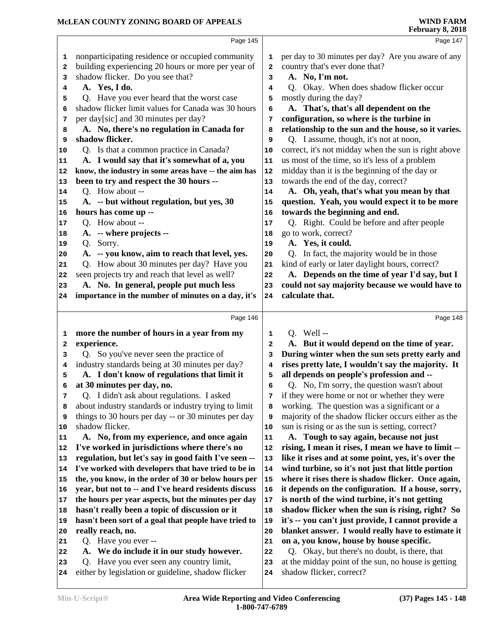|                         | Page 145                                                                                       |                         | Page 147                                                                        |  |
|-------------------------|------------------------------------------------------------------------------------------------|-------------------------|---------------------------------------------------------------------------------|--|
| 1                       | nonparticipating residence or occupied community                                               | 1                       | per day to 30 minutes per day? Are you aware of any                             |  |
| 2                       | building experiencing 20 hours or more per year of                                             | $\overline{\mathbf{2}}$ | country that's ever done that?                                                  |  |
| 3                       | shadow flicker. Do you see that?                                                               | 3                       | A. No, I'm not.                                                                 |  |
| 4                       | A. Yes, I do.                                                                                  | 4                       | Q. Okay. When does shadow flicker occur                                         |  |
| 5                       | Q. Have you ever heard that the worst case                                                     | 5                       | mostly during the day?                                                          |  |
| 6                       | shadow flicker limit values for Canada was 30 hours                                            | 6                       | A. That's, that's all dependent on the                                          |  |
| 7                       | per day[sic] and 30 minutes per day?                                                           | 7                       | configuration, so where is the turbine in                                       |  |
| 8                       | A. No, there's no regulation in Canada for                                                     | 8                       | relationship to the sun and the house, so it varies.                            |  |
| 9                       | shadow flicker.                                                                                | 9                       | Q. I assume, though, it's not at noon,                                          |  |
| 10                      | Q. Is that a common practice in Canada?                                                        | 10                      | correct, it's not midday when the sun is right above                            |  |
| 11                      | A. I would say that it's somewhat of a, you                                                    | 11                      | us most of the time, so it's less of a problem                                  |  |
| 12                      | know, the industry in some areas have -- the aim has                                           | 12                      | midday than it is the beginning of the day or                                   |  |
| 13                      | been to try and respect the 30 hours --                                                        | 13                      | towards the end of the day, correct?                                            |  |
| 14                      | Q. How about --                                                                                | 14                      | A. Oh, yeah, that's what you mean by that                                       |  |
| 15                      | A. -- but without regulation, but yes, 30                                                      | 15                      | question. Yeah, you would expect it to be more                                  |  |
| 16                      | hours has come up --                                                                           | 16                      | towards the beginning and end.                                                  |  |
| 17                      | Q. How about --                                                                                | 17                      | Q. Right. Could be before and after people                                      |  |
| 18                      | A. -- where projects --                                                                        | 18                      | go to work, correct?                                                            |  |
| 19                      | Q. Sorry.                                                                                      | 19                      | A. Yes, it could.                                                               |  |
| 20                      | A. -- you know, aim to reach that level, yes.                                                  | 20                      | Q. In fact, the majority would be in those                                      |  |
| 21                      | Q. How about 30 minutes per day? Have you                                                      | 21                      | kind of early or later daylight hours, correct?                                 |  |
| 22                      | seen projects try and reach that level as well?                                                | 22                      | A. Depends on the time of year I'd say, but I                                   |  |
| 23                      | A. No. In general, people put much less                                                        | 23                      | could not say majority because we would have to                                 |  |
| 24                      | importance in the number of minutes on a day, it's                                             | 24                      | calculate that.                                                                 |  |
|                         |                                                                                                |                         |                                                                                 |  |
|                         |                                                                                                |                         |                                                                                 |  |
|                         | Page 146                                                                                       |                         | Page 148                                                                        |  |
| 1                       | more the number of hours in a year from my                                                     | 1                       | $Q.$ Well --                                                                    |  |
| $\overline{\mathbf{2}}$ | experience.                                                                                    | $\mathbf{2}$            | A. But it would depend on the time of year.                                     |  |
| 3                       | Q. So you've never seen the practice of                                                        | 3                       | During winter when the sun sets pretty early and                                |  |
| 4                       | industry standards being at 30 minutes per day?                                                | 4                       | rises pretty late, I wouldn't say the majority. It                              |  |
| 5                       | A. I don't know of regulations that limit it                                                   | 5                       | all depends on people's profession and --                                       |  |
| 6                       | at 30 minutes per day, no.                                                                     | 6                       | Q. No, I'm sorry, the question wasn't about                                     |  |
| 7                       | Q. I didn't ask about regulations. I asked                                                     | 7                       | if they were home or not or whether they were                                   |  |
| 8                       | about industry standards or industry trying to limit                                           | 8                       | working. The question was a significant or a                                    |  |
| 9                       | things to 30 hours per day -- or 30 minutes per day                                            | 9                       | majority of the shadow flicker occurs either as the                             |  |
| 10                      | shadow flicker.                                                                                | 10                      | sun is rising or as the sun is setting, correct?                                |  |
| 11                      | A. No, from my experience, and once again                                                      | 11                      | A. Tough to say again, because not just                                         |  |
| 12                      | I've worked in jurisdictions where there's no                                                  | 12                      | rising, I mean it rises, I mean we have to limit --                             |  |
| 13                      | regulation, but let's say in good faith I've seen --                                           | 13                      | like it rises and at some point, yes, it's over the                             |  |
| 14                      | I've worked with developers that have tried to be in                                           | 14                      | wind turbine, so it's not just that little portion                              |  |
| 15                      | the, you know, in the order of 30 or below hours per                                           | 15                      | where it rises there is shadow flicker. Once again,                             |  |
| 16                      | year, but not to -- and I've heard residents discuss                                           | 16                      | it depends on the configuration. If a house, sorry,                             |  |
| 17                      | the hours per year aspects, but the minutes per day                                            | 17                      | is north of the wind turbine, it's not getting                                  |  |
| 18                      | hasn't really been a topic of discussion or it                                                 | 18                      | shadow flicker when the sun is rising, right? So                                |  |
| 19                      | hasn't been sort of a goal that people have tried to                                           | 19                      | it's -- you can't just provide, I cannot provide a                              |  |
| 20                      | really reach, no.                                                                              | 20                      | blanket answer. I would really have to estimate it                              |  |
| 21                      | Q. Have you ever --                                                                            | 21                      | on a, you know, house by house specific.                                        |  |
| 22                      | We do include it in our study however.<br><b>A.</b>                                            | 22                      | Q. Okay, but there's no doubt, is there, that                                   |  |
| 23                      | Q. Have you ever seen any country limit,<br>either by legislation or guideline, shadow flicker | 23                      | at the midday point of the sun, no house is getting<br>shadow flicker, correct? |  |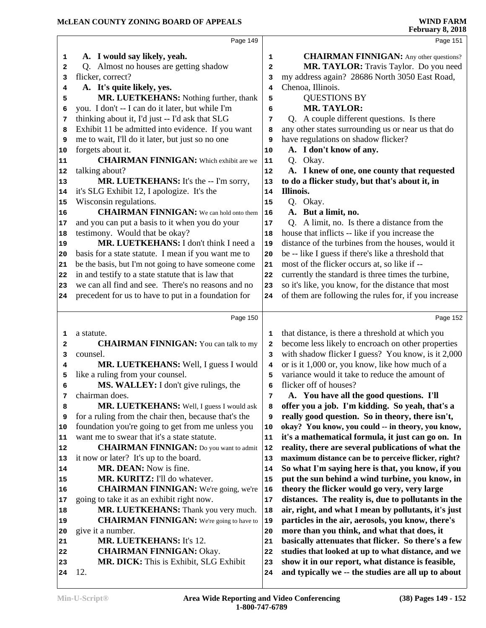|          | Page 149                                             |              | Page 151                                                                                                 |
|----------|------------------------------------------------------|--------------|----------------------------------------------------------------------------------------------------------|
| 1        | A. I would say likely, yeah.                         | 1            | <b>CHAIRMAN FINNIGAN:</b> Any other questions?                                                           |
| 2        | Q. Almost no houses are getting shadow               | $\mathbf{2}$ | MR. TAYLOR: Travis Taylor. Do you need                                                                   |
| з        | flicker, correct?                                    | 3            | my address again? 28686 North 3050 East Road,                                                            |
| 4        | A. It's quite likely, yes.                           | 4            | Chenoa, Illinois.                                                                                        |
| 5        | MR. LUETKEHANS: Nothing further, thank               | 5            | <b>QUESTIONS BY</b>                                                                                      |
| 6        | you. I don't -- I can do it later, but while I'm     | 6            | <b>MR. TAYLOR:</b>                                                                                       |
| 7        | thinking about it, I'd just -- I'd ask that SLG      | 7            | Q. A couple different questions. Is there                                                                |
| 8        | Exhibit 11 be admitted into evidence. If you want    | 8            | any other states surrounding us or near us that do                                                       |
| 9        | me to wait, I'll do it later, but just so no one     | 9            | have regulations on shadow flicker?                                                                      |
| 10       | forgets about it.                                    | 10           | A. I don't know of any.                                                                                  |
| 11       | <b>CHAIRMAN FINNIGAN:</b> Which exhibit are we       | 11           | Q. Okay.                                                                                                 |
| 12       | talking about?                                       | 12           | A. I knew of one, one county that requested                                                              |
| 13       | MR. LUETKEHANS: It's the -- I'm sorry,               | 13           | to do a flicker study, but that's about it, in                                                           |
| 14       | it's SLG Exhibit 12, I apologize. It's the           | 14           | Illinois.                                                                                                |
| 15       | Wisconsin regulations.                               | 15           | Q. Okay.                                                                                                 |
| 16       | <b>CHAIRMAN FINNIGAN:</b> We can hold onto them      | 16           | A. But a limit, no.                                                                                      |
| 17       | and you can put a basis to it when you do your       | 17           | Q. A limit, no. Is there a distance from the                                                             |
| 18       | testimony. Would that be okay?                       | 18           | house that inflicts -- like if you increase the                                                          |
| 19       | MR. LUETKEHANS: I don't think I need a               | 19           | distance of the turbines from the houses, would it                                                       |
| 20       | basis for a state statute. I mean if you want me to  | 20           | be -- like I guess if there's like a threshold that                                                      |
| 21       | be the basis, but I'm not going to have someone come | 21           | most of the flicker occurs at, so like if --                                                             |
| 22       | in and testify to a state statute that is law that   | 22           | currently the standard is three times the turbine,                                                       |
| 23       | we can all find and see. There's no reasons and no   | 23           | so it's like, you know, for the distance that most                                                       |
| 24       | precedent for us to have to put in a foundation for  | 24           | of them are following the rules for, if you increase                                                     |
|          |                                                      |              |                                                                                                          |
|          | Page 150                                             |              | Page 152                                                                                                 |
| 1        | a statute.                                           | 1            | that distance, is there a threshold at which you                                                         |
| 2        | <b>CHAIRMAN FINNIGAN:</b> You can talk to my         | 2            | become less likely to encroach on other properties                                                       |
| 3        | counsel.                                             | 3            | with shadow flicker I guess? You know, is it 2,000                                                       |
| 4        | MR. LUETKEHANS: Well, I guess I would                | 4            | or is it 1,000 or, you know, like how much of a                                                          |
| 5        | like a ruling from your counsel.                     | 5            | variance would it take to reduce the amount of                                                           |
| 6        | MS. WALLEY: I don't give rulings, the                |              |                                                                                                          |
| 7        |                                                      | 6            | flicker off of houses?                                                                                   |
|          | chairman does.                                       | 7            | A. You have all the good questions. I'll                                                                 |
| 8        | MR. LUETKEHANS: Well, I guess I would ask            | 8            | offer you a job. I'm kidding. So yeah, that's a                                                          |
| 9        | for a ruling from the chair then, because that's the | 9            | really good question. So in theory, there isn't,                                                         |
| 10       | foundation you're going to get from me unless you    | 10           | okay? You know, you could -- in theory, you know,                                                        |
| 11       | want me to swear that it's a state statute.          | 11           | it's a mathematical formula, it just can go on. In                                                       |
| 12       | <b>CHAIRMAN FINNIGAN:</b> Do you want to admit       | 12           | reality, there are several publications of what the                                                      |
| 13       | it now or later? It's up to the board.               | 13           | maximum distance can be to perceive flicker, right?                                                      |
| 14       | MR. DEAN: Now is fine.                               | 14           | So what I'm saying here is that, you know, if you                                                        |
| 15       | MR. KURITZ: I'll do whatever.                        | 15           | put the sun behind a wind turbine, you know, in                                                          |
| 16       | <b>CHAIRMAN FINNIGAN:</b> We're going, we're         | 16           | theory the flicker would go very, very large                                                             |
| 17       | going to take it as an exhibit right now.            | 17           | distances. The reality is, due to pollutants in the                                                      |
| 18       | MR. LUETKEHANS: Thank you very much.                 | 18           | air, right, and what I mean by pollutants, it's just                                                     |
| 19       | <b>CHAIRMAN FINNIGAN:</b> We're going to have to     | 19           | particles in the air, aerosols, you know, there's                                                        |
| 20       | give it a number.                                    | 20           | more than you think, and what that does, it                                                              |
| 21       | <b>MR. LUETKEHANS: It's 12.</b>                      | 21           | basically attenuates that flicker. So there's a few                                                      |
| 22       | <b>CHAIRMAN FINNIGAN: Okay.</b>                      | 22           | studies that looked at up to what distance, and we                                                       |
| 23<br>24 | MR. DICK: This is Exhibit, SLG Exhibit<br>12.        | 23<br>24     | show it in our report, what distance is feasible,<br>and typically we -- the studies are all up to about |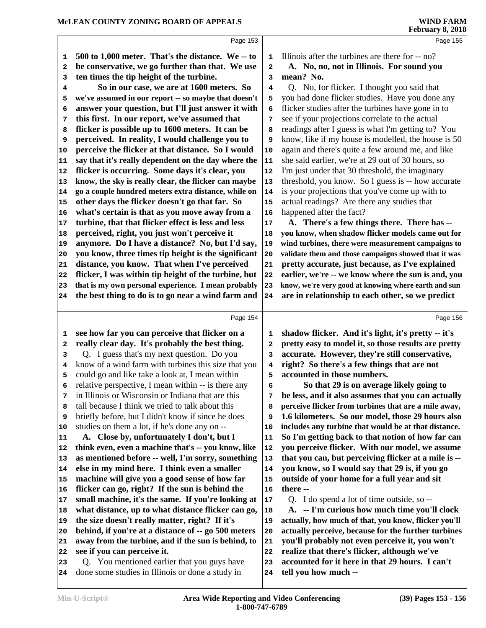|              | Page 153                                                                                        |                         | Page 155                                                                |
|--------------|-------------------------------------------------------------------------------------------------|-------------------------|-------------------------------------------------------------------------|
| 1            | 500 to 1,000 meter. That's the distance. We -- to                                               | 1                       | Illinois after the turbines are there for -- no?                        |
| $\mathbf{2}$ | be conservative, we go further than that. We use                                                | 2                       | A. No, no, not in Illinois. For sound you                               |
| 3            | ten times the tip height of the turbine.                                                        | 3                       | mean? No.                                                               |
| 4            | So in our case, we are at 1600 meters. So                                                       | 4                       | Q. No, for flicker. I thought you said that                             |
| 5            | we've assumed in our report -- so maybe that doesn't                                            | 5                       | you had done flicker studies. Have you done any                         |
| 6            | answer your question, but I'll just answer it with                                              | 6                       | flicker studies after the turbines have gone in to                      |
| 7            | this first. In our report, we've assumed that                                                   | 7                       | see if your projections correlate to the actual                         |
| 8            | flicker is possible up to 1600 meters. It can be                                                | 8                       | readings after I guess is what I'm getting to? You                      |
| 9            | perceived. In reality, I would challenge you to                                                 | 9                       | know, like if my house is modelled, the house is 50                     |
| 10           | perceive the flicker at that distance. So I would                                               | 10                      | again and there's quite a few around me, and like                       |
| 11           | say that it's really dependent on the day where the                                             | 11                      | she said earlier, we're at 29 out of 30 hours, so                       |
| 12           | flicker is occurring. Some days it's clear, you                                                 | 12                      | I'm just under that 30 threshold, the imaginary                         |
| 13           | know, the sky is really clear, the flicker can maybe                                            | 13                      | threshold, you know. So I guess is -- how accurate                      |
| 14           | go a couple hundred meters extra distance, while on                                             | 14                      | is your projections that you've come up with to                         |
| 15           | other days the flicker doesn't go that far. So                                                  | 15                      | actual readings? Are there any studies that                             |
| 16           | what's certain is that as you move away from a                                                  | 16                      | happened after the fact?                                                |
| 17           | turbine, that that flicker effect is less and less                                              | 17                      | A. There's a few things there. There has --                             |
| 18           | perceived, right, you just won't perceive it                                                    | 18                      | you know, when shadow flicker models came out for                       |
| 19           | anymore. Do I have a distance? No, but I'd say,                                                 | 19                      | wind turbines, there were measurement campaigns to                      |
| 20           | you know, three times tip height is the significant                                             | 20                      | validate them and those campaigns showed that it was                    |
| 21           | distance, you know. That when I've perceived                                                    | 21                      | pretty accurate, just because, as I've explained                        |
| 22           | flicker, I was within tip height of the turbine, but                                            | 22                      | earlier, we're -- we know where the sun is and, you                     |
| 23           | that is my own personal experience. I mean probably                                             | 23                      | know, we're very good at knowing where earth and sun                    |
| 24           | the best thing to do is to go near a wind farm and                                              | 24                      | are in relationship to each other, so we predict                        |
|              |                                                                                                 |                         |                                                                         |
|              |                                                                                                 |                         |                                                                         |
|              | Page 154                                                                                        |                         | Page 156                                                                |
| 1            | see how far you can perceive that flicker on a                                                  | 1                       | shadow flicker. And it's light, it's pretty -- it's                     |
| $\mathbf{2}$ | really clear day. It's probably the best thing.                                                 | $\overline{\mathbf{2}}$ | pretty easy to model it, so those results are pretty                    |
| 3            | Q. I guess that's my next question. Do you                                                      | 3                       | accurate. However, they're still conservative,                          |
| 4            | know of a wind farm with turbines this size that you                                            | 4                       | right? So there's a few things that are not                             |
| 5            | could go and like take a look at, I mean within                                                 | 5                       | accounted in those numbers.                                             |
| 6            | relative perspective, I mean within -- is there any                                             | 6                       | So that 29 is on average likely going to                                |
| 7            | in Illinois or Wisconsin or Indiana that are this                                               | 7                       | be less, and it also assumes that you can actually                      |
| 8            | tall because I think we tried to talk about this                                                | 8                       | perceive flicker from turbines that are a mile away,                    |
| 9            | briefly before, but I didn't know if since he does                                              | 9                       | 1.6 kilometers. So our model, those 29 hours also                       |
| 10           | studies on them a lot, if he's done any on --                                                   | 10                      | includes any turbine that would be at that distance.                    |
| 11           | A. Close by, unfortunately I don't, but I                                                       | 11                      | So I'm getting back to that notion of how far can                       |
| 12           | think even, even a machine that's -- you know, like                                             | 12                      | you perceive flicker. With our model, we assume                         |
| 13           | as mentioned before -- well, I'm sorry, something                                               | 13                      | that you can, but perceiving flicker at a mile is --                    |
| 14           | else in my mind here. I think even a smaller                                                    | 14                      | you know, so I would say that 29 is, if you go                          |
| 15           | machine will give you a good sense of how far                                                   | 15                      | outside of your home for a full year and sit                            |
| 16           | flicker can go, right? If the sun is behind the                                                 | 16                      | there --                                                                |
| 17           | small machine, it's the same. If you're looking at                                              | 17                      | Q. I do spend a lot of time outside, so --                              |
| 18           | what distance, up to what distance flicker can go,                                              | 18                      | A. -- I'm curious how much time you'll clock                            |
| 19           | the size doesn't really matter, right? If it's                                                  | 19                      | actually, how much of that, you know, flicker you'll                    |
| 20           | behind, if you're at a distance of -- go 500 meters                                             | 20                      | actually perceive, because for the further turbines                     |
| 21           | away from the turbine, and if the sun is behind, to                                             | 21                      | you'll probably not even perceive it, you won't                         |
| 22           | see if you can perceive it.                                                                     | 22                      | realize that there's flicker, although we've                            |
| 23           | Q. You mentioned earlier that you guys have<br>done some studies in Illinois or done a study in | 23                      | accounted for it here in that 29 hours. I can't<br>tell you how much -- |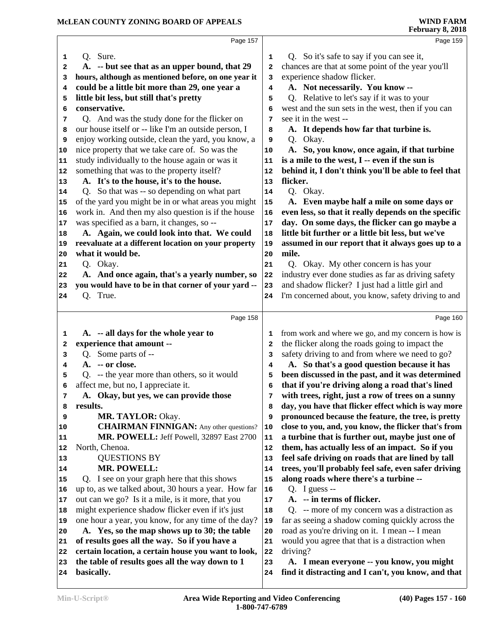|              | Page 157                                             |    | Page 159                                             |
|--------------|------------------------------------------------------|----|------------------------------------------------------|
| 1            | Q. Sure.                                             | 1  | Q. So it's safe to say if you can see it,            |
| $\mathbf{2}$ | A. -- but see that as an upper bound, that 29        | 2  | chances are that at some point of the year you'll    |
| 3            | hours, although as mentioned before, on one year it  | 3  | experience shadow flicker.                           |
| 4            | could be a little bit more than 29, one year a       | 4  | A. Not necessarily. You know --                      |
| 5            | little bit less, but still that's pretty             | 5  | Q. Relative to let's say if it was to your           |
| 6            | conservative.                                        | 6  | west and the sun sets in the west, then if you can   |
| 7            | Q. And was the study done for the flicker on         | 7  | see it in the west --                                |
| 8            | our house itself or -- like I'm an outside person, I | 8  | A. It depends how far that turbine is.               |
| 9            | enjoy working outside, clean the yard, you know, a   | 9  | Q. Okay.                                             |
| 10           | nice property that we take care of. So was the       | 10 | A. So, you know, once again, if that turbine         |
| 11           | study individually to the house again or was it      | 11 | is a mile to the west, I -- even if the sun is       |
| 12           | something that was to the property itself?           | 12 | behind it, I don't think you'll be able to feel that |
| 13           | A. It's to the house, it's to the house.             | 13 | flicker.                                             |
| 14           | Q. So that was -- so depending on what part          | 14 | Q. Okay.                                             |
| 15           | of the yard you might be in or what areas you might  | 15 | A. Even maybe half a mile on some days or            |
| 16           | work in. And then my also question is if the house   | 16 | even less, so that it really depends on the specific |
| 17           | was specified as a barn, it changes, so --           | 17 | day. On some days, the flicker can go maybe a        |
| 18           | A. Again, we could look into that. We could          | 18 | little bit further or a little bit less, but we've   |
| 19           | reevaluate at a different location on your property  | 19 | assumed in our report that it always goes up to a    |
| 20           | what it would be.                                    | 20 | mile.                                                |
| 21           | Q. Okay.                                             | 21 | Q. Okay. My other concern is has your                |
| 22           | A. And once again, that's a yearly number, so        | 22 | industry ever done studies as far as driving safety  |
| 23           | you would have to be in that corner of your yard --  | 23 | and shadow flicker? I just had a little girl and     |
| 24           | Q. True.                                             | 24 | I'm concerned about, you know, safety driving to and |
|              |                                                      |    |                                                      |
|              | Page 158                                             |    | Page 160                                             |
| 1            | A. -- all days for the whole year to                 | 1  | from work and where we go, and my concern is how is  |
| 2            | experience that amount --                            | 2  | the flicker along the roads going to impact the      |
| 3            | Q. Some parts of --                                  | 3  | safety driving to and from where we need to go?      |
| 4            | A. -- or close.                                      | 4  | A. So that's a good question because it has          |
| 5            | Q. -- the year more than others, so it would         | 5  | been discussed in the past, and it was determined    |
| 6            | affect me, but no, I appreciate it.                  | 6  | that if you're driving along a road that's lined     |
| 7            | A. Okay, but yes, we can provide those               | 7  | with trees, right, just a row of trees on a sunny    |
| 8            | results.                                             | 8  | day, you have that flicker effect which is way more  |
| 9            | MR. TAYLOR: Okay.                                    | 9  | pronounced because the feature, the tree, is pretty  |
| 10           | <b>CHAIRMAN FINNIGAN:</b> Any other questions?       | 10 | close to you, and, you know, the flicker that's from |
| 11           | MR. POWELL: Jeff Powell, 32897 East 2700             | 11 | a turbine that is further out, maybe just one of     |
| 12           | North, Chenoa.                                       | 12 | them, has actually less of an impact. So if you      |
| 13           | <b>QUESTIONS BY</b>                                  | 13 | feel safe driving on roads that are lined by tall    |
| 14           | <b>MR. POWELL:</b>                                   | 14 | trees, you'll probably feel safe, even safer driving |
| 15           | Q. I see on your graph here that this shows          | 15 | along roads where there's a turbine --               |
| 16           | up to, as we talked about, 30 hours a year. How far  | 16 | Q. I guess $-$                                       |
| 17           | out can we go? Is it a mile, is it more, that you    | 17 | A. -- in terms of flicker.                           |
| 18           | might experience shadow flicker even if it's just    | 18 | Q. -- more of my concern was a distraction as        |
| 19           | one hour a year, you know, for any time of the day?  | 19 | far as seeing a shadow coming quickly across the     |
| 20           | A. Yes, so the map shows up to 30; the table         | 20 | road as you're driving on it. I mean -- I mean       |
| 21           | of results goes all the way. So if you have a        | 21 | would you agree that that is a distraction when      |
| 22           | certain location, a certain house you want to look,  | 22 | driving?                                             |
| 23           | the table of results goes all the way down to 1      | 23 | A. I mean everyone -- you know, you might            |
| 24           | basically.                                           | 24 | find it distracting and I can't, you know, and that  |
|              |                                                      |    |                                                      |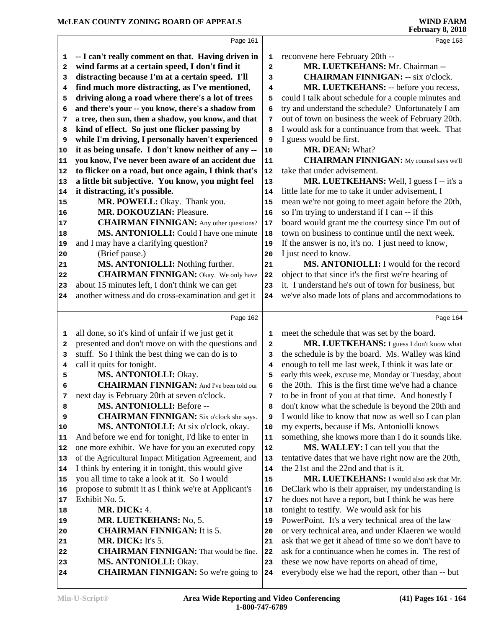|          | Page 161                                                                         |                         | Page 163                                                                                                |
|----------|----------------------------------------------------------------------------------|-------------------------|---------------------------------------------------------------------------------------------------------|
| 1        | -- I can't really comment on that. Having driven in                              | 1                       | reconvene here February 20th --                                                                         |
| 2        | wind farms at a certain speed, I don't find it                                   | $\overline{\mathbf{2}}$ | MR. LUETKEHANS: Mr. Chairman --                                                                         |
| 3        | distracting because I'm at a certain speed. I'll                                 | 3                       | <b>CHAIRMAN FINNIGAN: -- six o'clock.</b>                                                               |
| 4        | find much more distracting, as I've mentioned,                                   | 4                       | MR. LUETKEHANS: -- before you recess,                                                                   |
| 5        | driving along a road where there's a lot of trees                                | 5                       | could I talk about schedule for a couple minutes and                                                    |
| 6        | and there's your -- you know, there's a shadow from                              | 6                       | try and understand the schedule? Unfortunately I am                                                     |
| 7        | a tree, then sun, then a shadow, you know, and that                              | 7                       | out of town on business the week of February 20th.                                                      |
| 8        | kind of effect. So just one flicker passing by                                   | 8                       | I would ask for a continuance from that week. That                                                      |
| 9        | while I'm driving, I personally haven't experienced                              | 9                       | I guess would be first.                                                                                 |
| 10       | it as being unsafe. I don't know neither of any --                               | 10                      | MR. DEAN: What?                                                                                         |
| 11       | you know, I've never been aware of an accident due                               | 11                      | <b>CHAIRMAN FINNIGAN:</b> My counsel says we'll                                                         |
| 12       | to flicker on a road, but once again, I think that's                             | 12                      | take that under advisement.                                                                             |
|          | a little bit subjective. You know, you might feel                                | 13                      | MR. LUETKEHANS: Well, I guess I -- it's a                                                               |
| 13<br>14 | it distracting, it's possible.                                                   | 14                      | little late for me to take it under advisement, I                                                       |
|          |                                                                                  |                         |                                                                                                         |
| 15       | MR. POWELL: Okay. Thank you.<br><b>MR. DOKOUZIAN: Pleasure.</b>                  | 15                      | mean we're not going to meet again before the 20th,<br>so I'm trying to understand if I can -- if this  |
| 16       | <b>CHAIRMAN FINNIGAN:</b> Any other questions?                                   | 16                      |                                                                                                         |
| 17       | MS. ANTONIOLLI: Could I have one minute                                          | 17                      | board would grant me the courtesy since I'm out of<br>town on business to continue until the next week. |
| 18       | and I may have a clarifying question?                                            | 18<br>19                | If the answer is no, it's no. I just need to know,                                                      |
| 19       | (Brief pause.)                                                                   |                         | I just need to know.                                                                                    |
| 20       |                                                                                  | 20                      | MS. ANTONIOLLI: I would for the record                                                                  |
| 21       | MS. ANTONIOLLI: Nothing further.<br><b>CHAIRMAN FINNIGAN:</b> Okay. We only have | 21                      | object to that since it's the first we're hearing of                                                    |
| 22       |                                                                                  | 22                      |                                                                                                         |
| 23       | about 15 minutes left, I don't think we can get                                  | 23                      | it. I understand he's out of town for business, but                                                     |
| 24       | another witness and do cross-examination and get it                              | 24                      | we've also made lots of plans and accommodations to                                                     |
|          | Page 162                                                                         |                         | Page 164                                                                                                |
| 1        | all done, so it's kind of unfair if we just get it                               | 1                       | meet the schedule that was set by the board.                                                            |
| 2        | presented and don't move on with the questions and                               | $\mathbf{2}$            | MR. LUETKEHANS: I guess I don't know what                                                               |
| 3        | stuff. So I think the best thing we can do is to                                 | 3                       | the schedule is by the board. Ms. Walley was kind                                                       |
|          |                                                                                  |                         |                                                                                                         |
| 4        | call it quits for tonight.                                                       | 4                       | enough to tell me last week, I think it was late or                                                     |
| 5        | MS. ANTONIOLLI: Okay.                                                            | 5                       | early this week, excuse me, Monday or Tuesday, about                                                    |
| 6        | <b>CHAIRMAN FINNIGAN:</b> And I've been told our                                 | 6                       | the 20th. This is the first time we've had a chance                                                     |
| 7        | next day is February 20th at seven o'clock.                                      | 7                       | to be in front of you at that time. And honestly I                                                      |
| 8        | MS. ANTONIOLLI: Before --                                                        | 8                       | don't know what the schedule is beyond the 20th and                                                     |
| 9        | <b>CHAIRMAN FINNIGAN:</b> Six o'clock she says.                                  | 9                       | I would like to know that now as well so I can plan                                                     |
| 10       | MS. ANTONIOLLI: At six o'clock, okay.                                            | 10                      | my experts, because if Ms. Antoniolli knows                                                             |
| 11       | And before we end for tonight, I'd like to enter in                              | 11                      | something, she knows more than I do it sounds like.                                                     |
| 12       | one more exhibit. We have for you an executed copy                               | 12                      | MS. WALLEY: I can tell you that the                                                                     |
| 13       | of the Agricultural Impact Mitigation Agreement, and                             | 13                      | tentative dates that we have right now are the 20th,                                                    |
| 14       | I think by entering it in tonight, this would give                               | 14                      | the 21st and the 22nd and that is it.                                                                   |
| 15       | you all time to take a look at it. So I would                                    | 15                      | MR. LUETKEHANS: I would also ask that Mr.                                                               |
| 16       | propose to submit it as I think we're at Applicant's                             | 16                      | DeClark who is their appraiser, my understanding is                                                     |
| 17       | Exhibit No. 5.                                                                   | 17                      | he does not have a report, but I think he was here                                                      |
| 18       | <b>MR. DICK: 4.</b>                                                              | 18                      | tonight to testify. We would ask for his                                                                |
| 19       | MR. LUETKEHANS: No. 5.                                                           | 19                      | PowerPoint. It's a very technical area of the law                                                       |
| 20       | <b>CHAIRMAN FINNIGAN:</b> It is 5.                                               | 20                      | or very technical area, and under Klaeren we would                                                      |
| 21       | MR. DICK: It's 5.                                                                | 21                      | ask that we get it ahead of time so we don't have to                                                    |
| 22       | <b>CHAIRMAN FINNIGAN:</b> That would be fine.                                    | 22                      | ask for a continuance when he comes in. The rest of                                                     |
| 23       | MS. ANTONIOLLI: Okay.                                                            | 23                      | these we now have reports on ahead of time,                                                             |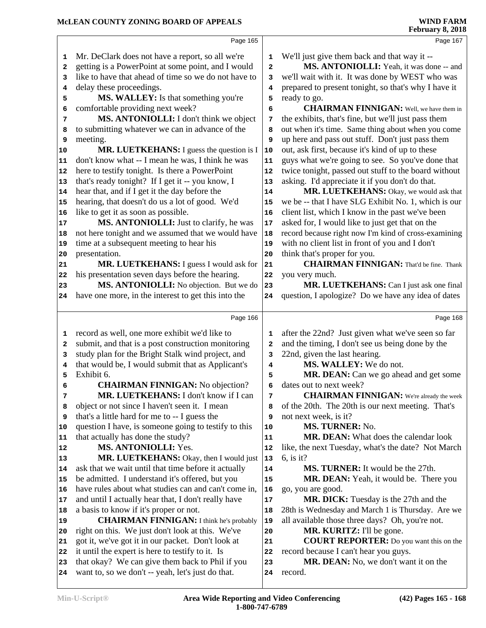|          | Page 165                                                                                       |              | Page 167                                                                        |  |
|----------|------------------------------------------------------------------------------------------------|--------------|---------------------------------------------------------------------------------|--|
| 1        | Mr. DeClark does not have a report, so all we're                                               | 1            | We'll just give them back and that way it --                                    |  |
| 2        | getting is a PowerPoint at some point, and I would                                             | $\mathbf{2}$ | MS. ANTONIOLLI: Yeah, it was done -- and                                        |  |
| 3        | like to have that ahead of time so we do not have to                                           | 3            | we'll wait with it. It was done by WEST who was                                 |  |
| 4        | delay these proceedings.                                                                       | 4            | prepared to present tonight, so that's why I have it                            |  |
| 5        | MS. WALLEY: Is that something you're                                                           | 5            | ready to go.                                                                    |  |
| 6        | comfortable providing next week?                                                               | 6            | <b>CHAIRMAN FINNIGAN:</b> Well, we have them in                                 |  |
| 7        | MS. ANTONIOLLI: I don't think we object                                                        | 7            | the exhibits, that's fine, but we'll just pass them                             |  |
| 8        | to submitting whatever we can in advance of the                                                | 8            | out when it's time. Same thing about when you come                              |  |
| 9        | meeting.                                                                                       | 9            | up here and pass out stuff. Don't just pass them                                |  |
| $10$     | MR. LUETKEHANS: I guess the question is I                                                      | 10           | out, ask first, because it's kind of up to these                                |  |
| 11       | don't know what -- I mean he was, I think he was                                               | ${\bf 11}$   | guys what we're going to see. So you've done that                               |  |
| 12       | here to testify tonight. Is there a PowerPoint                                                 | 12           | twice tonight, passed out stuff to the board without                            |  |
| 13       | that's ready tonight? If I get it -- you know, I                                               | 13           | asking. I'd appreciate it if you don't do that.                                 |  |
| 14       | hear that, and if I get it the day before the                                                  | 14           | MR. LUETKEHANS: Okay, we would ask that                                         |  |
| 15       | hearing, that doesn't do us a lot of good. We'd                                                | 15           | we be -- that I have SLG Exhibit No. 1, which is our                            |  |
| 16       | like to get it as soon as possible.                                                            | 16           | client list, which I know in the past we've been                                |  |
| 17       | MS. ANTONIOLLI: Just to clarify, he was                                                        | $17\,$       | asked for, I would like to just get that on the                                 |  |
| 18       | not here tonight and we assumed that we would have                                             | 18           | record because right now I'm kind of cross-examining                            |  |
| 19       | time at a subsequent meeting to hear his                                                       | 19           | with no client list in front of you and I don't                                 |  |
| 20       | presentation.                                                                                  | 20           | think that's proper for you.<br><b>CHAIRMAN FINNIGAN:</b> That'd be fine. Thank |  |
| 21       | MR. LUETKEHANS: I guess I would ask for<br>his presentation seven days before the hearing.     | 21           | you very much.                                                                  |  |
| 22<br>23 | MS. ANTONIOLLI: No objection. But we do                                                        | 22<br>23     | MR. LUETKEHANS: Can I just ask one final                                        |  |
| 24       | have one more, in the interest to get this into the                                            | 24           | question, I apologize? Do we have any idea of dates                             |  |
|          |                                                                                                |              |                                                                                 |  |
|          | Page 166                                                                                       |              | Page 168                                                                        |  |
| 1        | record as well, one more exhibit we'd like to                                                  | 1            | after the 22nd? Just given what we've seen so far                               |  |
| 2        | submit, and that is a post construction monitoring                                             | $\mathbf{2}$ | and the timing, I don't see us being done by the                                |  |
| 3        | study plan for the Bright Stalk wind project, and                                              | 3            | 22nd, given the last hearing.                                                   |  |
| 4        | that would be, I would submit that as Applicant's                                              | 4            | MS. WALLEY: We do not.                                                          |  |
| 5        | Exhibit 6.                                                                                     | 5            | MR. DEAN: Can we go ahead and get some                                          |  |
| 6        | <b>CHAIRMAN FINNIGAN:</b> No objection?                                                        | 6            | dates out to next week?                                                         |  |
| 7        | MR. LUETKEHANS: I don't know if I can                                                          | 7            | <b>CHAIRMAN FINNIGAN:</b> We're already the week                                |  |
| 8        | object or not since I haven't seen it. I mean                                                  | 8            | of the 20th. The 20th is our next meeting. That's                               |  |
| 9        | that's a little hard for me to -- I guess the                                                  | 9            | not next week, is it?                                                           |  |
| 10       | question I have, is someone going to testify to this                                           | 10           | MS. TURNER: No.                                                                 |  |
| 11       | that actually has done the study?                                                              | 11           | MR. DEAN: What does the calendar look                                           |  |
| 12       | <b>MS. ANTONIOLLI: Yes.</b>                                                                    | 12           | like, the next Tuesday, what's the date? Not March                              |  |
| 13       | MR. LUETKEHANS: Okay, then I would just<br>ask that we wait until that time before it actually | 13           | $6$ , is it?<br>MS. TURNER: It would be the 27th.                               |  |
| 14       | be admitted. I understand it's offered, but you                                                | 14           | MR. DEAN: Yeah, it would be. There you                                          |  |
| 15<br>16 | have rules about what studies can and can't come in,                                           | 15<br>16     | go, you are good.                                                               |  |
| 17       | and until I actually hear that, I don't really have                                            | 17           | MR. DICK: Tuesday is the 27th and the                                           |  |
| 18       | a basis to know if it's proper or not.                                                         | 18           | 28th is Wednesday and March 1 is Thursday. Are we                               |  |
| 19       | <b>CHAIRMAN FINNIGAN:</b> I think he's probably                                                | 19           | all available those three days? Oh, you're not.                                 |  |
| 20       | right on this. We just don't look at this. We've                                               | 20           | MR. KURITZ: I'll be gone.                                                       |  |
| 21       | got it, we've got it in our packet. Don't look at                                              | 21           | <b>COURT REPORTER:</b> Do you want this on the                                  |  |
| 22       | it until the expert is here to testify to it. Is                                               | 22           | record because I can't hear you guys.                                           |  |
| 23       | that okay? We can give them back to Phil if you                                                | 23           | MR. DEAN: No, we don't want it on the                                           |  |
| 24       | want to, so we don't -- yeah, let's just do that.                                              | 24           | record.                                                                         |  |
|          |                                                                                                |              |                                                                                 |  |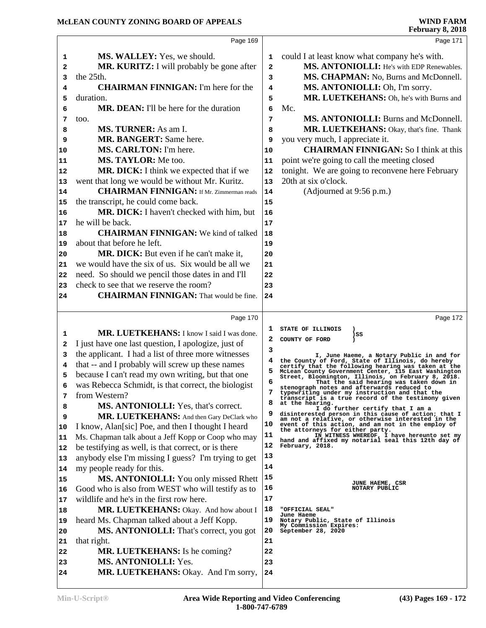|    | Page 169                                            |                | Page 171                                                                                                    |
|----|-----------------------------------------------------|----------------|-------------------------------------------------------------------------------------------------------------|
| 1  | <b>MS. WALLEY:</b> Yes, we should.                  | 1              | could I at least know what company he's with.                                                               |
| 2  | MR. KURITZ: I will probably be gone after           | $\overline{a}$ | MS. ANTONIOLLI: He's with EDP Renewables.                                                                   |
| 3  | the 25th.                                           | 3              | MS. CHAPMAN: No, Burns and McDonnell.                                                                       |
| 4  | <b>CHAIRMAN FINNIGAN:</b> I'm here for the          | 4              | MS. ANTONIOLLI: Oh, I'm sorry.                                                                              |
| 5  | duration.                                           | 5              | MR. LUETKEHANS: Oh, he's with Burns and                                                                     |
| 6  | <b>MR. DEAN:</b> I'll be here for the duration      | 6              | Mc.                                                                                                         |
| 7  | too.                                                | 7              | MS. ANTONIOLLI: Burns and McDonnell.                                                                        |
| 8  | MS. TURNER: As am I.                                | 8              | MR. LUETKEHANS: Okay, that's fine. Thank                                                                    |
| 9  | <b>MR. BANGERT:</b> Same here.                      | 9              | you very much, I appreciate it.                                                                             |
| 10 | MS. CARLTON: I'm here.                              | 10             | <b>CHAIRMAN FINNIGAN:</b> So I think at this                                                                |
| 11 | MS. TAYLOR: Me too.                                 | 11             | point we're going to call the meeting closed                                                                |
| 12 | MR. DICK: I think we expected that if we            | 12             | tonight. We are going to reconvene here February                                                            |
| 13 | went that long we would be without Mr. Kuritz.      | 13             | 20th at six o'clock.                                                                                        |
| 14 | <b>CHAIRMAN FINNIGAN:</b> If Mr. Zimmerman reads    | 14             | (Adjourned at 9:56 p.m.)                                                                                    |
| 15 | the transcript, he could come back.                 | 15             |                                                                                                             |
| 16 | MR. DICK: I haven't checked with him, but           | 16             |                                                                                                             |
| 17 | he will be back.                                    | 17             |                                                                                                             |
| 18 | <b>CHAIRMAN FINNIGAN:</b> We kind of talked         | 18             |                                                                                                             |
| 19 | about that before he left.                          | 19             |                                                                                                             |
| 20 | MR. DICK: But even if he can't make it,             | 20             |                                                                                                             |
| 21 | we would have the six of us. Six would be all we    | 21             |                                                                                                             |
| 22 | need. So should we pencil those dates in and I'll   | 22             |                                                                                                             |
| 23 | check to see that we reserve the room?              | 23             |                                                                                                             |
| 24 | <b>CHAIRMAN FINNIGAN:</b> That would be fine.       | 24             |                                                                                                             |
|    |                                                     |                |                                                                                                             |
|    | Page 170                                            |                | Page 172                                                                                                    |
| 1  | MR. LUETKEHANS: I know I said I was done.           | 1              | STATE OF ILLINOIS<br>)SS                                                                                    |
| 2  | I just have one last question, I apologize, just of | 2              | COUNTY OF FORD                                                                                              |
| з  | the applicant. I had a list of three more witnesses | з              | I, June Haeme, a Notary Public in and for                                                                   |
| 4  | that -- and I probably will screw up these names    |                | the County of Ford, State of Illinois, do hereby<br>certify that the following hearing was taken at the     |
| 5  | because I can't read my own writing, but that one   | 5              | McLean County Government Center, 115 East Washington<br>Street, Bloomington, Illinois, on February 8, 2018. |
| 6  | was Rebecca Schmidt, is that correct, the biologist | 6              | That the said hearing was taken down in<br>stenograph notes and afterwards reduced to                       |
| 7  | from Western?                                       |                | typewriting under my instruction and that the<br>transcript is a true record of the testimony given         |
| 8  | <b>MS. ANTONIOLLI:</b> Yes, that's correct.         | 8              | at the hearing.<br>I do further certify that I am a                                                         |
| 9  | MR. LUETKEHANS: And then Gary DeClark who           | 9              | disinterested person in this cause of action; that I<br>am not a relative, or otherwise interested in the   |
| 10 | I know, Alan[sic] Poe, and then I thought I heard   | 10             | event of this action, and am not in the employ of<br>the attorneys for either party.                        |
| 11 | Ms. Chapman talk about a Jeff Kopp or Coop who may  | 11             | IN WITNESS WHEREOF, I have hereunto set my<br>hand and affixed my notarial seal this 12th day of            |
| 12 | be testifying as well, is that correct, or is there | 12             | February, 2018.                                                                                             |
| 13 | anybody else I'm missing I guess? I'm trying to get | 13             |                                                                                                             |
| 14 | my people ready for this.                           | 14             |                                                                                                             |
| 15 | <b>MS. ANTONIOLLI:</b> You only missed Rhett        | 15             | JUNE HAEME, CSR                                                                                             |
| 16 | Good who is also from WEST who will testify as to   | 16             | NOTARY PUBLIC                                                                                               |
| 17 | wildlife and he's in the first row here.            | 17             |                                                                                                             |
| 18 | MR. LUETKEHANS: Okay. And how about I               | 18             | "OFFICIAL SEAL"<br>June Haeme                                                                               |
| 19 | heard Ms. Chapman talked about a Jeff Kopp.         | 19             | Notary Public, State of Illinois<br>My Commission Expires:                                                  |
| 20 | MS. ANTONIOLLI: That's correct, you got             | 20             | September 28, 2020                                                                                          |
| 21 | that right.                                         | 21             |                                                                                                             |
| 22 | MR. LUETKEHANS: Is he coming?                       | 22             |                                                                                                             |
| 23 | <b>MS. ANTONIOLLI:</b> Yes.                         | 23             |                                                                                                             |
|    |                                                     |                |                                                                                                             |
| 24 | MR. LUETKEHANS: Okay. And I'm sorry,                | 24             |                                                                                                             |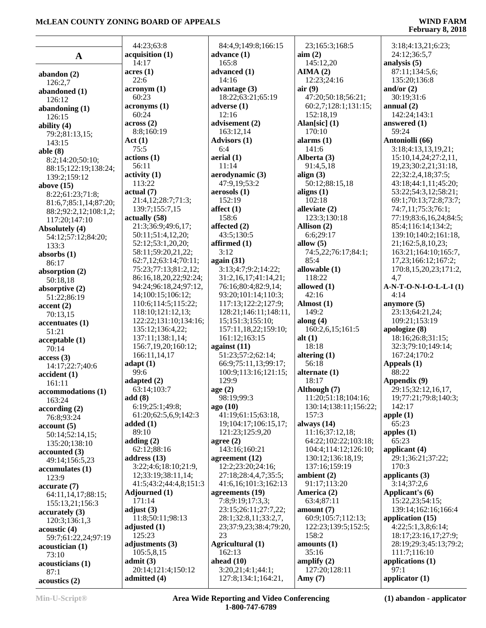# **February 8, 2018**

|                            | 44:23;63:8             | 84:4,9;149:8;166:15    | 23;165:3;168:5        | 3:18;4:13,21;6:23;        |
|----------------------------|------------------------|------------------------|-----------------------|---------------------------|
| $\mathbf A$                | acquisition (1)        | advance $(1)$          | $\text{aim} (2)$      | 24:12;36:5,7              |
|                            | 14:17                  | 165:8                  | 145:12,20             | analysis $(5)$            |
|                            | acres(1)               | advanced (1)           | AIMA(2)               | 87:11;134:5,6;            |
| abandon $(2)$              | 22:6                   | 14:16                  | 12:23:24:16           | 135:20;136:8              |
| 126:2,7                    |                        |                        |                       | and/or $(2)$              |
| abandoned (1)              | $\arcsin(1)$<br>60:23  | advantage $(3)$        | air(9)                |                           |
| 126:12                     |                        | 18:22;63:21;65:19      | 47:20;50:18;56:21;    | 30:19;31:6                |
| abandoning $(1)$           | acronyms (1)           | adverse $(1)$          | 60:2,7;128:1;131:15;  | annual $(2)$              |
| 126:15                     | 60:24                  | 12:16                  | 152:18,19             | 142:24;143:1              |
| ability $(4)$              | across(2)              | advisement (2)         | Alan[sic] $(1)$       | answered (1)              |
| 79:2;81:13,15;             | 8:8;160:19             | 163:12,14              | 170:10                | 59:24                     |
| 143:15                     | Act(1)                 | <b>Advisors (1)</b>    | alarms $(1)$          | Antoniolli (66)           |
| able $(8)$                 | 75:5                   | 6:4                    | 141:6                 | 3:18;4:13,13,19,21;       |
| 8:2;14:20;50:10;           | actions(1)             | aerial (1)             | Alberta (3)           | 15:10, 14, 24; 27: 2, 11, |
| 88:15;122:19;138:24;       | 56:11                  | 11:14                  | 91:4,5,18             | 19,23;30:2,21;31:18,      |
| 139:2;159:12               | $\text{activity} (1)$  | aerodynamic (3)        | align $(3)$           | 22;32:2,4,18;37:5;        |
| above $(15)$               | 113:22                 | 47:9,19;53:2           | 50:12;88:15,18        | 43:18;44:1,11;45:20;      |
| 8:22;61:23;71:8;           | actual(7)              | aerosols(1)            | aligns $(1)$          | 53:22;54:3,12;58:21;      |
| 81:6,7;85:1,14;87:20;      | 21:4,12;28:7;71:3;     | 152:19                 | 102:18                | 69:1;70:13;72:8;73:7;     |
| 88:2;92:2,12;108:1,2;      | 139:7;155:7,15         | affect $(1)$           | alleviate (2)         | 74:7,11;75:3;76:1;        |
| 117:20;147:10              | actually (58)          | 158:6                  | 123:3;130:18          | 77:19;83:6,16,24;84:5;    |
| Absolutely (4)             | 21:3;36:9;49:6,17;     | affected (2)           | Allison (2)           | 85:4;116:14;134:2;        |
| 54:12;57:12;84:20;         | 50:11;51:4,12,20;      | 43:5;130:5             | 6:6;29:17             | 139:10;140:2;161:18,      |
| 133:3                      | 52:12:53:1,20,20;      | affirmed $(1)$         | allow $(5)$           | 21;162:5,8,10,23;         |
| absorbs $(1)$              | 58:11;59:20,21,22;     | 3:12                   | 74:5,22;76:17;84:1;   | 163:21;164:10;165:7,      |
| 86:17                      | 62:7,12;63:14;70:11;   | again (31)             | 85:4                  | 17,23;166:12;167:2;       |
|                            | 75:23;77:13;81:2,12;   | 3:13;4:7;9:2;14:22;    | allowable (1)         | 170:8,15,20,23;171:2,     |
| absorption (2)             | 86:16,18,20,22;92:24;  | 31:2,16,17;41:14,21;   | 118:22                | 4,7                       |
| 50:18,18                   | 94:24;96:18,24;97:12,  | 76:16;80:4;82:9,14;    | allowed (1)           | A-N-T-O-N-I-O-L-L-I(1)    |
| absorptive $(2)$           | 14;100:15;106:12;      | 93:20;101:14;110:3;    | 42:16                 | 4:14                      |
| 51:22;86:19                | 110:6;114:5;115:22;    | 117:13;122:2;127:9;    | Almost (1)            | anymore $(5)$             |
| $\operatorname{accept}(2)$ | 118:10;121:12,13;      | 128:21;146:11;148:11,  | 149:2                 | 23:13;64:21,24;           |
| 70:13,15                   | 122:22;131:10;134:16;  | 15;151:3;155:10;       | along $(4)$           | 109:21;153:19             |
| accentuates (1)            |                        |                        | 160:2,6,15;161:5      |                           |
| 51:21                      | 135:12;136:4,22;       | 157:11,18,22;159:10;   |                       | apologize (8)             |
| acceptable(1)              | 137:11;138:1,14;       | 161:12;163:15          | alt $(1)$             | 18:16;26:8;31:15;         |
| 70:14                      | 156:7,19,20;160:12;    | against $(11)$         | 18:18                 | 32:3;79:10;149:14;        |
| access(3)                  | 166:11,14,17           | 51:23;57:2;62:14;      | altering $(1)$        | 167:24;170:2              |
| 14:17;22:7;40:6            | adapt(1)               | 66:9;75:11,13;99:17;   | 56:18                 | Appeals (1)               |
| accident(1)                | 99:6                   | 100:9;113:16;121:15;   | alternate (1)         | 88:22                     |
| 161:11                     | adapted (2)            | 129:9                  | 18:17                 | Appendix (9)              |
| accommodations (1)         | 63:14;103:7            | age(2)                 | Although (7)          | 29:15;32:12,16,17,        |
| 163:24                     | add(8)                 | 98:19:99:3             | 11:20;51:18;104:16;   | 19;77:21;79:8;140:3;      |
| according(2)               | 6:19;25:1;49:8;        | ago(10)                | 130:14;138:11;156:22; | 142:17                    |
| 76:8;93:24                 | 61:20;62:5,6,9;142:3   | 41:19;61:15;63:18,     | 157:3                 | apple $(1)$               |
| account(5)                 | added $(1)$            | 19;104:17;106:15,17;   | always $(14)$         | 65:23                     |
| 50:14;52:14,15;            | 89:10                  | 121:23;125:9,20        | 11:16;37:12,18;       | apples $(1)$              |
| 135:20;138:10              | adding $(2)$           | agree $(2)$            | 64:22;102:22;103:18;  | 65:23                     |
| accounted(3)               | 62:12;88:16            | 143:16;160:21          | 104:4;114:12;126:10;  | applicant (4)             |
| 49:14;156:5,23             | address $(13)$         | agreement $(12)$       | 130:12;136:18,19;     | 29:1;36:21;37:22;         |
| accumulates(1)             | 3:22;4:6;18:10;21:9,   | 12:2;23:20;24:16;      | 137:16;159:19         | 170:3                     |
| 123:9                      | 12;33:19;38:11,14;     | 27:18;28:4,4,7;35:5;   | ambient (2)           | applicants $(3)$          |
| accurate(7)                | 41:5;43:2;44:4,8;151:3 | 41:6,16;101:3;162:13   | 91:17;113:20          | 3:14;37:2,6               |
| 64:11,14,17;88:15;         | Adjourned (1)          | agreements (19)        | America (2)           | Applicant's (6)           |
| 155:13,21;156:3            | 171:14                 | 7:8;9:19;17:3,3;       | 63:4;87:11            | 15:22,23;54:15;           |
|                            | adjust $(3)$           | 23:15;26:11;27:7,22;   | amount $(7)$          | 139:14;162:16;166:4       |
| accuracy(3)                | 11:8;50:11;98:13       | 28:1;32:8,11;33:2,7,   | 60:9;105:7;112:13;    | application (15)          |
| 120:3;136:1,3              | adjusted $(1)$         | 23;37:9,23;38:4;79:20, | 122:23;139:5;152:5;   | 4:22;5:1,3,8;6:14;        |
| acoustic(4)                | 125:23                 | 23                     | 158:2                 | 18:17;23:16,17;27:9;      |
| 59:7;61:22,24;97:19        | adjustments (3)        | Agricultural (1)       | amounts $(1)$         | 28:19;29:3;45:13;79:2;    |
| acoustician(1)             | 105:5,8,15             | 162:13                 | 35:16                 | 111:7;116:10              |
| 73:10                      | admit(3)               | ahead $(10)$           | amplify $(2)$         | applications (1)          |
| acousticians (1)           |                        |                        |                       | 97:1                      |
| 87:1                       | 20:14;121:4;150:12     | 3:20,21;4:1;44:1;      | 127:20;128:11         |                           |
| acoustics(2)               | admitted (4)           | 127:8;134:1;164:21,    | Amy $(7)$             | applicator $(1)$          |

**Min-U-Script® Area Wide Reporting and Video Conferencing 1-800-747-6789**

**(1) abandon - applicator**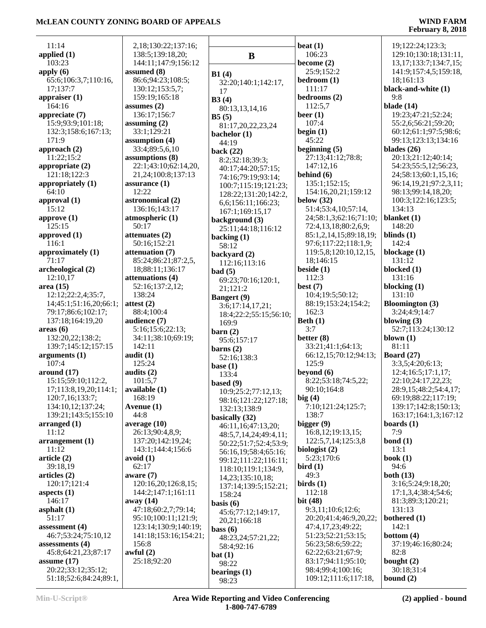11:14 **applied (1)** 103:23 **apply (6)** 65:6;106:3,7;110:16, 17;137:7 **appraiser (1)** 164:16 **appreciate (7)** 15:9;93:9;101:18; 132:3;158:6;167:13; 171:9 **approach (2)** 11:22;15:2 **appropriate (2)** 121:18;122:3 **appropriately (1)** 64:10 **approval (1)** 15:12 **approve (1)** 125:15 **approved (1)** 116:1 **approximately (1)** 71:17 **archeological (2)** 12:10,17 **area (15)** 12:12;22:2,4;35:7,  $14;45:1;51:16,20;66:1;$  at 79:17;86:6;102:17; 137:18;164:19,20 **areas (6)** 132:20,22;138:2; 139:7;145:12;157:15 **arguments (1)** 107:4 **around (17)** 15:15;59:10;112:2,  $17;113:8,19,20;114:1;$  av 120:7,16;133:7; 134:10,12;137:24; 139:21;143:5;155:10 **arranged (1)** 11:12 **arrangement (1)** 11:12 **article (2)** 39:18,19 **articles (2)** 120:17;121:4 **aspects (1)** 146:17 **asphalt (1)** 51:17 **assessment (4)** 46:7;53:24;75:10,12 **assessments (4)** 45:8;64:21,23;87:17 | av **assume (17)** 20:22;33:12;35:12; 51:18;52:6;84:24;89:1,

| 2,18;130:22;137:16;   |                  |
|-----------------------|------------------|
| 138:5;139:18,20;      |                  |
|                       |                  |
| 144:11;147:9;156:12   |                  |
| assumed (8)           | B1(4)            |
| 86:6;94:23;108:5;     | 32:              |
| 130:12;153:5,7;       |                  |
| 159:19;165:18         | 17               |
|                       | B3(4)            |
| assumes (2)           | 80               |
| 136:17;156:7          | B5(5)            |
| assuming $(2)$        | 81               |
| 33:1;129:21           |                  |
|                       | bach             |
| assumption (4)        | 44 <sub>i</sub>  |
| 33:4;89:5,6,10        | back             |
| assumptions (8)       | 8:2              |
| 22:1;43:10;62:14,20,  |                  |
| 21,24;100:8;137:13    | 40               |
|                       | 74               |
| assurance (1)         | 10               |
| 12:22                 | 12               |
| astronomical (2)      |                  |
| 136:16;143:17         | 6,6              |
|                       | 16               |
| atmospheric (1)       | back             |
| 50:17                 | 25 <sub>i</sub>  |
| attenuates (2)        |                  |
|                       | back             |
| 50:16;152:21          | 58               |
| attenuation (7)       | back             |
| 85:24;86:21;87:2,5,   | 11.              |
| 18;88:11;136:17       |                  |
| attenuations (4)      | bad (            |
|                       | 69               |
| 52:16;137:2,12;       | 21               |
| 138:24                | Bang             |
| attest (2)            | 3:6              |
| 88:4;100:4            |                  |
|                       | 18 <sub>i</sub>  |
| audience (7)          | 16               |
| 5:16;15:6;22:13;      | barn             |
| 34:11;38:10;69:19;    | $95^{\circ}$     |
| 142:11                |                  |
|                       | barn             |
| audit (1)             | 52               |
| 125:24                | base             |
| audits (2)            | 13.              |
| 101:5,7               |                  |
|                       | based            |
| available (1)         | 10               |
| 168:19                | 98.              |
| Avenue (1)            | 13'              |
| 44:8                  |                  |
|                       | basic            |
| average (10)          | 46               |
| 26:13;90:4,8,9;       | 48:              |
| 137:20;142:19,24;     | 50               |
| 143:1;144:4;156:6     | 56               |
| avoid (1)             |                  |
|                       | 99               |
| 62:17                 | 11               |
| aware (7)             | 14.              |
| 120:16,20;126:8,15;   | 13'              |
| 144:2;147:1;161:11    |                  |
|                       | 15 <sub>l</sub>  |
| away (14)             | basis            |
| 47:18;60:2,7;79:14;   | 45 <sub>1</sub>  |
| 95:10;100:11;121:9;   |                  |
| 123:14;130:9;140:19;  | 20.              |
|                       | bass             |
| 141:18;153:16;154:21; | 48:              |
| 156:8                 | 58               |
| awful (2)             | $\mathbf{bat}$ ( |
| 25:18;92:20           |                  |
|                       |                  |
|                       | 98.              |
|                       | beari            |

**B B1 (4)** 32:20;140:1;142:17, 17 **A**) 80:13,13,14,16 **B5 (5)** 81:17,20,22,23,24 **helor** (1)  $4:19$ **back (22)** 8:2;32:18;39:3; 0:17;44:20;57:15; 74:16;79:19;93:14; 100:7;115:19;121:23; 128:22;131:20;142:2, 6,6;156:11;166:23; 167:1;169:15,17 **background (3)** 25:11;44:18;116:12 **king** (1) 8:12 **backyard (2)** 112:16;113:16 **bad (5)** 9:23;70:16;120:1, 21;121:2 *<u>gert</u>* (9) 3:6;17:14,17,21; 8:4;22:2;55:15;56:10; 169:9 **barn (2)** 95:6;157:17 **barns (2)** 2:16;138:3 **e** (1) 133:4 **based (9)** 0:9;25:2;77:12,13; 98:16;121:22;127:18; 132:13;138:9 **basically (32)** 46:11,16;47:13,20; 48:5,7,14,24;49:4,11; 50:22;51:7;52:4;53:9; 56:16,19;58:4;65:16; 99:12;111:22;116:11; 118:10;119:1;134:9, 14,23;135:10,18; 137:14;139:5;152:21;  $58.24$ **basis (6)** 5:6;77:12;149:17. 20,21;166:18 **bass (6)** 48:23,24;57:21,22; 58:4;92:16 **bat (1)** 98:22  $rings (1)$ 98:23

**beat (1)** 106:23 **become (2)** 25:9;152:2 **bedroom (1)** 111:17 **bedrooms (2)** 112:5,7 **beer (1)** 107:4 **begin (1)** 45:22 **beginning (5)** 27:13;41:12;78:8; 147:12,16 **behind (6)** 135:1;152:15; 154:16,20,21;159:12 **below (32)** 51:4;53:4,10;57:14, 24;58:1,3;62:16;71:10; 72:4,13,18;80:2,6,9; 85:1,2,14,15;89:18,19; 97:6;117:22;118:1,9; 119:5,8;120:10,12,15, 18;146:15 **beside (1)** 112:3 **best (7)** 10:4;19:5;50:12; 88:19;153:24;154:2; 162:3 **Beth (1)** 3:7 **better (8)** 33:21;41:1;64:13; 66:12,15;70:12;94:13; 125:9 **beyond (6)** 8:22;53:18;74:5,22; 90:10;164:8 **big (4)** 7:10;121:24;125:7; 138:7 **bigger (9)** 16:8,12;19:13,15; 122:5,7,14;125:3,8 **biologist (2)** 5:23;170:6 **bird (1)** 49:3 **birds (1)** 112:18 **bit (48)** 9:3,11;10:6;12:6; 20:20;41:4;46:9,20,22; 47:4,17,23;49:22; 51:23;52:21;53:15; 56:23;58:6;59:22; 62:22;63:21;67:9; 83:17;94:11;95:10; 98:4;99:4;100:16; 109:12;111:6;117:18,

#### 19;122:24;123:3; 129:10;130:18;131:11, 13,17;133:7;134:7,15; 141:9;157:4,5;159:18, 18;161:13 **black-and-white (1)** 9:8 **blade (14)** 19:23;47:21;52:24; 55:2,6;56:21;59:20; 60:12;61:1;97:5;98:6; 99:13;123:13;134:16 **blades (26)** 20:13;21:12;40:14; 54:23;55:5,12;56:23, 24;58:13;60:1,15,16; 96:14,19,21;97:2,3,11; 98:13;99:14,18,20; 100:3;122:16;123:5; 134:13 **blanket (1)** 148:20 **blinds (1)** 142:4 **blockage (1)** 131:12 **blocked (1)** 131:16 **blocking (1)** 131:10 **Bloomington (3)** 3:24;4:9;14:7 **blowing (3)** 52:7;113:24;130:12 **blown (1)** 81:11 **Board (27)** 3:3,5;4:20;6:13; 12:4;16:5;17:1,17; 22:10;24:17,22,23; 28:9,15;48:2;54:4,17; 69:19;88:22;117:19; 139:17;142:8;150:13; 163:17;164:1,3;167:12 **boards (1)** 7:9 **bond (1)** 13:1 **book (1)** 94:6 **both (13)** 3:16;5:24;9:18,20; 17:1,3,4;38:4;54:6; 81:3;89:3;120:21; 131:13 **bothered (1)** 142:1 **bottom (4)** 37:19;46:16;80:24;

 82:8 **bought (2)** 30:18;31:4 **bound (2)**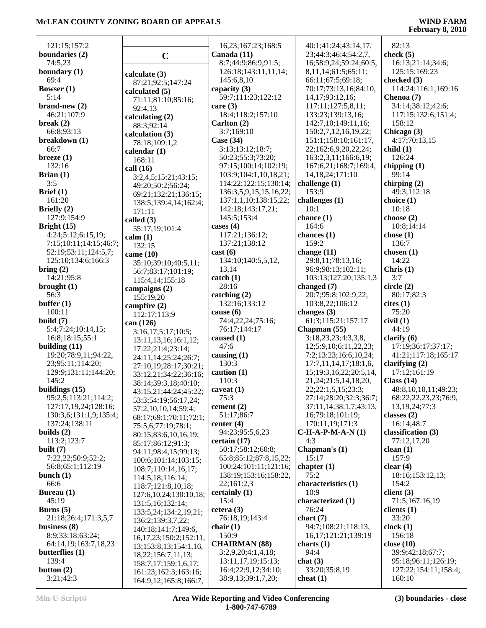# **February 8, 2018**

| 121:15;157:2                                   |                |
|------------------------------------------------|----------------|
| boundaries (2)                                 |                |
| 74:5,23                                        |                |
| boundary (1)                                   | calcu          |
| 69:4                                           | 87:            |
| Bowser (1)<br>5:14                             | calcu          |
| $brand-new(2)$                                 | 71:<br>92:     |
| 46:21;107:9                                    | calcu          |
| break $(2)$                                    | 88:            |
| 66:8;93:13                                     | calcu          |
| breakdown (1)<br>66:7                          | 78:            |
| breeze $(1)$                                   | calen          |
| 132:16                                         | 168<br>call (1 |
| Brian $(1)$                                    | 3:2            |
| 3:5                                            | 49:            |
| Brief $(1)$                                    | 69:            |
| 161:20<br>Briefly (2)                          | 138            |
| 127:9;154:9                                    | 171<br>called  |
| Bright (15)                                    | 55:            |
| 4:24;5:12;6:15,19;                             | calm           |
| 7:15;10:11;14:15;46:7;                         | 132            |
| 52:19;53:11;124:5,7;<br>125:10;134:6;166:3     | came           |
| bring (2)                                      | 35:            |
| 14:21;95:8                                     | 56:<br>115     |
| brought $(1)$                                  | camp           |
| 56:3                                           | 155            |
| buffer $(1)$<br>100:11                         | camp           |
| build $(7)$                                    | 112<br>can (1  |
| 5:4;7:24;10:14,15;                             | 3:1            |
| 16:8;18:15;55:1                                | 13:            |
| building $(11)$<br>19:20;78:9,11;94:22,        | 17:            |
| 23;95:11;114:20;                               | 24:            |
| 129:9;131:11;144:20;                           | 27:<br>33:     |
| 145:2                                          | 38:            |
| buildings (15)                                 | 43:            |
| 95:2,5;113:21;114:2;                           | 53:            |
| 127:17,19,24;128:16;<br>130:3,6;131:1,9;135:4; | 57:            |
| 137:24;138:11                                  | 68:<br>75:     |
| builds $(2)$                                   | 80:            |
| 113:2;123:7                                    | 85:            |
| built $(7)$<br>7:22,22;50:9;52:2;              | 94:            |
| 56:8;65:1;112:19                               | 100<br>108     |
| bunch $(1)$                                    | 114            |
| 66:6                                           | 118            |
| Bureau (1)                                     | 127            |
| 45:19<br>Burns $(5)$                           | 131            |
| 21:18;26:4;171:3,5,7                           | 133<br>136     |
| business (8)                                   | 140            |
| 8:9;33:18;63:24;                               | 16,            |
| 64:14,19;163:7,18,23<br>butterflies (1)        | 13;            |
| 139:4                                          | 18,<br>158     |
| button $(2)$                                   | 161            |
| 3:21;42:3                                      | 164            |

|                                                | 16,23;167:23;168:5                           | $\overline{4}$        |
|------------------------------------------------|----------------------------------------------|-----------------------|
| $\mathbf C$                                    | Canada (11)                                  | $\overline{2}$        |
|                                                | 8:7;44:9;86:9;91:5;                          | 10                    |
| calculate (3)                                  | 126:18;143:11,11,14;                         | 8,                    |
| 87:21;92:5;147:24                              | 145:6,8,10                                   | 6 <sub>0</sub>        |
| calculated (5)                                 | capacity (3)<br>59:7;111:23;122:12           | 71<br>1.              |
| 71:11;81:10;85:16;                             | care $(3)$                                   | $\mathbf{1}$          |
| 92:4,13                                        | 18:4;118:2;157:10                            | 1.                    |
| calculating (2)                                | Carlton (2)                                  | $1\cdot$              |
| 88:3;92:14<br>calculation (3)                  | 3:7;169:10                                   | 1:                    |
| 78:18;109:1,2                                  | Case (34)                                    | 1:                    |
| calendar $(1)$                                 | 3:13:12:18:7;                                | $\overline{2}$        |
| 168:11                                         | 50:23;55:3;73:20;                            | 1                     |
| call (16)                                      | 97:15;100:14;102:19;                         | 1                     |
| 3:2,4,5;15:21;43:15;                           | 103:9;104:1,10,18,21;                        | 1.                    |
| 49:20;50:2;56:24;                              | 114:22;122:15;130:14;                        | chal                  |
| 69:21;132:21;136:15;                           | 136:3,5,9,15,15,16,22;                       | 1:                    |
| 138:5;139:4,14;162:4;                          | 137:1,1,10;138:15,22;                        | chal                  |
| 171:11                                         | 142:18;143:17,21;                            | 10                    |
| called $(3)$                                   | 145:5;153:4<br>cases (4)                     | cha                   |
| 55:17,19;101:4                                 | 117:21;136:12;                               | 1<br>cha              |
| calm(1)                                        | 137:21;138:12                                | 1:                    |
| 132:15                                         | cast(6)                                      | cha                   |
| came $(10)$<br>35:10;39:10;40:5,11;            | 134:10;140:5,5,12,                           | $2^{\prime}$          |
| 56:7;83:17;101:19;                             | 13,14                                        | 9                     |
| 115:4,14;155:18                                | catch(1)                                     | $\mathbf{1}$          |
| campaigns (2)                                  | 28:16                                        | cha                   |
| 155:19,20                                      | catching (2)                                 | $\overline{2}$        |
| campfire $(2)$                                 | 132:16;133:12                                | 1 <sub>0</sub>        |
| 112:17;113:9                                   | cause (6)                                    | cha                   |
| can (126)                                      | 74:4,22,24;75:16;                            | 6                     |
| 3:16,17;5:17;10:5;                             | 76:17;144:17                                 | Cha                   |
| 13:11,13,16;16:1,12;                           | caused (1)<br>47:6                           | 3:<br>1'              |
| 17:22;21:4;23:14;                              | causing $(1)$                                | 7:                    |
| 24:11,14;25:24;26:7;                           | 130:3                                        | 1'                    |
| 27:10,19;28:17;30:21;<br>33:12,21;34:22;36:16; | caution $(1)$                                | 1:                    |
| 38:14;39:3,18;40:10;                           | 110:3                                        | $\overline{2}$        |
| 43:15,21;44:24;45:22;                          | caveat $(1)$                                 | $\overline{2}$        |
| 53:3;54:19;56:17,24;                           | 75:3                                         | $2^{'}$               |
| 57:2,10,10,14;59:4;                            | cement (2)                                   | $3^{\prime}$          |
| 68:17;69:1;70:11;72:1;                         | 51:17;86:7                                   | $\mathbf{1}$          |
| 75:5,6;77:19;78:1;                             | center (4)                                   | $1^\prime$            |
| 80:15;83:6,10,16,19;                           | 94:23;95:5,6,23                              | $C-H$                 |
| 85:17;86:12;91:3;                              | certain (17)<br>50:17;58:12;60:8;            | $\overline{4}$<br>Cha |
| 94:11;98:4,15;99:13;                           | 65:8;85:12;87:8,15,22;                       | 1:                    |
| 100:6;101:14;103:15;                           | 100:24;101:11;121:16;                        | cha                   |
| 108:7;110:14,16,17;                            | 138:19;153:16;158:22,                        | 7:                    |
| 114:5,18;116:14;<br>118:7;121:8,10,18;         | 22;161:2,3                                   | cha                   |
| 127:6,10,24;130:10,18;                         | certainly (1)                                | $\mathbf{1}$          |
| 131:5,16;132:14;                               | 15:4                                         | cha                   |
| 133:5,24;134:2,19,21;                          | cetera $(3)$                                 | 71                    |
| 136:2;139:3,7,22;                              | 76:18,19;143:4                               | chai                  |
| 140:18;141:7;149:6,                            | chair $(1)$                                  | 9                     |
| 16, 17, 23; 150: 2; 152: 11,                   | 150:9                                        | $\mathbf{1}$          |
| 13;153:8,13;154:1,16,                          | <b>CHAIRMAN (88)</b>                         | cha                   |
| 18,22;156:7,11,13;                             | 3:2,9,20;4:1,4,18;                           | 9,<br>chat            |
| 158:7,17;159:1,6,17;                           | 13:11, 17, 19; 15:13;<br>16:4;22:9,12;34:10; | 3.                    |
| 161:23;162:3;163:16;                           | 38:9,13;39:1,7,20;                           | che                   |
| 164:9,12;165:8;166:7,                          |                                              |                       |

| 40:1;41:24;43:14,17,                   | 82:13            |
|----------------------------------------|------------------|
| 23;44:3;46:4;54:2,7,                   | check $(5)$      |
| 16;58:9,24;59:24;60:5,                 | 16:13;21:14      |
| 8,11,14;61:5;65:11;                    | 125:15;169       |
| 66:11;67:5;69:18;                      | checked (3)      |
|                                        |                  |
| 70:17;73:13,16;84:10,                  | 114:24;116       |
| 14, 17; 93: 12, 16;                    | Chenoa (7)       |
| 117:11;127:5,8,11;                     | 34:14;38:12      |
| 133:23;139:13,16;                      | 117:15;132       |
| 142:7,10;149:11,16;                    | 158:12           |
|                                        |                  |
| 150:2,7,12,16,19,22;                   | Chicago (3)      |
| 151:1;158:10;161:17,                   | 4:17;70:13,      |
| 22;162:6,9,20,22,24;                   | child(1)         |
| 163:2,3,11;166:6,19;                   | 126:24           |
| 167:6,21;168:7;169:4,                  | chipping $(1)$   |
| 14, 18, 24; 171: 10                    | 99:14            |
|                                        |                  |
| challenge (1)                          | chirping $(2)$   |
| 153:9                                  | 49:3;112:18      |
| challenges (1)                         | choice $(1)$     |
| 10:1                                   | 10:18            |
|                                        |                  |
| chance (1)                             | choose (2)       |
| 164:6                                  | 10:8;14:14       |
| chances (1)                            | chose $(1)$      |
| 159:2                                  | 136:7            |
| change (11)                            | chosen $(1)$     |
|                                        | 14:22            |
| 29:8,11;78:13,16;                      |                  |
| 96:9;98:13;102:11;                     | Chris $(1)$      |
| 103:13;127:20;135:1,3                  | 3:7              |
| changed (7)                            | circle (2)       |
| 20:7;95:8;102:9,22;                    | 80:17;82:3       |
| 103:8,22;106:12                        | cites(1)         |
|                                        |                  |
| changes (3)                            | 75:20            |
| 61:3;115:21;157:17                     | civil(1)         |
| Chapman (55)                           | 44:19            |
| 3:18,23,23;4:3,3,8,                    | clarify $(6)$    |
| 12;5:9,10;6:11,22,23;                  | 17:19;36:17      |
|                                        |                  |
| 7:2;13:23;16:6,10,24;                  | 41:21;117:1      |
| 17:7,11,14,17;18:1,6,                  | clarifying $(2)$ |
| 15;19:3,16,22;20:5,14,                 | 17:12;161:1      |
| 21, 24; 21: 5, 14, 18, 20,             | Class $(14)$     |
| 22;22:1,5,15;23:3;                     | 48:8,10,10,      |
| 27:14;28:20;32:3;36:7;                 | 68:22,22,23      |
|                                        |                  |
| 37:11,14;38:1,7;43:13,                 | 13, 19, 24; 77   |
| 16;79:18;101:19;                       | classes $(2)$    |
| 170:11,19;171:3                        | 16:14;48:7       |
| $C-H-A-P-M-A-N(1)$                     | classification   |
| 4:3                                    | 77:12,17,20      |
| Chapman's (1)                          | clean $(1)$      |
|                                        | 157:9            |
| 15:17                                  |                  |
| chapter (1)                            | clear $(4)$      |
| 75:2                                   | 18:16;153:1      |
| characteristics (1)                    | 154:2            |
| 10:9                                   | client $(3)$     |
| characterized (1)                      | 71:5;167:16      |
|                                        |                  |
| 76:24                                  | clients $(1)$    |
| chart (7)                              |                  |
|                                        | 33:20            |
| 94:7;108:21;118:13,                    | clock(1)         |
| 16,17;121:21;139:19                    | 156:18           |
|                                        |                  |
|                                        | close (10)       |
| 94:4                                   | 39:9;42:18;      |
|                                        | 95:18;96:11      |
| charts (1)<br>chat(3)<br>33:20;35:8,19 | 127:22;154       |
| cheat (1)                              | 160:10           |

 82:13 **check (5)** 16:13;21:14;34:6; 125:15;169:23 **checked (3)** 114:24;116:1;169:16 **Chenoa (7)** 34:14;38:12;42:6; 117:15;132:6;151:4; 158:12 **Chicago (3)** 4:17;70:13,15 **child (1)** 126:24 **chipping (1)** 99:14 **chirping (2)** 49:3;112:18 **choice (1)** 10:18 **choose (2)** 10:8;14:14 **chose (1)** 136:7 **chosen (1)** 14:22 **Chris (1)** 3:7 **circle (2)** 80:17;82:3 **cites (1)** 75:20 44:19 **clarify (6)** 17:19;36:17;37:17; 41:21;117:18;165:17 **clarifying (2)** 17:12;161:19 **Class (14)** 48:8,10,10,11;49:23; 68:22,22,23,23;76:9, 13,19,24;77:3 **classes (2)** 16:14;48:7 **classification (3)** 77:12,17,20 **clean (1)** 157:9 **clear (4)** 18:16;153:12,13; 154:2 **client (3)** 71:5;167:16,19 **clients (1)** 33:20 **clock (1)** 156:18 **close (10)** 39:9;42:18;67:7; 95:18;96:11;126:19; 127:22;154:11;158:4; 160:10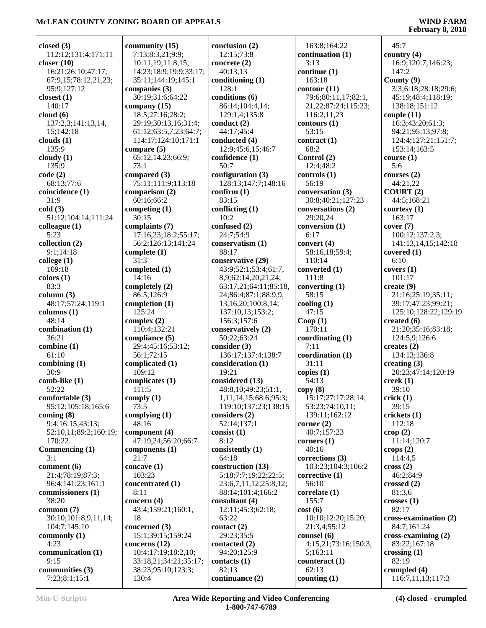| closed $(3)$                              | community $(15)$                         | conclusion (2)                    | 163:8;164:22                | 45:7                                 |
|-------------------------------------------|------------------------------------------|-----------------------------------|-----------------------------|--------------------------------------|
| 112:12;131:4;171:11                       | 7:13;8:3,21;9:9;                         | 12:15;73:8                        | continuation (1)            | country $(4)$                        |
| closer $(10)$                             | 10:11,19;11:8,15;                        | concrete $(2)$                    | 3:13                        | 16:9;120:7;146:23;                   |
| 16:21;26:10;47:17;                        | 14:23;18:9;19:9;33:17;                   | 40:13,13                          | continue (1)                | 147:2                                |
| 67:9,15;78:12,21,23;                      | 35:11;144:19;145:1                       | conditioning (1)                  | 163:18                      | County $(9)$                         |
| 95:9;127:12                               | companies (3)                            | 128:1                             | contour(11)                 | 3:3;6:18;28:18;29:6;                 |
| closest $(1)$                             | 30:19;31:6;64:22                         | conditions (6)                    | 79:6;80:11,17;82:1,         | 45:19;48:4;118:19;                   |
| 140:17                                    | company $(15)$                           | 86:14;104:4,14;                   | 21, 22; 87: 24; 115: 23;    | 138:18;151:12                        |
| cloud(6)<br>137:2,3;141:13,14,            | 18:5;27:16;28:2;<br>29:19:30:13,16:31:4; | 129:1,4;135:8<br>conduct $(2)$    | 116:2,11,23<br>contours(1)  | couple $(11)$<br>16:3;43:20;61:3;    |
| 15;142:18                                 | 61:12;63:5,7,23;64:7;                    | 44:17;45:4                        | 53:15                       | 94:21;95:13;97:8;                    |
| clouds $(1)$                              | 114:17;124:10;171:1                      | conducted (4)                     | contract(1)                 | 124:4;127:21;151:7;                  |
| 135:9                                     | compare $(5)$                            | 12:9;45:6,15;46:7                 | 68:2                        | 153:14;163:5                         |
| cloudy $(1)$                              | 65:12,14,23;66:9;                        | confidence (1)                    | Control (2)                 | course(1)                            |
| 135:9                                     | 73:1                                     | 50:7                              | 12:4;48:2                   | 5:6                                  |
| code(2)                                   | compared (3)                             | configuration $(3)$               | controls (1)                | courses $(2)$                        |
| 68:13;77:6                                | 75:11;111:9;113:18                       | 128:13;147:7;148:16               | 56:19                       | 44:21,22                             |
| coincidence (1)                           | comparison (2)                           | confirm $(1)$                     | conversation (3)            | COURT(2)                             |
| 31:9                                      | 60:16:66:2                               | 83:15                             | 30:8;40:21;127:23           | 44:5;168:21                          |
| cold(3)                                   | competing $(1)$<br>30:15                 | conflicting $(1)$<br>10:2         | conversations (2)           | courtesy $(1)$<br>163:17             |
| 51:12;104:14;111:24<br>colleague (1)      | complaints (7)                           | confused (2)                      | 29:20,24<br>conversion (1)  | cover(7)                             |
| 5:23                                      | 17:16,23;18:2;55:17;                     | 24:7;54:9                         | 6:17                        | 100:12;137:2,3;                      |
| collection (2)                            | 56:2;126:13;141:24                       | conservatism (1)                  | convert (4)                 | 141:13,14,15;142:18                  |
| 9:1;14:18                                 | complete $(1)$                           | 88:17                             | 58:16,18;59:4;              | covered $(1)$                        |
| $\text{college} (1)$                      | 31:3                                     | conservative (29)                 | 110:14                      | 6:10                                 |
| 109:18                                    | completed $(1)$                          | 43:9;52:1;53:4;61:7,              | converted (1)               | covers(1)                            |
| colors(1)                                 | 14:16                                    | 8,9;62:14,20,21,24;               | 111:8                       | 101:17                               |
| 83:3                                      | completely (2)                           | 63:17,21;64:11;85:18,             | converting $(1)$            | create (9)                           |
| column (3)                                | 86:5;126:9                               | 24;86:4;87:1;88:9,9,              | 58:15                       | 21:16;25:19;35:11;                   |
| 48:17;57:24;119:1                         | completion (1)                           | 13, 16, 20; 100: 8, 14;           | cooling $(1)$               | 39:17;47:23;99:21;                   |
| columns(1)                                | 125:24                                   | 137:10,13;153:2;                  | 47:15                       | 125:10;128:22;129:19                 |
| 48:14<br>combination (1)                  | complex $(2)$<br>110:4;132:21            | 156:3;157:6<br>conservatively (2) | Coop(1)<br>170:11           | created $(6)$<br>21:20;35:16;83:18;  |
| 36:21                                     | compliance (5)                           | 50:22;63:24                       | coordinating (1)            | 124:5,9;126:6                        |
| combine (1)                               | 29:4;45:16;53:12;                        | consider (3)                      | 7:11                        | creates $(2)$                        |
| 61:10                                     | 56:1:72:15                               | 136:17;137:4;138:7                | coordination (1)            | 134:13;136:8                         |
| combining $(1)$                           | complicated (1)                          | consideration (1)                 | 31:11                       | creating $(3)$                       |
| 30:9                                      | 109:12                                   | 19:21                             | copies $(1)$                | 20:23;47:14;120:19                   |
| comb-like (1)                             | complicates (1)                          | considered (13)                   | 54:13                       | $\mathrm{creek}\left(1\right)$       |
| 52:22                                     | 111:5                                    | 48:8,10;49:23;51:1,               | copy(8)                     | 39:10                                |
| comfortable (3)                           | comply $(1)$                             | 1,11,14,15;68:6;95:3;             | 15:17;27:17;28:14;          | crick(1)                             |
| 95:12;105:18;165:6                        | 73:5                                     | 119:10;137:23;138:15              | 53:23;74:10,11;             | 39:15                                |
| coming $(8)$                              | complying $(1)$                          | considers (2)                     | 139:11;162:12               | crickets (1)                         |
| 9:4;16:15;43:13;<br>52:10,11;89:2;160:19; | 48:16<br>component (4)                   | 52:14;137:1<br>consist $(1)$      | corner $(2)$<br>40:7;157:23 | 112:18<br>$\text{crop}(2)$           |
| 170:22                                    | 47:19,24;56:20;66:7                      | 8:12                              | corners $(1)$               | 11:14;120:7                          |
| Commencing (1)                            | components (1)                           | consistently (1)                  | 40:16                       | crops $(2)$                          |
| 3:1                                       | 21:7                                     | 64:18                             | corrections (3)             | 114:4,5                              |
| comment (6)                               | concave $(1)$                            | construction (13)                 | 103:23;104:3;106:2          | $\csc(2)$                            |
| 21:4;78:19;87:3;                          | 103:23                                   | 5:18;7:7;19:22;22:5;              | corrective (1)              | 46:2:84:9                            |
| 96:4;141:23;161:1                         | concentrated (1)                         | 23:6,7,11,12;25:8,12;             | 56:10                       | crossed $(2)$                        |
| commissioners (1)                         | 8:11                                     | 88:14;101:4;166:2                 | correlate (1)               | 81:3,6                               |
| 38:20                                     | concern $(4)$                            | consultant (4)                    | 155:7                       | crosses(1)                           |
| common $(7)$                              | 43:4;159:21;160:1,                       | 12:11;45:3;62:18;                 | cost(6)                     | 82:17                                |
| 30:10;101:8,9,11,14;                      | 18                                       | 63:22                             | 10:10;12:20;15:20;          | cross-examination (2)                |
| 104:7;145:10<br>commonly (1)              | concerned (3)<br>15:1;39:15;159:24       | contact $(2)$<br>29:23;35:5       | 21:3,4;55:12<br>counsel (6) | 84:7;161:24<br>$cross-examining (2)$ |
| 4:23                                      | concerns $(12)$                          | contacted $(2)$                   | 4:15,21;73:16;150:3,        | 83:22;167:18                         |
| communication (1)                         | 10:4;17:19;18:2,10;                      | 94:20;125:9                       | 5;163:11                    | crossing $(1)$                       |
| 9:15                                      | 33:18,21;34:21;35:17;                    | contacts (1)                      | counteract (1)              | 82:19                                |
| communities (3)                           | 38:23;95:10;123:3;                       | 82:13                             | 62:13                       | crumpled $(4)$                       |
| 7:23;8:1;15:1                             | 130:4                                    | continuance (2)                   | counting $(1)$              | 116:7,11,13;117:3                    |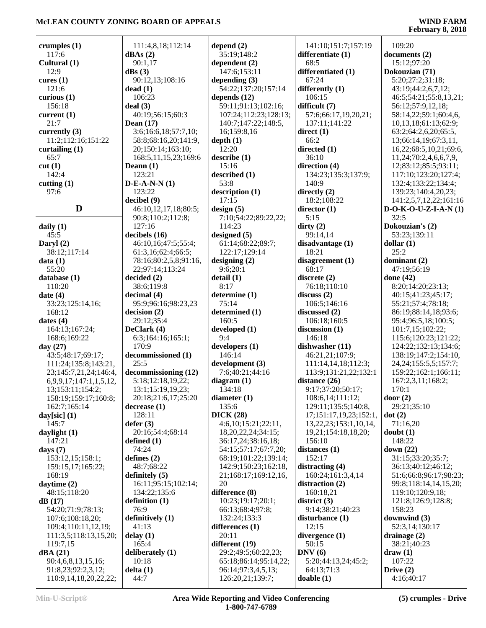| crumples $(1)$                 | 111:4,8,18;112:14      | depend $(2)$                               | 141:10;151:7;157:19         | 109:20                     |
|--------------------------------|------------------------|--------------------------------------------|-----------------------------|----------------------------|
| 117:6                          | dBAs(2)                | 35:19;148:2                                | differentiate (1)           | documents (2)              |
| Cultural (1)                   | 90:1,17                | dependent $(2)$                            | 68:5                        | 15:12;97:20                |
| 12:9                           | dBs(3)                 | 147:6;153:11                               | differentiated (1)          | Dokouzian (71)             |
| cures $(1)$                    | 90:12,13;108:16        | depending $(3)$                            | 67:24                       | 5:20;27:2;31:18;           |
| 121:6                          | dead(1)                | 54:22;137:20;157:14                        | differently (1)             | 43:19;44:2,6,7,12;         |
| curious $(1)$                  | 106:23                 | depends $(12)$                             | 106:15                      | 46:5;54:21;55:8,13,21;     |
| 156:18                         | deal(3)                | 59:11;91:13;102:16;                        | difficult (7)               | 56:12;57:9,12,18;          |
| current $(1)$                  | 40:19;56:15;60:3       | 107:24;112:23;128:13;                      | 57:6;66:17,19,20,21;        | 58:14,22;59:1;60:4,6,      |
| 21:7                           | Dean $(17)$            | 140:7;147:22;148:5,                        | 137:11;141:22               | 10,13,18;61:13;62:9;       |
| currently $(3)$                | 3:6;16:6,18;57:7,10;   | 16;159:8,16                                | direct $(1)$                | 63:2;64:2,6,20;65:5,       |
| 11:2;112:16;151:22             | 58:8;68:16,20;141:9,   | depth(1)                                   | 66:2                        | 13;66:14,19;67:3,11,       |
| curtailing $(1)$               | 20;150:14;163:10;      | 12:20                                      | directed (1)                | 16,22;68:5,10,21;69:6,     |
| 65:7                           | 168:5,11,15,23;169:6   | describe(1)                                | 36:10                       | 11,24;70:2,4,6,6,7,9,      |
| cut(1)                         | Deann $(1)$            | 15:16                                      | direction (4)               | 12;83:12;85:5;93:11;       |
| 142:4                          | 123:21                 | described (1)                              | 134:23;135:3;137:9;         | 117:10;123:20;127:4;       |
| cutting $(1)$                  | $D-E-A-N-N(1)$         | 53:8                                       | 140:9                       | 132:4;133:22;134:4;        |
| 97:6                           | 123:22                 | description (1)                            | directly $(2)$              | 139:23;140:4,20,23;        |
|                                | decibel(9)             | 17:15                                      | 18:2;108:22                 | 141:2,5,7,12,22;161:16     |
| D                              | 46:10,12,17,18;80:5;   | design(5)                                  | director $(1)$              | $D-O-K-O-U-Z-I-A-N(1)$     |
|                                | 90:8;110:2;112:8;      | 7:10;54:22;89:22,22;                       | 5:15                        | 32:5                       |
| daily $(1)$                    | 127:16                 | 114:23                                     | $\text{dirty}(2)$           | Dokouzian's (2)            |
| 45:5                           | decibels $(16)$        | designed $(5)$                             | 99:14,14                    | 53:23;139:11               |
| Daryl $(2)$                    | 46:10,16;47:5;55:4;    | 61:14;68:22;89:7;                          | disadvantage (1)            | dollar(1)                  |
| 38:12;117:14                   | 61:3,16;62:4;66:5;     | 122:17;129:14                              | 18:21                       | 25:2                       |
| data(1)                        | 78:16;80:2,5,8;91:16,  | designing $(2)$                            | disagreement (1)            | dominant (2)               |
| 55:20                          | 22;97:14;113:24        | 9:6;20:1                                   | 68:17                       | 47:19;56:19                |
| database (1)                   | decided (2)            | delta(1)                                   | discrete (2)                | done $(42)$                |
| 110:20                         | 38:6;119:8             | 8:17                                       | 76:18;110:10                | 8:20;14:20;23:13;          |
| date $(4)$                     | decimal(4)             | determine (1)                              | discuss(2)                  | 40:15;41:23;45:17;         |
| 33:23;125:14,16;               | 95:9;96:16;98:23,23    | 75:14                                      | 106:5;146:16                | 55:21;57:4;78:18;          |
| 168:12                         | decision(2)            | determined (1)                             | discussed (2)               | 86:19;88:14,18;93:6;       |
| dates $(4)$                    | 29:12;35:4             | 160:5                                      | 106:18;160:5                | 95:4;96:5,18;100:5;        |
| 164:13;167:24;                 | DeClark (4)            | developed (1)                              | discussion (1)              | 101:7,15;102:22;           |
| 168:6;169:22                   | 6:3;164:16;165:1;      | 9:4                                        | 146:18                      | 115:6;120:23;121:22;       |
| day $(27)$                     | 170:9                  | developers (1)                             | dishwasher (11)             | 124:22;132:13;134:6;       |
| 43:5;48:17;69:17;              | decommissioned (1)     | 146:14                                     | 46:21,21;107:9;             | 138:19;147:2;154:10,       |
| 111:24;135:8;143:21,           | 25:5                   | development (3)                            | 111:14,14,18;112:3;         | 24, 24; 155: 5, 5; 157: 7; |
| 23;145:7,21,24;146:4,          | decommissioning (12)   | 7:6;40:21;44:16                            | 113:9;131:21,22;132:1       | 159:22;162:1;166:11;       |
| 6, 9, 9, 17; 147: 1, 1, 5, 12, | 5:18;12:18,19,22;      | diagram $(1)$                              | distance (26)               | 167:2,3,11;168:2;          |
| 13;153:11;154:2;               | 13:1;15:19,19,23;      | 134:18                                     | 9:17;37:20;50:17;           | 170:1                      |
| 158:19;159:17;160:8;           | 20:18;21:6,17;25:20    | diameter $(1)$                             | 108:6,14;111:12;            | door $(2)$                 |
| 162:7;165:14                   | decrease(1)            | 135:6                                      | 129:11;135:5;140:8,         | 29:21;35:10                |
| day $[sic]$ (1)                | 128:11                 | DICK(28)                                   | 17;151:17,19,23;152:1,      | dot(2)                     |
| 145:7                          | defer(3)               | 4:6,10;15:21;22:11,                        | 13, 22, 23; 153: 1, 10, 14, | 71:16,20                   |
| daylight (1)                   | 20:16;54:4;68:14       | 18, 20, 22, 24; 34: 15;                    | 19,21;154:18,18,20;         | doubt(1)                   |
| 147:21                         | defined $(1)$<br>74:24 | 36:17,24;38:16,18;<br>54:15;57:17;67:7,20; | 156:10                      | 148:22<br>down $(22)$      |
| days $(7)$<br>153:12,15;158:1; | defines $(2)$          | 68:19;101:22;139:14;                       | distances (1)<br>152:17     | 31:15;33:20;35:7;          |
|                                | 48:7;68:22             | 142:9;150:23;162:18,                       | distracting (4)             | 36:13;40:12;46:12;         |
| 159:15,17;165:22;<br>168:19    | definitely $(5)$       | 21;168:17;169:12,16,                       | 160:24;161:3,4,14           | 51:6;66:8;96:17;98:23;     |
| daytime $(2)$                  | 16:11;95:15;102:14;    | 20                                         | distraction (2)             | 99:8;118:14,14,15,20;      |
| 48:15;118:20                   | 134:22;135:6           | difference (8)                             | 160:18,21                   | 119:10;120:9,18;           |
| dB(17)                         | definition $(1)$       | 10:23;19:17;20:1;                          | district $(3)$              | 121:8;126:9;128:8;         |
| 54:20;71:9;78:13;              | 76:9                   | 66:13;68:4;97:8;                           | 9:14;38:21;40:23            | 158:23                     |
| 107:6;108:18,20;               | definitively (1)       | 132:24;133:3                               | disturbance (1)             | downwind (3)               |
| 109:4;110:11,12,19;            | 41:13                  | differences (1)                            | 12:15                       | 52:3,14;130:17             |
| 111:3,5;118:13,15,20;          | delay(1)               | 20:11                                      | divergence $(1)$            | drainage $(2)$             |
| 119:7,15                       | 165:4                  | different (19)                             | 50:15                       | 38:21;40:23                |
| dBA(21)                        | deliberately (1)       | 29:2;49:5;60:22,23;                        | DNV(6)                      | $draw (1)$                 |
| 90:4,6,8,13,15,16;             | 10:18                  | 65:18;86:14;95:14,22;                      | 5:20;44:13,24;45:2;         | 107:22                     |
| 91:8,23;92:2,3,12;             | delta(1)               | 96:14;97:3,4,5,13;                         | 64:13;71:3                  | Drive $(2)$                |
| 110:9,14,18,20,22,22;          | 44:7                   | 126:20,21;139:7;                           | doable(1)                   | 4:16;40:17                 |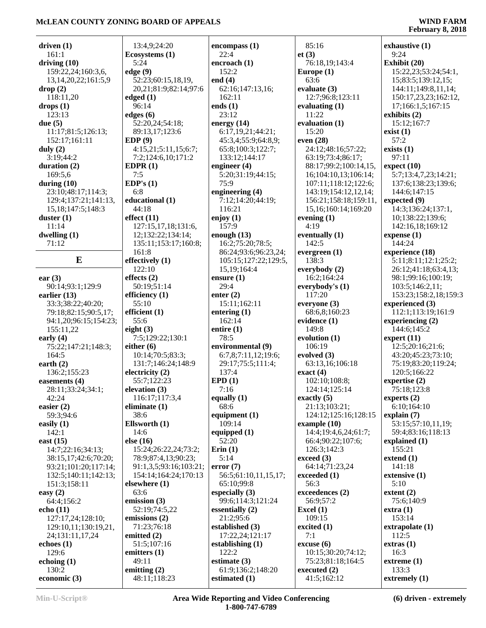| driven $(1)$              | 13:4,9;24:20                   | encompass(1)         | 85:16                    | exhaustive (1)        |
|---------------------------|--------------------------------|----------------------|--------------------------|-----------------------|
| 161:1                     | Ecosystems (1)                 | 22:4                 | et(3)                    | 9:24                  |
| driving $(10)$            | 5:24                           | encroach (1)         | 76:18,19;143:4           | Exhibit (20)          |
| 159:22,24;160:3,6,        | edge(9)                        | 152:2                | Europe $(1)$             | 15:22,23;53:24;54:1,  |
| 13, 14, 20, 22; 161: 5, 9 | 52:23;60:15,18,19,             | end $(4)$            | 63:6                     | 15;83:5;139:12,15;    |
| drop(2)                   | 20,21;81:9;82:14;97:6          | 62:16;147:13,16;     | evaluate $(3)$           | 144:11;149:8,11,14;   |
| 118:11,20                 | edged $(1)$                    | 162:11               | 12:7;96:8;123:11         | 150:17,23,23;162:12,  |
| drops(1)                  | 96:14                          | ends $(1)$           | evaluating $(1)$         | 17;166:1,5;167:15     |
| 123:13                    | edges $(6)$                    | 23:12                | 11:22                    | exhibits (2)          |
| due $(5)$                 | 52:20,24;54:18;                | energy $(14)$        | evaluation (1)           | 15:12;167:7           |
| 11:17;81:5;126:13;        | 89:13,17;123:6                 | 6:17,19,21;44:21;    | 15:20                    | exist(1)              |
| 152:17;161:11             | EDP(9)                         | 45:3,4;55:9;64:8,9;  | even $(28)$              | 57:2                  |
| duly $(2)$                | 4:15,21;5:11,15;6:7;           | 65:8;100:3;122:7;    | 24:12;48:16;57:22;       | exists $(1)$          |
| 3:19;44:2                 | 7:2;124:6,10;171:2             | 133:12;144:17        | 63:19;73:4;86:17;        | 97:11                 |
| duration $(2)$            | EDPR $(1)$                     | engineer $(4)$       | 88:17;99:2;100:14,15,    | expect $(10)$         |
| 169:5,6                   | 7:5                            | 5:20;31:19;44:15;    | 16;104:10,13;106:14;     |                       |
|                           | EDP's $(1)$                    | 75:9                 |                          | 5:7;13:4,7,23;14:21;  |
| during $(10)$             |                                |                      | 107:11;118:12;122:6;     | 137:6;138:23;139:6;   |
| 23:10;48:17;114:3;        | 6:8                            | engineering (4)      | 143:19;154:12,12,14;     | 144:6;147:15          |
| 129:4;137:21;141:13,      | educational (1)                | 7:12;14:20;44:19;    | 156:21;158:18;159:11,    | expected (9)          |
| 15, 18; 147: 5; 148: 3    | 44:18                          | 116:21               | 15, 16; 160: 14; 169: 20 | 14:3;136:24;137:1,    |
| duster $(1)$              | effect $(11)$                  | enjoy $(1)$          | evening $(1)$            | 10;138:22;139:6;      |
| 11:14                     | 127:15,17,18;131:6,            | 157:9                | 4:19                     | 142:16,18;169:12      |
| dwelling $(1)$            | 12;132:22;134:14;              | enough $(13)$        | eventually (1)           | expense $(1)$         |
| 71:12                     | 135:11;153:17;160:8;           | 16:2;75:20;78:5;     | 142:5                    | 144:24                |
|                           | 161:8                          | 86:24;93:6;96:23,24; | evergreen $(1)$          | experience (18)       |
| E                         | effectively (1)                | 105:15;127:22;129:5, | 138:3                    | 5:11;8:11;12:1;25:2;  |
|                           | 122:10                         | 15, 19; 164: 4       | everybody $(2)$          | 26:12;41:18;63:4,13;  |
| ear $(3)$                 | effects $(2)$                  | ensure $(1)$         | 16:2;164:24              | 98:1;99:16;100:19;    |
| 90:14;93:1;129:9          | 50:19;51:14                    | 29:4                 | everybody's (1)          | 103:5;146:2,11;       |
| earlier $(13)$            | efficiency (1)                 | enter $(2)$          | 117:20                   | 153:23;158:2,18;159:3 |
| 33:3;38:22;40:20;         | 55:10                          | 15:11;162:11         | everyone (3)             | experienced (3)       |
| 79:18;82:15;90:5,17;      | efficient $(1)$                | entering $(1)$       | 68:6,8;160:23            | 112:1;113:19;161:9    |
| 94:1,20;96:15;154:23;     | 55:6                           | 162:14               | evidence (1)             | experiencing $(2)$    |
| 155:11,22                 | eight $(3)$                    | entire $(1)$         | 149:8                    | 144:6;145:2           |
| early $(4)$               | 7:5;129:22;130:1               | 78:5                 | evolution (1)            | expert $(11)$         |
| 75:22;147:21;148:3;       | either $(6)$                   | environmental (9)    | 106:19                   | 12:5;20:16;21:6;      |
| 164:5                     | 10:14;70:5;83:3;               | 6:7,8;7:11,12;19:6;  | evolved $(3)$            | 43:20;45:23;73:10;    |
| earth $(2)$               | 131:7;146:24;148:9             | 29:17;75:5;111:4;    | 63:13,16;106:18          | 75:19;83:20;119:24;   |
| 136:2;155:23              | electricity (2)                | 137:4                | exact(4)                 | 120:5;166:22          |
| easements (4)             | 55:7;122:23                    | EPD(1)               | 102:10;108:8;            | expertise $(2)$       |
| 28:11;33:24;34:1;         | elevation $(3)$                | 7:16                 | 124:14;125:14            | 75:18;123:8           |
| 42:24                     | 116:17;117:3,4                 | equally $(1)$        | exactly $(5)$            | experts $(2)$         |
| easier $(2)$              | eliminate $(1)$                | 68:6                 | 21:13;103:21;            | 6:10;164:10           |
| 59:3;94:6                 | 38:6                           | equipment $(1)$      | 124:12;125:16;128:15     | explain $(7)$         |
| easily $(1)$              | Ellsworth $(1)$                | 109:14               | example $(10)$           | 53:15;57:10,11,19;    |
| 142:1                     | 14:6                           | equipped $(1)$       | 14:4;19:4,6,24;61:7;     | 59:4;83:16;118:13     |
| east $(15)$               | else $(16)$                    | 52:20                | 66:4;90:22;107:6;        | explained (1)         |
| 14:7;22:16;34:13;         | 15:24;26:22,24;73:2;           | Erin(1)              | 126:3;142:3              | 155:21                |
| 38:15,17;42:6;70:20;      | 78:9;87:4,13;90:23;            | 5:14                 | exceed (3)               | extend $(1)$          |
| 93:21;101:20;117:14;      | 91:1,3,5;93:16;103:21;         | error(7)             | 64:14;71:23,24           | 141:18                |
| 132:5;140:11;142:13;      | 154:14;164:24;170:13           | 56:5;61:10,11,15,17; | exceeded (1)             | extensive (1)         |
| 151:3;158:11              | elsewhere $(1)$                | 65:10;99:8           | 56:3                     | 5:10                  |
| easy $(2)$                | 63:6                           | especially $(3)$     | exceedences (2)          | extent $(2)$          |
| 64:4;156:2                | emission $(3)$                 | 99:6;114:3;121:24    | 56:9;57:2                | 75:6;140:9            |
| echo (11)                 | 52:19;74:5,22                  | essentially $(2)$    | Excel $(1)$              | extra(1)              |
| 127:17,24;128:10;         | emissions (2)                  | 21:2;95:6            | 109:15                   | 153:14                |
|                           | 71:23;76:18                    | established (3)      | excited $(1)$            | extrapolate (1)       |
| 129:10,11;130:19,21,      | emitted (2)                    | 17:22,24;121:17      | 7:1                      | 112:5                 |
| 24;131:11,17,24           |                                |                      |                          |                       |
| echoes $(1)$              | 51:5;107:16                    | establishing (1)     | $\csc{usc}$ (6)          | extras(1)             |
| 129:6                     | emitters $(1)$                 | 122:2                | 10:15;30:20;74:12;       | 16:3                  |
| echoing $(1)$             | 49:11                          | estimate $(3)$       | 75:23;81:18;164:5        | extreme (1)           |
| 130:2<br>economic (3)     | emitting $(2)$<br>48:11;118:23 | 61:9;136:2;148:20    | executed $(2)$           | 133:3                 |
|                           |                                | estimated (1)        | 41:5;162:12              | extremely $(1)$       |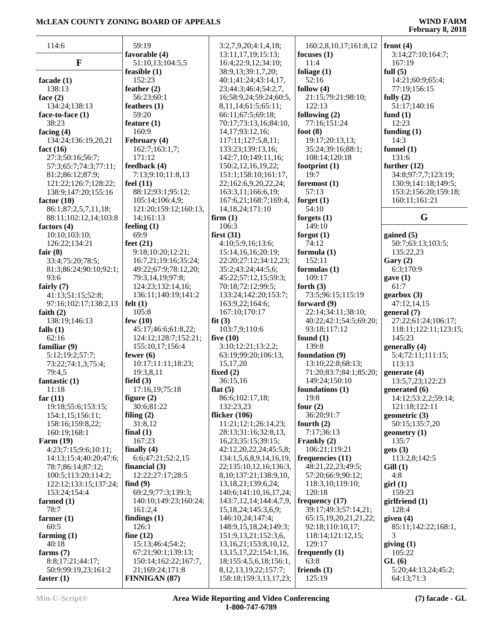| 114:6                    | 59:19                 | 3:2,7,9,20;4:1,4,18;         | 160:2,8,10,17;161:8,12 | front $(4)$              |
|--------------------------|-----------------------|------------------------------|------------------------|--------------------------|
|                          | favorable (4)         | 13:11,17,19;15:13;           | focuses $(1)$          | 3:14;27:10;164:7;        |
| $\mathbf F$              | 51:10,13;104:5,5      | 16:4;22:9,12;34:10;          | 11:4                   | 167:19                   |
|                          | feasible $(1)$        | 38:9,13;39:1,7,20;           | foliage $(1)$          | full $(5)$               |
| facade $(1)$             | 152:23                | 40:1;41:24;43:14,17,         | 52:16                  | 14:21;60:9;65:4;         |
| 138:13                   | feather $(2)$         | 23;44:3;46:4;54:2,7,         | follow $(4)$           | 77:19;156:15             |
| face $(2)$               | 56:23;60:1            | 16;58:9,24;59:24;60:5,       | 21:15;79:21;98:10;     | fully $(2)$              |
| 134:24;138:13            | feathers $(1)$        | 8,11,14;61:5;65:11;          | 122:13                 | 51:17;140:16             |
| face-to-face (1)         | 59:20                 | 66:11;67:5;69:18;            | following $(2)$        | fund $(1)$               |
|                          |                       |                              |                        | 12:23                    |
| 38:23                    | feature $(1)$         | 70:17;73:13,16;84:10,        | 77:16;151:24           |                          |
| facing $(4)$             | 160:9                 | 14, 17; 93: 12, 16;          | foot $(8)$             | funding $(1)$            |
| 134:24;136:19,20,21      | February (4)          | 117:11;127:5,8,11;           | 19:17;20:13,13;        | 14:3                     |
| fact $(16)$              | 162:7;163:1,7;        | 133:23;139:13,16;            | 35:24;39:16;88:1;      | funnel $(1)$             |
| 27:3;50:16;56:7;         | 171:12                | 142:7,10;149:11,16;          | 108:14;120:18          | 131:6                    |
| 57:3;65:7;74:3;77:11;    | feedback (4)          | 150:2, 12, 16, 19, 22;       | footprint $(1)$        | further $(12)$           |
| 81:2;86:12;87:9;         | 7:13;9:10;11:8,13     | 151:1;158:10;161:17,         | 19:7                   | 34:8;97:7,7;123:19;      |
| 121:22;126:7;128:22;     | feel $(11)$           | 22;162:6,9,20,22,24;         | foremost $(1)$         | 130:9;141:18;149:5;      |
| 138:9;147:20;155:16      | 88:12;93:1;95:12;     | 163:3,11;166:6,19;           | 57:13                  | 153:2;156:20;159:18;     |
| factor $(10)$            | 105:14;106:4,9;       | 167:6,21;168:7;169:4,        | forget $(1)$           | 160:11;161:21            |
| 86:1;87:2,5,7,11,18;     | 121:20;159:12;160:13, | 14, 18, 24; 171: 10          | 54:10                  |                          |
| 88:11;102:12,14;103:8    | 14;161:13             | firm(1)                      | forgets $(1)$          | G                        |
| factors $(4)$            | feeling $(1)$         | 106:3                        | 149:10                 |                          |
| 10:10;103:10;            | 69:9                  | first(31)                    | forgot $(1)$           | gained $(5)$             |
| 126:22;134:21            | feet $(21)$           | 4:10;5:9,16;13:6;            | 74:12                  | 50:7;63:13;103:5;        |
| fair $(8)$               | 9:18;10:20;12:21;     | 15:14,16,16;20:19;           | formula $(1)$          | 135:22,23                |
|                          |                       |                              | 152:11                 |                          |
| 33:4;75:20;78:5;         | 16:7,21;19:16;35:24;  | 22:20;27:12;34:12,23;        |                        | Gary $(2)$               |
| 81:3;86:24;90:10;92:1;   | 49:22;67:9;78:12,20;  | 35:2;43:24;44:5,6;           | formulas $(1)$         | 6:3;170:9                |
| 93:6                     | 79:3,14,19;97:8;      | 45:22;57:12,15;59:3;         | 109:17                 | gave(1)                  |
| fairly $(7)$             | 124:23;132:14,16;     | 70:18;72:12;99:5;            | forth $(3)$            | 61:7                     |
| 41:13;51:15;52:8;        | 136:11;140:19;141:2   | 133:24;142:20;153:7;         | 73:5;96:15;115:19      | genbox(3)                |
| 97:16;102:17;138:2,13    | felt $(1)$            | 163:9,22;164:6;              | forward $(9)$          | 47:12,14,15              |
| faith $(2)$              | 105:8                 | 167:10;170:17                | 22:14;34:11;38:10;     | general (7)              |
| 138:19;146:13            | few $(10)$            | fit(3)                       | 40:22;42:1;54:5;69:20; | 27:22;61:24;106:17;      |
| falls $(1)$              | 45:17;46:6;61:8,22;   | 103:7,9;110:6                | 93:18;117:12           | 118:11;122:11;123:15;    |
| 62:16                    | 124:12;128:7;152:21;  | five $(10)$                  | found $(1)$            | 145:23                   |
| familiar $(9)$           | 155:10,17;156:4       | 3:10;12:21;13:2,2;           | 139:8                  | generally (4)            |
| 5:12;19:2;57:7;          | fewer $(6)$           | 63:19;99:20;106:13,          | foundation (9)         | 5:4;72:11;111:15;        |
| 73:22;74:1,3;75:4;       | 10:17;11:11;18:23;    | 15,17,20                     | 13:10;22:8;68:13;      | 113:13                   |
| 79:4,5                   | 19:3,8,11             | fixed $(2)$                  | 71:20;83:7;84:1;85:20; | generate $(4)$           |
|                          | field $(3)$           | 36:15,16                     | 149:24;150:10          | 13:5,7,23;122:23         |
| fantastic $(1)$<br>11:18 |                       |                              |                        |                          |
|                          | 17:16,19;75:18        | flat $(5)$                   | foundations $(1)$      | generated (6)            |
| far $(11)$               | figure $(2)$          | 86:6;102:17,18;              | 19:8                   | 14:12:53:2,2:59:14;      |
| 19:18;55:6;153:15;       | 30:6;81:22            | 132:23,23                    | four $(2)$             | 121:18;122:11            |
| 154:1,15;156:11;         | filing $(2)$          | flicker $(106)$              | 36:20;91:7             | geometric $(3)$          |
| 158:16;159:8,22;         | 31:8,12               | 11:21;12:1;26:14,23;         | fourth $(2)$           | 50:15;135:7,20           |
| 160:19;168:1             | final $(1)$           | 28:13;31:16;32:8,13,         | 7:17;36:13             | geometry $(1)$           |
| Farm $(19)$              | 167:23                | 16,23;35:15;39:15;           | Frankly (2)            | 135:7                    |
| 4:23;7:15;9:6;10:11;     | finally $(4)$         | 42:12,20,22,24;45:5,8;       | 106:21;119:21          | gets(3)                  |
| 14:13:15:4:40:20:47:6:   | 6:6;47:21;52:2,15     | 134:1,5,6,8,9,14,16,19,      | frequencies (11)       | 113:2,8;142:5            |
| 78:7;86:14;87:12;        | financial $(3)$       | 22;135:10,12,16;136:3,       | 48:21,22,23;49:5;      | Gill(1)                  |
| 100:5;113:20;114:2;      | 12:22;27:17;28:5      | 8, 10; 137: 21; 138: 9, 10,  | 57:20;66:9;90:12;      | 4:8                      |
| 122:12;133:15;137:24;    | find $(9)$            | 13, 18, 21; 139: 6, 24;      | 118:3,10;119:10;       | $\operatorname{girl}(1)$ |
| 153:24;154:4             | 69:2,9;77:3;139:3;    | 140:6;141:10,16,17,24;       | 120:18                 | 159:23                   |
| farmed $(1)$             | 140:10;149:23;160:24; | 143:7, 12, 14; 144: 4, 7, 9, | frequency $(17)$       | girlfriend(1)            |
| 78:7                     | 161:2,4               | 15, 18, 24; 145: 3, 6, 9;    | 39:17;49:3;57:14,21;   | 128:4                    |
|                          | findings $(1)$        | 146:10,24;147:4;             | 65:15,19,20,21,21,22;  |                          |
| farmer $(1)$             |                       |                              |                        | given $(4)$              |
| 60:5                     | 126:1                 | 148:9,15,18,24;149:3;        | 92:18;110:10,17;       | 85:11;142:22;168:1,      |
| farming $(1)$            | fine $(12)$           | 151:9, 13, 21; 152: 3, 6,    | 118:14;121:12,15;      | 3                        |
| 40:18                    | 15:13;46:4;54:2;      | 13, 16, 21; 153: 8, 10, 12,  | 129:17                 | giving(1)                |
| farms $(7)$              | 67:21;90:1;139:13;    | 13, 15, 17, 22; 154: 1, 16,  | frequently $(1)$       | 105:22                   |
| 8:8;17:21;44:17;         | 150:14;162:22;167:7,  | 18;155:4,5,6,18;156:1,       | 63:8                   | GL(6)                    |
| 50:9;99:19,23;161:2      | 21;169:24;171:8       | 8, 12, 13, 19, 22; 157: 7;   | friends $(1)$          | 5:20;44:13,24;45:2;      |
| faster $(1)$             | <b>FINNIGAN (87)</b>  | 158:18;159:3,13,17,23;       | 125:19                 | 64:13;71:3               |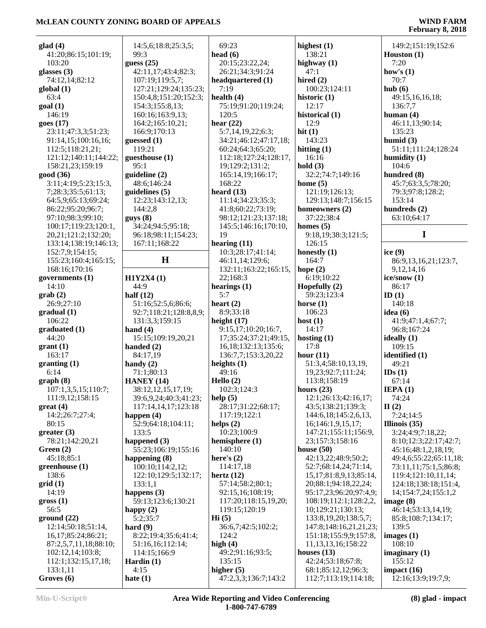| glad(4)               | 14:5,6;18:8;25:3,5;    | 69:23                    | highest $(1)$                 | 149:2;151:19;152:6     |
|-----------------------|------------------------|--------------------------|-------------------------------|------------------------|
| 41:20;86:15;101:19;   | 99:3                   | head $(6)$               | 138:21                        | Houston (1)            |
| 103:20                | guess $(25)$           | 20:15;23:22,24;          | highway (1)                   | 7:20                   |
| glasses $(3)$         | 42:11,17;43:4;82:3;    | 26:21;34:3;91:24         | 47:1                          | how's $(1)$            |
| 74:12,14;82:12        | 107:19;119:5,7;        | headquartered (1)        | hired $(2)$                   | 70:7                   |
| global (1)            | 127:21;129:24;135:23;  | 7:19                     | 100:23;124:11                 | hub(6)                 |
| 63:4                  | 150:4,8;151:20;152:3;  | health $(4)$             | historic $(1)$                | 49:15,16,16,18;        |
| goal(1)               | 154:3;155:8,13;        | 75:19;91:20;119:24;      | 12:17                         | 136:7,7                |
| 146:19                | 160:16;163:9,13;       | 120:5                    | historical (1)                | human $(4)$            |
| goes (17)             | 164:2;165:10,21;       | hear $(22)$              | 12:9                          | 46:11,13;90:14;        |
| 23:11;47:3,3;51:23;   | 166:9;170:13           | 5:7,14,19,22;6:3;        | hit $(1)$                     | 135:23                 |
| 91:14,15;100:16,16;   | guessed (1)            | 34:21;46:12;47:17,18;    | 143:23                        | humid $(3)$            |
| 112:5;118:21,21;      | 119:21                 | 60:24;64:3;65:20;        | hitting $(1)$                 | 51:11;111:24;128:24    |
| 121:12;140:11;144:22; | guesthouse (1)         | 112:18;127:24;128:17,    | 16:16                         | humidity $(1)$         |
| 158:21,23;159:19      | 95:1                   | 19;129:2;131:2;          | hold $(3)$                    | 104:6                  |
| good (36)             | guideline (2)          | 165:14,19;166:17;        | 32:2;74:7;149:16              | hundred (8)            |
| 3:11;4:19;5:23;15:3,  | 48:6;146:24            | 168:22                   | home $(5)$                    | 45:7;63:3,5;78:20;     |
| 7;28:3;35:5;61:13;    | guidelines $(5)$       | heard $(13)$             | 121:19;126:13;                | 79:3;97:8;128:2;       |
| 64:5,9;65:13;69:24;   | 12:23;143:12,13;       | 11:14;34:23;35:3;        | 129:13;148:7;156:15           | 153:14                 |
| 86:22;95:20;96:7;     | 144:2,8                | 41:8;60:22;73:19;        | homeowners (2)                | hundreds (2)           |
| 97:10;98:3;99:10;     | guys(8)                | 98:12;121:23;137:18;     | 37:22;38:4                    | 63:10;64:17            |
| 100:17;119:23;120:1,  | 34:24;94:5;95:18;      | 145:5;146:16;170:10,     | homes $(5)$                   |                        |
| 20,21;121:2;132:20;   | 96:18;98:11;154:23;    | 19                       | 9:18,19;38:3;121:5;           | I                      |
| 133:14;138:19;146:13; | 167:11;168:22          | hearing $(11)$           | 126:15                        |                        |
| 152:7,9;154:15;       |                        | 10:3;28:17;41:14;        | honestly $(1)$                | ice $(9)$              |
| 155:23;160:4;165:15;  | H                      | 46:11,14;129:6;          | 164:7                         | 86:9,13,16,21;123:7,   |
| 168:16;170:16         |                        | 132:11;163:22;165:15,    | hope $(2)$                    | 9, 12, 14, 16          |
| governments $(1)$     | H1Y2X4(1)              | 22;168:3                 | 6:19;10:22                    | ice/snow (1)           |
| 14:10                 | 44:9                   | hearings $(1)$           | Hopefully $(2)$               | 86:17                  |
| $grab(2)$             | half $(12)$            | 5:7                      | 59:23;123:4                   | ID(1)                  |
| 26:9;27:10            | 51:16;52:5,6;86:6;     | heart $(2)$              | horse $(1)$                   | 140:18                 |
| gradual(1)            | 92:7;118:21;128:8,8,9; | 8:9;33:18                | 106:23                        | idea $(6)$             |
| 106:22                | 131:3,3;159:15         | height $(17)$            | host $(1)$                    | 41:9;47:1,4;67:7;      |
| graduated (1)         | hand $(4)$             | 9:15,17;10:20;16:7,      | 14:17                         | 96:8:167:24            |
| 44:20                 | 15:15;109:19,20,21     | 17;35:24;37:21;49:15,    | hosting $(1)$                 | ideally (1)            |
| grant(1)              | handed $(2)$           | 16, 18; 132: 13; 135: 6; | 17:8                          | 109:15                 |
| 163:17                | 84:17,19               | 136:7,7;153:3,20,22      | hour $(11)$                   | identified (1)         |
| granting(1)           | handy $(2)$            | heights $(1)$            | 51:3,4;58:10,13,19,           | 49:21                  |
| 6:14                  | 71:1;80:13             | 49:16                    | 19,23;92:7;111:24;            | IDs(1)                 |
| graph(8)              | HANEY $(14)$           | Hello $(2)$              | 113:8;158:19                  | 67:14                  |
| 107:1,3,5,15;110:7;   | 38:12,12,15,17,19;     | 102:3;124:3              | hours $(23)$                  | IEPA(1)                |
| 111:9,12;158:15       | 39:6,9,24;40:3;41:23;  | help $(5)$               | 12:1;26:13;42:16,17;          | 74:24                  |
| $gr$ eat (4)          | 117:14,14,17;123:18    | 28:17;31:22;68:17;       | 43:5;138:21;139:3;            | II(2)                  |
| 14:2;26:7;27:4;       | happen $(4)$           | 117:19;122:1             | 144:6, 18; 145: 2, 6, 13,     | 7:24;14:5              |
| 80:15                 | 52:9;64:18;104:11;     | helps $(2)$              | 16;146:1,9,15,17;             | Illinois $(35)$        |
| greater(3)            | 133:5                  | 10:23;100:9              | 147:21;155:11;156:9,          | 3:24;4:9;7:18,22;      |
| 78:21;142:20,21       | happened $(3)$         | hemisphere (1)           | 23;157:3;158:16               | 8:10;12:3;22:17;42:7;  |
| Green $(2)$           | 55:23;106:19;155:16    | 140:10                   | house $(50)$                  | 45:16;48:1,2,18,19;    |
| 45:18;85:1            | happening $(8)$        | here's $(2)$             | 42:13,22;48:9;50:2;           | 49:4,6;55:22;65:11,18; |
| greenhouse (1)        | 100:10;114:2,12;       | 114:17,18                | 52:7;68:14,24;71:14,          | 73:11,11;75:1,5;86:8;  |
| 138:6                 | 122:10;129:5;132:17;   | hertz $(12)$             | 15, 17; 81: 8, 9, 13; 85: 14, | 119:4;121:10,11,14;    |
| grid(1)               | 133:1,1                | 57:14;58:2;80:1;         | 20;88:1;94:18,22,24;          | 124:18;138:18;151:4,   |
| 14:19                 | happens $(3)$          | 92:15,16;108:19;         | 95:17,23;96:20;97:4,9;        | 14;154:7,24;155:1,2    |
| $\text{gross} (1)$    | 59:13;123:6;130:21     | 117:20;118:15,19,20;     | 108:19;112:1;128:2,2,         | image $(8)$            |
| 56:5                  | happy $(2)$            | 119:15;120:19            | 10;129:21;130:13;             | 46:14;53:13,14,19;     |
| ground (22)           | 5:2;35:7               | $\mathbf{Hi}$ (5)        | 133:8, 19, 20; 138:5, 7;      | 85:8;108:7;134:17;     |
| 12:14;50:18;51:14,    | hard $(9)$             | 36:6,7;42:5;102:2;       | 147:8;148:16,21,21,23;        | 139:5                  |
| 16,17;85:24;86:21;    | 8:22;19:4;35:6;41:4;   | 124:2                    | 151:18;155:9,9;157:8,         | images (1)             |
| 87:2,5,7,11,18;88:10; | 51:16,16;112:14;       | high $(4)$               | 11, 13, 13, 16; 158: 22       | 108:10                 |
| 102:12,14;103:8;      | 114:15;166:9           | 49:2;91:16;93:5;         | houses $(13)$                 | imaginary $(1)$        |
| 112:1;132:15,17,18;   | Hardin $(1)$           | 135:15                   | 42:24;53:18;67:8;             | 155:12                 |
| 133:1,11              | 4:15                   | higher $(5)$             | 68:1;85:12,12;96:3;           | impact (16)            |
| Groves (6)            | hate $(1)$             | 47:2,3,3;136:7;143:2     | 112:7;113:19;114:18;          | 12:16;13:9;19:7,9;     |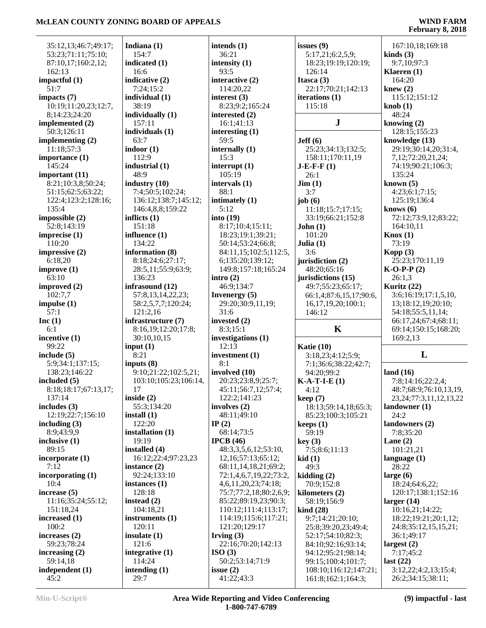| 35:12,13;46:7;49:17;                     | Indi                    |
|------------------------------------------|-------------------------|
| 53:23;71:11;75:10;<br>87:10,17;160:2,12; | 1.5<br>indi             |
| 162:13<br>impactful (1)                  | 16<br>indi              |
| 51:7                                     | 7:                      |
| impacts $(7)$<br>10:19;11:20,23;12:7,    | indi                    |
| 8;14:23;24:20                            | 38<br>indi              |
| implemented (2)                          | 1.5                     |
| 50:3;126:11<br>implementing $(2)$        | indi<br>6 <sup>2</sup>  |
| 11:18;57:3                               | indo                    |
| importance (1)<br>145:24                 | 11<br>indu              |
| important (11)                           | 48                      |
| 8:21;10:3,8;50:24;<br>51:15;62:5;63:22;  | indı<br>7:              |
| 122:4;123:2;128:16;                      | 13                      |
| 135:4<br>impossible (2)                  | 14<br>infli             |
| 52:8;143:19                              | 15                      |
| imprecise (1)<br>110:20                  | inflı                   |
| impressive (2)                           | 13<br>info              |
| 6:18,20                                  | 8:                      |
| improve (1)<br>63:10                     | 28<br>13                |
| improved (2)                             | infra                   |
| 102:7,7<br>impulse $(1)$                 | $5^{\circ}$<br>58       |
| 57:1                                     | 12                      |
| Inc $(1)$<br>6:1                         | infra<br>8:             |
| incentive (1)                            | 3(                      |
| 99:22<br>include (5)                     | inpu<br>8:              |
| 5:9;34:1;137:15;                         | inpu                    |
| 138:23;146:22<br>included (5)            | 9:<br>10                |
| 8:18:18:17;67:13,17;                     | $1^\circ$               |
| 137:14                                   | insio<br>5 <sup>′</sup> |
| includes (3)<br>12:19;22:7;156:10        | insta                   |
| including (3)                            | 12                      |
| 8:9;43:9,9<br>inclusive (1)              | insta<br>19             |
| 89:15                                    | insta                   |
| incorporate (1)<br>7:12                  | 16<br>insta             |
| incorporating $(1)$                      | 92                      |
| 10:4<br>increase (5)                     | insta<br>12             |
| 11:16;35:24;55:12;                       | <i>inst</i>             |
| 151:18,24<br>increased (1)               | 10<br>insti             |
| 100:2                                    | 12                      |
| increases (2)                            | insu                    |
| 59:23;78:24<br>increasing $(2)$          | 12<br>inte              |
| 59:14,18                                 | 11                      |
| independent (1)<br>45:2                  | inter<br>2 <sup>0</sup> |
|                                          |                         |

| Indiana (1)                     | inter           |
|---------------------------------|-----------------|
| 154:7                           | 36              |
| indicated (1)                   | inter           |
| 16:6                            | 93              |
| indicative (2)                  | inter           |
| 7:24;15:2                       | 11              |
| individual (1)                  | inter           |
| 38:19                           | 8:              |
| individually (1)                | inter           |
| 157:11                          | 16              |
| individuals (1)                 | inter           |
| 63:7                            | 59              |
| $\mathbf{indoor}\left(1\right)$ | inter           |
| 112:9                           | 15              |
| industrial (1)                  | inter           |
| 48:9                            | 10              |
| industry (10)                   | inter           |
| 7:4;50:5;102:24;                | 88              |
| 136:12;138:7;145:12;            | intin           |
| 146:4,8,8;159:22                | 5:              |
| inflicts (1)                    | into            |
| 151:18                          | 8:              |
| influence (1)                   | 18              |
| 134:22                          | 50              |
| information (8)                 | 84              |
| 8:18;24:6;27:17;                | 6;              |
| 28:5,11;55:9;63:9;              | 14              |
| 136:23                          | intro           |
| infrasound (12)                 | 46              |
| 57:8,13,14,22,23;               | Inve            |
| 58:2,5,7,7;120:24;              | 29              |
| 121:2,16                        | 31              |
| infrastructure (7)              | inve:           |
| 8:16,19;12:20;17:8;             | 8:              |
| 30:10,10,15                     | inve:           |
| input $(1)$                     | 12              |
| 8:21                            | inve:           |
| inputs (8)                      | 8:              |
| 9:10;21:22;102:5,21;            | invo            |
| 103:10;105:23;106:14,           | 20              |
| 17                              | 45              |
| inside (2)                      | 12              |
| 55:3;134:20                     | invo            |
| install (1)                     | 48              |
| 122:20                          | IP(2)           |
| installation (1)                | 68              |
| 19:19                           | <b>IPC</b>      |
| installed (4)                   | 48              |
| 16:12;22:4;97:23,23             | 12              |
| instance (2)                    | 68              |
| 92:24;133:10                    | 72              |
| instances (1)                   | 4,              |
| 128:18                          | 75              |
| instead (2)                     | 85              |
| 104:18,21                       | 11              |
| instruments (1)                 | 11              |
| 120:11                          | 12              |
| insulate (1)                    | Irvir           |
| 121:6                           | $\overline{22}$ |
| integrative (1)                 | <b>ISO</b>      |
| 114:24                          | 50              |
| intending (1)                   | issue           |
| 29:7                            | 41              |

|    | intends (1)               | issue           |
|----|---------------------------|-----------------|
|    | 36:21                     | 5:1             |
|    |                           |                 |
|    | intensity (1)             | 18              |
|    | 93:5                      | 12 <sub>0</sub> |
|    | interactive (2)           | <b>Itasc</b>    |
|    | 114:20,22                 | 22.             |
|    | interest (3)              | itera           |
|    | 8:23;9:2;165:24           | 11.             |
|    | interested (2)            |                 |
|    | 16:1;41:13                |                 |
|    |                           |                 |
|    | interesting $(1)$         |                 |
|    | 59:5                      | Jeff (          |
|    | internally (1)            | $25^{3}$        |
|    | 15:3                      | 15 <sub>1</sub> |
|    | interrupt (1)             | $J-E-I$         |
|    | 105:19                    | 26              |
|    | intervals (1)             | Jim (           |
|    | 88:1                      |                 |
|    |                           | 3:7             |
|    | intimately (1)            | job (           |
|    | 5:12                      | 11              |
|    | into(19)                  | 33              |
|    | 8:17;10:4;15:11;          | John            |
|    | 18:23;19:1;39:21;         | 10              |
|    | 50:14;53:24;66:8;         | Julia           |
|    | 84:11,15;102:5;112:5,     | 3:6             |
|    |                           |                 |
|    | 6;135:20;139:12;          | juris           |
|    | 149:8;157:18;165:24       | 48              |
|    | intro $(2)$               | <i>juris</i>    |
|    | 46:9;134:7                | 49              |
|    | <b>Invenergy</b> (5)      | 66:             |
|    | 29:20;30:9,11,19;         | 16              |
|    | 31:6                      | 14 <sub>0</sub> |
|    | invested (2)              |                 |
|    |                           |                 |
|    | 8:3;15:1                  |                 |
|    | investigations (1)        |                 |
|    | 12:13                     | Katio           |
|    | investment (1)            | 3:1             |
|    | 8:1                       | 7:1             |
|    | involved (10)             | 94              |
| ŀ, | 20:23;23:8,9;25:7;        | <b>K-A-</b>     |
|    | 45:11;56:7,12;57:4;       | 4:1             |
|    | 122:2;141:23              |                 |
|    |                           | keep            |
|    | involves (2)              | 18              |
|    | 48:11;49:10               | 85 <sub>1</sub> |
|    | IP $(2)$                  | keep:           |
|    | 68:14;73:5                | 59              |
|    | IPCB(46)                  | key (           |
|    | 48:3,3,5,6,12;53:10,      | 7:5             |
|    | 12, 16; 57: 13; 65: 12;   | kid (1          |
|    | 68:11,14,18,21;69:2;      | 49              |
|    | 72:1,4,6,7,19,22;73:2,    | kiddi           |
|    |                           |                 |
|    | 4, 6, 11, 20, 23; 74: 18; | 70              |
|    | 75:7;77:2,18;80:2,6,9;    | kilon           |
|    | 85:22;89:19,23;90:3;      | 58              |
|    | 110:12;111:4;113:17;      | kind            |
|    | 114:19;115:6;117:21;      | 9:7             |
|    | 121:20;129:17             | 25 <sub>i</sub> |
|    | Irving $(3)$              | 52              |
|    | 22:16;70:20;142:13        | 84              |
|    |                           | 94              |
|    | ISO(3)                    |                 |
|    | 50:2;53:14;71:9           | 99              |
|    | issue $(2)$               | 10 <sub>i</sub> |
|    | 41:22;43:3                | 16              |

|                                             | ັ                                         |
|---------------------------------------------|-------------------------------------------|
| issues (9)                                  | 167:10,18;169:18                          |
| 5:17,21;6:2,5,9;                            | kinds $(3)$                               |
| 18:23;19:19;120:19;                         | 9:7,10;97:3                               |
| 126:14                                      | Klaeren (1)                               |
| Itasca (3)                                  | 164:20                                    |
| 22:17;70:21;142:13                          | knew $(2)$                                |
| iterations (1)                              | 115:12;151:12                             |
| 115:18                                      | knob(1)                                   |
|                                             | 48:24                                     |
| ${\bf J}$                                   | knowing $(2)$                             |
|                                             | 128:15;155:23                             |
| Jeff(6)                                     | knowledge (13)                            |
| 25:23;34:13;132:5;                          | 29:19;30:14,20;31:4,                      |
| 158:11;170:11,19                            | 7,12;72:20,21,24;                         |
| <b>J-E-F-F</b> (1)                          | 74:19;90:21;106:3;                        |
| 26:1                                        | 135:24                                    |
| $\text{Jim} (1)$                            | known $(5)$                               |
| 3:7                                         | 4:23;6:1;7:15;                            |
| job (6)                                     | 125:19;136:4                              |
| 11:18;15:7;17:15;                           | knows $(6)$                               |
| 33:19;66:21;152:8                           | 72:12;73:9,12;83:22;                      |
| John(1)                                     | 164:10,11                                 |
| 101:20                                      | Knox(1)                                   |
| Julia (1)                                   | 73:19                                     |
| 3:6                                         | Kopp $(3)$                                |
| jurisdiction (2)                            | 25:23;170:11,19                           |
| 48:20;65:16                                 | $K-O-P-P(2)$                              |
| jurisdictions (15)                          | 26:1,3                                    |
| 49:7;55:23;65:17;                           | Kuritz (22)                               |
| 66:1,4;87:6,15,17;90:6,                     | 3:6;16:19;17:1,5,10,                      |
| 16,17,19,20;100:1;                          | 13;18:12,19;20:10;                        |
| 146:12                                      | 54:18;55:5,11,14;                         |
|                                             | 66:17,24;67:4;68:11;                      |
| K                                           | 69:14;150:15;168:20;                      |
|                                             | 169:2,13                                  |
| <b>Katie (10)</b>                           |                                           |
| 3:18,23;4:12;5:9;                           | L                                         |
| 7:1;36:6;38:22;42:7;                        |                                           |
| 94:20;99:2                                  | land $(16)$                               |
| $K-A-T-I-E(1)$                              | 7:8;14:16;22:2,4;                         |
| 4:12                                        | 48:7;68:9;76:10,13,19,                    |
| keep (7)                                    | 23, 24; 77: 3, 11, 12, 13, 22             |
| 18:13;59:14,18;65:3;                        |                                           |
|                                             | landowner (1)                             |
| 85:23;100:3;105:21                          | 24:2                                      |
|                                             | landowners (2)                            |
| keeps (1)<br>59:19                          | 7:8;35:20                                 |
|                                             |                                           |
| key (3)                                     | Lane $(2)$                                |
| 7:5;8:6;11:13                               | 101:21,21                                 |
| kid (1)<br>49:3                             | language (1)<br>28:22                     |
|                                             | large $(6)$                               |
| 70:9;152:8                                  | 18:24;64:6,22;                            |
|                                             | 120:17;138:1;152:16                       |
|                                             |                                           |
| 58:19;156:9                                 | larger $(14)$                             |
| kidding (2)<br>kilometers (2)<br>kind (28)  | 10:16,21;14:22;                           |
| 9:7;14:21;20:10;                            | 18:22;19:21;20:1,12;                      |
| 25:8;39:20,23;49:4;                         | 24:8;35:12,15,15,21;                      |
| 52:17;54:10;82:3;                           | 36:1;49:17                                |
| 84:10;92:16;93:14;                          | largest $(2)$                             |
| 94:12;95:21;98:14;                          | 7:17;45:2                                 |
| 99:15;100:4;101:7;                          | last $(22)$                               |
| 108:10;116:12;147:21;<br>161:8;162:1;164:3; | 3:12,22;4:2,13;15:4;<br>26:2;34:15;38:11; |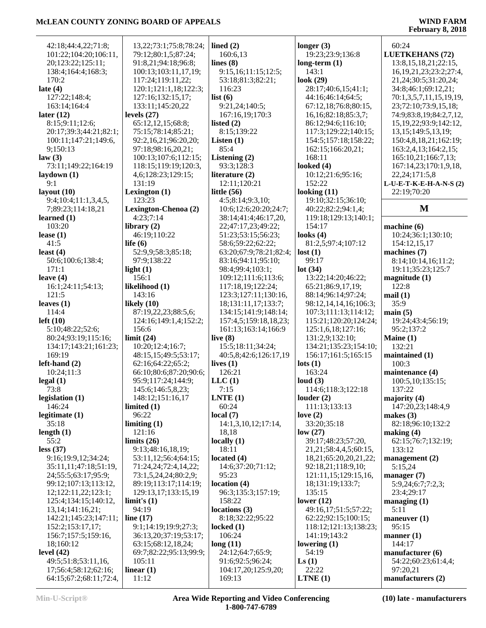| 42:18:44:4.22:71:8:    | 13, 22; 73: 1; 75: 8; 78: 24; | lined $(2)$            | longer $(3)$                 | 60:24                         |
|------------------------|-------------------------------|------------------------|------------------------------|-------------------------------|
| 101:22;104:20;106:11,  | 79:12;80:1,5;87:24;           | 160:6,13               | 19:23;23:9;136:8             | <b>LUETKEHANS (72)</b>        |
|                        |                               |                        |                              |                               |
| 20;123:22;125:11;      | 91:8,21;94:18;96:8;           | lines $(8)$            | long-term $(1)$              | 13:8, 15, 18, 21; 22: 15,     |
| 138:4;164:4;168:3;     | 100:13;103:11,17,19;          | 9:15,16;11:15;12:5;    | 143:1                        | 16, 19, 21, 23, 23: 2; 27: 4, |
| 170:2                  | 117:24;119:11,22;             | 53:18;81:3;82:21;      | look $(29)$                  | 21, 24; 30: 5; 31: 20, 24;    |
| late $(4)$             | 120:1;121:1,18;122:3;         | 116:23                 | 28:17;40:6,15;41:1;          | 34:8;46:1;69:12,21;           |
| 127:22;148:4;          | 127:16;132:15,17;             | list $(6)$             | 44:16;46:14;64:5;            | 70:1,3,5,7,11,15,19,19,       |
| 163:14;164:4           | 133:11;145:20,22              | 9:21,24;140:5;         |                              | 23;72:10;73:9,15,18;          |
|                        |                               |                        | 67:12,18;76:8;80:15,         |                               |
| later $(12)$           | levels $(27)$                 | 167:16,19;170:3        | 16, 16; 82: 18; 85: 3, 7;    | 74:9;83:8,19;84:2,7,12,       |
| 8:15;9:11;12:6;        | 65:12,12,15;68:8;             | listed $(2)$           | 86:12;94:6;116:10;           | 15, 19, 22; 93: 9; 142: 12,   |
| 20:17;39:3;44:21;82:1; | 75:15:78:14:85:21:            | 8:15;139:22            | 117:3;129:22;140:15;         | 13, 15; 149: 5, 13, 19;       |
| 100:11;147:21;149:6,   | 92:2,16,21;96:20,20;          | Listen $(1)$           | 154:5;157:18;158:22;         | 150:4,8,18,21;162:19;         |
| 9;150:13               | 97:18:98:16,20,21;            | 85:4                   | 162:15;166:20,21;            | 163:2,4,13;164:2,15;          |
| law(3)                 | 100:13;107:6;112:15;          | Listening $(2)$        | 168:11                       | 165:10,21;166:7,13;           |
| 73:11;149:22;164:19    | 118:15;119:19;120:3,          | 93:3;128:3             | looked $(4)$                 | 167:14,23;170:1,9,18,         |
|                        |                               |                        |                              |                               |
| laydown $(1)$          | 4,6;128:23;129:15;            | literature (2)         | 10:12;21:6;95:16;            | 22, 24; 171: 5, 8             |
| 9:1                    | 131:19                        | 12:11;120:21           | 152:22                       | L-U-E-T-K-E-H-A-N-S(2)        |
| layout $(10)$          | Lexington $(1)$               | little $(56)$          | looking $(11)$               | 22:19;70:20                   |
| 9:4;10:4;11:1,3,4,5,   | 123:23                        | 4:5;8:14;9:3,10;       | 19:10;32:15;36:10;           |                               |
| 7;89:23;114:18,21      | Lexington-Chenoa (2)          | 10:6;12:6;20:20;24:7;  | 40:22;82:2;94:1,4;           | M                             |
| learned $(1)$          | 4:23;7:14                     | 38:14;41:4;46:17,20,   | 119:18;129:13;140:1;         |                               |
| 103:20                 | library $(2)$                 | 22;47:17,23;49:22;     | 154:17                       | machine (6)                   |
| lease $(1)$            | 46:19;110:22                  | 51:23;53:15;56:23;     | looks $(4)$                  | 10:24;36:1;130:10;            |
|                        |                               | 58:6:59:22:62:22;      |                              |                               |
| 41:5                   | life $(6)$                    |                        | 81:2,5;97:4;107:12           | 154:12,15,17                  |
| least $(4)$            | 52:9,9;58:3;85:18;            | 63:20;67:9;78:21;82:4; | lost(1)                      | machines (7)                  |
| 50:6;100:6;138:4;      | 97:9;138:22                   | 83:16;94:11;95:10;     | 99:17                        | 8:14;10:14,16;11:2;           |
| 171:1                  | light $(1)$                   | 98:4;99:4;103:1;       | lot(34)                      | 19:11;35:23;125:7             |
| leave $(4)$            | 156:1                         | 109:12;111:6;113:6;    | 13:22;14:20;46:22;           | magnitude(1)                  |
| 16:1;24:11;54:13;      | likelihood (1)                | 117:18,19;122:24;      | 65:21;86:9,17,19;            | 122:8                         |
| 121:5                  | 143:16                        | 123:3;127:11;130:16,   | 88:14;96:14;97:24;           | mail(1)                       |
| leaves $(1)$           | likely $(10)$                 | 18;131:11,17;133:7;    | 98:12, 14, 14, 16; 106:3;    | 35:9                          |
| 114:4                  | 87:19,22,23;88:5,6;           | 134:15;141:9;148:14;   | 107:3;111:13;114:12;         | main(5)                       |
|                        |                               |                        |                              |                               |
| left(10)               | 124:16;149:1,4;152:2;         | 157:4,5;159:18,18,23;  | 115:21;120:20;124:24;        | 19:24;43:4;56:19;             |
| 5:10;48:22;52:6;       | 156:6                         | 161:13;163:14;166:9    | 125:1,6,18;127:16;           | 95:2;137:2                    |
| 80:24;93:19;115:16;    | limit(24)                     | live $(8)$             | 131:2,9;132:10;              | Maine (1)                     |
| 134:17;143:21;161:23;  | 10:20;12:4;16:7;              | 15:5;18:11;34:24;      | 134:21;135:23;154:10;        | 132:21                        |
| 169:19                 | 48:15,15;49:5;53:17;          | 40:5,8;42:6;126:17,19  | 156:17;161:5;165:15          | maintained (1)                |
| $left-hand(2)$         | 62:16;64:22;65:2;             | lives $(1)$            | $\text{lots}$ (1)            | 100:3                         |
| 10:24;11:3             | 66:10;80:6;87:20;90:6;        | 126:21                 | 163:24                       | maintenance (4)               |
| legal(1)               | 95:9;117:24;144:9;            | LLC(1)                 | loud $(3)$                   | 100:5, 10; 135:15;            |
| 73:8                   | 145:6;146:5,8,23;             | 7:15                   | 114:6;118:3;122:18           | 137:22                        |
|                        |                               |                        |                              |                               |
| legislation $(1)$      | 148:12;151:16,17              | LNTE(1)                | louder $(2)$                 | majority $(4)$                |
| 146:24                 | limited $(1)$                 | 60:24                  | 111:13;133:13                | 147:20,23;148:4,9             |
| legitimate $(1)$       | 96:22                         | local(7)               | love $(2)$                   | makes $(3)$                   |
| 35:18                  | limiting $(1)$                | 14:1,3,10,12;17:14,    | 33:20;35:18                  | 82:18;96:10;132:2             |
| length $(1)$           | 121:16                        | 18,18                  | low(27)                      | making $(4)$                  |
| 55:2                   | limits $(26)$                 | locally $(1)$          | 39:17;48:23;57:20,           | 62:15;76:7;132:19;            |
| less (37)              | 9:13;48:16,18,19;             | 18:11                  | 21, 21, 58: 4, 4, 5; 60: 15, | 133:12                        |
| 9:16;19:9,12;34:24;    | 53:11,12;56:4;64:15;          | located $(4)$          | 18,21;65:20,20,21,22;        | management $(2)$              |
| 35:11,11;47:18;51:19,  | 71:24,24;72:4,14,22;          | 14:6;37:20;71:12;      | 92:18,21;118:9,10;           | 5:15,24                       |
|                        |                               | 95:23                  | 121:11,15;129:15,16,         |                               |
| 24;55:5;63:17;95:9;    | 73:1,5,24,24;80:2,9;          |                        |                              | manager (7)                   |
| 99:12;107:13;113:12,   | 89:19;113:17;114:19;          | location (4)           | 18;131:19;133:7;             | 5:9,24;6:7;7:2,3;             |
| 12;122:11,22;123:1;    | 129:13,17;133:15,19           | 96:3;135:3;157:19;     | 135:15                       | 23:4;29:17                    |
| 125:4;134:15;140:12,   | limit's (1)                   | 158:22                 | lower $(12)$                 | managing $(1)$                |
| 13,14;141:16,21;       | 94:19                         | locations(3)           | 49:16,17;51:5;57:22;         | 5:11                          |
| 142:21;145:23;147:11;  | line $(17)$                   | 8:18;32:22;95:22       | 62:22;92:15;100:15;          | maneuver (1)                  |
| 152:2;153:17,17;       | 9:1;14:19;19:9;27:3;          | locked $(1)$           | 118:12;121:13;138:23;        | 95:15                         |
| 156:7;157:5;159:16,    | 36:13,20;37:19;53:17;         | 106:24                 | 141:19;143:2                 | manner $(1)$                  |
| 18;160:12              | 63:15;68:12,18,24;            | long(11)               | lowering $(1)$               | 144:17                        |
| level $(42)$           | 69:7;82:22;95:13;99:9;        | 24:12;64:7;65:9;       | 54:19                        | manufacturer (6)              |
|                        |                               |                        |                              |                               |
| 49:5;51:8;53:11,16,    | 105:11                        | 91:6;92:5;96:24;       | $\mathbf{L}\mathbf{s}$ (1)   | 54:22;60:23;61:4,4;           |
| 17;56:4;58:12;62:16;   | linear $(1)$                  | 104:17,20;125:9,20;    | 22:22                        | 97:20,21                      |
| 64:15;67:2;68:11;72:4, | 11:12                         | 169:13                 | LTNE(1)                      | manufacturers (2)             |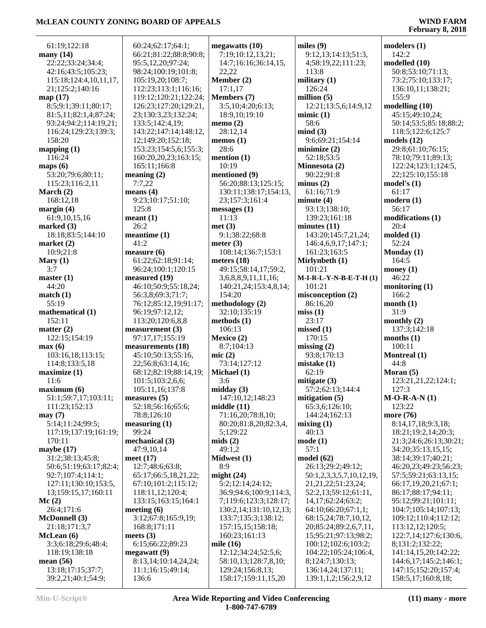÷

| 61:19;122:18           | 60:24;62:17;64:1;      | megawatts(10)          | miles $(9)$              | modelers(1)                        |
|------------------------|------------------------|------------------------|--------------------------|------------------------------------|
| many (14)              | 66:21;81:22;88:8;90:8; | 7:19;10:12,13,21;      | 9:12,13;14:13;51:3,      | 142:2                              |
| 22:22;33:24;34:4;      | 95:5,12,20;97:24;      | 14:7;16:16;36:14,15,   | 4;58:19,22;111:23;       | modelled (10)                      |
| 42:16;43:5;105:23;     | 98:24;100:19;101:8;    | 22,22                  | 113:8                    | 50:8;53:10;71:13;                  |
| 115:18;124:4,10,11,17, | 105:19,20;108:7;       | Member (2)             | military $(1)$           | 73:2;75:10;133:17;                 |
| 21;125:2;140:16        | 112:23;113:1;116:16;   | 17:1,17                | 126:24                   | 136:10,11;138:21;                  |
| map (17)               | 119:12;120:21;122:24;  | Members (7)            | million $(5)$            | 155:9                              |
| 8:5;9:1;39:11;80:17;   | 126:23;127:20;129:21,  | 3:5,10;4:20;6:13;      | 12:21;13:5,6;14:9,12     | modelling (10)                     |
| 81:5,11;82:1,4;87:24;  | 23;130:3,23;132:24;    | 18:9,10;19:10          | minic(1)                 | 45:15;49:10,24;                    |
| 93:24;94:2;114:19,21;  | 133:5;142:4,19;        | memo $(2)$             | 58:6                     | 50:14;53:5;85:18;88:2;             |
| 116:24;129:23;139:3;   | 143:22;147:14;148:12,  | 28:12,14               | mind(3)                  | 118:5;122:6;125:7                  |
| 158:20                 | 12;149:20;152:18;      | memos $(1)$            | 9:6;69:21;154:14         | models $(12)$                      |
| mapping(1)             | 153:23;154:5,6;155:3;  | 28:6                   | minimize $(2)$           | 29:8;61:10;76:15;                  |
| 116:24                 | 160:20,20,23;163:15;   | mention $(1)$          | 52:18;53:5               | 78:10;79:11;89:13;                 |
| maps $(6)$             | 165:11;166:8           | 10:19                  | Minnesota (2)            | 122:24;123:1;124:5,                |
| 53:20;79:6;80:11;      | meaning $(2)$          | mentioned (9)          | 90:22;91:8               | 22;125:10;155:18                   |
| 115:23;116:2,11        | 7:7,22                 | 56:20;88:13;125:15;    | minus(2)                 | model's $(1)$                      |
| March (2)              | means $(4)$            | 130:11;138:17;154:13,  | 61:16;71:9               | 61:17                              |
| 168:12,18              | 9:23;10:17;51:10;      | 23;157:3;161:4         | minute(4)                | modern(1)                          |
| margin (4)             | 125:8                  | messages(1)            | 93:13;138:10;            | 56:17                              |
| 61:9,10,15,16          | meant(1)               | 11:13                  | 139:23:161:18            | modifications (1)                  |
| marked (3)             | 26:2                   | met(3)                 | minutes(11)              | 20:4                               |
| 18:18:83:5:144:10      | meantime(1)            | 9:1;38:22;68:8         | 143:20;145:7,21,24;      | $\boldsymbol{\mathrm{molded}}$ (1) |
| market (2)             | 41:2                   | meter $(3)$            | 146:4,6,9,17;147:1;      | 52:24                              |
| 10:9:21:8              | measure $(6)$          | 108:14;136:7;153:1     | 161:23;163:5             | Monday $(1)$                       |
| Mary $(1)$             | 61:22;62:18;91:14;     | meters $(18)$          | Mirlynbeth (1)           | 164:5                              |
| 3:7                    | 96:24;100:1;120:15     | 49:15;58:14,17;59:2,   | 101:21                   | money $(1)$                        |
| master(1)              | measured (19)          | 3,6,8,8,9,11,11,16;    | $M-I-R-L-Y-N-B-E-T-H(1)$ | 46:22                              |
| 44:20                  | 46:10;50:9;55:18,24;   | 140:21,24;153:4,8,14;  | 101:21                   | monitoring $(1)$                   |
| match(1)               | 56:3,8;69:3;71:7;      | 154:20                 | misconception (2)        | 166:2                              |
| 55:19                  | 76:12;85:12,19;91:17;  | methodology (2)        | 86:16,20                 | month(1)                           |
| mathematical (1)       | 96:19;97:12,12;        | 32:10;135:19           | miss(1)                  | 31:9                               |
| 152:11                 | 113:20;120:6,8,8       | methods (1)            | 23:17                    | monthly (2)                        |
| matter $(2)$           | measurement (3)        | 106:13                 | missed(1)                | 137:3;142:18                       |
| 122:15;154:19          | 97:17,17;155:19        | Mexico $(2)$           | 170:15                   | months $(1)$                       |
| max(6)                 | measurements (18)      | 8:7;104:13             | missing $(2)$            | 100:11                             |
| 103:16,18;113:15;      | 45:10;50:13;55:16,     | mic(2)                 | 93:8;170:13              | Montreal (1)                       |
| 114:8;133:5,18         | 22;56:8;63:14,16;      | 73:14;127:12           | mistake(1)               | 44:8                               |
| maximize (1)           | 68:12;82:19;88:14,19;  | Michael (1)            | 62:19                    | Moran $(5)$                        |
| 11:6                   | 101:5;103:2,6,6;       | 3:6                    | mitigate $(3)$           | 123:21,21,22;124:1;                |
| maximum (6)            | 105:11,16:137:8        | midday $(3)$           | 57:2:62:13:144:4         | 127:3                              |
| 51:1;59:7,17;103:11;   | measures $(5)$         | 147:10,12;148:23       | mitigation (5)           | $M-O-R-A-N(1)$                     |
| 111:23;152:13          | 52:18;56:16;65:6;      | middle $(11)$          | 65:3,6;126:10;           | 123:22                             |
| may(7)                 | 78:8;126:10            | 71:16,20;78:8,10;      | 144:24;162:13            | more (76)                          |
| 5:14;11:24;99:5;       | measuring (1)          | 80:20;81:8,20;82:3,4,  | mixing(1)                | 8:14,17,18;9:3,18;                 |
| 117:19;137:19;161:19;  | 99:24                  | 5;129:22               | 40:13                    | 18:21;19:2,14;20:3;                |
| 170:11                 | mechanical (3)         | mids(2)                | mode(1)                  | 21:3;24:6;26:13;30:21;             |
| maybe (17)             | 47:9,10,14             | 49:1,2                 | 57:1                     | 34:20;35:13,15,15;                 |
| 31:2;38:13;45:8;       | meet $(17)$            | Midwest (1)            | model(62)                | 38:14;39:17;40:21;                 |
| 50:6;51:19;63:17;82:4; | 12:7;48:6;63:8;        | 8:9                    | 26:13;29:2;49:12;        | 46:20,23;49:23;56:23;              |
| 92:7;107:4;114:1;      | 65:17;66:5,18,21,22;   | might $(24)$           | 50:1,2,3,3,5,7,10,12,19, | 57:5;59:21;63:13,15;               |
| 127:11;130:10;153:5,   | 67:10;101:2;115:12;    | 5:2;12:14;24:12;       | 21, 21, 22; 51: 23, 24;  | 66:17,19,20,21;67:1;               |
| 13;159:15,17;160:11    | 118:11,12;120:4;       | 36:9;94:6;100:9;114:3, | 52:2,13;59:12;61:11,     | 86:17;88:17;94:11;                 |
| Mc (2)                 | 133:15;163:15;164:1    | 7;119:6;123:3;128:17;  | 14,17;62:24;63:2;        | 95:12;99:21;101:11;                |
| 26:4;171:6             | meeting $(6)$          | 130:2,14;131:10,12,13; | 64:10;66:20;67:1,1;      | 104:7;105:14;107:13;               |
| <b>McDonnell (3)</b>   | 3:12;67:8;165:9,19;    | 133:7;135:3;138:12;    | 68:15,24;78:7,10,12,     | 109:12;110:4;112:12;               |
| 21:18;171:3,7          | 168:8;171:11           | 157:15,15;158:18;      | 20;85:24;89:2,6,7,11,    | 113:12,12;120:5;                   |
| McLean (6)             | meets $(3)$            | 160:23;161:13          | 15;95:21;97:13;98:2;     | 122:7,14;127:6;130:6,              |
| 3:3;6:18;29:6;48:4;    | 6:15;66:22;89:23       | mile $(16)$            | 100:12;102:6;103:2;      | 8;131:2;132:22;                    |
| 118:19;138:18          | megawatt(9)            | 12:12;34:24;52:5,6;    | 104:22;105:24;106:4,     | 141:14,15,20;142:22;               |
| mean (56)              | 8:13,14;10:14,24,24;   | 58:10,13;128:7,8,10;   | 8;124:7;130:13;          | 144:6,17;145:2;146:1;              |
| 13:18;17:15;37:7;      | 11:1;16:15;49:14;      | 129:24;156:8,13;       | 136:14,24;137:11;        | 147:15;152:20;157:4;               |
| 39:2,21;40:1;54:9;     | 136:6                  | 158:17;159:11,15,20    | 139:1,1,2;156:2,9,12     | 158:5,17;160:8,18;                 |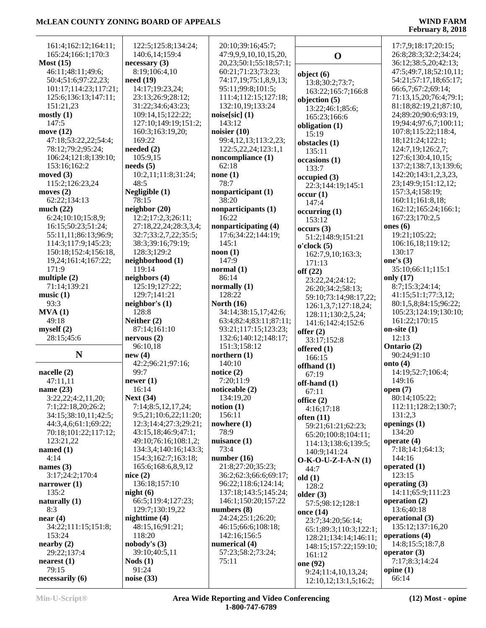L,

| 161:4;162:12;164:11;<br>165:24;166:1;170:3 | 122:5;125:8;134:24;<br>140:6,14;159:4 | 20:10;39:16;45:7;<br>47:9,9,9,10,10,15,20, | $\mathbf 0$            | 17:7,9;18:17;20:15;<br>26:8;28:3;32:2;34:24; |
|--------------------------------------------|---------------------------------------|--------------------------------------------|------------------------|----------------------------------------------|
| Most $(15)$                                | necessary(3)                          | 20, 23; 50: 1; 55: 18; 57: 1;              |                        | 36:12;38:5,20;42:13;                         |
| 46:11;48:11;49:6;                          | 8:19;106:4,10                         | 60:21;71:23;73:23;                         |                        | 47:5;49:7,18;52:10,11;                       |
| 50:4;51:6;97:22,23;                        | need(19)                              | 74:17,19;75:1,8,9,13;                      | object $(6)$           | 54:21;57:17,18;65:17;                        |
| 101:17;114:23;117:21;                      | 14:17;19:23,24;                       | 95:11;99:8;101:5;                          | 13:8;30:2;73:7;        | 66:6,7;67:2;69:14;                           |
| 125:6;136:13;147:11;                       | 23:13;26:9;28:12;                     | 111:4;112:15;127:18;                       | 163:22;165:7;166:8     | 71:13,15,20;76:4;79:1;                       |
| 151:21,23                                  | 31:22;34:6;43:23;                     | 132:10,19;133:24                           | objection (5)          | 81:18;82:19,21;87:10,                        |
| mostly(1)                                  | 109:14,15;122:22;                     | $noise[sic]$ (1)                           | 13:22;46:1;85:6;       | 24;89:20;90:6;93:19,                         |
| 147:5                                      | 127:10;149:19;151:2;                  | 143:12                                     | 165:23;166:6           | 19;94:4;97:6,7;100:11;                       |
| move $(12)$                                | 160:3;163:19,20;                      | noisier $(10)$                             | obligation (1)         | 107:8;115:22;118:4,                          |
| 47:18;53:22,22;54:4;                       | 169:22                                |                                            | 15:19                  | 18;121:24;122:1;                             |
| 78:12;79:2;95:24;                          |                                       | 99:4,12,13;113:2,23;                       | obstacles (1)          |                                              |
|                                            | needed $(2)$                          | 122:5,22,24;123:1,1                        | 135:11                 | 124:7,19;126:2,7;                            |
| 106:24;121:8;139:10;                       | 105:9,15                              | noncompliance (1)<br>62:18                 | occasions (1)          | 127:6;130:4,10,15;                           |
| 153:16;162:2                               | $\boldsymbol{\text{needs (5)}}$       |                                            | 133:7                  | 137:2;138:7,13;139:6;                        |
| moved $(3)$                                | 10:2,11;11:8;31:24;<br>48:5           | none(1)<br>78:7                            | occupied(3)            | 142:20;143:1,2,3,23,                         |
| 115:2;126:23,24                            |                                       |                                            | 22:3;144:19;145:1      | 23;149:9;151:12,12;                          |
| moves $(2)$                                | Negligible (1)                        | nonparticipant (1)                         | occur(1)               | 157:3,4;158:19;                              |
| 62:22;134:13                               | 78:15                                 | 38:20                                      | 147:4                  | 160:11;161:8,18;                             |
| much $(22)$                                | neighbour(20)                         | nonparticipants (1)                        | occurring (1)          | 162:12;165:24;166:1;                         |
| 6:24;10:10;15:8,9;                         | 12:2;17:2,3;26:11;                    | 16:22                                      | 153:12                 | 167:23;170:2,5                               |
| 16:15;50:23;51:24;                         | 27:18,22,24;28:3,3,4;                 | nonparticipating (4)                       | occurs (3)             | ones $(6)$                                   |
| 55:11,11;86:13;96:9;                       | 32:7;33:2,7,22;35:5;                  | 17:6;34:22;144:19;                         | 51:2;148:9;151:21      | 19:21;105:22;                                |
| 114:3;117:9;145:23;                        | 38:3;39:16;79:19;                     | 145:1                                      | o'clock(5)             | 106:16,18;119:12;                            |
| 150:18;152:4;156:18,                       | 128:3;129:2                           | $\mathbf{noon}\left(1\right)$              | 162:7,9,10;163:3;      | 130:17                                       |
| 19,24;161:4;167:22;                        | neighborhood (1)                      | 147:9                                      | 171:13                 | one's $(3)$                                  |
| 171:9                                      | 119:14                                | normal(1)                                  | off(22)                | 35:10;66:11;115:1                            |
| multiple $(2)$                             | neighbors (4)                         | 86:14                                      | 23:22,24;24:12;        | only (17)                                    |
| 71:14;139:21                               | 125:19;127:22;                        | normally $(1)$                             | 26:20;34:2;58:13;      | 8:7;15:3;24:14;                              |
| music $(1)$                                | 129:7;141:21                          | 128:22                                     | 59:10;73:14;98:17,22;  | 41:15;51:1;77:3,12;                          |
| 93:3                                       | neighbor's $(1)$                      | North $(16)$                               | 126:1,3,7;127:18,24;   | 80:1,5,8;84:15;96:22;                        |
| MVA(1)                                     | 128:8                                 | 34:14;38:15,17;42:6;                       | 128:11;130:2,5,24;     | 105:23;124:19;130:10;                        |
| 49:18                                      | Neither (2)                           | 63:4;82:4;83:11;87:11;                     | 141:6;142:4;152:6      | 161:22;170:15                                |
| myself(2)                                  | 87:14;161:10                          | 93:21;117:15;123:23;                       | offer $(2)$            | on-site $(1)$                                |
| 28:15;45:6                                 | nervous(2)                            | 132:6;140:12;148:17;                       | 33:17;152:8            | 12:13                                        |
|                                            | 96:10,18                              | 151:3;158:12                               | offered $(1)$          | Ontario (2)                                  |
| $\mathbf N$                                | new(4)                                | northern $(1)$                             | 166:15                 | 90:24;91:10                                  |
|                                            | 42:2;96:21;97:16;                     | 140:10                                     | offhand (1)            | onto $(4)$                                   |
| nacelle $(2)$                              | 99:7                                  | notice $(2)$                               | 67:19                  | 14:19;52:7;106:4;                            |
| 47:11,11                                   | newer $(1)$                           | 7:20;11:9                                  | off-hand (1)           | 149:16                                       |
| name $(23)$                                | 16:14                                 | noticeable $(2)$                           | 67:11                  | open $(7)$                                   |
| 3:22,22;4:2,11,20;                         | <b>Next (34)</b>                      | 134:19,20                                  | office $(2)$           | 80:14;105:22;                                |
| 7:1;22:18,20;26:2;                         | 7:14;8:5,12,17,24;                    | notion(1)                                  | 4:16:17:18             | 112:11;128:2;130:7;                          |
| 34:15:38:10,11:42:5;                       | 9:5,21;10:6,22;11:20;                 | 156:11                                     | often $(11)$           | 131:2,3                                      |
| 44:3,4,6;61:1;69:22;                       | 12:3;14:4;27:3;29:21;                 | nowhere $(1)$                              | 59:21;61:21;62:23;     | openings $(1)$                               |
| 70:18;101:22;117:12;                       | 43:15,18;46:9;47:1;                   | 78:9                                       | 65:20;100:8;104:11;    | 134:20                                       |
| 123:21,22                                  | 49:10;76:16;108:1,2;                  | nuisance $(1)$                             | 114:13;138:6;139:5;    | operate $(4)$                                |
| named $(1)$                                | 134:3,4;140:16;143:3;                 | 73:4                                       | 140:9;141:24           | 7:18;14:1;64:13;                             |
| 4:14                                       | 154:3;162:7;163:18;                   | number $(16)$                              | $O-K-O-U-Z-I-A-N(1)$   | 144:16                                       |
| names $(3)$                                | 165:6;168:6,8,9,12                    | 21:8;27:20;35:23;                          | 44:7                   | operated $(1)$                               |
| 3:17;24:2;170:4                            | nice(2)                               | 36:2;62:3;66:6;69:17;                      | old(1)                 | 123:15                                       |
| narrower $(1)$                             | 136:18;157:10                         | 96:22;118:6;124:14;                        | 128:2                  | operating $(3)$                              |
| 135:2                                      | night $(6)$                           | 137:18;143:5;145:24;                       | older $(3)$            | 14:11;65:9;111:23                            |
| naturally $(1)$                            | 66:5;119:4;127:23;                    | 146:1;150:20;157:22                        | 57:5;98:12;128:1       | operation $(2)$                              |
| 8:3                                        | 129:7;130:19,22                       | numbers (8)                                | once (14)              | 13:6;40:18                                   |
| near(4)                                    | nighttime (4)                         | 24:24;25:1;26:20;                          | 23:7;34:20;56:14;      | operational (3)                              |
| 34:22;111:15;151:8;                        | 48:15,16;91:21;                       | 46:15;66:6;108:18;                         | 65:1;89:3;110:3;122:1; | 135:12;137:16,20                             |
| 153:24                                     | 118:20                                | 142:16;156:5                               | 128:21;134:14;146:11;  | operations (4)                               |
| nearby $(2)$                               | nobody's (3)                          | numerical (4)                              | 148:15;157:22;159:10;  | 14:8;15:5;18:7,8                             |
| 29:22;137:4                                | 39:10;40:5,11                         | 57:23;58:2;73:24;                          | 161:12                 | operator (3)                                 |
| nearest(1)                                 | $\text{Nods}(1)$                      | 75:11                                      | one (92)               | 7:17;8:3;14:24                               |
| 79:15                                      | 91:24                                 |                                            | 9:24;11:4,10,13,24;    | opine $(1)$                                  |
| necessarily (6)                            | noise $(33)$                          |                                            | 12:10,12;13:1,5;16:2;  | 66:14                                        |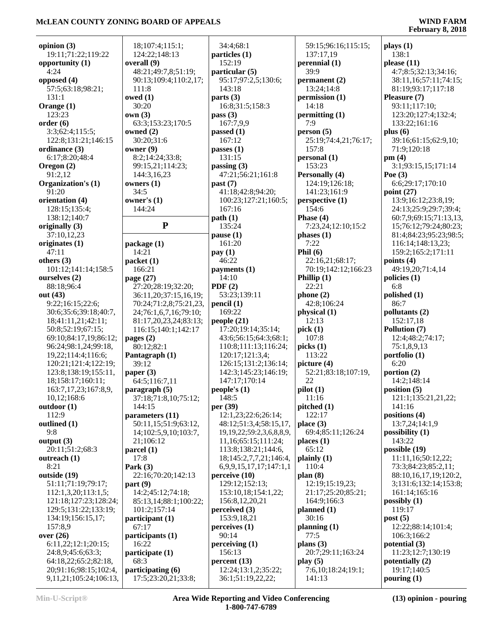| opinion $(3)$          | 18;107:4;115:1;         | 34:4:68:1                         | 59:15;96:16;115:15;   | plays(1)               |
|------------------------|-------------------------|-----------------------------------|-----------------------|------------------------|
| 19:11;71:22;119:22     | 124:22;148:13           | particles (1)                     | 137:17,19             | 138:1                  |
| opportunity $(1)$      | overall (9)             | 152:19                            | perennial $(1)$       | please $(11)$          |
| 4:24                   | 48:21;49:7,8;51:19;     | particular (5)                    | 39:9                  | 4:7;8:5;32:13;34:16;   |
| opposed (4)            | 90:13;109:4;110:2,17;   | 95:17;97:2,5;130:6;               | permanent (2)         | 38:11,16;57:11;74:15;  |
| 57:5;63:18;98:21;      | 111:8                   | 143:18                            | 13:24;14:8            | 81:19;93:17;117:18     |
| 131:1                  | owed $(1)$              | parts $(3)$                       | permission (1)        | Pleasure (7)           |
| Orange (1)             | 30:20                   | 16:8;31:5;158:3                   | 14:18                 | 93:11;117:10;          |
| 123:23                 | own(3)                  | pass $(3)$                        | permitting (1)        | 123:20;127:4;132:4;    |
| order(6)               | 63:3;153:23;170:5       | 167:7,9,9                         | 7:9                   | 133:22;161:16          |
| 3:3;62:4;115:5;        | owned (2)               | passed $(1)$                      | person(5)             | plus $(6)$             |
| 122:8;131:21;146:15    | 30:20;31:6              | 167:12                            | 25:19;74:4,21;76:17;  | 39:16;61:15;62:9,10;   |
| ordinance (3)          | owner (9)               | passes $(1)$                      | 157:8                 | 71:9;120:18            |
| 6:17;8:20;48:4         | 8:2;14:24;33:8;         | 131:15                            | personal (1)          | pm(4)                  |
| Oregon $(2)$           | 99:15,21;114:23;        | passing $(3)$                     | 153:23                | 3:1;93:15,15;171:14    |
| 91:2,12                | 144:3,16,23             | 47:21;56:21;161:8                 | <b>Personally (4)</b> | Poe $(3)$              |
| Organization's (1)     | owners $(1)$            |                                   | 124:19;126:18;        | 6:6;29:17;170:10       |
| 91:20                  | 34:5                    | past (7)<br>41:18;42:8;94:20;     | 141:23;161:9          | point $(27)$           |
|                        |                         |                                   |                       |                        |
| orientation (4)        | owner's $(1)$<br>144:24 | 100:23;127:21;160:5;              | perspective (1)       | 13:9;16:12;23:8,19;    |
| 128:15;135:4;          |                         | 167:16                            | 154:6                 | 24:13;25:9;29:7;39:4;  |
| 138:12;140:7           |                         | path(1)                           | Phase $(4)$           | 60:7,9;69:15;71:13,13, |
| originally (3)         | ${\bf P}$               | 135:24                            | 7:23,24;12:10;15:2    | 15;76:12;79:24;80:23;  |
| 37:10,12,23            |                         | pause(1)                          | phases $(1)$          | 81:4;84:23;95:23;98:5; |
| originates (1)         | package (1)             | 161:20                            | 7:22                  | 116:14;148:13,23;      |
| 47:11                  | 14:21                   | pay(1)                            | Phil $(6)$            | 159:2;165:2;171:11     |
| others $(3)$           | packet (1)              | 46:22                             | 22:16,21;68:17;       | points $(4)$           |
| 101:12;141:14;158:5    | 166:21                  | payments (1)                      | 70:19;142:12;166:23   | 49:19,20;71:4,14       |
| ourselves (2)          | page (27)               | 14:10                             | Phillip $(1)$         | policies $(1)$         |
| 88:18;96:4             | 27:20;28:19;32:20;      | PDF $(2)$                         | 22:21                 | 6:8                    |
| out (43)               | 36:11,20;37:15,16,19;   | 53:23;139:11                      | phone $(2)$           | polished (1)           |
| 9:22;16:15;22:6;       | 70:24;71:2,8;75:21,23,  | pencil(1)                         | 42:8;106:24           | 86:7                   |
| 30:6;35:6;39:18;40:7,  | 24;76:1,6,7,16;79:10;   | 169:22                            | physical (1)          | pollutants (2)         |
| 18;41:11,21;42:11;     | 81:17,20,23,24;83:13;   | people $(21)$                     | 12:13                 | 152:17,18              |
| 50:8;52:19;67:15;      | 116:15;140:1;142:17     | 17:20;19:14;35:14;                | pick(1)               | Pollution (7)          |
| 69:10;84:17,19;86:12;  | pages $(2)$             | 43:6;56:15;64:3;68:1;             | 107:8                 | 12:4;48:2;74:17;       |
| 96:24;98:1,24;99:18,   | 80:12;82:1              | 110:8;111:13;116:24;              | picks(1)              | 75:1,8,9,13            |
| 19,22;114:4;116:6;     | Pantagraph (1)          | 120:17;121:3,4;                   | 113:22                | portfolio (1)          |
| 120:21;121:4;122:19;   | 39:12                   | 126:15;131:2;136:14;              | picture $(4)$         | 6:20                   |
| 123:8;138:19;155:11,   | paper $(3)$             | 142:3;145:23;146:19;              | 52:21;83:18;107:19,   | portion $(2)$          |
| 18;158:17;160:11;      | 64:5;116:7,11           | 147:17;170:14                     | 22                    | 14:2;148:14            |
| 163:7,17,23;167:8,9,   | paragraph (5)           | people's(1)                       | pilot(1)              | position(5)            |
| 10,12;168:6            | 37:18;71:8,10;75:12;    | 148:5                             | 11:16                 | 121:1;135:21,21,22;    |
| outdoor(1)             | 144:15                  | per (39)                          | pitched (1)           | 141:16                 |
| 112:9                  | parameters (11)         | 12:1,23;22:6;26:14;               | 122:17                | positions (4)          |
| outlined (1)           | 50:11,15;51:9;63:12,    | 48:12;51:3,4;58:15,17,            | place(3)              | 13:7,24;14:1,9         |
| 9:8                    | 14;102:5,9,10;103:7,    | 19, 19, 22; 59: 2, 3, 6, 8, 8, 9, | 69:4;85:11;126:24     | possibility (1)        |
| output $(3)$           | 21:106:12               | 11,16;65:15;111:24;               | places $(1)$          | 143:22                 |
| 20:11;51:2;68:3        | parcel $(1)$            | 113:8;138:21;144:6,               | 65:12                 | possible (19)          |
| outreach (1)           | 17:8                    | 18;145:2,7,7,21;146:4,            | plainly(1)            | 11:11,16;50:12,22;     |
| 8:21                   | Park $(3)$              | 6, 9, 9, 15, 17, 17; 147: 1, 1    | 110:4                 | 73:3;84:23;85:2,11;    |
| outside (19)           | 22:16;70:20;142:13      | perceive(10)                      | plan(8)               | 88:10,16,17,19;120:2,  |
| 51:11;71:19;79:17;     | part(9)                 | 129:12;152:13;                    | 12:19;15:19,23;       | 3;131:6;132:14;153:8;  |
| 112:1,3,20;113:1,5;    | 14:2;45:12;74:18;       | 153:10,18;154:1,22;               | 21:17;25:20;85:21;    | 161:14;165:16          |
| 121:18;127:23;128:24;  | 85:13,14;88:1;100:22;   | 156:8,12,20,21                    | 164:9;166:3           | possibly $(1)$         |
| 129:5;131:22;133:19;   | 101:2;157:14            | perceived $(3)$                   | planned $(1)$         | 119:17                 |
| 134:19;156:15,17;      | participant (1)         | 153:9,18,21                       | 30:16                 | post(5)                |
| 157:8,9                | 67:17                   | perceives(1)                      | planning $(1)$        | 12:22;88:14;101:4;     |
| over $(26)$            | participants (1)        | 90:14                             | 77:5                  | 106:3;166:2            |
| 6:11,22;12:1;20:15;    | 16:22                   | perceiving $(1)$                  | plans $(3)$           | potential (3)          |
| 24:8,9;45:6;63:3;      | participate (1)         | 156:13                            | 20:7;29:11;163:24     | 11:23;12:7;130:19      |
| 64:18,22;65:2;82:18,   | 68:3                    | percent(13)                       | play $(5)$            | potentially (2)        |
| 20;91:16;98:15;102:4,  | participating (6)       | 12:24;13:1,2;35:22;               | 7:6,10;18:24;19:1;    | 19:17;140:5            |
| 9,11,21;105:24;106:13, | 17:5;23:20,21;33:8;     | 36:1;51:19,22,22;                 | 141:13                | pouring $(1)$          |
|                        |                         |                                   |                       |                        |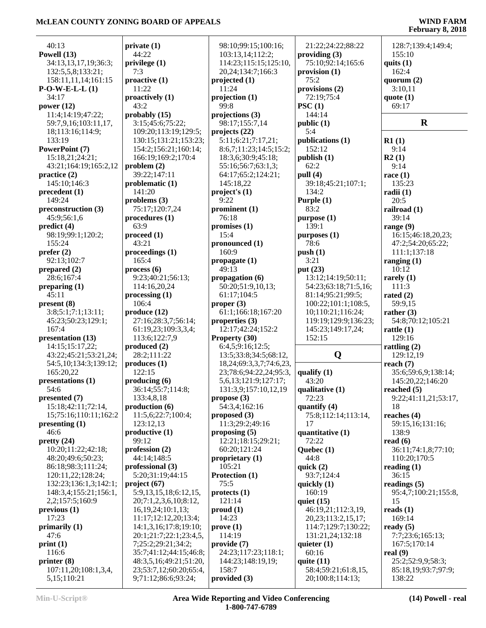| 40:13                                | private(1)                                     | 98:10;99:15;100:16;                                       | 21:22;24:22;88:22                   | 128:7;139:4;149:4;         |
|--------------------------------------|------------------------------------------------|-----------------------------------------------------------|-------------------------------------|----------------------------|
| Powell (13)                          | 44:22                                          | 103:13,14;112:2;                                          | providing $(3)$                     | 155:10                     |
| 34:13,13,17,19;36:3;                 | privlege (1)                                   | 114:23;115:15;125:10,                                     | 75:10;92:14;165:6                   | quits $(1)$                |
| 132:5,5,8;133:21;                    | 7:3                                            | 20,24;134:7;166:3                                         | provision $(1)$                     | 162:4                      |
| 158:11,11,14;161:15                  | $\text{proactive}(1)$                          | projected $(1)$                                           | 75:2                                | quorum $(2)$               |
| $P-O-W-E-L(L)$                       | 11:22                                          | 11:24                                                     | provisions $(2)$                    | 3:10,11                    |
| 34:17                                | proactively (1)                                | projection(1)                                             | 72:19;75:4                          | quote $(1)$                |
| power $(12)$                         | 43:2                                           | 99:8                                                      | PSC(1)                              | 69:17                      |
| 11:4;14:19;47:22;                    | probably (15)                                  | projections (3)                                           | 144:14                              |                            |
| 59:7,9,16;103:11,17,                 | 3:15;45:6;75:22;                               | 98:17;155:7,14                                            | public (1)                          | $\mathbf R$                |
| 18;113:16;114:9;                     | 109:20;113:19;129:5;                           | projects $(22)$                                           | 5:4                                 |                            |
| 133:19                               | 130:15;131:21;153:23;                          | 5:11;6:21;7:17,21;                                        | publications (1)                    | R1(1)                      |
| PowerPoint (7)                       | 154:2;156:21;160:14;                           | 8:6,7;11:23;14:5;15:2;                                    | 152:12                              | 9:14                       |
| 15:18,21;24:21;                      | 166:19;169:2;170:4                             | 18:3,6;30:9;45:18;                                        | public(1)                           | R2(1)                      |
| 43:21;164:19;165:2,12                | problem $(2)$                                  | 55:16;56:7;63:1,3;                                        | 62:2                                | 9:14                       |
| practive(2)                          | 39:22;147:11                                   | 64:17;65:2;124:21;                                        | pull (4)                            | race $(1)$                 |
| 145:10;146:3                         | problematic $(1)$                              | 145:18,22                                                 | 39:18;45:21;107:1;                  | 135:23                     |
| precedent (1)                        | 141:20                                         | project's $(1)$                                           | 134:2                               | radii (1)                  |
| 149:24                               | problems $(3)$                                 | 9:22                                                      | Purple (1)                          | 20:5                       |
| preconstruction (3)                  | 75:17;120:7,24                                 | prominent $(1)$                                           | 83:2                                | railroad (1)               |
| 45:9;56:1,6                          | procedures (1)                                 | 76:18                                                     | purpose (1)                         | 39:14                      |
| predict (4)                          | 63:9                                           | promises $(1)$                                            | 139:1                               | range (9)                  |
| 98:19;99:1;120:2;                    | $\boldsymbol{proceed (1)}$                     | 15:4                                                      | purposes (1)                        | 16:15;46:18,20,23;         |
| 155:24                               | 43:21                                          | pronounced (1)                                            | 78:6                                | 47:2;54:20;65:22;          |
| prefer (2)                           | proceedings (1)                                | 160:9                                                     | push(1)                             | 111:1;137:18               |
| 92:13;102:7                          | 165:4                                          | propagate $(1)$                                           | 3:21                                | ranging $(1)$              |
| prepared $(2)$                       | process(6)                                     | 49:13                                                     | put $(23)$                          | 10:12                      |
| 28:6;167:4                           | 9:23;40:21;56:13;                              | propagation (6)                                           | 13:12;14:19;50:11;                  | rarely $(1)$               |
| preparing (1)                        | 114:16,20,24                                   | 50:20;51:9,10,13;                                         | 54:23;63:18;71:5,16;                | 111:3                      |
| 45:11                                | $\mathbf{processing}(1)$                       | 61:17:104:5                                               | 81:14;95:21;99:5;                   | rated $(2)$                |
| present (8)                          | 106:4                                          | proper $(3)$                                              | 100:22;101:1;108:5,                 | 59:9,15                    |
| 3:8;5:1;7:1;13:11;                   |                                                | 61:1;166:18;167:20                                        |                                     |                            |
|                                      | produce (12)                                   |                                                           | 10;110:21;116:24;                   | rather $(3)$               |
| 45:23;50:23;129:1;<br>167:4          | 27:16;28:3,7;56:14;                            | properties (3)                                            | 119:19;129:9;136:23;                | 54:8;70:12;105:21          |
|                                      | 61:19,23;109:3,3,4;<br>113:6;122:7,9           | 12:17;42:24;152:2                                         | 145:23;149:17,24;<br>152:15         | rattle $(1)$<br>129:16     |
| presentation (13)<br>14:15:15:17,22; | produced (2)                                   | Property (30)<br>6:4,5;9:16;12:5;                         |                                     | rattling $(2)$             |
| 43:22;45:21;53:21,24;                | 28:2;111:22                                    | 13:5;33:8;34:5;68:12,                                     | Q                                   | 129:12,19                  |
| 54:5,10;134:3;139:12;                | produces(1)                                    |                                                           |                                     | reach $(7)$                |
| 165:20,22                            | 122:15                                         | 18, 24; 69: 3, 3, 7; 74: 6, 23,<br>23;78:6;94:22,24;95:3, | qualify $(1)$                       | 35:6;59:6,9;138:14;        |
| presentations (1)                    | producing(6)                                   | 5, 6, 13; 121: 9; 127: 17;                                | 43:20                               | 145:20,22;146:20           |
| 54:6                                 | 36:14;55:7;114:8;                              | 131:3,9;157:10,12,19                                      |                                     |                            |
| presented $(7)$                      | 133:4,8,18                                     | propose $(3)$                                             | qualitative (1)<br>72:23            | reached $(5)$              |
| 15:18;42:11;72:14,                   | production(6)                                  | 54:3,4;162:16                                             |                                     | 9:22;41:11,21;53:17,<br>18 |
| 15;75:16;110:11;162:2                | 11:5,6;22:7;100:4;                             |                                                           | quantify (4)<br>75:8;112:14;113:14, | reaches $(4)$              |
| presenting (1)                       | 123:12,13                                      | proposed $(3)$<br>11:3;29:2;49:16                         | 17                                  | 59:15,16;131:16;           |
| 46:6                                 | productive(1)                                  | proposing (5)                                             | quantitative (1)                    | 138:9                      |
| pretty(24)                           | 99:12                                          | 12:21;18:15;29:21;                                        | 72:22                               | read $(6)$                 |
| 10:20;11:22;42:18;                   | profession (2)                                 | 60:20;121:24                                              | Quebec (1)                          | 36:11;74:1,8;77:10;        |
| 48:20;49:6;50:23;                    | 44:14;148:5                                    | proprietary $(1)$                                         | 44:8                                | 110:20;170:5               |
| 86:18;98:3;111:24;                   | professional (3)                               | 105:21                                                    | quick $(2)$                         | reading $(1)$              |
| 120:11,22;128:24;                    | 5:20;31:19;44:15                               | Protection (1)                                            | 93:7;124:4                          | 36:15                      |
| 132:23;136:1,3;142:1;                | project (67)                                   | 75:5                                                      | quickly $(1)$                       | readings $(5)$             |
| 148:3,4;155:21;156:1,                | 5:9,13,15,18;6:12,15,                          | protects <sub>(1)</sub>                                   | 160:19                              | 95:4,7;100:21;155:8,       |
| 2,2;157:5;160:9                      |                                                | 121:14                                                    | quiet $(15)$                        | 15                         |
|                                      | 20;7:1,2,3,6,10;8:12,<br>16, 19, 24; 10:1, 13; |                                                           |                                     |                            |
| previous <sub>1</sub>                |                                                | prod(1)                                                   | 46:19,21;112:3,19,                  | reads $(1)$                |
| 17:23                                | 11:17;12:12,20;13:4;                           | 14:23                                                     | 20,23;113:2,15,17;                  | 169:14                     |
| primarily (1)                        | 14:1,3,16;17:8;19:10;                          | prove(1)                                                  | 114:7;129:7;130:22;                 | ready $(5)$                |
| 47:6                                 | 20:1;21:7;22:1;23:4,5,                         | 114:19                                                    | 131:21,24;132:18                    | 7:7;23:6;165:13;           |
| print(1)                             | 7;25:2;29:21;34:2;                             | provide (7)                                               | quieter $(1)$                       | 167:5;170:14               |
| 116:6                                | 35:7;41:12;44:15;46:8;                         | 24:23;117:23;118:1;                                       | 60:16                               | real $(9)$                 |
| printer $(8)$                        | 48:3,5,16;49:21;51:20,                         | 144:23;148:19,19;                                         | quite $(11)$                        | 25:2;52:9,9;58:3;          |
| 107:11,20;108:1,3,4,                 | 23;53:7,12;60:20;65:4,                         | 158:7                                                     | 58:4;59:21;61:8,15,                 | 85:18,19;93:7;97:9;        |
| 5, 15; 110: 21                       | 9;71:12;86:6;93:24;                            | provided (3)                                              | 20;100:8;114:13;                    | 138:22                     |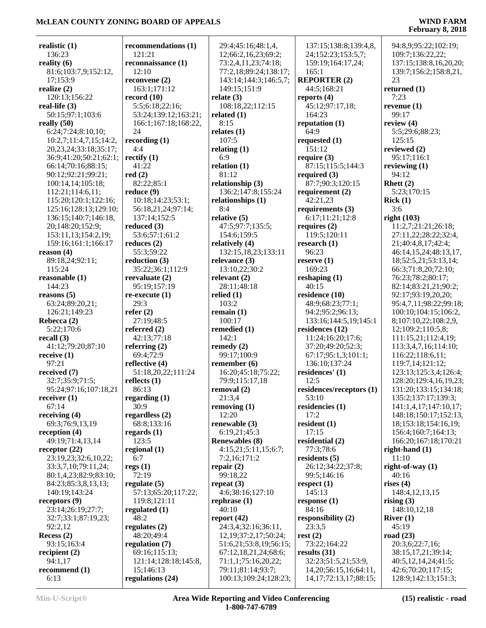| realistic $(1)$             | recommendations (1)  | 29:4;45:16;48:1,4,         | 137:15;138:8;139:4,8,       | 94:8,9;95:22;102:19;   |
|-----------------------------|----------------------|----------------------------|-----------------------------|------------------------|
| 136:23                      | 121:21               | 12;66:2,16,23;69:2;        | 24;152:23;153:5,7;          | 109:7;136:22,22;       |
| reality $(6)$               | reconnaissance (1)   | 73:2,4,11,23;74:18;        | 159:19;164:17,24;           | 137:15;138:8,16,20,20; |
| 81:6;103:7,9;152:12,        | 12:10                | 77:2,18;89:24;138:17;      | 165:1                       | 139:7;156:2;158:8,21,  |
| 17:153:9                    | reconvene $(2)$      | 143:14;144:3;146:5,7;      | <b>REPORTER (2)</b>         | 23                     |
| realize (2)                 | 163:1;171:12         | 149:15;151:9               | 44:5;168:21                 | returned (1)           |
| 120:13;156:22               | record $(10)$        | relate $(3)$               | reports $(4)$               | 7:23                   |
| real-life $(3)$             | 5:5;6:18;22:16;      | 108:18,22;112:15           | 45:12;97:17,18;             | revenue $(1)$          |
| 50:15;97:1;103:6            | 53:24;139:12;163:21; | related $(1)$              | 164:23                      | 99:17                  |
| really $(50)$               | 166:1;167:18;168:22, | 8:15                       | reputation $(1)$            | review $(4)$           |
| 6:24;7:24;8:10,10;          | 24                   | relates $(1)$              | 64:9                        | 5:5;29:6;88:23;        |
|                             |                      |                            |                             |                        |
| 10:2,7;11:4,7,15;14:2,      | recording $(1)$      | 107:5                      | requested $(1)$             | 125:15                 |
| 20, 23, 24; 33: 18; 35: 17; | 4:4                  | relating $(1)$             | 151:12                      | reviewed (2)           |
| 36:9;41:20;50:21;62:1;      | rectify $(1)$        | 6:9                        | require $(3)$               | 95:17;116:1            |
| 66:14;70:16;88:15;          | 41:22                | relation $(1)$             | 87:15;115:5;144:3           | reviewing $(1)$        |
| 90:12;92:21;99:21;          | red(2)               | 81:12                      | required $(3)$              | 94:12                  |
| 100:14,14;105:18;           | 82:22;85:1           | relationship (3)           | 87:7;90:3;120:15            | Rhett $(2)$            |
| 112:21;114:6,11;            | reduce(9)            | 136:2;147:8;155:24         | requirement $(2)$           | 5:23;170:15            |
| 115:20;120:1;122:16;        | 10:18;14:23;53:1;    | relationships (1)          | 42:21,23                    | Rick(1)                |
| 125:16;128:13;129:10;       | 56:18,21,24;97:14;   | 8:4                        | requirements $(3)$          | 3:6                    |
| 136:15;140:7;146:18,        | 137:14;152:5         | relative $(5)$             | 6:17;11:21;12:8             | right $(103)$          |
| 20;148:20;152:9;            | reduced $(3)$        | 47:5;97:7;135:5;           | requires $(2)$              | 11:2,7;21:21;26:18;    |
| 153:11,13;154:2,19;         | 53:6;57:1;61:2       | 154:6;159:5                | 119:5;120:11                | 27:11,22;28:22;32:4,   |
| 159:16;161:1;166:17         | reduces $(2)$        | relatively (4)             | research $(1)$              | 21;40:4,8,17;42:4;     |
| reason $(4)$                | 55:3;59:22           | 132:15,18,23;133:11        | 96:23                       | 46:14,15,24;48:13,17,  |
| 89:18,24;92:11;             | reduction $(3)$      | relevance $(3)$            | reserve $(1)$               | 18;52:5,21;53:13,14;   |
| 115:24                      | 35:22;36:1;112:9     | 13:10,22;30:2              | 169:23                      | 66:3;71:8,20;72:10;    |
| reasonable (1)              | reevaluate $(2)$     | relevant $(2)$             | reshaping $(1)$             | 76:23;78:2;80:17;      |
| 144:23                      | 95:19;157:19         | 28:11;48:18                | 40:15                       | 82:14;83:21,21;90:2;   |
| reasons $(5)$               | $re$ -execute $(1)$  | relied $(1)$               | residence (10)              | 92:17;93:19,20,20;     |
| 63:24;89:20,21;             | 29:3                 | 103:2                      | 48:9;68:23;77:1;            | 95:4,7,11;98:22;99:18; |
|                             |                      |                            |                             |                        |
| 126:21;149:23               | refer $(2)$          | remain $(1)$               | 94:2;95:2;96:13;            | 100:10;104:15;106:2,   |
| Rebecca (2)                 | 27:19;48:5           | 100:17                     | 133:16;144:5,19;145:1       | 8;107:10,22;108:2,9,   |
| 5:22;170:6                  | referred $(2)$       | remedied (1)               | residences (12)             | 12;109:2;110:5,8;      |
| recall $(3)$                | 42:13;77:18          | 142:1                      | 11:24;16:20;17:6;           | 111:15,21;112:4,19;    |
| 41:12;79:20;87:10           | referring $(2)$      | remedy $(2)$               | 37:20;49:20;52:3;           | 113:3,4,7,16;114:10;   |
| receive $(1)$               | 69:4;72:9            | 99:17;100:9                | 67:17;95:1,3;101:1;         | 116:22;118:6,11;       |
| 97:21                       | reflective (4)       | remember $(6)$             | 136:10;137:24               | 119:7,14;121:12;       |
| received $(7)$              | 51:18,20,22;111:24   | 16:20;45:18;75:22;         | residences' (1)             | 123:13;125:3,4;126:4;  |
| 32:7;35:9;71:5;             | reflects $(1)$       | 79:9;115:17,18             | 12:5                        | 128:20;129:4,16,19,23; |
| 95:24;97:16;107:18,21       | 86:13                | removal (2)                | residences/receptors (1)    | 131:20;133:15;134:18;  |
| receiver $(1)$              | regarding $(1)$      | 21:3,4                     | 53:10                       | 135:2;137:17;139:3;    |
| 67:14                       | 30:9                 | removing $(1)$             | residencies (1)             | 141:1,4,17;147:10,17;  |
| receiving $(4)$             | regardless $(2)$     | 12:20                      | 17:2                        | 148:18;150:17;152:13,  |
| 69:3;76:9,13,19             | 68:8;133:16          | renewable $(3)$            | resident $(1)$              | 18;153:18;154:16,19;   |
| reception $(4)$             | regards $(1)$        | 6:19,21;45:3               | 17:15                       | 156:4;160:7;164:13;    |
| 49:19;71:4,13,14            | 123:5                | <b>Renewables (8)</b>      | residential (2)             | 166:20;167:18;170:21   |
| receptor $(22)$             | regional (1)         | 4:15,21;5:11,15;6:7;       | 77:3;78:6                   | right-hand $(1)$       |
| 23:19,23;32:6,10,22;        | 6:7                  | 7:2,16;171:2               | residents $(5)$             | 11:10                  |
| 33:3,7,10;79:11,24;         | regs(1)              | repair $(2)$               | 26:12;34:22;37:8;           | right-of-way $(1)$     |
| 80:1,4,23;82:9;83:10;       | 72:19                | 99:18,22                   | 99:5;146:16                 | 40:16                  |
| 84:23;85:3,8,13,13;         | regulate $(5)$       | repeat $(3)$               | respect $(1)$               | rises $(4)$            |
|                             |                      | 4:6;38:16;127:10           |                             |                        |
| 140:19;143:24               | 57:13;65:20;117:22;  |                            | 145:13                      | 148:4, 12, 13, 15      |
| receptors $(9)$             | 119:8;121:11         | rephrase $(1)$             | response $(1)$              | rising $(3)$           |
| 23:14;26:19;27:7;           | regulated $(1)$      | 40:10                      | 84:16                       | 148:10,12,18           |
| 32:7;33:1;87:19,23;         | 48:2                 | report $(42)$              | responsibility $(2)$        | River $(1)$            |
| 92:2,12                     | regulates $(2)$      | 24:3,4;32:16;36:11,        | 23:3,5                      | 45:19                  |
| Recess $(2)$                | 48:20;49:4           | 12, 19; 37: 2, 17; 50: 24; | rest(2)                     | road $(23)$            |
| 93:15;163:4                 | regulation (7)       | 51:6,21;53:8,19;56:15;     | 73:22;164:22                | 20:3,6;22:7,16;        |
| recipient $(2)$             | 69:16;115:13;        | 67:12,18,21,24;68:6;       | results $(31)$              | 38:15,17,21;39:14;     |
| 94:1,17                     | 121:14;128:18;145:8, | 71:1,1;75:16,20,22;        | 32:23;51:5,21;53:9,         | 40:5,12,14,24;41:5;    |
| recommend $(1)$             | 15;146:13            | 79:11;81:14;93:7;          | 14, 20; 56: 15, 16; 64: 11, | 42:6;70:20;117:15;     |
| 6:13                        | regulations (24)     | 100:13;109:24;128:23;      | 14, 17; 72: 13, 17; 88: 15; | 128:9;142:13;151:3;    |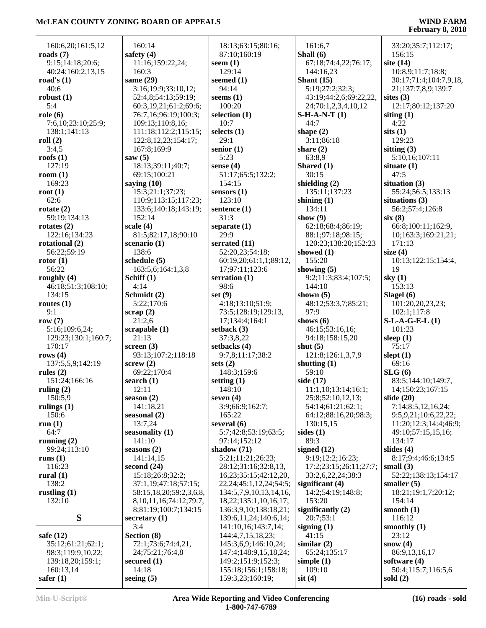| 160:6,20;161:5,12             | 160:14                        | 18:13;63:15;80:16;               | 161:6,7                              | 33:20;35:7;112:17;     |
|-------------------------------|-------------------------------|----------------------------------|--------------------------------------|------------------------|
| roads $(7)$                   | safety $(4)$                  | 87:10;160:19                     | Shall (6)                            | 156:15                 |
| 9:15;14:18;20:6;              | 11:16;159:22,24;              | seem $(1)$                       | 67:18;74:4,22;76:17;                 | site $(14)$            |
| 40:24;160:2,13,15             | 160:3                         | 129:14                           | 144:16,23                            | 10:8,9;11:7;18:8;      |
| road's $(1)$                  | same $(29)$                   | seemed $(1)$                     | Shant $(15)$                         | 30:17;71:4;104:7,9,18, |
| 40:6                          | 3:16;19:9;33:10,12;           | 94:14                            | 5:19;27:2;32:3;                      | 21;137:7,8,9;139:7     |
| robust $(1)$                  | 52:4,8;54:13;59:19;           | seems $(1)$                      | 43:19;44:2,6;69:22,22,               | sites $(3)$            |
| 5:4                           | 60:3,19,21;61:2;69:6;         | 100:20                           | 24;70:1,2,3,4,10,12                  | 12:17;80:12;137:20     |
| role(6)                       | 76:7,16;96:19;100:3;          | selection $(1)$                  | $S-H-A-N-T(1)$                       | siting $(1)$           |
| 7:6,10;23:10;25:9;            | 109:13;110:8,16;              | 10:7                             | 44:7                                 | 4:22                   |
| 138:1;141:13                  | 111:18;112:2;115:15;          | selects $(1)$                    | shape $(2)$                          | sits(1)                |
| roll $(2)$                    | 122:8, 12, 23; 154: 17;       | 29:1                             | 3:11;86:18                           | 129:23                 |
| 3:4,5                         | 167:8;169:9                   | senior $(1)$                     | share $(2)$                          | sitting $(3)$          |
| roofs $(1)$                   | saw $(5)$                     | 5:23                             | 63:8,9                               | 5:10,16;107:11         |
| 127:19                        | 18:13;39:11;40:7;             | sense $(4)$                      | Shared (1)                           | situate $(1)$          |
| room $(1)$                    | 69:15;100:21                  | 51:17;65:5;132:2;                | 30:15                                | 47:5                   |
| 169:23                        | saying $(10)$                 | 154:15                           | shielding $(2)$                      | situation $(3)$        |
| root $(1)$                    | 15:3;21:1;37:23;              | sensors $(1)$                    | 135:11;137:23                        | 55:24;56:5;133:13      |
| 62:6                          | 110:9;113:15;117:23;          | 123:10                           | shining $(1)$                        | situations (3)         |
| rotate $(2)$                  | 133:6;140:18;143:19;          | sentence $(1)$                   | 134:11                               | 56:2;57:4;126:8        |
| 59:19;134:13                  | 152:14                        | 31:3                             | show $(9)$                           | six(8)                 |
| rotates $(2)$                 | scale $(4)$                   | separate $(1)$<br>29:9           | 62:18;68:4;86:19;                    | 66:8;100:11;162:9,     |
| 122:16;134:23                 | 81:5;82:17,18;90:10           |                                  | 88:1;97:18;98:15;                    | 10;163:3;169:21,21;    |
| rotational (2)<br>56:22;59:19 | scenario $(1)$<br>138:6       | serrated (11)<br>52:20,23;54:18; | 120:23;138:20;152:23<br>showed $(1)$ | 171:13<br>size $(4)$   |
| rotor(1)                      | schedule $(5)$                | 60:19,20;61:1,1;89:12,           | 155:20                               | 10:13;122:15;154:4,    |
| 56:22                         | 163:5,6;164:1,3,8             | 17;97:11;123:6                   | showing $(5)$                        | 19                     |
| roughly $(4)$                 | Schiff (1)                    | serration $(1)$                  | 9:2;11:3;83:4;107:5;                 | sky $(1)$              |
| 46:18;51:3;108:10;            | 4:14                          | 98:6                             | 144:10                               | 153:13                 |
| 134:15                        | Schmidt (2)                   | set $(9)$                        | shown $(5)$                          | Slagel $(6)$           |
| routes $(1)$                  | 5:22;170:6                    | 4:18;13:10;51:9;                 | 48:12;53:3,7;85:21;                  | 101:20,20,23,23;       |
| 9:1                           | scrap(2)                      | 73:5;128:19;129:13,              | 97:9                                 | 102:1;117:8            |
| row $(7)$                     | 21:2,6                        | 17;134:4;164:1                   | shows $(6)$                          | $S-L-A-G-E-L(1)$       |
| 5:16;109:6,24;                | scrapable (1)                 | setback $(3)$                    | 46:15;53:16,16;                      | 101:23                 |
| 129:23;130:1;160:7;           | 21:13                         | 37:3,8,22                        | 94:18;158:15,20                      | sleep $(1)$            |
| 170:17                        | screen $(3)$                  | setbacks (4)                     | shut $(5)$                           | 75:17                  |
| rows $(4)$                    | 93:13;107:2;118:18            | 9:7,8;11:17;38:2                 | 121:8;126:1,3,7,9                    | slept $(1)$            |
| 137:5,5,9;142:19              | screw(2)                      | sets $(2)$                       | shutting $(1)$                       | 69:16                  |
| rules $(2)$                   | 69:22;170:4                   | 148:3;159:6                      | 59:10                                | SLG(6)                 |
| 151:24;166:16                 | search $(1)$                  | setting $(1)$                    | side $(17)$                          | 83:5;144:10;149:7,     |
| ruling $(2)$                  | 12:11                         | 148:10                           | 11:1,10;13:14;16:1;                  | 14;150:23;167:15       |
| 150:5,9                       | season $(2)$                  | seven $(4)$                      | 25:8;52:10,12,13;                    | slide $(20)$           |
| rulings $(1)$                 | 141:18,21                     | 3:9;66:9;162:7;                  | 54:14;61:21;62:1;                    | 7:14;8:5,12,16,24;     |
| 150:6                         | seasonal $(2)$                | 165:22                           | 64:12;88:16,20;98:3;                 | 9:5,9,21;10:6,22,22;   |
| run $(1)$                     | 13:7,24                       | several $(6)$                    | 130:15,15                            | 11:20;12:3;14:4;46:9;  |
| 64:7                          | seasonality (1)               | 5:7;42:8;53:19;63:5;             | sides $(1)$                          | 49:10;57:15,15,16;     |
| running $(2)$<br>99:24;113:10 | 141:10<br>seasons $(2)$       | 97:14;152:12<br>shadow $(71)$    | 89:3<br>signed $(12)$                | 134:17<br>slides $(4)$ |
| runs $(1)$                    | 141:14,15                     | 5:21;11:21;26:23;                | 9:19;12:2;16:23;                     | 8:17;9:4;46:6;134:5    |
| 116:23                        | second $(24)$                 | 28:12:31:16:32:8,13,             | 17:2;23:15;26:11;27:7;               | small $(3)$            |
| rural $(1)$                   | 15:18;26:8;32:2;              | 16,23;35:15;42:12,20,            | 33:2,6,22,24;38:3                    | 52:22;138:13;154:17    |
| 138:2                         | 37:1,19;47:18;57:15;          | 22, 24; 45: 1, 12, 24; 54: 5;    | significant $(4)$                    | smaller $(5)$          |
| rustling $(1)$                | 58:15,18,20;59:2,3,6,8,       | 134:5,7,9,10,13,14,16,           | 14:2;54:19;148:8;                    | 18:21;19:1,7;20:12;    |
| 132:10                        | 8, 10, 11, 16; 74: 12; 79: 7, | 18,22;135:1,10,16,17;            | 153:20                               | 154:14                 |
|                               | 8;81:19;100:7;134:15          | 136:3,9,10;138:18,21;            | significantly $(2)$                  | smooth $(1)$           |
| S                             | secretary $(1)$               | 139:6, 11, 24; 140: 6, 14;       | 20:7;53:1                            | 116:12                 |
|                               | 3:4                           | 141:10,16;143:7,14;              | signing $(1)$                        | smoothly (1)           |
| safe $(12)$                   | Section (8)                   | 144:4,7,15,18,23;                | 41:15                                | 23:12                  |
| 35:12;61:21;62:1;             | 72:1;73:6;74:4,21,            | 145:3,6,9;146:10,24;             | similar $(2)$                        | snow $(4)$             |
| 98:3;119:9,10,22;             | 24;75:21;76:4,8               | 147:4;148:9,15,18,24;            | 65:24;135:17                         | 86:9,13,16,17          |
| 139:18,20;159:1;              | secured $(1)$                 | 149:2;151:9;152:3;               | simple $(1)$                         | software $(4)$         |
| 160:13,14                     | 14:18                         | 155:18;156:1;158:18;             | 109:10                               | 50:4;115:7;116:5,6     |
| safer $(1)$                   | seeing $(5)$                  | 159:3,23;160:19;                 | $s$ it $(4)$                         | sold $(2)$             |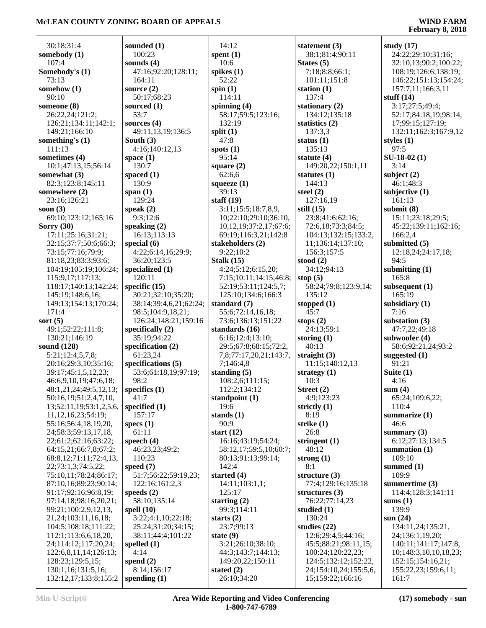| 30:18;31:4                                         | sounded $(1)$            | 14:12                                        | statement $(3)$          | study $(17)$               |
|----------------------------------------------------|--------------------------|----------------------------------------------|--------------------------|----------------------------|
| somebody (1)                                       | 100:23                   | spent $(1)$                                  | 38:1;81:4;90:11          | 24:22;29:10;31:16;         |
| 107:4                                              | sounds $(4)$             | 10:6                                         | States $(5)$             | 32:10,13;90:2;100:22;      |
| Somebody's (1)                                     | 47:16;92:20;128:11;      | spikes $(1)$                                 | 7:18;8:8;66:1;           | 108:19;126:6;138:19;       |
| 73:13                                              | 164:11                   | 52:22                                        | 101:11;151:8             | 146:22;151:13;154:24;      |
| somehow (1)                                        | source $(2)$             | spin $(1)$                                   | station $(1)$            | 157:7,11;166:3,11          |
| 90:10                                              | 50:17;68:23              | 114:11                                       | 137:4                    | stuff $(14)$               |
| someone (8)                                        | sourced $(1)$            | spinning $(4)$                               | stationary (2)           | 3:17;27:5;49:4;            |
| 26:22,24;121:2;                                    | 53:7                     | 58:17;59:5;123:16;                           | 134:12;135:18            | 52:17;84:18,19;98:14,      |
| 126:21;134:11;142:1;                               | sources $(4)$            | 132:19                                       | statistics (2)           | 17;99:15;127:19;           |
| 149:21;166:10                                      | 49:11,13,19;136:5        | split $(1)$                                  | 137:3,3                  | 132:11;162:3;167:9,12      |
| something's $(1)$                                  | South $(3)$              | 47:8                                         | status $(1)$             | styles $(1)$               |
| 111:13                                             | 4:16;140:12,13           | spots $(1)$                                  | 135:13                   | 97:5                       |
| sometimes (4)                                      | space $(1)$              | 95:14                                        | statute $(4)$            | $SU-18-02(1)$              |
| 10:1;47:13,15;56:14                                | 130:7                    | square $(2)$                                 | 149:20,22;150:1,11       | 3:14                       |
| somewhat (3)                                       | spaced $(1)$             | 62:6,6                                       | statutes $(1)$           | subject $(2)$              |
| 82:3;123:8;145:11                                  | 130:9                    | squeeze $(1)$<br>39:13                       | 144:13                   | 46:1;48:3                  |
| somewhere (2)<br>23:16;126:21                      | span $(1)$<br>129:24     | staff $(19)$                                 | steel $(2)$<br>127:16,19 | subjective $(1)$<br>161:13 |
| soon $(3)$                                         | speak $(2)$              | 3:11;15:5;18:7,8,9,                          | still $(15)$             | submit $(8)$               |
| 69:10;123:12;165:16                                | 9:3;12:6                 | 10;22:10;29:10;36:10,                        | 23:8;41:6;62:16;         | 15:11;23:18;29:5;          |
| Sorry $(30)$                                       | speaking $(2)$           | 10, 12, 19; 37: 2, 17; 67: 6;                | 72:6,18;73:3;84:5;       | 45:22;139:11;162:16;       |
| 17:11;25:16;31:21;                                 | 16:13:113:13             | 69:19;116:3,21;142:8                         | 104:13;132:15;133:2,     | 166:2,4                    |
| 32:15;37:7;50:6;66:3;                              | special $(6)$            | stakeholders (2)                             | 11;136:14;137:10;        | submitted (5)              |
| 73:15;77:16;79:9;                                  | 4:22;6:14,16;29:9;       | 9:22;10:2                                    | 156:3;157:5              | 12:18,24;24:17,18;         |
| 81:18,23;83:3;93:6;                                | 36:20;123:5              | Stalk $(15)$                                 | stood $(2)$              | 94:5                       |
| 104:19;105:19;106:24;                              | specialized (1)          | 4:24;5:12;6:15,20;                           | 34:12;94:13              | submitting $(1)$           |
| 115:9,17;117:13;                                   | 120:11                   | 7:15;10:11;14:15;46:8;                       | stop $(5)$               | 165:8                      |
| 118:17;140:13;142:24;                              | specific $(15)$          | 52:19;53:11;124:5,7;                         | 58:24;79:8;123:9,14;     | subsequent (1)             |
| 145:19;148:6,16;                                   | 30:21;32:10;35:20;       | 125:10;134:6;166:3                           | 135:12                   | 165:19                     |
| 149:13;154:13;170:24;                              | 38:14;39:4,6,21;62:24;   | standard (7)                                 | stopped $(1)$            | subsidiary $(1)$           |
| 171:4                                              | 98:5;104:9,18,21;        | 55:6;72:14,16,18;                            | 45:7                     | 7:16                       |
| sort $(5)$                                         | 126:24;148:21;159:16     | 73:6;136:13;151:22                           | stops $(2)$              | substation $(3)$           |
| 49:1;52:22;111:8;                                  | specifically $(2)$       | standards (16)                               | 24:13;59:1               | 47:7,22;49:18              |
| 130:21;146:19                                      | 35:19;94:22              | 6:16;12:4;13:10;                             | storing $(1)$            | subwoofer $(4)$            |
| sound (128)                                        | specification (2)        | 29:5;67:8;68:15;72:2,                        | 40:13                    | 58:6;92:21,24;93:2         |
| 5:21;12:4,5,7,8;                                   | 61:23,24                 | 7,8;77:17,20,21;143:7,                       | straight $(3)$           | suggested $(1)$            |
| 20:16;29:3,10;35:16;                               | specifications (5)       | 7;146:4,8                                    | 11:15;140:12,13          | 91:21                      |
| 39:17;45:1,5,12,23;                                | 53:6;61:18,19;97:19;     | standing $(5)$                               | strategy $(1)$           | Suite $(1)$                |
| 46:6,9,10,19;47:6,18;                              | 98:2                     | 108:2,6;111:15;                              | 10:3                     | 4:16                       |
| $48:1,21,24;49:5,12,13;$ specifics (1)             |                          | 112:2;134:12                                 | Street (2)               | sum(4)                     |
| 50:16,19;51:2,4,7,10,                              | 41:7                     | standpoint (1)                               | 4:9;123:23               | 65:24;109:6,22;            |
| 13;52:11,19;53:1,2,5,6,                            | specified $(1)$          | 19:6                                         | strictly $(1)$           | 110:4                      |
| 11,12,16,23;54:19;                                 | 157:17                   | stands $(1)$                                 | 8:19                     | summarize $(1)$            |
| 55:16;56:4,18,19,20,                               | specs $(1)$              | 90:9                                         | strike $(1)$             | 46:6                       |
| 24;58:3;59:13,17,18,                               | 61:11<br>speech $(4)$    | start $(12)$                                 | 26:8                     | summary $(3)$              |
| 22;61:2;62:16;63:22;                               |                          | 16:16;43:19;54:24;                           | stringent $(1)$          | 6:12;27:13;134:5           |
| 64:15,21;66:7,8;67:2;                              | 46:23,23;49:2;<br>110:23 | 58:12,17;59:5,10;60:7;<br>80:13;91:13;99:14; | 48:12<br>strong $(1)$    | summation $(1)$<br>109:10  |
| 68:8, 12; 71: 11; 72: 4, 13,<br>22;73:1,3;74:5,22; | speed $(7)$              | 142:4                                        | 8:1                      | summed $(1)$               |
| 75:10,11;78:24;86:17;                              | 51:7;56:22;59:19,23;     | started $(4)$                                | structure $(3)$          | 109:9                      |
| 87:10,16;89:23;90:14;                              | 122:16;161:2,3           | 14:11;103:1,1;                               | 77:4;129:16;135:18       | summertime (3)             |
| 91:17;92:16;96:8,19;                               | speeds $(2)$             | 125:17                                       | structures (3)           | 114:4;128:3;141:11         |
| 97:14,18;98:16,20,21;                              | 58:10;135:14             | starting $(2)$                               | 76:22;77:14,23           | sums $(1)$                 |
| 99:21;100:2,9,12,13,                               | spell $(10)$             | 99:3;114:11                                  | studied $(1)$            | 139:9                      |
| 21,24;103:11,16,18;                                | 3:22;4:1,10;22:18;       | starts $(2)$                                 | 130:24                   | sum(24)                    |
| 104:5;108:18;111:22;                               | 25:24;31:20;34:15;       | 23:7;99:13                                   | studies $(22)$           | 134:11,24;135:21,          |
| 112:1;113:6,6,18,20,                               | 38:11;44:4;101:22        | state $(9)$                                  | 12:6;29:4,5;44:16;       | 24;136:1,19,20;            |
| 24;114:12;117:20,24;                               | spelled $(1)$            | 3:21;26:10;38:10;                            | 45:5;88:21;98:11,15;     | 140:11;141:17;147:8,       |
| 122:6,8,11,14;126:13;                              | 4:14                     | 44:3;143:7;144:13;                           | 100:24;120:22,23;        | 10;148:3,10,10,18,23;      |
| 128:23;129:5,15;                                   | spend $(2)$              | 149:20,22;150:11                             | 124:5;132:12;152:22,     | 152:15;154:16,21;          |
| 130:1,16;131:5,16;                                 | 8:14;156:17              | stated $(2)$                                 | 24;154:10,24;155:5,6,    | 155:22,23;159:6,11;        |
| 132:12,17;133:8;155:2                              | spending $(1)$           | 26:10;34:20                                  | 15;159:22;166:16         | 161:7                      |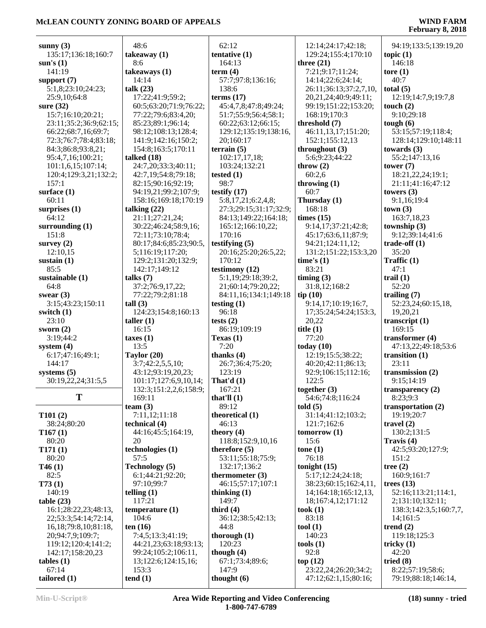| sunny $(3)$                         | 48:6                            | 62:12                      | 12:14;24:17;42:18;                           | 94:19;133:5;139:19,20              |
|-------------------------------------|---------------------------------|----------------------------|----------------------------------------------|------------------------------------|
| 135:17;136:18;160:7                 | takeaway $(1)$                  | tentative (1)              | 129:24;155:4;170:10                          | topic $(1)$                        |
| sum's(1)                            | 8:6                             | 164:13                     | three $(21)$                                 | 146:18                             |
| 141:19                              | takeaways (1)                   | term $(4)$                 | 7:21;9:17;11:24;                             | tore $(1)$                         |
| support $(7)$<br>5:1,8;23:10;24:23; | 14:14                           | 57:7;97:8;136:16;<br>138:6 | 14:14;22:6;24:14;<br>26:11;36:13;37:2,7,10,  | 40:7                               |
| 25:9,10;64:8                        | talk $(23)$<br>17:22;41:9;59:2; | terms $(17)$               |                                              | total $(5)$<br>12:19;14:7,9;19:7,8 |
| sure $(32)$                         | 60:5;63:20;71:9;76:22;          | 45:4,7,8;47:8;49:24;       | 20,21,24;40:9;49:11;<br>99:19;151:22;153:20; | touch $(2)$                        |
| 15:7;16:10;20:21;                   | 77:22;79:6;83:4,20;             | 51:7;55:9;56:4;58:1;       | 168:19;170:3                                 | 9:10;29:18                         |
| 23:11;35:2;36:9;62:15;              | 85:23;89:1;96:14;               | 60:22;63:12;66:15;         | threshold (7)                                | tough $(6)$                        |
| 66:22;68:7,16;69:7;                 | 98:12;108:13;128:4;             | 129:12;135:19;138:16,      | 46:11,13,17;151:20;                          | 53:15;57:19;118:4;                 |
| 72:3;76:7;78:4;83:18;               | 141:9;142:16;150:2;             | 20;160:17                  | 152:1;155:12,13                              | 128:14;129:10;148:11               |
| 84:3;86:8;93:8,21;                  | 154:8;163:5;170:11              | terrain $(5)$              | throughout $(3)$                             | towards $(3)$                      |
| 95:4,7,16;100:21;                   | talked $(18)$                   | 102:17,17,18;              | 5:6;9:23;44:22                               | 55:2;147:13,16                     |
| 101:1,6,15;107:14;                  | 24:7,20;33:3;40:11;             | 103:24;132:21              | throw $(2)$                                  | tower $(7)$                        |
| 120:4;129:3,21;132:2;               | 42:7,19;54:8;79:18;             | tested $(1)$               | 60:2,6                                       | 18:21,22,24;19:1;                  |
| 157:1                               | 82:15;90:16;92:19;              | 98:7                       | throwing $(1)$                               | 21:11;41:16;47:12                  |
| surface $(1)$                       | 94:19,21;99:2;107:9;            | testify $(17)$             | 60:7                                         | towers $(3)$                       |
| 60:11                               | 158:16;169:18;170:19            | 5:8,17,21;6:2,4,8;         | Thursday (1)                                 | 9:1,16;19:4                        |
| surprises $(1)$                     | talking $(22)$                  | 27:3;29:15;31:17;32:9;     | 168:18                                       | town(3)                            |
| 64:12                               | 21:11;27:21,24;                 | 84:13;149:22;164:18;       | times $(15)$                                 | 163:7,18,23                        |
| surrounding $(1)$                   | 30:22;46:24;58:9,16;            | 165:12;166:10,22;          | 9:14,17;37:21;42:8;                          | township $(3)$                     |
| 151:8                               | 72:11;73:10;78:4;               | 170:16                     | 45:17;63:6,11;87:9;                          | 9:12;39:14;41:6                    |
| survey $(2)$                        | 80:17;84:6;85:23;90:5,          | testifying $(5)$           | 94:21;124:11,12;                             | trade-off $(1)$                    |
| 12:10,15                            | 5;116:19;117:20;                | 20:16;25:20;26:5,22;       | 131:2;151:22;153:3,20                        | 35:20                              |
| sustain $(1)$                       | 129:2;131:20;132:9;             | 170:12                     | time's $(1)$                                 | Traffic $(1)$                      |
| 85:5                                | 142:17;149:12                   | testimony (12)             | 83:21                                        | 47:1                               |
| sustainable (1)                     | talks $(7)$                     | 5:1,19;29:18;39:2,         | $\lim_{x \to 0}$ (3)                         | trail $(1)$                        |
| 64:8                                | 37:2;76:9,17,22;                | 21;60:14;79:20,22;         | 31:8,12;168:2                                | 52:20                              |
| swear $(3)$                         | 77:22;79:2;81:18                | 84:11,16;134:1;149:18      | tip(10)                                      | trailing $(7)$                     |
| 3:15;43:23;150:11                   | tall(3)                         | testing $(1)$              | 9:14,17;10:19;16:7,                          | 52:23,24;60:15,18,                 |
| switch $(1)$                        | 124:23;154:8;160:13             | 96:18                      | 17;35:24;54:24;153:3,                        | 19,20,21                           |
| 23:10                               | taller $(1)$                    | tests $(2)$                | 20,22                                        | transcript $(1)$                   |
| sworn $(2)$                         | 16:15                           | 86:19;109:19               | title $(1)$                                  | 169:15                             |
| 3:19;44:2                           | taxes(1)                        | Texas $(1)$                | 77:20                                        | transformer $(4)$                  |
| system $(4)$                        | 13:5                            | 7:20                       | today $(10)$                                 | 47:13,22;49:18;53:6                |
| 6:17;47:16;49:1;                    | Taylor (20)                     | thanks $(4)$               | 12:19;15:5;38:22;                            | transition $(1)$                   |
| 144:17                              | 3:7;42:2,5,5,10;                | 26:7;36:4;75:20;           | 40:20;42:11;86:13;                           | 23:11                              |
| systems $(5)$                       | 43:12;93:19,20,23;              | 123:19                     | 92:9;106:15;112:16;                          | transmission (2)                   |
| 30:19,22,24;31:5,5                  | 101:17;127:6,9,10,14;           | That'd $(1)$               | 122:5                                        | 9:15;14:19                         |
| T                                   | 132:3;151:2,2,6;158:9;          | 167:21                     | together (3)                                 | transparency $(2)$                 |
|                                     | 169:11                          | that'll $(1)$              | 54:6;74:8;116:24                             | 8:23;9:3                           |
| T101(2)                             | team $(3)$                      | 89:12                      | told(5)                                      | transportation (2)                 |
|                                     | 7:11,12;11:18<br>technical (4)  | theoretical (1)            | 31:14;41:12;103:2;<br>121:7;162:6            | 19:19:20:7                         |
| 38:24;80:20<br>T167(1)              | 44:16;45:5;164:19,              | 46:13<br>theory $(4)$      | tomorrow $(1)$                               | travel $(2)$<br>130:2;131:5        |
| 80:20                               | 20                              | 118:8;152:9,10,16          | 15:6                                         | Travis (4)                         |
| T171(1)                             | technologies (1)                | therefore $(5)$            | tone $(1)$                                   | 42:5;93:20;127:9;                  |
| 80:20                               | 57:5                            | 53:11;55:18;75:9;          | 76:18                                        | 151:2                              |
| T46(1)                              | <b>Technology</b> (5)           | 132:17;136:2               | tonight $(15)$                               | tree $(2)$                         |
| 82:5                                | 6:1;44:21;92:20;                | thermometer $(3)$          | 5:17;12:24;24:18;                            | 160:9:161:7                        |
| T73(1)                              | 97:10:99:7                      | 46:15;57:17;107:1          | 38:23;60:15;162:4,11,                        | trees $(13)$                       |
| 140:19                              | telling $(1)$                   | thinking $(1)$             | 14;164:18;165:12,13,                         | 52:16;113:21;114:1,                |
| table(23)                           | 117:21                          | 149:7                      | 18;167:4,12;171:12                           | 2;131:10;132:11;                   |
| 16:1;28:22,23;48:13,                | temperature $(1)$               | third $(4)$                | took(1)                                      | 138:3;142:3,5;160:7,7,             |
| 22;53:3;54:14;72:14,                | 104:6                           | 36:12;38:5;42:13;          | 83:18                                        | 14;161:5                           |
| 16, 18; 79: 8, 10; 81: 18,          | ten $(16)$                      | 44:8                       | tool $(1)$                                   | trend $(2)$                        |
| 20;94:7,9;109:7;                    | 7:4,5;13:3;41:19;               | thorough $(1)$             | 140:23                                       | 119:18;125:3                       |
| 119:12;120:4;141:2;                 | 44:21,23;63:18;93:13;           | 120:23                     | tools $(1)$                                  | tricky $(1)$                       |
| 142:17;158:20,23                    | 99:24;105:2;106:11,             | though $(4)$               | 92:8                                         | 42:20                              |
| $tables (1)$                        | 13;122:6;124:15,16;             | 67:1;73:4;89:6;            | top(12)                                      | tried $(8)$                        |
| 67:14                               | 153:3                           | 147:9                      | 23:22,24;26:20;34:2;                         | 8:22;57:19;58:6;                   |
| tailored $(1)$                      | tend(1)                         | thought $(6)$              | 47:12;62:1,15;80:16;                         | 79:19;88:18;146:14,                |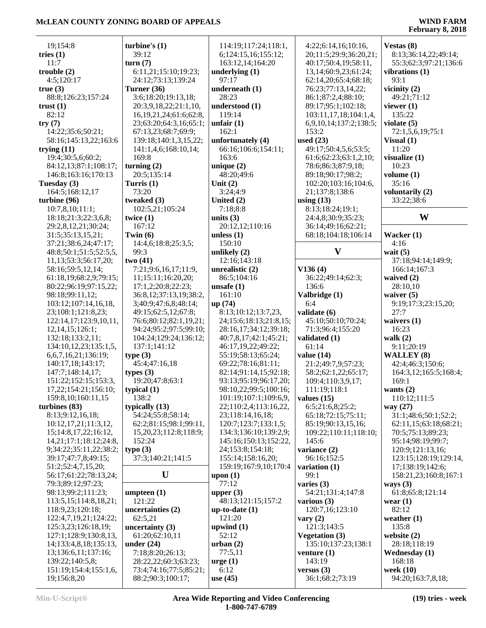| 19;154:8                      | turbine's $(1)$               | 114:19;117:24;118:1,   | 4:22;6:14,16;10:16,        | Vestas (8)            |
|-------------------------------|-------------------------------|------------------------|----------------------------|-----------------------|
| tries $(1)$                   | 39:12                         | 6;124:15,16;155:12;    | 20;11:5;29:9;36:20,21;     | 8:13;36:14,22;49:14;  |
| 11:7                          | turn(7)                       | 163:12,14;164:20       | 40:17;50:4,19;58:11,       | 55:3;62:3;97:21;136:6 |
| trouble(2)                    | 6:11,21;15:10;19:23;          | underlying $(1)$       | 13, 14; 60: 9, 23; 61: 24; | vibrations (1)        |
| 4:5;120:17                    | 24:12;73:13;139:24            | 97:17                  | 62:14,20;65:4;68:18;       | 93:1                  |
| true(3)                       | Turner (36)                   | underneath (1)         | 76:23;77:13,14,22;         | vicinity $(2)$        |
| 88:8;126:23;157:24            | 3:6;18:20;19:13,18;           | 28:23                  | 86:1;87:2,4;88:10;         | 49:21;71:12           |
| trust $(1)$                   | 20:3,9,18,22;21:1,10,         | understood (1)         | 89:17;95:1;102:18;         | viewer $(1)$          |
| 82:12                         | 16, 19, 21, 24; 61: 6; 62: 8, | 119:14                 | 103:11,17,18;104:1,4,      | 135:22                |
| try(7)                        | 23;63:20;64:3,16;65:1;        | unfair $(1)$           | 6,9,10,14;137:2;138:5;     | violate $(5)$         |
| 14:22;35:6;50:21;             | 67:13,23;68:7;69:9;           | 162:1                  | 153:2                      | 72:1,5,6,19;75:1      |
| 58:16;145:13,22;163:6         | 139:18;140:1,3,15,22;         | unfortunately (4)      | used $(23)$                | Visual $(1)$          |
| trying $(11)$                 | 141:1,4,6;168:10,14;          | 66:16;106:6;154:11;    | 49:17;50:4,5,6;53:5;       | 11:20                 |
| 19:4;30:5,6;60:2;             | 169:8                         | 163:6                  | 61:6;62:23;63:1,2,10;      | visualize $(1)$       |
| 84:12,13;87:1;108:17;         | turning $(2)$                 | unique $(2)$           | 78:6;86:3;87:9,18;         | 10:23                 |
| 146:8;163:16;170:13           | 20:5;135:14                   | 48:20;49:6             | 89:18;90:17;98:2;          | volume $(1)$          |
| Tuesday (3)                   | Turris $(1)$                  | Unit $(2)$             | 102:20;103:16;104:6,       | 35:16                 |
| 164:5;168:12,17               | 73:20                         | 3:24;4:9               | 21;137:8;138:6             | voluntarily (2)       |
| turbine (96)                  | tweaked (3)                   | United (2)             | using $(13)$               | 33:22;38:6            |
| 10:7,8,10;11:1;               | 102:5,21;105:24               | 7:18;8:8               | 8:13;18:24;19:1;           |                       |
| 18:18;21:3;22:3,6,8;          | twice $(1)$                   | units $(3)$            | 24:4,8;30:9;35:23;         | W                     |
| 29:2,8,12,21;30:24;           | 167:12                        | 20:12,12;110:16        | 36:14;49:16;62:21;         |                       |
| 31:5;35:13,15,21;             | Twin $(6)$                    | unless $(1)$           | 68:18;104:18;106:14        | Wacker (1)            |
| 37:21;38:6,24;47:17;          | 14:4,6;18:8;25:3,5;           | 150:10                 |                            | 4:16                  |
| 48:8;50:1;51:5;52:5,5,        | 99:3                          | unlikely $(2)$         | $\mathbf{V}$               | wait $(5)$            |
| 11, 13; 53: 3; 56: 17, 20;    | two(41)                       | 12:16;143:18           |                            | 37:18;94:14;149:9;    |
| 58:16;59:5,12,14;             | 7:21;9:6,16,17;11:9,          | unrealistic $(2)$      | V136(4)                    | 166:14;167:3          |
| 61:18,19;68:2,9;79:15;        | 11;15:11;16:20,20;            | 86:5;104:16            | 36:22;49:14;62:3;          | waived (2)            |
| 80:22;96:19;97:15,22;         | 17:1,2;20:8;22:23;            | unsafe $(1)$           | 136:6                      | 28:10,10              |
| 98:18;99:11,12;               | 36:8,12;37:13,19;38:2,        | 161:10                 | Valbridge (1)              | waiver $(5)$          |
| 103:12;107:14,16,18,          | 3;40:9;47:6,8;48:14;          | up (74)                | 6:4                        | 9:19;17:3;23:15,20;   |
| 23;108:1;121:8,23;            | 49:15;62:5,12;67:8;           | 8:13;10:12;13:7,23,    | validate (6)               | 27:7                  |
| 122:14,17;123:9,10,11,        | 76:6;80:12;82:1,19,21;        | 24;15:6;18:13;21:8,15; | 45:10;50:10;70:24;         | waivers $(1)$         |
| 12,14,15;126:1;               | 94:24;95:2;97:5;99:10;        | 28:16,17;34:12;39:18;  | 71:3;96:4;155:20           | 16:23                 |
| 132:18;133:2,11;              | 104:24;129:24;136:12;         | 40:7,8,17;42:1;45:21;  | validated (1)              | walk $(2)$            |
| 134:10,12,23;135:1,5,         | 137:1;141:12                  | 46:17,19,22;49:22;     | 61:14                      | 9:11;20:19            |
| 6,6,7,16,21;136:19;           | type(3)                       | 55:19;58:13;65:24;     | value $(14)$               | <b>WALLEY (8)</b>     |
| 140:17,18;143:17;             | 45:4;47:16,18                 | 69:22;78:16;81:11;     | 21:2;49:7,9;57:23;         | 42:4;46:3;150:6;      |
| 147:7;148:14,17;              | types $(3)$                   | 82:14;91:14,15;92:18;  | 58:2;62:1,22;65:17;        | 164:3,12;165:5;168:4; |
| 151:22;152:15;153:3,          | 19:20;47:8;63:1               | 93:13;95:19;96:17,20;  | 109:4;110:3,9,17;          | 169:1                 |
| 17,22;154:21;156:10;          | typical $(1)$                 | 98:10,22;99:5;100:16;  | 111:19;118:1               | wants $(2)$           |
| 159:8, 10; 160: 11, 15        | 138:2                         | 101:19;107:1;109:6,9,  | values $(15)$              | 110:12;111:5          |
| turbines $(83)$               | typically $(13)$              | 22;110:2,4;113:16,22,  | 6:5;21:6,8;25:2;           | way $(27)$            |
| 8:13;9:12,16,18;              | 54:24;55:8;58:14;             | 23;118:14,16,18;       | 65:18;72:15;75:11;         | 31:1;48:6;50:1;52:2;  |
| 10:12, 17, 21; 11: 3, 12,     | 62:2;81:15;98:1;99:11,        | 120:7;123:7;133:1,5;   | 85:19;90:13,15,16;         | 62:11,15;63:18;68:21; |
| 15;14:8,17,22;16:12,          | 15, 20, 23; 112: 8; 118: 9;   | 134:3;136:10;139:2,9;  | 109:22;110:11;118:10;      | 70:5;75:13;89:23;     |
| 14, 21; 17: 1; 18: 12; 24: 8, | 152:24                        | 145:16;150:13;152:22,  | 145:6                      | 95:14;98:19;99:7;     |
| 9;34:22;35:11,22;38:2;        | type(3)                       | 24;153:8;154:18;       | variance (2)               | 120:9;121:13,16;      |
| 39:17;47:7,8;49:15;           | 37:3;140:21;141:5             | 155:14;158:16,20;      | 96:16;152:5                | 123:15;128:19;129:14, |
| 51:2;52:4,7,15,20;            | U                             | 159:19;167:9,10;170:4  | variation $(1)$            | 17;138:19;142:6;      |
| 56:17;61:22;78:13,24;         |                               | upon $(1)$             | 99:1                       | 158:21,23;160:8;167:1 |
| 79:3;89:12;97:23;             |                               | 77:12                  | varies $(3)$               | ways $(3)$            |
| 98:13;99:2;111:23;            | umpteen $(1)$                 | upper $(3)$            | 54:21;131:4;147:8          | 61:8;65:8;121:14      |
| 113:5,15;114:8,18,21;         | 121:22                        | 48:13;121:15;157:2     | various $(3)$              | wear $(1)$            |
| 118:9,23;120:18;              | uncertainties (2)             | up-to-date $(1)$       | 120:7,16;123:10            | 82:12                 |
| 122:4,7,19,21;124:22;         | 62:5,21                       | 121:20                 | vary $(2)$                 | weather $(1)$         |
| 125:3,23;126:18,19;           | uncertainty $(3)$             | upwind $(1)$           | 121:3;143:5                | 135:8                 |
| 127:1;128:9;130:8,13,         | 61:20;62:10,11                | 52:12                  | <b>Vegetation (3)</b>      | website $(2)$         |
| 14;133:4,8,18;135:13,         | under $(24)$                  | urban(2)               | 135:10;137:23;138:1        | 28:18;118:19          |
| 13, 136: 6, 11, 137: 16;      | 7:18;8:20;26:13;              | 77:5,11                | venture (1)                | <b>Wednesday</b> (1)  |
| 139:22;140:5,8;               | 28:22,22;60:3;63:23;          | $\arg e(1)$            | 143:19                     | 168:18                |
| 151:19;154:4;155:1,6,         | 73:4;74:16;77:5;85:21;        | 6:12                   | versus $(3)$               | week $(10)$           |
| 19;156:8,20                   | 88:2;90:3;100:17;             | use $(45)$             | 36:1;68:2;73:19            | 94:20;163:7,8,18;     |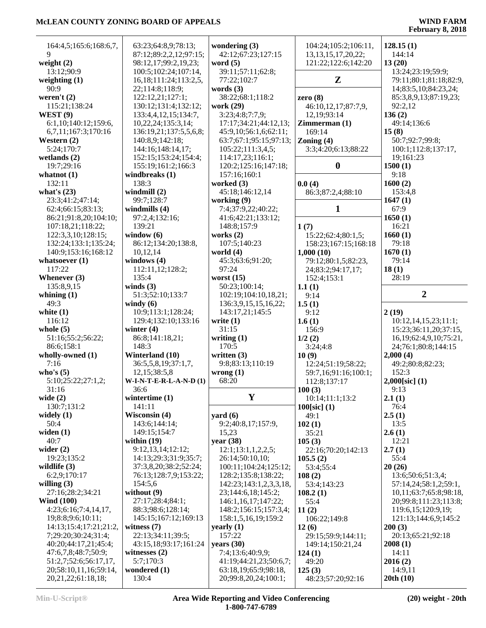| 164:4,5;165:6;168:6,7,                      | 63:23;64:8,9;78:13;         | wondering $(3)$                              | 104:24;105:2;106:11,        | 128.15(1)                     |
|---------------------------------------------|-----------------------------|----------------------------------------------|-----------------------------|-------------------------------|
| 9                                           | 87:12;89:2,2,12;97:15;      | 42:12;67:23;127:15                           | 13, 13, 15, 17, 20, 22;     | 144:14                        |
| weight $(2)$                                | 98:12,17;99:2,19,23;        | word $(5)$                                   | 121:22;122:6;142:20         | 13(20)                        |
| 13:12;90:9                                  | 100:5;102:24;107:14,        | 39:11;57:11;62:8;                            |                             | 13:24;23:19;59:9;             |
| weighting $(1)$                             | 16, 18; 111: 24; 113: 2, 5, | 77:22;102:7                                  | ${\bf z}$                   | 79:11;80:1;81:18;82:9,        |
| 90:9                                        | 22;114:8;118:9;             | words $(3)$                                  |                             | 14;83:5,10;84:23,24;          |
| weren't $(2)$                               | 122:12,21;127:1;            | 38:22;68:1;118:2                             | zero $(8)$                  | 85:3,8,9,13;87:19,23;         |
| 115:21;138:24                               | 130:12;131:4;132:12;        | work (29)                                    | 46:10,12,17;87:7,9,         | 92:2,12                       |
| WEST $(9)$                                  | 133:4,4,12,15;134:7,        | 3:23;4:8;7:7,9;                              | 12,19;93:14                 | 136(2)                        |
| 6:1,10;140:12;159:6,                        | 10,22,24;135:3,14;          | 17:17:34:21:44:12.13:                        | Zimmerman(1)                | 49:14:136:6                   |
| 6,7,11;167:3;170:16                         | 136:19,21;137:5,5,6,8;      | 45:9,10;56:1,6;62:11;                        | 169:14                      | 15(8)                         |
| Western $(2)$                               | 140:8,9;142:18;             | 63:7;67:1;95:15;97:13;                       | Zoning $(4)$                | 50:7;92:7;99:8;               |
| 5:24;170:7                                  | 144:16;148:14,17;           | 105:22;111:3,4,5;                            | 3:3;4:20;6:13;88:22         | 100:1;112:8;137:17,           |
| wetlands $(2)$                              | 152:15;153:24;154:4;        | 114:17,23;116:1;                             |                             | 19;161:23                     |
| 19:7;29:16                                  | 155:19;161:2;166:3          | 120:2;125:16;147:18;                         | $\boldsymbol{0}$            | 1500(1)                       |
| whatnot $(1)$                               | windbreaks (1)              | 157:16;160:1                                 |                             | 9:18                          |
| 132:11                                      | 138:3                       | worked (3)                                   | 0.0(4)                      | 1600(2)                       |
| what's $(23)$                               |                             |                                              | 86:3;87:2,4;88:10           |                               |
|                                             | windmill $(2)$              | 45:18;146:12,14                              |                             | 153:4,8                       |
| 23:3;41:2;47:14;                            | 99:7;128:7                  | working (9)                                  |                             | 1647(1)                       |
| 62:4;66:15;83:13;                           | windmills (4)               | 7:4;37:9,22;40:22;                           | 1                           | 67:9                          |
| 86:21;91:8,20;104:10;                       | 97:2,4;132:16;              | 41:6;42:21;133:12;                           |                             | 1650(1)                       |
| 107:18,21;118:22;                           | 139:21                      | 148:8;157:9                                  | 1(7)                        | 16:21                         |
| 122:3,3,10;128:15;                          | window $(6)$                | works $(2)$                                  | 15:22;62:4;80:1,5;          | 1660(1)                       |
| 132:24;133:1;135:24;                        | 86:12;134:20;138:8,         | 107:5;140:23                                 | 158:23;167:15;168:18        | 79:18                         |
| 140:9;153:16;168:12                         | 10,12,14                    | world $(4)$                                  | 1,000(10)                   | 1670(1)                       |
| whatsoever $(1)$                            | windows $(4)$               | 45:3;63:6;91:20;                             | 79:12;80:1,5;82:23,         | 79:14                         |
| 117:22                                      | 112:11,12;128:2;            | 97:24                                        | 24;83:2;94:17,17;           | 18(1)                         |
| Whenever $(3)$                              | 135:4                       | worst $(15)$                                 | 152:4;153:1                 | 28:19                         |
| 135:8,9,15                                  | winds $(3)$                 | 50:23;100:14;                                | 1.1(1)                      |                               |
| whining $(1)$                               | 51:3;52:10;133:7            | 102:19;104:10,18,21;                         | 9:14                        | $\overline{2}$                |
| 49:3                                        | windy $(6)$                 | 136:3,9,15,15,16,22;                         | 1.5(1)                      |                               |
| white $(1)$                                 | 10:9;113:1;128:24;          | 143:17,21;145:5                              | 9:12                        | 2(19)                         |
|                                             |                             |                                              |                             |                               |
|                                             |                             |                                              |                             |                               |
| 116:12                                      | 129:4;132:10;133:16         | write $(1)$                                  | 1.6(1)                      | 10:12,14,15,23;11:1;          |
| whole $(5)$                                 | winter $(4)$                | 31:15                                        | 156:9                       | 15:23;36:11,20;37:15,         |
| 51:16;55:2;56:22;                           | 86:8;141:18,21;             | writing $(1)$                                | 1/2(2)                      | 16, 19; 62: 4, 9, 10; 75: 21, |
| 86:6;158:1                                  | 148:3                       | 170:5                                        | 3:24;4:8                    | 24;76:1;80:8;144:15           |
| wholly-owned (1)                            | Winterland (10)             | written $(3)$                                | 10(9)                       | 2,000(4)                      |
| 7:16                                        | 36:5,5,8,19;37:1,7,         | 9:8;83:13;110:19                             | 12:24;51:19;58:22;          | 49:2;80:8;82:23;              |
| who's $(5)$                                 | 12, 15; 38: 5, 8            | wrong(1)                                     | 59:7,16;91:16;100:1;        | 152:3                         |
| 5:10;25:22;27:1,2;                          | $W-I-N-T-E-R-L-A-N-D(1)$    | 68:20                                        | 112:8;137:17                | $2,000[sic]$ (1)              |
| 31:16                                       | 36:6                        |                                              | 100(3)                      | 9:13                          |
| wide $(2)$                                  | wintertime $(1)$            | Y                                            | 10:14;11:1;13:2             | 2.1(1)                        |
| 130:7;131:2                                 | 141:11                      |                                              | 100[sic] (1)                | 76:4                          |
| widely $(1)$                                | Wisconsin (4)               | yard $(6)$                                   | 49:1                        | 2.5(1)                        |
| 50:4                                        | 143:6;144:14;               | 9:2;40:8,17;157:9,                           | 102(1)                      | 13:5                          |
| widen $(1)$                                 | 149:15;154:7                | 15,23                                        | 35:21                       | 2.6(1)                        |
| 40:7                                        | within $(19)$               | year $(38)$                                  |                             | 12:21                         |
| wider $(2)$                                 | 9:12,13,14;12:12;           |                                              | 105(3)                      |                               |
|                                             |                             | 12:1;13:1,1,2,2,5;                           | 22:16;70:20;142:13          | 2.7(1)                        |
| 19:23;135:2                                 | 14:13;29:3;31:9;35:7;       | 26:14;50:10,10;                              | 105.5(2)                    | 55:4                          |
| wildlife $(3)$                              | 37:3,8,20;38:2;52:24;       | 100:11;104:24;125:12;                        | 53:4;55:4                   | 20(26)                        |
| 6:2,9;170:17                                | 76:13;128:7,9;153:22;       | 128:2;135:8;138:22;                          | 108(2)                      | 13:6;50:6;51:3,4;             |
| willing $(3)$                               | 154:5,6                     | 142:23;143:1,2,3,3,18,                       | 53:4;143:23                 | 57:14,24;58:1,2;59:1,         |
| 27:16;28:2;34:21                            | without $(9)$               | 23;144:6,18;145:2;                           | 108.2(1)                    | 10,11;63:7;65:8;98:18,        |
| <b>Wind (100)</b>                           | 27:17;28:4;84:1;            | 146:1,16,17;147:22;                          | 55:4                        | 20;99:8;111:23;113:8;         |
| 4:23;6:16;7:4,14,17,                        | 88:3;98:6;128:14;           | 148:2;156:15;157:3,4;                        | 11(2)                       | 119:6,15;120:9,19;            |
| 19;8:8;9:6;10:11;                           | 145:15;167:12;169:13        | 158:1,5,16,19;159:2                          | 106:22;149:8                | 121:13;144:6,9;145:2          |
| 14:13;15:4;17:21;21:2,                      | witness $(7)$               | yearly $(1)$                                 | 12(6)                       | 200(3)                        |
| 7;29:20;30:24;31:4;                         | 22:13;34:11;39:5;           | 157:22                                       | 29:15;59:9;144:11;          | 20:13;65:21;92:18             |
| 40:20;44:17,21;45:4;                        | 43:15,18;93:17;161:24       | years $(30)$                                 | 149:14;150:21,24            | 2008(1)                       |
| 47:6,7,8;48:7;50:9;                         | witnesses $(2)$             | 7:4;13:6;40:9,9;                             | 124(1)                      | 14:11                         |
| 51:2,7;52:6;56:17,17,                       | 5:7;170:3                   | 41:19;44:21,23;50:6,7;                       | 49:20                       | 2016(2)                       |
| 20;58:10,11,16;59:14,<br>20,21,22;61:18,18; | wondered (1)<br>130:4       | 63:18,19;65:9;98:18,<br>20;99:8,20,24;100:1; | 125(3)<br>48:23;57:20;92:16 | 14:9,11<br>20th(10)           |